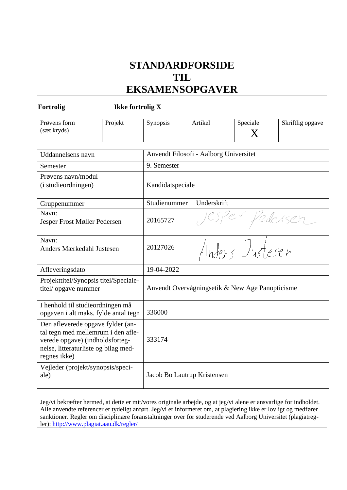# **STANDARDFORSIDE TIL EKSAMENSOPGAVER**

**Fortrolig Ikke fortrolig X**

| Prøvens form<br>(sæt kryds)                                                                                                                                        | Projekt | Synopsis                                        | Artikel         | Speciale<br>X | Skriftlig opgave |
|--------------------------------------------------------------------------------------------------------------------------------------------------------------------|---------|-------------------------------------------------|-----------------|---------------|------------------|
| <b>Uddannelsens</b> navn                                                                                                                                           |         | Anvendt Filosofi - Aalborg Universitet          |                 |               |                  |
| Semester                                                                                                                                                           |         | 9. Semester                                     |                 |               |                  |
| Prøvens navn/modul<br>(i studieordningen)                                                                                                                          |         | Kandidatspeciale                                |                 |               |                  |
| Gruppenummer                                                                                                                                                       |         | Studienummer                                    | Underskrift     |               |                  |
| Navn:<br>Jesper Frost Møller Pedersen                                                                                                                              |         | 20165727                                        |                 |               |                  |
| Navn:<br>Anders Mærkedahl Justesen                                                                                                                                 |         | 20127026                                        | Anders Justesen |               |                  |
| Afleveringsdato                                                                                                                                                    |         | 19-04-2022                                      |                 |               |                  |
| Projekttitel/Synopsis titel/Speciale-<br>titel/ opgave nummer                                                                                                      |         | Anvendt Overvågningsetik & New Age Panopticisme |                 |               |                  |
| I henhold til studieordningen må<br>opgaven i alt maks. fylde antal tegn                                                                                           |         | 336000                                          |                 |               |                  |
| Den afleverede opgave fylder (an-<br>tal tegn med mellemrum i den afle-<br>verede opgave) (indholdsforteg-<br>nelse, litteraturliste og bilag med-<br>regnes ikke) |         | 333174                                          |                 |               |                  |
| Vejleder (projekt/synopsis/speci-<br>ale)                                                                                                                          |         | Jacob Bo Lautrup Kristensen                     |                 |               |                  |

Jeg/vi bekræfter hermed, at dette er mit/vores originale arbejde, og at jeg/vi alene er ansvarlige for indholdet. Alle anvendte referencer er tydeligt anført. Jeg/vi er informeret om, at plagiering ikke er lovligt og medfører sanktioner. Regler om disciplinære foranstaltninger over for studerende ved Aalborg Universitet (plagiatregler):<http://www.plagiat.aau.dk/regler/>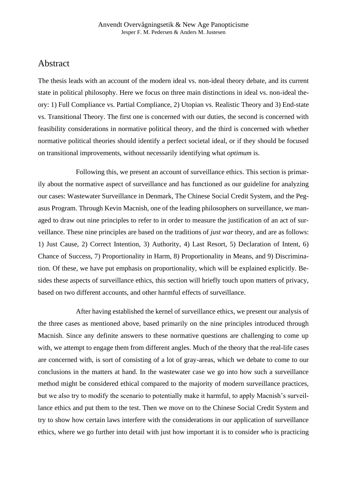# Abstract

The thesis leads with an account of the modern ideal vs. non-ideal theory debate, and its current state in political philosophy. Here we focus on three main distinctions in ideal vs. non-ideal theory: 1) Full Compliance vs. Partial Compliance, 2) Utopian vs. Realistic Theory and 3) End-state vs. Transitional Theory. The first one is concerned with our duties, the second is concerned with feasibility considerations in normative political theory, and the third is concerned with whether normative political theories should identify a perfect societal ideal, or if they should be focused on transitional improvements, without necessarily identifying what *optimum* is.

 Following this, we present an account of surveillance ethics. This section is primarily about the normative aspect of surveillance and has functioned as our guideline for analyzing our cases: Wastewater Surveillance in Denmark, The Chinese Social Credit System, and the Pegasus Program. Through Kevin Macnish, one of the leading philosophers on surveillance, we managed to draw out nine principles to refer to in order to measure the justification of an act of surveillance. These nine principles are based on the traditions of *just war* theory, and are as follows: 1) Just Cause, 2) Correct Intention, 3) Authority, 4) Last Resort, 5) Declaration of Intent, 6) Chance of Success, 7) Proportionality in Harm, 8) Proportionality in Means, and 9) Discrimination. Of these, we have put emphasis on proportionality, which will be explained explicitly. Besides these aspects of surveillance ethics, this section will briefly touch upon matters of privacy, based on two different accounts, and other harmful effects of surveillance.

 After having established the kernel of surveillance ethics, we present our analysis of the three cases as mentioned above, based primarily on the nine principles introduced through Macnish. Since any definite answers to these normative questions are challenging to come up with, we attempt to engage them from different angles. Much of the theory that the real-life cases are concerned with, is sort of consisting of a lot of gray-areas, which we debate to come to our conclusions in the matters at hand. In the wastewater case we go into how such a surveillance method might be considered ethical compared to the majority of modern surveillance practices, but we also try to modify the scenario to potentially make it harmful, to apply Macnish's surveillance ethics and put them to the test. Then we move on to the Chinese Social Credit System and try to show how certain laws interfere with the considerations in our application of surveillance ethics, where we go further into detail with just how important it is to consider *who* is practicing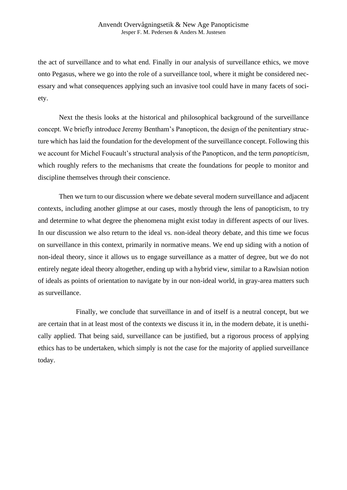the act of surveillance and to what end. Finally in our analysis of surveillance ethics, we move onto Pegasus, where we go into the role of a surveillance tool, where it might be considered necessary and what consequences applying such an invasive tool could have in many facets of society.

Next the thesis looks at the historical and philosophical background of the surveillance concept. We briefly introduce Jeremy Bentham's Panopticon, the design of the penitentiary structure which has laid the foundation for the development of the surveillance concept. Following this we account for Michel Foucault's structural analysis of the Panopticon, and the term *panopticism*, which roughly refers to the mechanisms that create the foundations for people to monitor and discipline themselves through their conscience.

Then we turn to our discussion where we debate several modern surveillance and adjacent contexts, including another glimpse at our cases, mostly through the lens of panopticism, to try and determine to what degree the phenomena might exist today in different aspects of our lives. In our discussion we also return to the ideal vs. non-ideal theory debate, and this time we focus on surveillance in this context, primarily in normative means. We end up siding with a notion of non-ideal theory, since it allows us to engage surveillance as a matter of degree, but we do not entirely negate ideal theory altogether, ending up with a hybrid view, similar to a Rawlsian notion of ideals as points of orientation to navigate by in our non-ideal world, in gray-area matters such as surveillance.

 Finally, we conclude that surveillance in and of itself is a neutral concept, but we are certain that in at least most of the contexts we discuss it in, in the modern debate, it is unethically applied. That being said, surveillance can be justified, but a rigorous process of applying ethics has to be undertaken, which simply is not the case for the majority of applied surveillance today.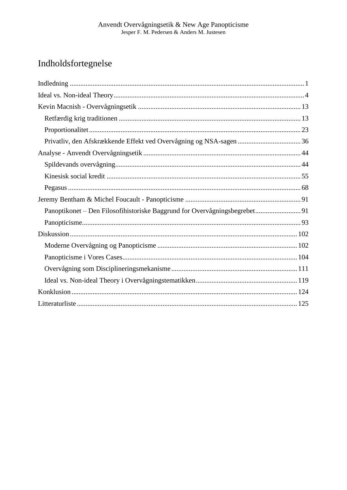# Indholdsfortegnelse

| Privatliv, den Afskrækkende Effekt ved Overvågning og NSA-sagen  36        |  |
|----------------------------------------------------------------------------|--|
|                                                                            |  |
|                                                                            |  |
|                                                                            |  |
|                                                                            |  |
|                                                                            |  |
| Panoptikonet – Den Filosofihistoriske Baggrund for Overvågningsbegrebet 91 |  |
|                                                                            |  |
|                                                                            |  |
|                                                                            |  |
|                                                                            |  |
|                                                                            |  |
|                                                                            |  |
|                                                                            |  |
|                                                                            |  |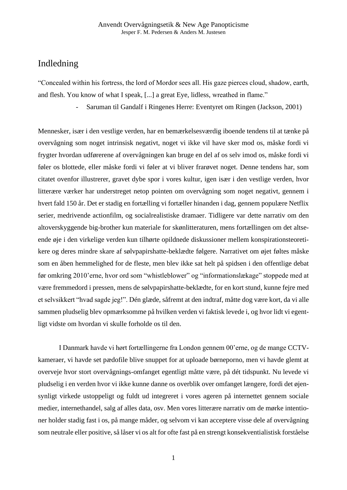# Indledning

"Concealed within his fortress, the lord of Mordor sees all. His gaze pierces cloud, shadow, earth, and flesh. You know of what I speak, [...] a great Eye, lidless, wreathed in flame."

- Saruman til Gandalf i Ringenes Herre: Eventyret om Ringen (Jackson, 2001)

Mennesker, især i den vestlige verden, har en bemærkelsesværdig iboende tendens til at tænke på overvågning som noget intrinsisk negativt, noget vi ikke vil have sker mod os, måske fordi vi frygter hvordan udførerene af overvågningen kan bruge en del af os selv imod os, måske fordi vi føler os blottede, eller måske fordi vi føler at vi bliver frarøvet noget. Denne tendens har, som citatet ovenfor illustrerer, gravet dybe spor i vores kultur, igen især i den vestlige verden, hvor litterære værker har understreget netop pointen om overvågning som noget negativt, gennem i hvert fald 150 år. Det er stadig en fortælling vi fortæller hinanden i dag, gennem populære Netflix serier, medrivende actionfilm, og socialrealistiske dramaer. Tidligere var dette narrativ om den altoverskyggende big-brother kun materiale for skønlitteraturen, mens fortællingen om det altseende øje i den virkelige verden kun tilhørte opildnede diskussioner mellem konspirationsteoretikere og deres mindre skare af sølvpapirshatte-beklædte følgere. Narrativet om øjet føltes måske som en åben hemmelighed for de fleste, men blev ikke sat helt på spidsen i den offentlige debat før omkring 2010'erne, hvor ord som "whistleblower" og "informationslækage" stoppede med at være fremmedord i pressen, mens de sølvpapirshatte-beklædte, for en kort stund, kunne fejre med et selvsikkert "hvad sagde jeg!". Dén glæde, såfremt at den indtraf, måtte dog være kort, da vi alle sammen pludselig blev opmærksomme på hvilken verden vi faktisk levede i, og hvor lidt vi egentligt vidste om hvordan vi skulle forholde os til den.

I Danmark havde vi hørt fortællingerne fra London gennem 00'erne, og de mange CCTVkameraer, vi havde set pædofile blive snuppet for at uploade børneporno, men vi havde glemt at overveje hvor stort overvågnings-omfanget egentligt måtte være, på dét tidspunkt. Nu levede vi pludselig i en verden hvor vi ikke kunne danne os overblik over omfanget længere, fordi det øjensynligt virkede ustoppeligt og fuldt ud integreret i vores ageren på internettet gennem sociale medier, internethandel, salg af alles data, osv. Men vores litterære narrativ om de mørke intentioner holder stadig fast i os, på mange måder, og selvom vi kan acceptere visse dele af overvågning som neutrale eller positive, så låser vi os alt for ofte fast på en strengt konsekventialistisk forståelse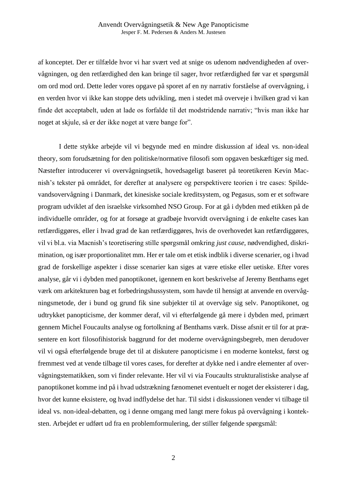af konceptet. Der er tilfælde hvor vi har svært ved at snige os udenom nødvendigheden af overvågningen, og den retfærdighed den kan bringe til sager, hvor retfærdighed før var et spørgsmål om ord mod ord. Dette leder vores opgave på sporet af en ny narrativ forståelse af overvågning, i en verden hvor vi ikke kan stoppe dets udvikling, men i stedet må overveje i hvilken grad vi kan finde det acceptabelt, uden at lade os forfalde til det modstridende narrativ; "hvis man ikke har noget at skjule, så er der ikke noget at være bange for".

I dette stykke arbejde vil vi begynde med en mindre diskussion af ideal vs. non-ideal theory, som forudsætning for den politiske/normative filosofi som opgaven beskæftiger sig med. Næstefter introducerer vi overvågningsetik, hovedsageligt baseret på teoretikeren Kevin Macnish's tekster på området, for derefter at analysere og perspektivere teorien i tre cases: Spildevandsovervågning i Danmark, det kinesiske sociale kreditsystem, og Pegasus, som er et software program udviklet af den israelske virksomhed NSO Group. For at gå i dybden med etikken på de individuelle områder, og for at forsøge at gradbøje hvorvidt overvågning i de enkelte cases kan retfærdiggøres, eller i hvad grad de kan retfærdiggøres, hvis de overhovedet kan retfærdiggøres, vil vi bl.a. via Macnish's teoretisering stille spørgsmål omkring *just cause*, nødvendighed, diskrimination, og især proportionalitet mm. Her er tale om et etisk indblik i diverse scenarier, og i hvad grad de forskellige aspekter i disse scenarier kan siges at være etiske eller uetiske. Efter vores analyse, går vi i dybden med panoptikonet, igennem en kort beskrivelse af Jeremy Benthams eget værk om arkitekturen bag et forbedringshussystem, som havde til hensigt at anvende en overvågningsmetode, der i bund og grund fik sine subjekter til at overvåge sig selv. Panoptikonet, og udtrykket panopticisme, der kommer deraf, vil vi efterfølgende gå mere i dybden med, primært gennem Michel Foucaults analyse og fortolkning af Benthams værk. Disse afsnit er til for at præsentere en kort filosofihistorisk baggrund for det moderne overvågningsbegreb, men derudover vil vi også efterfølgende bruge det til at diskutere panopticisme i en moderne kontekst, først og fremmest ved at vende tilbage til vores cases, for derefter at dykke ned i andre elementer af overvågningstematikken, som vi finder relevante. Her vil vi via Foucaults strukturalistiske analyse af panoptikonet komme ind på i hvad udstrækning fænomenet eventuelt er noget der eksisterer i dag, hvor det kunne eksistere, og hvad indflydelse det har. Til sidst i diskussionen vender vi tilbage til ideal vs. non-ideal-debatten, og i denne omgang med langt mere fokus på overvågning i konteksten. Arbejdet er udført ud fra en problemformulering, der stiller følgende spørgsmål: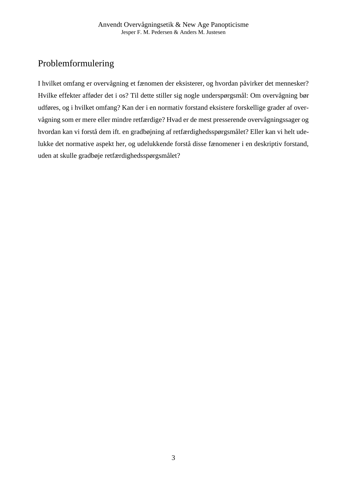# Problemformulering

I hvilket omfang er overvågning et fænomen der eksisterer, og hvordan påvirker det mennesker? Hvilke effekter afføder det i os? Til dette stiller sig nogle underspørgsmål: Om overvågning bør udføres, og i hvilket omfang? Kan der i en normativ forstand eksistere forskellige grader af overvågning som er mere eller mindre retfærdige? Hvad er de mest presserende overvågningssager og hvordan kan vi forstå dem ift. en gradbøjning af retfærdighedsspørgsmålet? Eller kan vi helt udelukke det normative aspekt her, og udelukkende forstå disse fænomener i en deskriptiv forstand, uden at skulle gradbøje retfærdighedsspørgsmålet?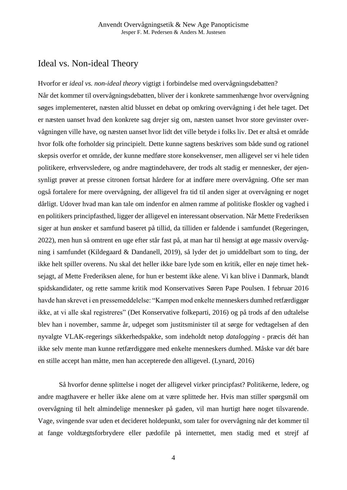# Ideal vs. Non-ideal Theory

Hvorfor er *ideal vs. non-ideal theory* vigtigt i forbindelse med overvågningsdebatten? Når det kommer til overvågningsdebatten, bliver der i konkrete sammenhænge hvor overvågning søges implementeret, næsten altid blusset en debat op omkring overvågning i det hele taget. Det er næsten uanset hvad den konkrete sag drejer sig om, næsten uanset hvor store gevinster overvågningen ville have, og næsten uanset hvor lidt det ville betyde i folks liv. Det er altså et område hvor folk ofte forholder sig principielt. Dette kunne sagtens beskrives som både sund og rationel skepsis overfor et område, der kunne medføre store konsekvenser, men alligevel ser vi hele tiden politikere, erhvervsledere, og andre magtindehavere, der trods alt stadig er mennesker, der øjensynligt prøver at presse citronen fortsat hårdere for at indføre mere overvågning. Ofte ser man også fortalere for mere overvågning, der alligevel fra tid til anden siger at overvågning er noget dårligt. Udover hvad man kan tale om indenfor en almen ramme af politiske floskler og vaghed i en politikers principfasthed, ligger der alligevel en interessant observation. Når Mette Frederiksen siger at hun ønsker et samfund baseret på tillid, da tilliden er faldende i samfundet (Regeringen, 2022), men hun så omtrent en uge efter står fast på, at man har til hensigt at øge massiv overvågning i samfundet (Kildegaard & Dandanell, 2019), så lyder det jo umiddelbart som to ting, der ikke helt spiller overens. Nu skal det heller ikke bare lyde som en kritik, eller en nøje timet heksejagt, af Mette Frederiksen alene, for hun er bestemt ikke alene. Vi kan blive i Danmark, blandt spidskandidater, og rette samme kritik mod Konservatives Søren Pape Poulsen. I februar 2016 havde han skrevet i en pressemeddelelse: "Kampen mod enkelte menneskers dumhed retfærdiggør ikke, at vi alle skal registreres" (Det Konservative folkeparti, 2016) og på trods af den udtalelse blev han i november, samme år, udpeget som justitsminister til at sørge for vedtagelsen af den nyvalgte VLAK-regerings sikkerhedspakke, som indeholdt netop *datalogging* - præcis dét han ikke selv mente man kunne retfærdiggøre med enkelte menneskers dumhed. Måske var dét bare en stille accept han måtte, men han accepterede den alligevel. (Lynard, 2016)

Så hvorfor denne splittelse i noget der alligevel virker principfast? Politikerne, ledere, og andre magthavere er heller ikke alene om at være splittede her. Hvis man stiller spørgsmål om overvågning til helt almindelige mennesker på gaden, vil man hurtigt høre noget tilsvarende. Vage, svingende svar uden et decideret holdepunkt, som taler for overvågning når det kommer til at fange voldtægtsforbrydere eller pædofile på internettet, men stadig med et strejf af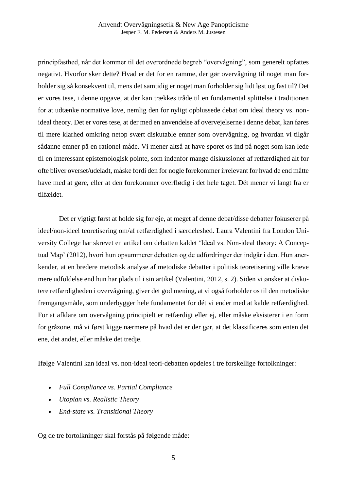principfasthed, når det kommer til det overordnede begreb "overvågning", som generelt opfattes negativt. Hvorfor sker dette? Hvad er det for en ramme, der gør overvågning til noget man forholder sig så konsekvent til, mens det samtidig er noget man forholder sig lidt løst og fast til? Det er vores tese, i denne opgave, at der kan trækkes tråde til en fundamental splittelse i traditionen for at udtænke normative love, nemlig den for nyligt opblussede debat om ideal theory vs. nonideal theory. Det er vores tese, at der med en anvendelse af overvejelserne i denne debat, kan føres til mere klarhed omkring netop svært diskutable emner som overvågning, og hvordan vi tilgår sådanne emner på en rationel måde. Vi mener altså at have sporet os ind på noget som kan lede til en interessant epistemologisk pointe, som indenfor mange diskussioner af retfærdighed alt for ofte bliver overset/udeladt, måske fordi den for nogle forekommer irrelevant for hvad de end måtte have med at gøre, eller at den forekommer overflødig i det hele taget. Dét mener vi langt fra er tilfældet.

Det er vigtigt først at holde sig for øje, at meget af denne debat/disse debatter fokuserer på ideel/non-ideel teoretisering om/af retfærdighed i særdeleshed. Laura Valentini fra London University College har skrevet en artikel om debatten kaldet 'Ideal vs. Non-ideal theory: A Conceptual Map' (2012), hvori hun opsummerer debatten og de udfordringer der indgår i den. Hun anerkender, at en bredere metodisk analyse af metodiske debatter i politisk teoretisering ville kræve mere udfoldelse end hun har plads til i sin artikel (Valentini, 2012, s. 2). Siden vi ønsker at diskutere retfærdigheden i overvågning, giver det god mening, at vi også forholder os til den metodiske fremgangsmåde, som underbygger hele fundamentet for dét vi ender med at kalde retfærdighed. For at afklare om overvågning principielt er retfærdigt eller ej, eller måske eksisterer i en form for gråzone, må vi først kigge nærmere på hvad det er der gør, at det klassificeres som enten det ene, det andet, eller måske det tredje.

Ifølge Valentini kan ideal vs. non-ideal teori-debatten opdeles i tre forskellige fortolkninger:

- *Full Compliance vs. Partial Compliance*
- *Utopian vs. Realistic Theory*
- *End-state vs. Transitional Theory*

Og de tre fortolkninger skal forstås på følgende måde: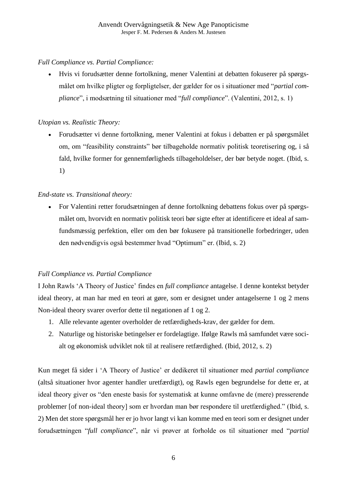### *Full Compliance vs. Partial Compliance:*

• Hvis vi forudsætter denne fortolkning, mener Valentini at debatten fokuserer på spørgsmålet om hvilke pligter og forpligtelser, der gælder for os i situationer med "*partial compliance*", i modsætning til situationer med "*full compliance*". (Valentini, 2012, s. 1)

### *Utopian vs. Realistic Theory:*

• Forudsætter vi denne fortolkning, mener Valentini at fokus i debatten er på spørgsmålet om, om "feasibility constraints" bør tilbageholde normativ politisk teoretisering og, i så fald, hvilke former for gennemførligheds tilbageholdelser, der bør betyde noget. (Ibid, s. 1)

# *End-state vs. Transitional theory:*

• For Valentini retter forudsætningen af denne fortolkning debattens fokus over på spørgsmålet om, hvorvidt en normativ politisk teori bør sigte efter at identificere et ideal af samfundsmæssig perfektion, eller om den bør fokusere på transitionelle forbedringer, uden den nødvendigvis også bestemmer hvad "Optimum" er. (Ibid, s. 2)

# *Full Compliance vs. Partial Compliance*

I John Rawls 'A Theory of Justice' findes en *full compliance* antagelse. I denne kontekst betyder ideal theory, at man har med en teori at gøre, som er designet under antagelserne 1 og 2 mens Non-ideal theory svarer overfor dette til negationen af 1 og 2.

- 1. Alle relevante agenter overholder de retfærdigheds-krav, der gælder for dem.
- 2. Naturlige og historiske betingelser er fordelagtige. Ifølge Rawls må samfundet være socialt og økonomisk udviklet nok til at realisere retfærdighed. (Ibid, 2012, s. 2)

Kun meget få sider i 'A Theory of Justice' er dedikeret til situationer med *partial compliance* (altså situationer hvor agenter handler uretfærdigt), og Rawls egen begrundelse for dette er, at ideal theory giver os "den eneste basis for systematisk at kunne omfavne de (mere) presserende problemer [of non-ideal theory] som er hvordan man bør respondere til uretfærdighed." (Ibid, s. 2) Men det store spørgsmål her er jo hvor langt vi kan komme med en teori som er designet under forudsætningen "*full compliance*", når vi prøver at forholde os til situationer med "*partial*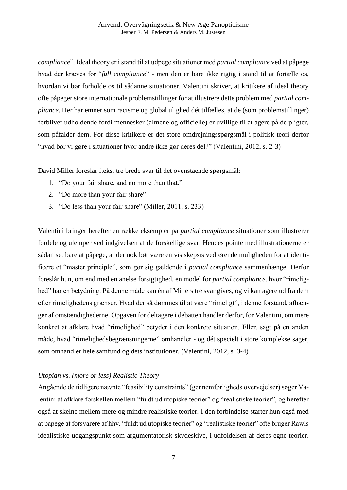*compliance*". Ideal theory er i stand til at udpege situationer med *partial compliance* ved at påpege hvad der kræves for "*full compliance*" - men den er bare ikke rigtig i stand til at fortælle os, hvordan vi bør forholde os til sådanne situationer. Valentini skriver, at kritikere af ideal theory ofte påpeger store internationale problemstillinger for at illustrere dette problem med *partial compliance*. Her har emner som racisme og global ulighed dét tilfælles, at de (som problemstillinger) forbliver udholdende fordi mennesker (almene og officielle) er uvillige til at agere på de pligter, som påfalder dem. For disse kritikere er det store omdrejningsspørgsmål i politisk teori derfor "hvad bør vi gøre i situationer hvor andre ikke gør deres del?" (Valentini, 2012, s. 2-3)

David Miller foreslår f.eks. tre brede svar til det ovenstående spørgsmål:

- 1. "Do your fair share, and no more than that."
- 2. "Do more than your fair share"
- 3. "Do less than your fair share" (Miller, 2011, s. 233)

Valentini bringer herefter en række eksempler på *partial compliance* situationer som illustrerer fordele og ulemper ved indgivelsen af de forskellige svar. Hendes pointe med illustrationerne er sådan set bare at påpege, at der nok bør være en vis skepsis vedrørende muligheden for at identificere et "master principle", som gør sig gældende i *partial compliance* sammenhænge. Derfor foreslår hun, om end med en anelse forsigtighed, en model for *partial compliance*, hvor "rimelighed" har en betydning. På denne måde kan én af Millers tre svar gives, og vi kan agere ud fra dem efter rimelighedens grænser. Hvad der så dømmes til at være "rimeligt", i denne forstand, afhænger af omstændighederne. Opgaven for deltagere i debatten handler derfor, for Valentini, om mere konkret at afklare hvad "rimelighed" betyder i den konkrete situation. Eller, sagt på en anden måde, hvad "rimelighedsbegrænsningerne" omhandler - og dét specielt i store komplekse sager, som omhandler hele samfund og dets institutioner. (Valentini, 2012, s. 3-4)

#### *Utopian vs. (more or less) Realistic Theory*

Angående de tidligere nævnte "feasibility constraints" (gennemførligheds overvejelser) søger Valentini at afklare forskellen mellem "fuldt ud utopiske teorier" og "realistiske teorier", og herefter også at skelne mellem mere og mindre realistiske teorier. I den forbindelse starter hun også med at påpege at forsvarere af hhv. "fuldt ud utopiske teorier" og "realistiske teorier" ofte bruger Rawls idealistiske udgangspunkt som argumentatorisk skydeskive, i udfoldelsen af deres egne teorier.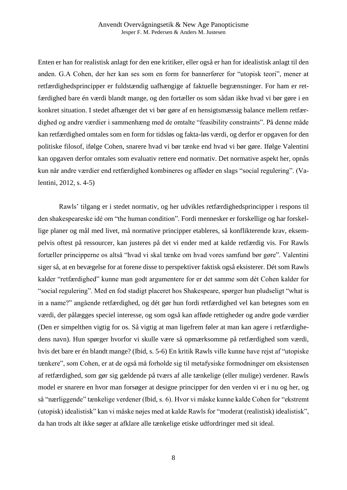Enten er han for realistisk anlagt for den ene kritiker, eller også er han for idealistisk anlagt til den anden. G.A Cohen, der her kan ses som en form for bannerfører for "utopisk teori", mener at retfærdighedsprincipper er fuldstændig uafhængige af faktuelle begrænsninger. For ham er retfærdighed bare én værdi blandt mange, og den fortæller os som sådan ikke hvad vi bør gøre i en konkret situation. I stedet afhænger det vi bør gøre af en hensigtsmæssig balance mellem retfærdighed og andre værdier i sammenhæng med de omtalte "feasibility constraints". På denne måde kan retfærdighed omtales som en form for tidsløs og fakta-løs værdi, og derfor er opgaven for den politiske filosof, ifølge Cohen, snarere hvad vi bør tænke end hvad vi bør gøre. Ifølge Valentini kan opgaven derfor omtales som evaluativ rettere end normativ. Det normative aspekt her, opnås kun når andre værdier end retfærdighed kombineres og afføder en slags "social regulering". (Valentini, 2012, s. 4-5)

Rawls' tilgang er i stedet normativ, og her udvikles retfærdighedsprincipper i respons til den shakespeareske idé om "the human condition"*.* Fordi mennesker er forskellige og har forskellige planer og mål med livet, må normative principper etableres, så konflikterende krav, eksempelvis oftest på ressourcer, kan justeres på det vi ender med at kalde retfærdig vis. For Rawls fortæller principperne os altså "hvad vi skal tænke om hvad vores samfund bør gøre". Valentini siger så, at en bevægelse for at forene disse to perspektiver faktisk også eksisterer. Dét som Rawls kalder "retfærdighed" kunne man godt argumentere for er det samme som dét Cohen kalder for "social regulering". Med en fod stadigt placeret hos Shakespeare, spørger hun pludseligt "what is in a name?" angående retfærdighed, og dét gør hun fordi retfærdighed vel kan betegnes som en værdi, der pålægges speciel interesse, og som også kan afføde rettigheder og andre gode værdier (Den er simpelthen vigtig for os. Så vigtig at man ligefrem føler at man kan agere i retfærdighedens navn). Hun spørger hvorfor vi skulle være så opmærksomme på retfærdighed som værdi, hvis det bare er én blandt mange? (Ibid, s. 5-6) En kritik Rawls ville kunne have rejst af "utopiske tænkere", som Cohen, er at de også må forholde sig til metafysiske formodninger om eksistensen af retfærdighed, som gør sig gældende på tværs af alle tænkelige (eller mulige) verdener. Rawls model er snarere en hvor man forsøger at designe principper for den verden vi er i nu og her, og så "nærliggende" tænkelige verdener (Ibid, s. 6). Hvor vi måske kunne kalde Cohen for "ekstremt (utopisk) idealistisk" kan vi måske nøjes med at kalde Rawls for "moderat (realistisk) idealistisk", da han trods alt ikke søger at afklare alle tænkelige etiske udfordringer med sit ideal.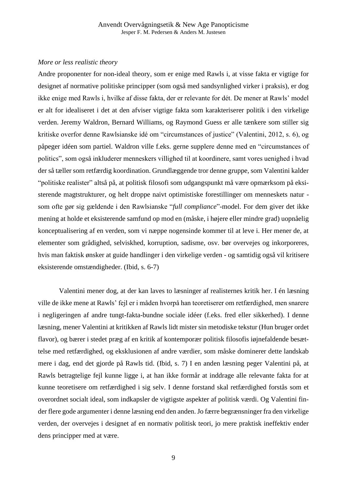#### *More or less realistic theory*

Andre proponenter for non-ideal theory, som er enige med Rawls i, at visse fakta er vigtige for designet af normative politiske principper (som også med sandsynlighed virker i praksis), er dog ikke enige med Rawls i, hvilke af disse fakta, der er relevante for dét. De mener at Rawls' model er alt for idealiseret i det at den afviser vigtige fakta som karakteriserer politik i den virkelige verden. Jeremy Waldron, Bernard Williams, og Raymond Guess er alle tænkere som stiller sig kritiske overfor denne Rawlsianske idé om "circumstances of justice" (Valentini, 2012, s. 6), og påpeger idéen som partiel. Waldron ville f.eks. gerne supplere denne med en "circumstances of politics", som også inkluderer menneskers villighed til at koordinere, samt vores uenighed i hvad der så tæller som retfærdig koordination. Grundlæggende tror denne gruppe, som Valentini kalder "politiske realister" altså på, at politisk filosofi som udgangspunkt må være opmærksom på eksisterende magtstrukturer, og helt droppe naivt optimistiske forestillinger om menneskets natur som ofte gør sig gældende i den Rawlsianske "*full compliance*"-model. For dem giver det ikke mening at holde et eksisterende samfund op mod en (måske, i højere eller mindre grad) uopnåelig konceptualisering af en verden, som vi næppe nogensinde kommer til at leve i. Her mener de, at elementer som grådighed, selviskhed, korruption, sadisme, osv. bør overvejes og inkorporeres, hvis man faktisk ønsker at guide handlinger i den virkelige verden - og samtidig også vil kritisere eksisterende omstændigheder. (Ibid, s. 6-7)

Valentini mener dog, at der kan laves to læsninger af realisternes kritik her. I én læsning ville de ikke mene at Rawls' fejl er i måden hvorpå han teoretiserer om retfærdighed, men snarere i negligeringen af andre tungt-fakta-bundne sociale idéer (f.eks. fred eller sikkerhed). I denne læsning, mener Valentini at kritikken af Rawls lidt mister sin metodiske tekstur (Hun bruger ordet flavor), og bærer i stedet præg af en kritik af kontemporær politisk filosofis iøjnefaldende besættelse med retfærdighed, og eksklusionen af andre værdier, som måske dominerer dette landskab mere i dag, end det gjorde på Rawls tid. (Ibid, s. 7) I en anden læsning peger Valentini på, at Rawls betragtelige fejl kunne ligge i, at han ikke formår at inddrage alle relevante fakta for at kunne teoretisere om retfærdighed i sig selv. I denne forstand skal retfærdighed forstås som et overordnet socialt ideal, som indkapsler de vigtigste aspekter af politisk værdi. Og Valentini finder flere gode argumenter i denne læsning end den anden. Jo færre begrænsninger fra den virkelige verden, der overvejes i designet af en normativ politisk teori, jo mere praktisk ineffektiv ender dens principper med at være.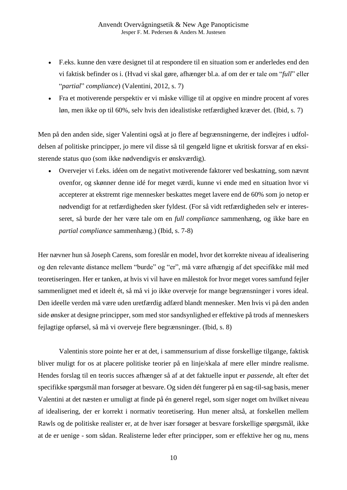- F.eks. kunne den være designet til at respondere til en situation som er anderledes end den vi faktisk befinder os i. (Hvad vi skal gøre, afhænger bl.a. af om der er tale om "*full*" eller "*partial*" *compliance*) (Valentini, 2012, s. 7)
- Fra et motiverende perspektiv er vi måske villige til at opgive en mindre procent af vores løn, men ikke op til 60%, selv hvis den idealistiske retfærdighed kræver det. (Ibid, s. 7)

Men på den anden side, siger Valentini også at jo flere af begrænsningerne, der indlejres i udfoldelsen af politiske principper, jo mere vil disse så til gengæld ligne et ukritisk forsvar af en eksisterende status quo (som ikke nødvendigvis er ønskværdig).

• Overvejer vi f.eks. idéen om de negativt motiverende faktorer ved beskatning, som nævnt ovenfor, og skønner denne idé for meget værdi, kunne vi ende med en situation hvor vi accepterer at ekstremt rige mennesker beskattes meget lavere end de 60% som jo netop er nødvendigt for at retfærdigheden sker fyldest. (For så vidt retfærdigheden selv er interesseret, så burde der her være tale om en *full compliance* sammenhæng, og ikke bare en *partial compliance* sammenhæng.) (Ibid, s. 7-8)

Her nævner hun så Joseph Carens, som foreslår en model, hvor det korrekte niveau af idealisering og den relevante distance mellem "burde" og "er", må være afhængig af det specifikke mål med teoretiseringen. Her er tanken, at hvis vi vil have en målestok for hvor meget vores samfund fejler sammenlignet med et ideelt ét, så må vi jo ikke overveje for mange begrænsninger i vores ideal. Den ideelle verden må være uden uretfærdig adfærd blandt mennesker. Men hvis vi på den anden side ønsker at designe principper, som med stor sandsynlighed er effektive på trods af menneskers fejlagtige opførsel, så må vi overveje flere begrænsninger. (Ibid, s. 8)

Valentinis store pointe her er at det, i sammensurium af disse forskellige tilgange, faktisk bliver muligt for os at placere politiske teorier på en linje/skala af mere eller mindre realisme. Hendes forslag til en teoris succes afhænger så af at det faktuelle input er *passende*, alt efter det specifikke spørgsmål man forsøger at besvare. Og siden dét fungerer på en sag-til-sag basis, mener Valentini at det næsten er umuligt at finde på én generel regel, som siger noget om hvilket niveau af idealisering, der er korrekt i normativ teoretisering. Hun mener altså, at forskellen mellem Rawls og de politiske realister er, at de hver især forsøger at besvare forskellige spørgsmål, ikke at de er uenige - som sådan. Realisterne leder efter principper, som er effektive her og nu, mens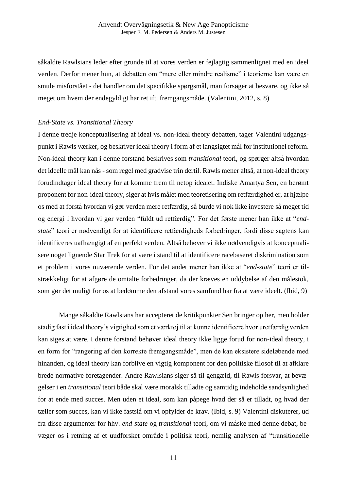såkaldte Rawlsians leder efter grunde til at vores verden er fejlagtig sammenlignet med en ideel verden. Derfor mener hun, at debatten om "mere eller mindre realisme" i teorierne kan være en smule misforstået - det handler om det specifikke spørgsmål, man forsøger at besvare, og ikke så meget om hvem der endegyldigt har ret ift. fremgangsmåde. (Valentini, 2012, s. 8)

#### *End-State vs. Transitional Theory*

I denne tredje konceptualisering af ideal vs. non-ideal theory debatten, tager Valentini udgangspunkt i Rawls værker, og beskriver ideal theory i form af et langsigtet mål for institutionel reform. Non-ideal theory kan i denne forstand beskrives som *transitional* teori, og spørger altså hvordan det ideelle mål kan nås - som regel med gradvise trin dertil. Rawls mener altså, at non-ideal theory forudindtager ideal theory for at komme frem til netop idealet. Indiske Amartya Sen, en berømt proponent for non-ideal theory, siger at hvis målet med teoretisering om retfærdighed er, at hjælpe os med at forstå hvordan vi gør verden mere retfærdig, så burde vi nok ikke investere så meget tid og energi i hvordan vi gør verden "fuldt ud retfærdig". For det første mener han ikke at "*endstate*" teori er nødvendigt for at identificere retfærdigheds forbedringer, fordi disse sagtens kan identificeres uafhængigt af en perfekt verden. Altså behøver vi ikke nødvendigvis at konceptualisere noget lignende Star Trek for at være i stand til at identificere racebaseret diskrimination som et problem i vores nuværende verden. For det andet mener han ikke at "*end-state*" teori er tilstrækkeligt for at afgøre de omtalte forbedringer, da der kræves en uddybelse af den målestok, som gør det muligt for os at bedømme den afstand vores samfund har fra at være ideelt. (Ibid, 9)

Mange såkaldte Rawlsians har accepteret de kritikpunkter Sen bringer op her, men holder stadig fast i ideal theory's vigtighed som et værktøj til at kunne identificere hvor uretfærdig verden kan siges at være. I denne forstand behøver ideal theory ikke ligge forud for non-ideal theory, i en form for "rangering af den korrekte fremgangsmåde", men de kan eksistere sideløbende med hinanden, og ideal theory kan forblive en vigtig komponent for den politiske filosof til at afklare brede normative foretagender. Andre Rawlsians siger så til gengæld, til Rawls forsvar, at bevægelser i en *transitional* teori både skal være moralsk tilladte og samtidig indeholde sandsynlighed for at ende med succes. Men uden et ideal, som kan påpege hvad der så er tilladt, og hvad der tæller som succes, kan vi ikke fastslå om vi opfylder de krav. (Ibid, s. 9) Valentini diskuterer, ud fra disse argumenter for hhv. *end-state* og *transitional* teori, om vi måske med denne debat, bevæger os i retning af et uudforsket område i politisk teori, nemlig analysen af "transitionelle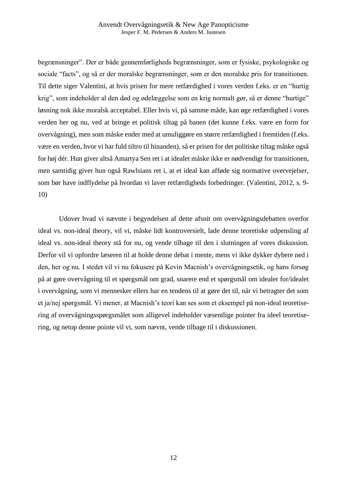begrænsninger". Der er både gennemførligheds begrænsninger, som er fysiske, psykologiske og sociale "facts", og så er der moralske begrænsninger, som er den moralske pris for transitionen. Til dette siger Valentini, at hvis prisen for mere retfærdighed i vores verden f.eks. er en "hurtig krig", som indeholder al den død og ødelæggelse som en krig normalt gør, så er denne "hurtige" løsning nok ikke moralsk acceptabel. Eller hvis vi, på samme måde, kan øge retfærdighed i vores verden her og nu, ved at bringe et politisk tiltag på banen (det kunne f.eks. være en form for overvågning), men som måske ender med at umuliggøre en større retfærdighed i fremtiden (f.eks. være en verden, hvor vi har fuld tiltro til hinanden), så er prisen for det politiske tiltag måske også for høj dér. Hun giver altså Amartya Sen ret i at idealet måske ikke er nødvendigt for transitionen, men samtidig giver hun også Rawlsians ret i, at et ideal kan afføde sig normative overvejelser, som bør have indflydelse på hvordan vi laver retfærdigheds forbedringer. (Valentini, 2012, s. 9- 10)

Udover hvad vi nævnte i begyndelsen af dette afsnit om overvågningsdebatten overfor ideal vs. non-ideal theory, vil vi, måske lidt kontroversielt, lade denne teoretiske udpensling af ideal vs. non-ideal theory stå for nu, og vende tilbage til den i slutningen af vores diskussion. Derfor vil vi opfordre læseren til at holde denne debat i mente, mens vi ikke dykker dybere ned i den, her og nu. I stedet vil vi nu fokusere på Kevin Macnish's overvågningsetik, og hans forsøg på at gøre overvågning til et spørgsmål om grad, snarere end et spørgsmål om idealer for/idealet i overvågning, som vi mennesker ellers har en tendens til at gøre det til, når vi betragter det som et ja/nej spørgsmål. Vi mener, at Macnish's teori kan ses som et eksempel på non-ideal teoretisering af overvågningsspørgsmålet som alligevel indeholder væsentlige pointer fra ideel teoretisering, og netop denne pointe vil vi, som nævnt, vende tilbage til i diskussionen.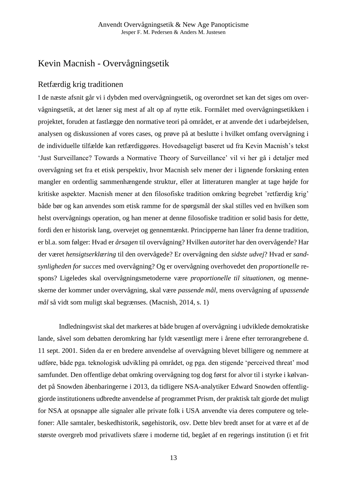# Kevin Macnish - Overvågningsetik

# Retfærdig krig traditionen

I de næste afsnit går vi i dybden med overvågningsetik, og overordnet set kan det siges om overvågningsetik, at det læner sig mest af alt op af nytte etik. Formålet med overvågningsetikken i projektet, foruden at fastlægge den normative teori på området, er at anvende det i udarbejdelsen, analysen og diskussionen af vores cases, og prøve på at beslutte i hvilket omfang overvågning i de individuelle tilfælde kan retfærdiggøres. Hovedsageligt baseret ud fra Kevin Macnish's tekst 'Just Surveillance? Towards a Normative Theory of Surveillance' vil vi her gå i detaljer med overvågning set fra et etisk perspektiv, hvor Macnish selv mener der i lignende forskning enten mangler en ordentlig sammenhængende struktur, eller at litteraturen mangler at tage højde for kritiske aspekter. Macnish mener at den filosofiske tradition omkring begrebet 'retfærdig krig' både bør og kan anvendes som etisk ramme for de spørgsmål der skal stilles ved en hvilken som helst overvågnings operation, og han mener at denne filosofiske tradition er solid basis for dette, fordi den er historisk lang, overvejet og gennemtænkt. Principperne han låner fra denne tradition, er bl.a. som følger: Hvad er *årsagen* til overvågning? Hvilken *autoritet* har den overvågende? Har der været *hensigtserklæring* til den overvågede? Er overvågning den *sidste udvej*? Hvad er *sandsynligheden for succes* med overvågning? Og er overvågning overhovedet den *proportionelle* respons? Ligeledes skal overvågningsmetoderne være *proportionelle til situationen*, og menneskerne der kommer under overvågning, skal være *passende mål*, mens overvågning af *upassende mål* så vidt som muligt skal begrænses. (Macnish, 2014, s. 1)

Indledningsvist skal det markeres at både brugen af overvågning i udviklede demokratiske lande, såvel som debatten deromkring har fyldt væsentligt mere i årene efter terrorangrebene d. 11 sept. 2001. Siden da er en bredere anvendelse af overvågning blevet billigere og nemmere at udføre, både pga. teknologisk udvikling på området, og pga. den stigende 'perceived threat' mod samfundet. Den offentlige debat omkring overvågning tog dog først for alvor til i styrke i kølvandet på Snowden åbenbaringerne i 2013, da tidligere NSA-analytiker Edward Snowden offentliggjorde institutionens udbredte anvendelse af programmet Prism, der praktisk talt gjorde det muligt for NSA at opsnappe alle signaler alle private folk i USA anvendte via deres computere og telefoner: Alle samtaler, beskedhistorik, søgehistorik, osv. Dette blev bredt anset for at være et af de største overgreb mod privatlivets sfære i moderne tid, begået af en regerings institution (i et frit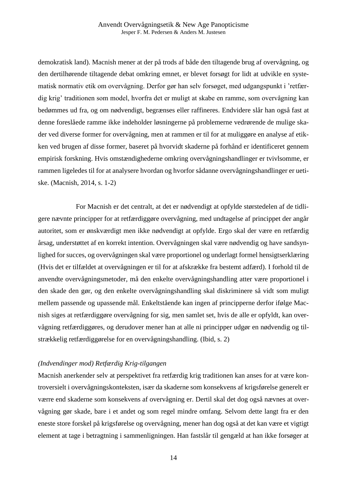demokratisk land). Macnish mener at der på trods af både den tiltagende brug af overvågning, og den dertilhørende tiltagende debat omkring emnet, er blevet forsøgt for lidt at udvikle en systematisk normativ etik om overvågning. Derfor gør han selv forsøget, med udgangspunkt i 'retfærdig krig' traditionen som model, hvorfra det er muligt at skabe en ramme, som overvågning kan bedømmes ud fra, og om nødvendigt, begrænses eller raffineres. Endvidere slår han også fast at denne foreslåede ramme ikke indeholder løsningerne på problemerne vedrørende de mulige skader ved diverse former for overvågning, men at rammen er til for at muliggøre en analyse af etikken ved brugen af disse former, baseret på hvorvidt skaderne på forhånd er identificeret gennem empirisk forskning. Hvis omstændighederne omkring overvågningshandlinger er tvivlsomme, er rammen ligeledes til for at analysere hvordan og hvorfor sådanne overvågningshandlinger er uetiske. (Macnish, 2014, s. 1-2)

 For Macnish er det centralt, at det er nødvendigt at opfylde størstedelen af de tidligere nævnte principper for at retfærdiggøre overvågning, med undtagelse af princippet der angår autoritet, som er ønskværdigt men ikke nødvendigt at opfylde. Ergo skal der være en retfærdig årsag, understøttet af en korrekt intention. Overvågningen skal være nødvendig og have sandsynlighed for succes, og overvågningen skal være proportionel og underlagt formel hensigtserklæring (Hvis det er tilfældet at overvågningen er til for at afskrække fra bestemt adfærd). I forhold til de anvendte overvågningsmetoder, må den enkelte overvågningshandling atter være proportionel i den skade den gør, og den enkelte overvågningshandling skal diskriminere så vidt som muligt mellem passende og upassende mål. Enkeltstående kan ingen af principperne derfor ifølge Macnish siges at retfærdiggøre overvågning for sig, men samlet set, hvis de alle er opfyldt, kan overvågning retfærdiggøres, og derudover mener han at alle ni principper udgør en nødvendig og tilstrækkelig retfærdiggørelse for en overvågningshandling. (Ibid, s. 2)

#### *(Indvendinger mod) Retfærdig Krig-tilgangen*

Macnish anerkender selv at perspektivet fra retfærdig krig traditionen kan anses for at være kontroversielt i overvågningskonteksten, især da skaderne som konsekvens af krigsførelse generelt er værre end skaderne som konsekvens af overvågning er. Dertil skal det dog også nævnes at overvågning gør skade, bare i et andet og som regel mindre omfang. Selvom dette langt fra er den eneste store forskel på krigsførelse og overvågning, mener han dog også at det kan være et vigtigt element at tage i betragtning i sammenligningen. Han fastslår til gengæld at han ikke forsøger at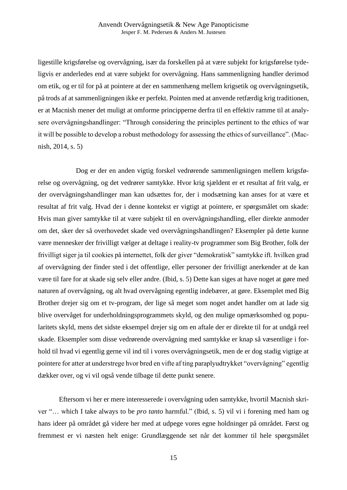ligestille krigsførelse og overvågning, især da forskellen på at være subjekt for krigsførelse tydeligvis er anderledes end at være subjekt for overvågning. Hans sammenligning handler derimod om etik, og er til for på at pointere at der en sammenhæng mellem krigsetik og overvågningsetik, på trods af at sammenligningen ikke er perfekt. Pointen med at anvende retfærdig krig traditionen, er at Macnish mener det muligt at omforme principperne derfra til en effektiv ramme til at analysere overvågningshandlinger: "Through considering the principles pertinent to the ethics of war it will be possible to develop a robust methodology for assessing the ethics of surveillance". (Macnish, 2014, s. 5)

 Dog er der en anden vigtig forskel vedrørende sammenligningen mellem krigsførelse og overvågning, og det vedrører samtykke. Hvor krig sjældent er et resultat af frit valg, er der overvågningshandlinger man kan udsættes for, der i modsætning kan anses for at være et resultat af frit valg. Hvad der i denne kontekst er vigtigt at pointere, er spørgsmålet om skade: Hvis man giver samtykke til at være subjekt til en overvågningshandling, eller direkte anmoder om det, sker der så overhovedet skade ved overvågningshandlingen? Eksempler på dette kunne være mennesker der frivilligt vælger at deltage i reality-tv programmer som Big Brother, folk der frivilligt siger ja til cookies på internettet, folk der giver "demokratisk" samtykke ift. hvilken grad af overvågning der finder sted i det offentlige, eller personer der frivilligt anerkender at de kan være til fare for at skade sig selv eller andre. (Ibid, s. 5) Dette kan siges at have noget at gøre med naturen af overvågning, og alt hvad overvågning egentlig indebærer, at gøre. Eksemplet med Big Brother drejer sig om et tv-program, der lige så meget som noget andet handler om at lade sig blive overvåget for underholdningsprogrammets skyld, og den mulige opmærksomhed og popularitets skyld, mens det sidste eksempel drejer sig om en aftale der er direkte til for at undgå reel skade. Eksempler som disse vedrørende overvågning med samtykke er knap så væsentlige i forhold til hvad vi egentlig gerne vil ind til i vores overvågningsetik, men de er dog stadig vigtige at pointere for atter at understrege hvor bred en vifte af ting paraplyudtrykket "overvågning" egentlig dækker over, og vi vil også vende tilbage til dette punkt senere.

Eftersom vi her er mere interesserede i overvågning uden samtykke, hvortil Macnish skriver "… which I take always to be *pro tanto* harmful." (Ibid, s. 5) vil vi i forening med ham og hans ideer på området gå videre her med at udpege vores egne holdninger på området. Først og fremmest er vi næsten helt enige: Grundlæggende set når det kommer til hele spørgsmålet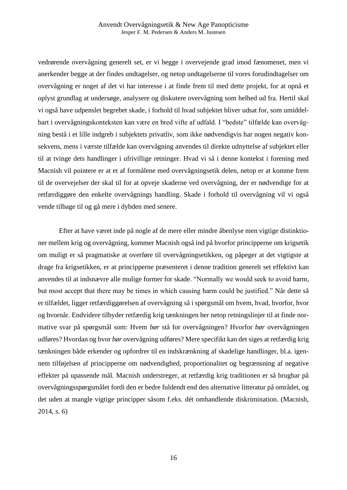vedrørende overvågning generelt set, er vi begge i overvejende grad imod fænomenet, men vi anerkender begge at der findes undtagelser, og netop undtagelserne til vores forudindtagelser om overvågning er noget af det vi har interesse i at finde frem til med dette projekt, for at opnå et oplyst grundlag at undersøge, analysere og diskutere overvågning som helhed ud fra. Hertil skal vi også have udpenslet begrebet skade, i forhold til hvad subjektet bliver udsat for, som umiddelbart i overvågningskonteksten kan være en bred vifte af udfald. I "bedste" tilfælde kan overvågning bestå i et lille indgreb i subjektets privatliv, som ikke nødvendigvis har nogen negativ konsekvens, mens i værste tilfælde kan overvågning anvendes til direkte udnyttelse af subjektet eller til at tvinge dets handlinger i ufrivillige retninger. Hvad vi så i denne kontekst i forening med Macnish vil pointere er at et af formålene med overvågningsetik delen, netop er at komme frem til de overvejelser der skal til for at opveje skaderne ved overvågning, der er nødvendige for at retfærdiggøre den enkelte overvågnings handling. Skade i forhold til overvågning vil vi også vende tilbage til og gå mere i dybden med senere.

Efter at have været inde på nogle af de mere eller mindre åbenlyse men vigtige distinktioner mellem krig og overvågning, kommer Macnish også ind på hvorfor principperne om krigsetik om muligt er så pragmatiske at overføre til overvågningsetikken, og påpeger at det vigtigste at drage fra krigsetikken, er at principperne præsenteret i denne tradition generelt set effektivt kan anvendes til at indsnævre alle mulige former for skade. "Normally we would seek to avoid harm, but most accept that there may be times in which causing harm could be justified." Når dette så er tilfældet, ligger retfærdiggørelsen af overvågning så i spørgsmål om hvem, hvad, hvorfor, hvor og hvornår. Endvidere tilbyder retfærdig krig tænkningen her netop retningslinjer til at finde normative svar på spørgsmål som: Hvem *bør* stå for overvågningen? Hvorfor *bør* overvågningen udføres? Hvordan og hvor *bør* overvågning udføres? Mere specifikt kan det siges at retfærdig krig tænkningen både erkender og opfordrer til en indskrænkning af skadelige handlinger, bl.a. igennem tilføjelsen af principperne om nødvendighed, proportionalitet og begrænsning af negative effekter på upassende mål. Macnish understreger, at retfærdig krig traditionen er så brugbar på overvågningsspørgsmålet fordi den er bedre fuldendt end den alternative litteratur på området, og det uden at mangle vigtige principper såsom f.eks. dét omhandlende diskrimination. (Macnish, 2014, s. 6)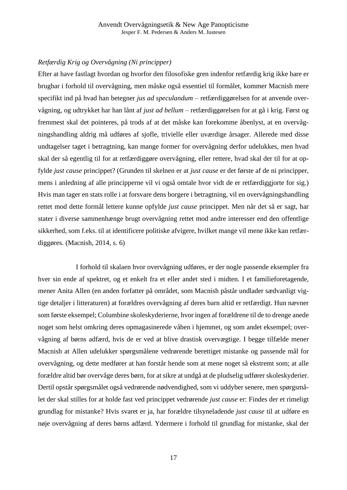### *Retfærdig Krig og Overvågning (Ni principper)*

Efter at have fastlagt hvordan og hvorfor den filosofiske gren indenfor retfærdig krig ikke bare er brugbar i forhold til overvågning, men måske også essentiel til formålet, kommer Macnish mere specifikt ind på hvad han betegner *jus ad speculandum* – retfærdiggørelsen for at anvende overvågning, og udtrykket har han lånt af *just ad bellum* – retfærdiggørelsen for at gå i krig. Først og fremmest skal det pointeres, på trods af at det måske kan forekomme åbenlyst, at en overvågningshandling aldrig må udføres af sjofle, trivielle eller uværdige årsager. Allerede med disse undtagelser taget i betragtning, kan mange former for overvågning derfor udelukkes, men hvad skal der så egentlig til for at retfærdiggøre overvågning, eller rettere, hvad skal der til for at opfylde *just cause* princippet? (Grunden til skelnen er at *just cause* er det første af de ni principper, mens i anledning af alle principperne vil vi også omtale hvor vidt de er retfærdiggjorte for sig.) Hvis man tager en stats rolle i at forsvare dens borgere i betragtning, vil en overvågningshandling rettet mod dette formål lettere kunne opfylde *just cause* princippet. Men når det så er sagt, har stater i diverse sammenhænge brugt overvågning rettet mod andre interesser end den offentlige sikkerhed, som f.eks. til at identificere politiske afvigere, hvilket mange vil mene ikke kan retfærdiggøres. (Macnish, 2014, s. 6)

I forhold til skalaen hvor overvågning udføres, er der nogle passende eksempler fra hver sin ende af spektret, og et enkelt fra et eller andet sted i midten. I et familieforetagende, mener Anita Allen (en anden forfatter på området, som Macnish påstår undlader sædvanligt vigtige detaljer i litteraturen) at forældres overvågning af deres barn altid er retfærdigt. Hun nævner som første eksempel; Columbine skoleskyderierne, hvor ingen af forældrene til de to drenge anede noget som helst omkring deres opmagasinerede våben i hjemmet, og som andet eksempel; overvågning af børns adfærd, hvis de er ved at blive drastisk overvægtige. I begge tilfælde mener Macnish at Allen udelukker spørgsmålene vedrørende berettiget mistanke og passende mål for overvågning, og dette medfører at han forstår hende som at mene noget så ekstremt som; at alle forældre altid bør overvåge deres børn, for at sikre at undgå at de pludselig udfører skoleskyderier. Dertil opstår spørgsmålet også vedrørende nødvendighed, som vi uddyber senere, men spørgsmålet der skal stilles for at holde fast ved princippet vedrørende *just cause* er: Findes der et rimeligt grundlag for mistanke? Hvis svaret er ja, har forældre tilsyneladende *just cause* til at udføre en nøje overvågning af deres børns adfærd. Ydermere i forhold til grundlag for mistanke, skal der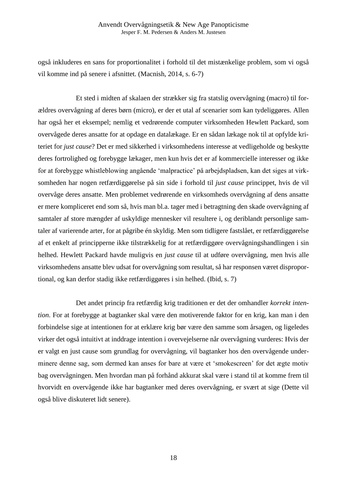også inkluderes en sans for proportionalitet i forhold til det mistænkelige problem, som vi også vil komme ind på senere i afsnittet. (Macnish, 2014, s. 6-7)

Et sted i midten af skalaen der strækker sig fra statslig overvågning (macro) til forældres overvågning af deres børn (micro), er der et utal af scenarier som kan tydeliggøres. Allen har også her et eksempel; nemlig et vedrørende computer virksomheden Hewlett Packard, som overvågede deres ansatte for at opdage en datalækage. Er en sådan lækage nok til at opfylde kriteriet for *just cause*? Det er med sikkerhed i virksomhedens interesse at vedligeholde og beskytte deres fortrolighed og forebygge lækager, men kun hvis det er af kommercielle interesser og ikke for at forebygge whistleblowing angående 'malpractice' på arbejdspladsen, kan det siges at virksomheden har nogen retfærdiggørelse på sin side i forhold til *just cause* princippet, hvis de vil overvåge deres ansatte. Men problemet vedrørende en virksomheds overvågning af dens ansatte er mere kompliceret end som så, hvis man bl.a. tager med i betragtning den skade overvågning af samtaler af store mængder af uskyldige mennesker vil resultere i, og deriblandt personlige samtaler af varierende arter, for at pågribe én skyldig. Men som tidligere fastslået, er retfærdiggørelse af et enkelt af principperne ikke tilstrækkelig for at retfærdiggøre overvågningshandlingen i sin helhed. Hewlett Packard havde muligvis en *just cause* til at udføre overvågning, men hvis alle virksomhedens ansatte blev udsat for overvågning som resultat, så har responsen været disproportional, og kan derfor stadig ikke retfærdiggøres i sin helhed. (Ibid, s. 7)

Det andet princip fra retfærdig krig traditionen er det der omhandler *korrekt intention*. For at forebygge at bagtanker skal være den motiverende faktor for en krig, kan man i den forbindelse sige at intentionen for at erklære krig bør være den samme som årsagen, og ligeledes virker det også intuitivt at inddrage intention i overvejelserne når overvågning vurderes: Hvis der er valgt en just cause som grundlag for overvågning, vil bagtanker hos den overvågende underminere denne sag, som dermed kan anses for bare at være et 'smokescreen' for det ægte motiv bag overvågningen. Men hvordan man på forhånd akkurat skal være i stand til at komme frem til hvorvidt en overvågende ikke har bagtanker med deres overvågning, er svært at sige (Dette vil også blive diskuteret lidt senere).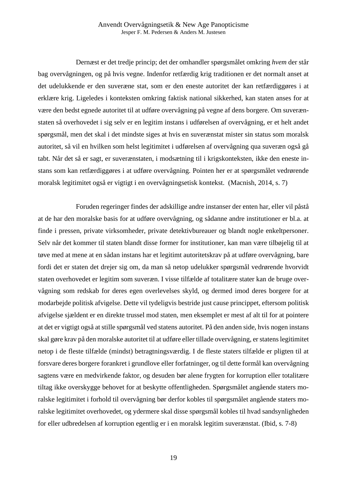Dernæst er det tredje princip; det der omhandler spørgsmålet omkring *hvem* der står bag overvågningen, og på hvis vegne. Indenfor retfærdig krig traditionen er det normalt anset at det udelukkende er den suveræne stat, som er den eneste autoritet der kan retfærdiggøres i at erklære krig. Ligeledes i konteksten omkring faktisk national sikkerhed, kan staten anses for at være den bedst egnede autoritet til at udføre overvågning på vegne af dens borgere. Om suverænstaten så overhovedet i sig selv er en legitim instans i udførelsen af overvågning, er et helt andet spørgsmål, men det skal i det mindste siges at hvis en suverænstat mister sin status som moralsk autoritet, så vil en hvilken som helst legitimitet i udførelsen af overvågning qua suveræn også gå tabt. Når det så er sagt, er suverænstaten, i modsætning til i krigskonteksten, ikke den eneste instans som kan retfærdiggøres i at udføre overvågning. Pointen her er at spørgsmålet vedrørende moralsk legitimitet også er vigtigt i en overvågningsetisk kontekst. (Macnish, 2014, s. 7)

Foruden regeringer findes der adskillige andre instanser der enten har, eller vil påstå at de har den moralske basis for at udføre overvågning, og sådanne andre institutioner er bl.a. at finde i pressen, private virksomheder, private detektivbureauer og blandt nogle enkeltpersoner. Selv når det kommer til staten blandt disse former for institutioner, kan man være tilbøjelig til at tøve med at mene at en sådan instans har et legitimt autoritetskrav på at udføre overvågning, bare fordi det er staten det drejer sig om, da man så netop udelukker spørgsmål vedrørende hvorvidt staten overhovedet er legitim som suveræn. I visse tilfælde af totalitære stater kan de bruge overvågning som redskab for deres egen overlevelses skyld, og dermed imod deres borgere for at modarbejde politisk afvigelse. Dette vil tydeligvis bestride just cause princippet, eftersom politisk afvigelse sjældent er en direkte trussel mod staten, men eksemplet er mest af alt til for at pointere at det er vigtigt også at stille spørgsmål ved statens autoritet. På den anden side, hvis nogen instans skal gøre krav på den moralske autoritet til at udføre eller tillade overvågning, er statens legitimitet netop i de fleste tilfælde (mindst) betragtningsværdig. I de fleste staters tilfælde er pligten til at forsvare deres borgere forankret i grundlove eller forfatninger, og til dette formål kan overvågning sagtens være en medvirkende faktor, og desuden bør alene frygten for korruption eller totalitære tiltag ikke overskygge behovet for at beskytte offentligheden. Spørgsmålet angående staters moralske legitimitet i forhold til overvågning bør derfor kobles til spørgsmålet angående staters moralske legitimitet overhovedet, og ydermere skal disse spørgsmål kobles til hvad sandsynligheden for eller udbredelsen af korruption egentlig er i en moralsk legitim suverænstat. (Ibid, s. 7-8)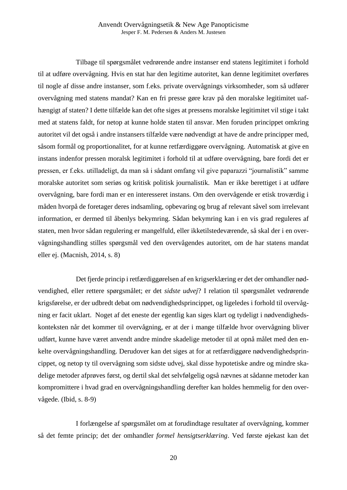Tilbage til spørgsmålet vedrørende andre instanser end statens legitimitet i forhold til at udføre overvågning. Hvis en stat har den legitime autoritet, kan denne legitimitet overføres til nogle af disse andre instanser, som f.eks. private overvågnings virksomheder, som så udfører overvågning med statens mandat? Kan en fri presse gøre krav på den moralske legitimitet uafhængigt af staten? I dette tilfælde kan det ofte siges at pressens moralske legitimitet vil stige i takt med at statens faldt, for netop at kunne holde staten til ansvar. Men foruden princippet omkring autoritet vil det også i andre instansers tilfælde være nødvendigt at have de andre principper med, såsom formål og proportionalitet, for at kunne retfærdiggøre overvågning. Automatisk at give en instans indenfor pressen moralsk legitimitet i forhold til at udføre overvågning, bare fordi det er pressen, er f.eks. utilladeligt, da man så i sådant omfang vil give paparazzi "journalistik" samme moralske autoritet som seriøs og kritisk politisk journalistik. Man er ikke berettiget i at udføre overvågning, bare fordi man er en interesseret instans. Om den overvågende er etisk troværdig i måden hvorpå de foretager deres indsamling, opbevaring og brug af relevant såvel som irrelevant information, er dermed til åbenlys bekymring. Sådan bekymring kan i en vis grad reguleres af staten, men hvor sådan regulering er mangelfuld, eller ikketilstedeværende, så skal der i en overvågningshandling stilles spørgsmål ved den overvågendes autoritet, om de har statens mandat eller ej. (Macnish, 2014, s. 8)

Det fjerde princip i retfærdiggørelsen af en krigserklæring er det der omhandler nødvendighed, eller rettere spørgsmålet; er det *sidste udvej*? I relation til spørgsmålet vedrørende krigsførelse, er der udbredt debat om nødvendighedsprincippet, og ligeledes i forhold til overvågning er facit uklart. Noget af det eneste der egentlig kan siges klart og tydeligt i nødvendighedskonteksten når det kommer til overvågning, er at der i mange tilfælde hvor overvågning bliver udført, kunne have været anvendt andre mindre skadelige metoder til at opnå målet med den enkelte overvågningshandling. Derudover kan det siges at for at retfærdiggøre nødvendighedsprincippet, og netop ty til overvågning som sidste udvej, skal disse hypotetiske andre og mindre skadelige metoder afprøves først, og dertil skal det selvfølgelig også nævnes at sådanne metoder kan kompromittere i hvad grad en overvågningshandling derefter kan holdes hemmelig for den overvågede. (Ibid, s. 8-9)

I forlængelse af spørgsmålet om at forudindtage resultater af overvågning, kommer så det femte princip; det der omhandler *formel hensigtserklæring*. Ved første øjekast kan det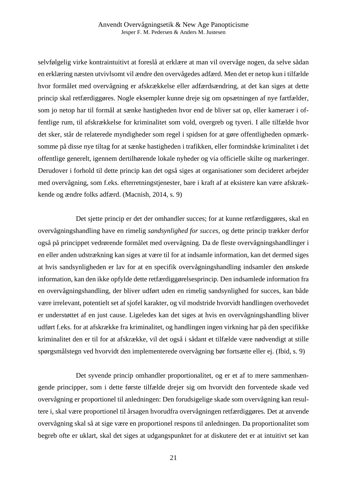selvfølgelig virke kontraintuitivt at foreslå at erklære at man vil overvåge nogen, da selve sådan en erklæring næsten utvivlsomt vil ændre den overvågedes adfærd. Men det er netop kun i tilfælde hvor formålet med overvågning er afskrækkelse eller adfærdsændring, at det kan siges at dette princip skal retfærdiggøres. Nogle eksempler kunne dreje sig om opsætningen af nye fartfælder, som jo netop har til formål at sænke hastigheden hvor end de bliver sat op, eller kameraer i offentlige rum, til afskrækkelse for kriminalitet som vold, overgreb og tyveri. I alle tilfælde hvor det sker, står de relaterede myndigheder som regel i spidsen for at gøre offentligheden opmærksomme på disse nye tiltag for at sænke hastigheden i trafikken, eller formindske kriminalitet i det offentlige generelt, igennem dertilhørende lokale nyheder og via officielle skilte og markeringer. Derudover i forhold til dette princip kan det også siges at organisationer som decideret arbejder med overvågning, som f.eks. efterretningstjenester, bare i kraft af at eksistere kan være afskrækkende og ændre folks adfærd. (Macnish, 2014, s. 9)

Det sjette princip er det der omhandler succes; for at kunne retfærdiggøres, skal en overvågningshandling have en rimelig *sandsynlighed for succes*, og dette princip trækker derfor også på princippet vedrørende formålet med overvågning. Da de fleste overvågningshandlinger i en eller anden udstrækning kan siges at være til for at indsamle information, kan det dermed siges at hvis sandsynligheden er lav for at en specifik overvågningshandling indsamler den ønskede information, kan den ikke opfylde dette retfærdiggørelsesprincip. Den indsamlede information fra en overvågningshandling, der bliver udført uden en rimelig sandsynlighed for succes, kan både være irrelevant, potentielt set af sjofel karakter, og vil modstride hvorvidt handlingen overhovedet er understøttet af en just cause. Ligeledes kan det siges at hvis en overvågningshandling bliver udført f.eks. for at afskrække fra kriminalitet, og handlingen ingen virkning har på den specifikke kriminalitet den er til for at afskrække, vil det også i sådant et tilfælde være nødvendigt at stille spørgsmålstegn ved hvorvidt den implementerede overvågning bør fortsætte eller ej. (Ibid, s. 9)

Det syvende princip omhandler proportionalitet, og er et af to mere sammenhængende principper, som i dette første tilfælde drejer sig om hvorvidt den forventede skade ved overvågning er proportionel til anledningen: Den forudsigelige skade som overvågning kan resultere i, skal være proportionel til årsagen hvorudfra overvågningen retfærdiggøres. Det at anvende overvågning skal så at sige være en proportionel respons til anledningen. Da proportionalitet som begreb ofte er uklart, skal det siges at udgangspunktet for at diskutere det er at intuitivt set kan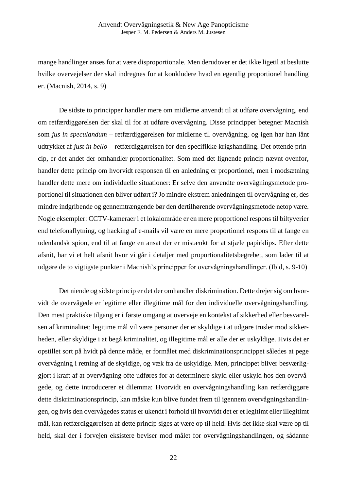mange handlinger anses for at være disproportionale. Men derudover er det ikke ligetil at beslutte hvilke overvejelser der skal indregnes for at konkludere hvad en egentlig proportionel handling er. (Macnish, 2014, s. 9)

De sidste to principper handler mere om midlerne anvendt til at udføre overvågning, end om retfærdiggørelsen der skal til for at udføre overvågning. Disse principper betegner Macnish som *jus in speculandum* – retfærdiggørelsen for midlerne til overvågning, og igen har han lånt udtrykket af *just in bello* – retfærdiggørelsen for den specifikke krigshandling. Det ottende princip, er det andet der omhandler proportionalitet. Som med det lignende princip nævnt ovenfor, handler dette princip om hvorvidt responsen til en anledning er proportionel, men i modsætning handler dette mere om individuelle situationer: Er selve den anvendte overvågningsmetode proportionel til situationen den bliver udført i? Jo mindre ekstrem anledningen til overvågning er, des mindre indgribende og gennemtrængende bør den dertilhørende overvågningsmetode netop være. Nogle eksempler: CCTV-kameraer i et lokalområde er en mere proportionel respons til biltyverier end telefonaflytning, og hacking af e-mails vil være en mere proportionel respons til at fange en udenlandsk spion, end til at fange en ansat der er mistænkt for at stjæle papirklips. Efter dette afsnit, har vi et helt afsnit hvor vi går i detaljer med proportionalitetsbegrebet, som lader til at udgøre de to vigtigste punkter i Macnish's principper for overvågningshandlinger. (Ibid, s. 9-10)

Det niende og sidste princip er det der omhandler diskrimination. Dette drejer sig om hvorvidt de overvågede er legitime eller illegitime mål for den individuelle overvågningshandling. Den mest praktiske tilgang er i første omgang at overveje en kontekst af sikkerhed eller besvarelsen af kriminalitet; legitime mål vil være personer der er skyldige i at udgøre trusler mod sikkerheden, eller skyldige i at begå kriminalitet, og illegitime mål er alle der er uskyldige. Hvis det er opstillet sort på hvidt på denne måde, er formålet med diskriminationsprincippet således at pege overvågning i retning af de skyldige, og væk fra de uskyldige. Men, princippet bliver besværliggjort i kraft af at overvågning ofte udføres for at determinere skyld eller uskyld hos den overvågede, og dette introducerer et dilemma: Hvorvidt en overvågningshandling kan retfærdiggøre dette diskriminationsprincip, kan måske kun blive fundet frem til igennem overvågningshandlingen, og hvis den overvågedes status er ukendt i forhold til hvorvidt det er et legitimt eller illegitimt mål, kan retfærdiggørelsen af dette princip siges at være op til held. Hvis det ikke skal være op til held, skal der i forvejen eksistere beviser mod målet for overvågningshandlingen, og sådanne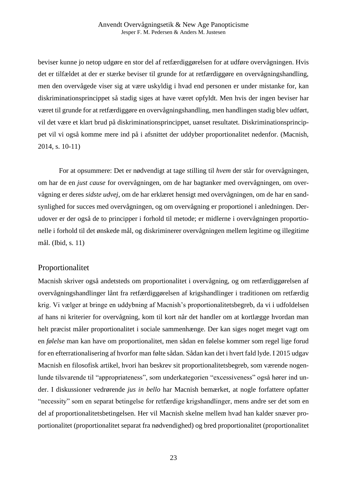beviser kunne jo netop udgøre en stor del af retfærdiggørelsen for at udføre overvågningen. Hvis det er tilfældet at der er stærke beviser til grunde for at retfærdiggøre en overvågningshandling, men den overvågede viser sig at være uskyldig i hvad end personen er under mistanke for, kan diskriminationsprincippet så stadig siges at have været opfyldt. Men hvis der ingen beviser har været til grunde for at retfærdiggøre en overvågningshandling, men handlingen stadig blev udført, vil det være et klart brud på diskriminationsprincippet, uanset resultatet. Diskriminationsprincippet vil vi også komme mere ind på i afsnittet der uddyber proportionalitet nedenfor. (Macnish, 2014, s. 10-11)

For at opsummere: Det er nødvendigt at tage stilling til *hvem* der står for overvågningen, om har de en *just cause* for overvågningen, om de har bagtanker med overvågningen, om overvågning er deres *sidste udvej*, om de har erklæret hensigt med overvågningen, om de har en sandsynlighed for succes med overvågningen, og om overvågning er proportionel i anledningen. Derudover er der også de to principper i forhold til metode; er midlerne i overvågningen proportionelle i forhold til det ønskede mål, og diskriminerer overvågningen mellem legitime og illegitime mål. (Ibid, s. 11)

### Proportionalitet

Macnish skriver også andetsteds om proportionalitet i overvågning, og om retfærdiggørelsen af overvågningshandlinger lånt fra retfærdiggørelsen af krigshandlinger i traditionen om retfærdig krig. Vi vælger at bringe en uddybning af Macnish's proportionalitetsbegreb, da vi i udfoldelsen af hans ni kriterier for overvågning, kom til kort når det handler om at kortlægge hvordan man helt præcist måler proportionalitet i sociale sammenhænge. Der kan siges noget meget vagt om en *følelse* man kan have om proportionalitet, men sådan en følelse kommer som regel lige forud for en efterrationalisering af hvorfor man følte sådan. Sådan kan det i hvert fald lyde. I 2015 udgav Macnish en filosofisk artikel, hvori han beskrev sit proportionalitetsbegreb, som værende nogenlunde tilsvarende til "appropriateness", som underkategorien "excessiveness" også hører ind under. I diskussioner vedrørende *jus in bello* har Macnish bemærket, at nogle forfattere opfatter "necessity" som en separat betingelse for retfærdige krigshandlinger, mens andre ser det som en del af proportionalitetsbetingelsen. Her vil Macnish skelne mellem hvad han kalder snæver proportionalitet (proportionalitet separat fra nødvendighed) og bred proportionalitet (proportionalitet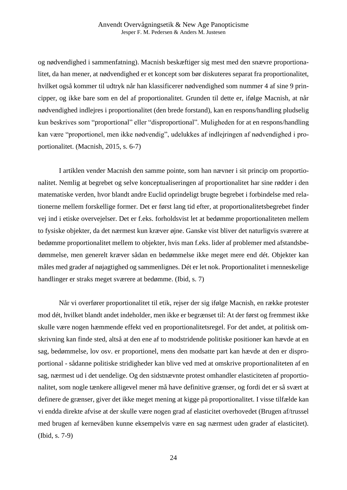og nødvendighed i sammenfatning). Macnish beskæftiger sig mest med den snævre proportionalitet, da han mener, at nødvendighed er et koncept som bør diskuteres separat fra proportionalitet, hvilket også kommer til udtryk når han klassificerer nødvendighed som nummer 4 af sine 9 principper, og ikke bare som en del af proportionalitet. Grunden til dette er, ifølge Macnish, at når nødvendighed indlejres i proportionalitet (den brede forstand), kan en respons/handling pludselig kun beskrives som "proportional" eller "disproportional". Muligheden for at en respons/handling kan være "proportionel, men ikke nødvendig", udelukkes af indlejringen af nødvendighed i proportionalitet. (Macnish, 2015, s. 6-7)

I artiklen vender Macnish den samme pointe, som han nævner i sit princip om proportionalitet. Nemlig at begrebet og selve konceptualiseringen af proportionalitet har sine rødder i den matematiske verden, hvor blandt andre Euclid oprindeligt brugte begrebet i forbindelse med relationerne mellem forskellige former. Det er først lang tid efter, at proportionalitetsbegrebet finder vej ind i etiske overvejelser. Det er f.eks. forholdsvist let at bedømme proportionaliteten mellem to fysiske objekter, da det nærmest kun kræver øjne. Ganske vist bliver det naturligvis sværere at bedømme proportionalitet mellem to objekter, hvis man f.eks. lider af problemer med afstandsbedømmelse, men generelt kræver sådan en bedømmelse ikke meget mere end dét. Objekter kan måles med grader af nøjagtighed og sammenlignes. Dét er let nok. Proportionalitet i menneskelige handlinger er straks meget sværere at bedømme. (Ibid, s. 7)

Når vi overfører proportionalitet til etik, rejser der sig ifølge Macnish, en række protester mod dét, hvilket blandt andet indeholder, men ikke er begrænset til: At der først og fremmest ikke skulle være nogen hæmmende effekt ved en proportionalitetsregel. For det andet, at politisk omskrivning kan finde sted, altså at den ene af to modstridende politiske positioner kan hævde at en sag, bedømmelse, lov osv. er proportionel, mens den modsatte part kan hævde at den er disproportional - sådanne politiske stridigheder kan blive ved med at omskrive proportionaliteten af en sag, nærmest ud i det uendelige. Og den sidstnævnte protest omhandler elasticiteten af proportionalitet, som nogle tænkere alligevel mener må have definitive grænser, og fordi det er så svært at definere de grænser, giver det ikke meget mening at kigge på proportionalitet. I visse tilfælde kan vi endda direkte afvise at der skulle være nogen grad af elasticitet overhovedet (Brugen af/trussel med brugen af kernevåben kunne eksempelvis være en sag nærmest uden grader af elasticitet). (Ibid, s. 7-9)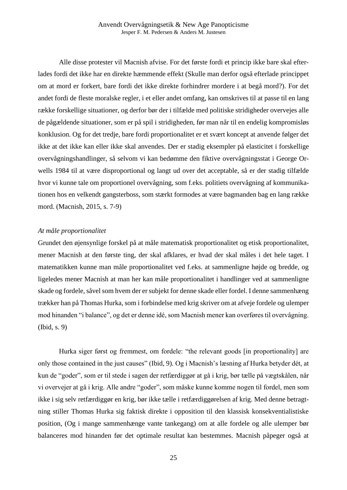Alle disse protester vil Macnish afvise. For det første fordi et princip ikke bare skal efterlades fordi det ikke har en direkte hæmmende effekt (Skulle man derfor også efterlade princippet om at mord er forkert, bare fordi det ikke direkte forhindrer mordere i at begå mord?). For det andet fordi de fleste moralske regler, i et eller andet omfang, kan omskrives til at passe til en lang række forskellige situationer, og derfor bør der i tilfælde med politiske stridigheder overvejes alle de pågældende situationer, som er på spil i stridigheden, før man når til en endelig kompromisløs konklusion. Og for det tredje, bare fordi proportionalitet er et svært koncept at anvende følger det ikke at det ikke kan eller ikke skal anvendes. Der er stadig eksempler på elasticitet i forskellige overvågningshandlinger, så selvom vi kan bedømme den fiktive overvågningsstat i George Orwells 1984 til at være disproportional og langt ud over det acceptable, så er der stadig tilfælde hvor vi kunne tale om proportionel overvågning, som f.eks. politiets overvågning af kommunikationen hos en velkendt gangsterboss, som stærkt formodes at være bagmanden bag en lang række mord. (Macnish, 2015, s. 7-9)

#### *At måle proportionalitet*

Grundet den øjensynlige forskel på at måle matematisk proportionalitet og etisk proportionalitet, mener Macnish at den første ting, der skal afklares, er hvad der skal måles i det hele taget. I matematikken kunne man måle proportionalitet ved f.eks. at sammenligne højde og bredde, og ligeledes mener Macnish at man her kan måle proportionalitet i handlinger ved at sammenligne skade og fordele, såvel som hvem der er subjekt for denne skade eller fordel. I denne sammenhæng trækker han på Thomas Hurka, som i forbindelse med krig skriver om at afveje fordele og ulemper mod hinanden "i balance", og det er denne idé, som Macnish mener kan overføres til overvågning. (Ibid, s. 9)

Hurka siger først og fremmest, om fordele: "the relevant goods [in proportionality] are only those contained in the just causes" (Ibid, 9). Og i Macnish's læsning af Hurka betyder dét, at kun de "goder", som er til stede i sagen der retfærdiggør at gå i krig, bør tælle på vægtskålen, når vi overvejer at gå i krig. Alle andre "goder", som måske kunne komme nogen til fordel, men som ikke i sig selv retfærdiggør en krig, bør ikke tælle i retfærdiggørelsen af krig. Med denne betragtning stiller Thomas Hurka sig faktisk direkte i opposition til den klassisk konsekventialistiske position, (Og i mange sammenhænge vante tankegang) om at alle fordele og alle ulemper bør balanceres mod hinanden før det optimale resultat kan bestemmes. Macnish påpeger også at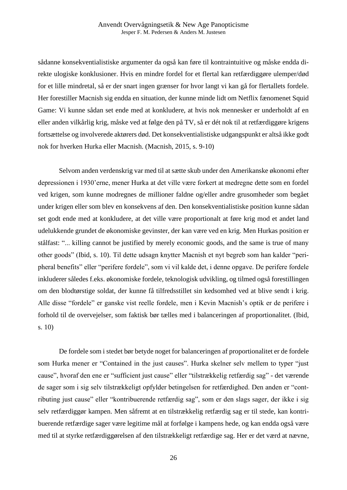sådanne konsekventialistiske argumenter da også kan føre til kontraintuitive og måske endda direkte ulogiske konklusioner. Hvis en mindre fordel for et flertal kan retfærdiggøre ulemper/død for et lille mindretal, så er der snart ingen grænser for hvor langt vi kan gå for flertallets fordele. Her forestiller Macnish sig endda en situation, der kunne minde lidt om Netflix fænomenet Squid Game: Vi kunne sådan set ende med at konkludere, at hvis nok mennesker er underholdt af en eller anden vilkårlig krig, måske ved at følge den på TV, så er dét nok til at retfærdiggøre krigens fortsættelse og involverede aktørers død. Det konsekventialistiske udgangspunkt er altså ikke godt nok for hverken Hurka eller Macnish. (Macnish, 2015, s. 9-10)

Selvom anden verdenskrig var med til at sætte skub under den Amerikanske økonomi efter depressionen i 1930'erne, mener Hurka at det ville være forkert at medregne dette som en fordel ved krigen, som kunne modregnes de millioner faldne og/eller andre grusomheder som begået under krigen eller som blev en konsekvens af den. Den konsekventialistiske position kunne sådan set godt ende med at konkludere, at det ville være proportionalt at føre krig mod et andet land udelukkende grundet de økonomiske gevinster, der kan være ved en krig. Men Hurkas position er stålfast: "... killing cannot be justified by merely economic goods, and the same is true of many other goods" (Ibid, s. 10). Til dette udsagn knytter Macnish et nyt begreb som han kalder "peripheral benefits" eller "perifere fordele", som vi vil kalde det, i denne opgave. De perifere fordele inkluderer således f.eks. økonomiske fordele, teknologisk udvikling, og tilmed også forestillingen om den blodtørstige soldat, der kunne få tilfredsstillet sin kedsomhed ved at blive sendt i krig. Alle disse "fordele" er ganske vist reelle fordele, men i Kevin Macnish's optik er de perifere i forhold til de overvejelser, som faktisk bør tælles med i balanceringen af proportionalitet. (Ibid, s. 10)

De fordele som i stedet bør betyde noget for balanceringen af proportionalitet er de fordele som Hurka mener er "Contained in the just causes". Hurka skelner selv mellem to typer "just cause", hvoraf den ene er "sufficient just cause" eller "tilstrækkelig retfærdig sag" - det værende de sager som i sig selv tilstrækkeligt opfylder betingelsen for retfærdighed. Den anden er "contributing just cause" eller "kontribuerende retfærdig sag", som er den slags sager, der ikke i sig selv retfærdiggør kampen. Men såfremt at en tilstrækkelig retfærdig sag er til stede, kan kontribuerende retfærdige sager være legitime mål at forfølge i kampens hede, og kan endda også være med til at styrke retfærdiggørelsen af den tilstrækkeligt retfærdige sag. Her er det værd at nævne,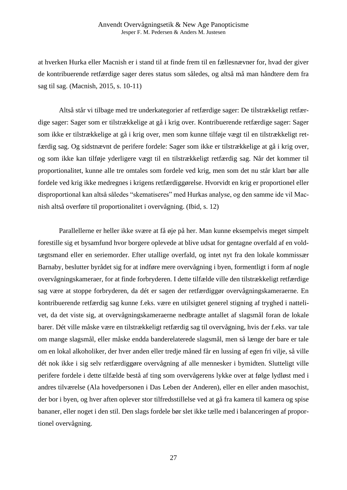at hverken Hurka eller Macnish er i stand til at finde frem til en fællesnævner for, hvad der giver de kontribuerende retfærdige sager deres status som således, og altså må man håndtere dem fra sag til sag. (Macnish, 2015, s. 10-11)

Altså står vi tilbage med tre underkategorier af retfærdige sager: De tilstrækkeligt retfærdige sager: Sager som er tilstrækkelige at gå i krig over. Kontribuerende retfærdige sager: Sager som ikke er tilstrækkelige at gå i krig over, men som kunne tilføje vægt til en tilstrækkeligt retfærdig sag. Og sidstnævnt de perifere fordele: Sager som ikke er tilstrækkelige at gå i krig over, og som ikke kan tilføje yderligere vægt til en tilstrækkeligt retfærdig sag. Når det kommer til proportionalitet, kunne alle tre omtales som fordele ved krig, men som det nu står klart bør alle fordele ved krig ikke medregnes i krigens retfærdiggørelse. Hvorvidt en krig er proportionel eller disproportional kan altså således "skematiseres" med Hurkas analyse, og den samme ide vil Macnish altså overføre til proportionalitet i overvågning. (Ibid, s. 12)

Parallellerne er heller ikke svære at få øje på her. Man kunne eksempelvis meget simpelt forestille sig et bysamfund hvor borgere oplevede at blive udsat for gentagne overfald af en voldtægtsmand eller en seriemorder. Efter utallige overfald, og intet nyt fra den lokale kommissær Barnaby, beslutter byrådet sig for at indføre mere overvågning i byen, formentligt i form af nogle overvågningskameraer, for at finde forbryderen. I dette tilfælde ville den tilstrækkeligt retfærdige sag være at stoppe forbryderen, da dét er sagen der retfærdiggør overvågningskameraerne. En kontribuerende retfærdig sag kunne f.eks. være en utilsigtet generel stigning af tryghed i nattelivet, da det viste sig, at overvågningskameraerne nedbragte antallet af slagsmål foran de lokale barer. Dét ville måske være en tilstrækkeligt retfærdig sag til overvågning, hvis der f.eks. var tale om mange slagsmål, eller måske endda banderelaterede slagsmål, men så længe der bare er tale om en lokal alkoholiker, der hver anden eller tredje måned får en lussing af egen fri vilje, så ville dét nok ikke i sig selv retfærdiggøre overvågning af alle mennesker i bymidten. Slutteligt ville perifere fordele i dette tilfælde bestå af ting som overvågerens lykke over at følge lydløst med i andres tilværelse (Ala hovedpersonen i Das Leben der Anderen), eller en eller anden masochist, der bor i byen, og hver aften oplever stor tilfredsstillelse ved at gå fra kamera til kamera og spise bananer, eller noget i den stil. Den slags fordele bør slet ikke tælle med i balanceringen af proportionel overvågning.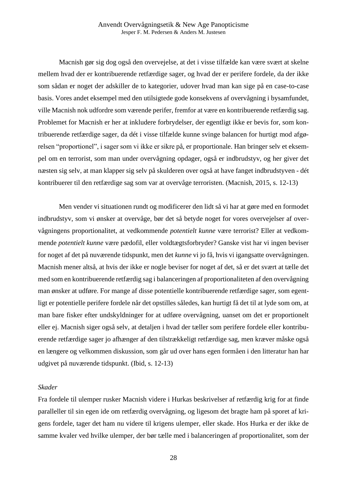Macnish gør sig dog også den overvejelse, at det i visse tilfælde kan være svært at skelne mellem hvad der er kontribuerende retfærdige sager, og hvad der er perifere fordele, da der ikke som sådan er noget der adskiller de to kategorier, udover hvad man kan sige på en case-to-case basis. Vores andet eksempel med den utilsigtede gode konsekvens af overvågning i bysamfundet, ville Macnish nok udfordre som værende perifer, fremfor at være en kontribuerende retfærdig sag. Problemet for Macnish er her at inkludere forbrydelser, der egentligt ikke er bevis for, som kontribuerende retfærdige sager, da dét i visse tilfælde kunne svinge balancen for hurtigt mod afgørelsen "proportionel", i sager som vi ikke er sikre på, er proportionale. Han bringer selv et eksempel om en terrorist, som man under overvågning opdager, også er indbrudstyv, og her giver det næsten sig selv, at man klapper sig selv på skulderen over også at have fanget indbrudstyven - dét kontribuerer til den retfærdige sag som var at overvåge terroristen. (Macnish, 2015, s. 12-13)

Men vender vi situationen rundt og modificerer den lidt så vi har at gøre med en formodet indbrudstyv, som vi ønsker at overvåge, bør det så betyde noget for vores overvejelser af overvågningens proportionalitet, at vedkommende *potentielt kunne* være terrorist? Eller at vedkommende *potentielt kunne* være pædofil, eller voldtægtsforbryder? Ganske vist har vi ingen beviser for noget af det på nuværende tidspunkt, men det *kunne* vi jo få, hvis vi igangsatte overvågningen. Macnish mener altså, at hvis der ikke er nogle beviser for noget af det, så er det svært at tælle det med som en kontribuerende retfærdig sag i balanceringen af proportionaliteten af den overvågning man ønsker at udføre. For mange af disse potentielle kontribuerende retfærdige sager, som egentligt er potentielle perifere fordele når det opstilles således, kan hurtigt få det til at lyde som om, at man bare fisker efter undskyldninger for at udføre overvågning, uanset om det er proportionelt eller ej. Macnish siger også selv, at detaljen i hvad der tæller som perifere fordele eller kontribuerende retfærdige sager jo afhænger af den tilstrækkeligt retfærdige sag, men kræver måske også en længere og velkommen diskussion, som går ud over hans egen formåen i den litteratur han har udgivet på nuværende tidspunkt. (Ibid, s. 12-13)

#### *Skader*

Fra fordele til ulemper rusker Macnish videre i Hurkas beskrivelser af retfærdig krig for at finde paralleller til sin egen ide om retfærdig overvågning, og ligesom det bragte ham på sporet af krigens fordele, tager det ham nu videre til krigens ulemper, eller skade. Hos Hurka er der ikke de samme kvaler ved hvilke ulemper, der bør tælle med i balanceringen af proportionalitet, som der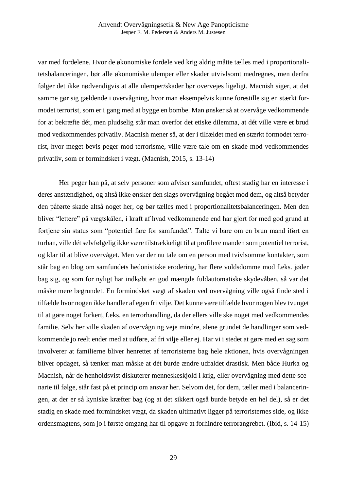var med fordelene. Hvor de økonomiske fordele ved krig aldrig måtte tælles med i proportionalitetsbalanceringen, bør alle økonomiske ulemper eller skader utvivlsomt medregnes, men derfra følger det ikke nødvendigvis at alle ulemper/skader bør overvejes ligeligt. Macnish siger, at det samme gør sig gældende i overvågning, hvor man eksempelvis kunne forestille sig en stærkt formodet terrorist, som er i gang med at bygge en bombe. Man ønsker så at overvåge vedkommende for at bekræfte dét, men pludselig står man overfor det etiske dilemma, at dét ville være et brud mod vedkommendes privatliv. Macnish mener så, at der i tilfældet med en stærkt formodet terrorist, hvor meget bevis peger mod terrorisme, ville være tale om en skade mod vedkommendes privatliv, som er formindsket i vægt. (Macnish, 2015, s. 13-14)

Her peger han på, at selv personer som afviser samfundet, oftest stadig har en interesse i deres anstændighed, og altså ikke ønsker den slags overvågning begået mod dem, og altså betyder den påførte skade altså noget her, og bør tælles med i proportionalitetsbalanceringen. Men den bliver "lettere" på vægtskålen, i kraft af hvad vedkommende end har gjort for med god grund at fortjene sin status som "potentiel fare for samfundet". Talte vi bare om en brun mand iført en turban, ville dét selvfølgelig ikke være tilstrækkeligt til at profilere manden som potentiel terrorist, og klar til at blive overvåget. Men var der nu tale om en person med tvivlsomme kontakter, som står bag en blog om samfundets hedonistiske erodering, har flere voldsdomme mod f.eks. jøder bag sig, og som for nyligt har indkøbt en god mængde fuldautomatiske skydevåben, så var det måske mere begrundet. En formindsket vægt af skaden ved overvågning ville også finde sted i tilfælde hvor nogen ikke handler af egen fri vilje. Det kunne være tilfælde hvor nogen blev tvunget til at gøre noget forkert, f.eks. en terrorhandling, da der ellers ville ske noget med vedkommendes familie. Selv her ville skaden af overvågning veje mindre, alene grundet de handlinger som vedkommende jo reelt ender med at udføre, af fri vilje eller ej. Har vi i stedet at gøre med en sag som involverer at familierne bliver henrettet af terroristerne bag hele aktionen, hvis overvågningen bliver opdaget, så tænker man måske at dét burde ændre udfaldet drastisk. Men både Hurka og Macnish, når de henholdsvist diskuterer menneskeskjold i krig, eller overvågning med dette scenarie til følge, står fast på et princip om ansvar her. Selvom det, for dem, tæller med i balanceringen, at der er så kyniske kræfter bag (og at det sikkert også burde betyde en hel del), så er det stadig en skade med formindsket vægt, da skaden ultimativt ligger på terroristernes side, og ikke ordensmagtens, som jo i første omgang har til opgave at forhindre terrorangrebet. (Ibid, s. 14-15)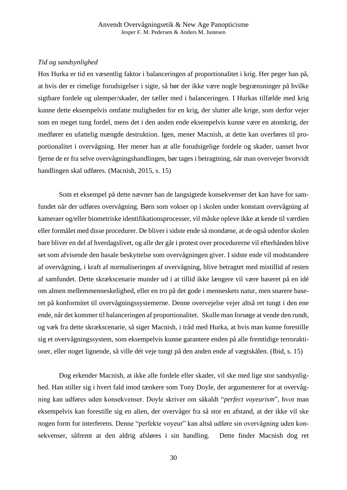### *Tid og sandsynlighed*

Hos Hurka er tid en væsentlig faktor i balanceringen af proportionalitet i krig. Her peger han på, at hvis der er rimelige forudsigelser i sigte, så bør der ikke være nogle begrænsninger på hvilke sigtbare fordele og ulemper/skader, der tæller med i balanceringen. I Hurkas tilfælde med krig kunne dette eksempelvis omfatte muligheden for en krig, der slutter alle krige, som derfor vejer som en meget tung fordel, mens det i den anden ende eksempelvis kunne være en atomkrig, der medfører en ufattelig mængde destruktion. Igen, mener Macnish, at dette kan overføres til proportionalitet i overvågning. Her mener han at alle forudsigelige fordele og skader, uanset hvor fjerne de er fra selve overvågningshandlingen, bør tages i betragtning, når man overvejer hvorvidt handlingen skal udføres. (Macnish, 2015, s. 15)

Som et eksempel på dette nævner han de langsigtede konsekvenser det kan have for samfundet når der udføres overvågning. Børn som vokser op i skolen under konstant overvågning af kameraer og/eller biometriske identifikationsprocesser, vil måske opleve ikke at kende til værdien eller formålet med disse procedurer. De bliver i sidste ende så mondæne, at de også udenfor skolen bare bliver en del af hverdagslivet, og alle der går i protest over procedurerne vil efterhånden blive set som afvisende den basale beskyttelse som overvågningen giver. I sidste ende vil modstandere af overvågning, i kraft af normaliseringen af overvågning, blive betragtet med mistillid af resten af samfundet. Dette skrækscenarie munder ud i at tillid ikke længere vil være baseret på en idé om almen mellemmenneskelighed, eller en tro på det gode i menneskets natur, men snarere baseret på konformitet til overvågningssystemerne. Denne overvejelse vejer altså ret tungt i den ene ende, når det kommer til balanceringen af proportionalitet. Skulle man forsøge at vende den rundt, og væk fra dette skrækscenarie, så siger Macnish, i tråd med Hurka, at hvis man kunne forestille sig et overvågningssystem, som eksempelvis kunne garantere enden på alle fremtidige terroraktioner, eller noget lignende, så ville dét veje tungt på den anden ende af vægtskålen. (Ibid, s. 15)

Dog erkender Macnish, at ikke alle fordele eller skader, vil ske med lige stor sandsynlighed. Han stiller sig i hvert fald imod tænkere som Tony Doyle, der argumenterer for at overvågning kan udføres uden konsekvenser. Doyle skriver om såkaldt "*perfect voyeurism*", hvor man eksempelvis kan forestille sig en alien, der overvåger fra så stor en afstand, at der ikke vil ske nogen form for interferens. Denne "perfekte voyeur" kan altså udføre sin overvågning uden konsekvenser, såfremt at den aldrig afsløres i sin handling. Dette finder Macnish dog ret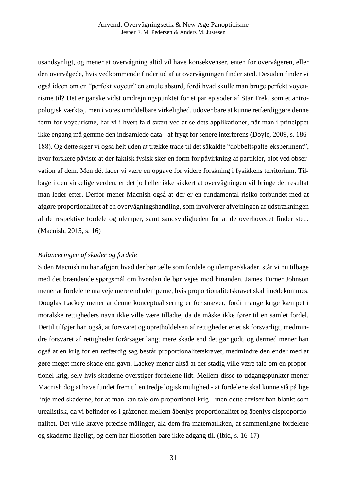usandsynligt, og mener at overvågning altid vil have konsekvenser, enten for overvågeren, eller den overvågede, hvis vedkommende finder ud af at overvågningen finder sted. Desuden finder vi også ideen om en "perfekt voyeur" en smule absurd, fordi hvad skulle man bruge perfekt voyeurisme til? Det er ganske vidst omdrejningspunktet for et par episoder af Star Trek, som et antropologisk værktøj, men i vores umiddelbare virkelighed, udover bare at kunne retfærdiggøre denne form for voyeurisme, har vi i hvert fald svært ved at se dets applikationer, når man i princippet ikke engang må gemme den indsamlede data - af frygt for senere interferens (Doyle, 2009, s. 186- 188). Og dette siger vi også helt uden at trække tråde til det såkaldte "dobbeltspalte-eksperiment", hvor forskere påviste at der faktisk fysisk sker en form for påvirkning af partikler, blot ved observation af dem. Men dét lader vi være en opgave for videre forskning i fysikkens territorium. Tilbage i den virkelige verden, er det jo heller ikke sikkert at overvågningen vil bringe det resultat man leder efter. Derfor mener Macnish også at der er en fundamental risiko forbundet med at afgøre proportionalitet af en overvågningshandling, som involverer afvejningen af udstrækningen af de respektive fordele og ulemper, samt sandsynligheden for at de overhovedet finder sted. (Macnish, 2015, s. 16)

#### *Balanceringen af skader og fordele*

Siden Macnish nu har afgjort hvad der bør tælle som fordele og ulemper/skader, står vi nu tilbage med det brændende spørgsmål om hvordan de bør vejes mod hinanden. James Turner Johnson mener at fordelene må veje mere end ulemperne, hvis proportionalitetskravet skal imødekommes. Douglas Lackey mener at denne konceptualisering er for snæver, fordi mange krige kæmpet i moralske rettigheders navn ikke ville være tilladte, da de måske ikke fører til en samlet fordel. Dertil tilføjer han også, at forsvaret og opretholdelsen af rettigheder er etisk forsvarligt, medmindre forsvaret af rettigheder forårsager langt mere skade end det gør godt, og dermed mener han også at en krig for en retfærdig sag består proportionalitetskravet, medmindre den ender med at gøre meget mere skade end gavn. Lackey mener altså at der stadig ville være tale om en proportionel krig, selv hvis skaderne overstiger fordelene lidt. Mellem disse to udgangspunkter mener Macnish dog at have fundet frem til en tredje logisk mulighed - at fordelene skal kunne stå på lige linje med skaderne, for at man kan tale om proportionel krig - men dette afviser han blankt som urealistisk, da vi befinder os i gråzonen mellem åbenlys proportionalitet og åbenlys disproportionalitet. Det ville kræve præcise målinger, ala dem fra matematikken, at sammenligne fordelene og skaderne ligeligt, og dem har filosofien bare ikke adgang til. (Ibid, s. 16-17)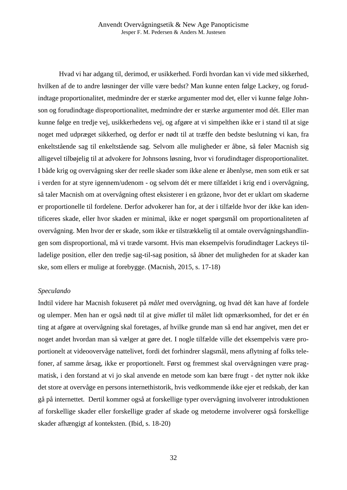Hvad vi har adgang til, derimod, er usikkerhed. Fordi hvordan kan vi vide med sikkerhed, hvilken af de to andre løsninger der ville være bedst? Man kunne enten følge Lackey, og forudindtage proportionalitet, medmindre der er stærke argumenter mod det, eller vi kunne følge Johnson og forudindtage disproportionalitet, medmindre der er stærke argumenter mod dét. Eller man kunne følge en tredje vej, usikkerhedens vej, og afgøre at vi simpelthen ikke er i stand til at sige noget med udpræget sikkerhed, og derfor er nødt til at træffe den bedste beslutning vi kan, fra enkeltstående sag til enkeltstående sag. Selvom alle muligheder er åbne, så føler Macnish sig alligevel tilbøjelig til at advokere for Johnsons løsning, hvor vi forudindtager disproportionalitet. I både krig og overvågning sker der reelle skader som ikke alene er åbenlyse, men som etik er sat i verden for at styre igennem/udenom - og selvom dét er mere tilfældet i krig end i overvågning, så taler Macnish om at overvågning oftest eksisterer i en gråzone, hvor det er uklart om skaderne er proportionelle til fordelene. Derfor advokerer han for, at der i tilfælde hvor der ikke kan identificeres skade, eller hvor skaden er minimal, ikke er noget spørgsmål om proportionaliteten af overvågning. Men hvor der er skade, som ikke er tilstrækkelig til at omtale overvågningshandlingen som disproportional, må vi træde varsomt. Hvis man eksempelvis forudindtager Lackeys tilladelige position, eller den tredje sag-til-sag position, så åbner det muligheden for at skader kan ske, som ellers er mulige at forebygge. (Macnish, 2015, s. 17-18)

#### *Speculando*

Indtil videre har Macnish fokuseret på *målet* med overvågning, og hvad dét kan have af fordele og ulemper. Men han er også nødt til at give *midlet* til målet lidt opmærksomhed, for det er én ting at afgøre at overvågning skal foretages, af hvilke grunde man så end har angivet, men det er noget andet hvordan man så vælger at gøre det. I nogle tilfælde ville det eksempelvis være proportionelt at videoovervåge nattelivet, fordi det forhindrer slagsmål, mens aflytning af folks telefoner, af samme årsag, ikke er proportionelt. Først og fremmest skal overvågningen være pragmatisk, i den forstand at vi jo skal anvende en metode som kan bære frugt - det nytter nok ikke det store at overvåge en persons internethistorik, hvis vedkommende ikke ejer et redskab, der kan gå på internettet. Dertil kommer også at forskellige typer overvågning involverer introduktionen af forskellige skader eller forskellige grader af skade og metoderne involverer også forskellige skader afhængigt af konteksten. (Ibid, s. 18-20)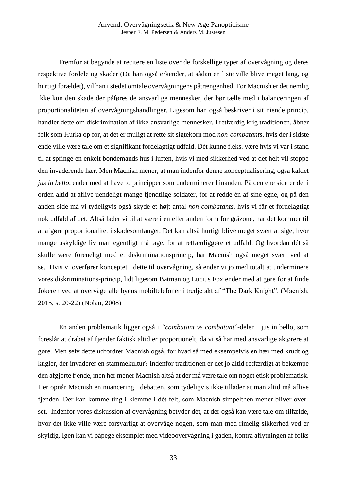Fremfor at begynde at recitere en liste over de forskellige typer af overvågning og deres respektive fordele og skader (Da han også erkender, at sådan en liste ville blive meget lang, og hurtigt forældet), vil han i stedet omtale overvågningens påtrængenhed. For Macnish er det nemlig ikke kun den skade der påføres de ansvarlige mennesker, der bør tælle med i balanceringen af proportionaliteten af overvågningshandlinger. Ligesom han også beskriver i sit niende princip, handler dette om diskrimination af ikke-ansvarlige mennesker. I retfærdig krig traditionen, åbner folk som Hurka op for, at det er muligt at rette sit sigtekorn mod *non-combatants*, hvis der i sidste ende ville være tale om et signifikant fordelagtigt udfald. Dét kunne f.eks. være hvis vi var i stand til at springe en enkelt bondemands hus i luften, hvis vi med sikkerhed ved at det helt vil stoppe den invaderende hær. Men Macnish mener, at man indenfor denne konceptualisering, også kaldet *jus in bello*, ender med at have to principper som underminerer hinanden. På den ene side er det i orden altid at aflive uendeligt mange fjendtlige soldater, for at redde én af sine egne, og på den anden side må vi tydeligvis også skyde et højt antal *non-combatants*, hvis vi får et fordelagtigt nok udfald af det. Altså lader vi til at være i en eller anden form for gråzone, når det kommer til at afgøre proportionalitet i skadesomfanget. Det kan altså hurtigt blive meget svært at sige, hvor mange uskyldige liv man egentligt må tage, for at retfærdiggøre et udfald. Og hvordan dét så skulle være foreneligt med et diskriminationsprincip, har Macnish også meget svært ved at se. Hvis vi overfører konceptet i dette til overvågning, så ender vi jo med totalt at underminere vores diskriminations-princip, lidt ligesom Batman og Lucius Fox ender med at gøre for at finde Jokeren ved at overvåge alle byens mobiltelefoner i tredje akt af "The Dark Knight". (Macnish, 2015, s. 20-22) (Nolan, 2008)

En anden problematik ligger også i *"combatant vs combatant*"-delen i jus in bello, som foreslår at drabet af fjender faktisk altid er proportionelt, da vi så har med ansvarlige aktørere at gøre. Men selv dette udfordrer Macnish også, for hvad så med eksempelvis en hær med krudt og kugler, der invaderer en stammekultur? Indenfor traditionen er det jo altid retfærdigt at bekæmpe den afgjorte fjende, men her mener Macnish altså at der må være tale om noget etisk problematisk. Her opnår Macnish en nuancering i debatten, som tydeligvis ikke tillader at man altid må aflive fjenden. Der kan komme ting i klemme i dét felt, som Macnish simpelthen mener bliver overset. Indenfor vores diskussion af overvågning betyder dét, at der også kan være tale om tilfælde, hvor det ikke ville være forsvarligt at overvåge nogen, som man med rimelig sikkerhed ved er skyldig. Igen kan vi påpege eksemplet med videoovervågning i gaden, kontra aflytningen af folks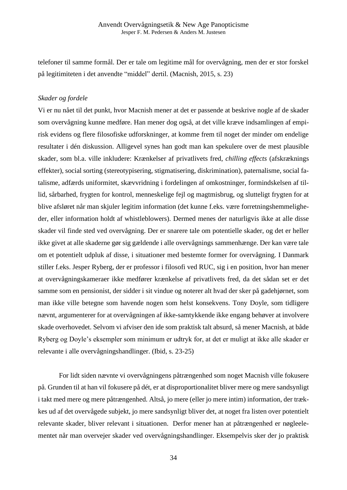telefoner til samme formål. Der er tale om legitime mål for overvågning, men der er stor forskel på legitimiteten i det anvendte "middel" dertil. (Macnish, 2015, s. 23)

### *Skader og fordele*

Vi er nu nået til det punkt, hvor Macnish mener at det er passende at beskrive nogle af de skader som overvågning kunne medføre. Han mener dog også, at det ville kræve indsamlingen af empirisk evidens og flere filosofiske udforskninger, at komme frem til noget der minder om endelige resultater i dén diskussion. Alligevel synes han godt man kan spekulere over de mest plausible skader, som bl.a. ville inkludere: Krænkelser af privatlivets fred, *chilling effects* (afskræknings effekter), social sorting (stereotypisering, stigmatisering, diskrimination), paternalisme, social fatalisme, adfærds uniformitet, skævvridning i fordelingen af omkostninger, formindskelsen af tillid, sårbarhed, frygten for kontrol, menneskelige fejl og magtmisbrug, og slutteligt frygten for at blive afsløret når man skjuler legitim information (det kunne f.eks. være forretningshemmeligheder, eller information holdt af whistleblowers). Dermed menes der naturligvis ikke at alle disse skader vil finde sted ved overvågning. Der er snarere tale om potentielle skader, og det er heller ikke givet at alle skaderne gør sig gældende i alle overvågnings sammenhænge. Der kan være tale om et potentielt udpluk af disse, i situationer med bestemte former for overvågning. I Danmark stiller f.eks. Jesper Ryberg, der er professor i filosofi ved RUC, sig i en position, hvor han mener at overvågningskameraer ikke medfører krænkelse af privatlivets fred, da det sådan set er det samme som en pensionist, der sidder i sit vindue og noterer alt hvad der sker på gadehjørnet, som man ikke ville betegne som havende nogen som helst konsekvens. Tony Doyle, som tidligere nævnt, argumenterer for at overvågningen af ikke-samtykkende ikke engang behøver at involvere skade overhovedet. Selvom vi afviser den ide som praktisk talt absurd, så mener Macnish, at både Ryberg og Doyle's eksempler som minimum er udtryk for, at det er muligt at ikke alle skader er relevante i alle overvågningshandlinger. (Ibid, s. 23-25)

For lidt siden nævnte vi overvågningens påtrængenhed som noget Macnish ville fokusere på. Grunden til at han vil fokusere på dét, er at disproportionalitet bliver mere og mere sandsynligt i takt med mere og mere påtrængenhed. Altså, jo mere (eller jo mere intim) information, der trækkes ud af det overvågede subjekt, jo mere sandsynligt bliver det, at noget fra listen over potentielt relevante skader, bliver relevant i situationen. Derfor mener han at påtrængenhed er nøgleelementet når man overvejer skader ved overvågningshandlinger. Eksempelvis sker der jo praktisk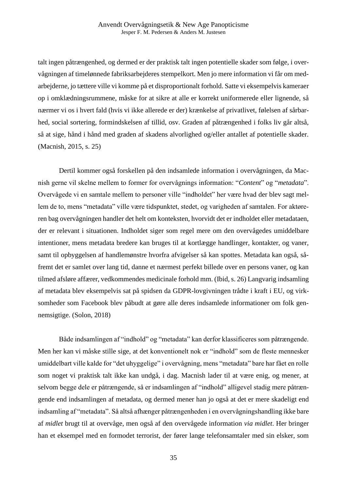talt ingen påtrængenhed, og dermed er der praktisk talt ingen potentielle skader som følge, i overvågningen af timelønnede fabriksarbejderes stempelkort. Men jo mere information vi får om medarbejderne, jo tættere ville vi komme på et disproportionalt forhold. Satte vi eksempelvis kameraer op i omklædningsrummene, måske for at sikre at alle er korrekt uniformerede eller lignende, så nærmer vi os i hvert fald (hvis vi ikke allerede er der) krænkelse af privatlivet, følelsen af sårbarhed, social sortering, formindskelsen af tillid, osv. Graden af påtrængenhed i folks liv går altså, så at sige, hånd i hånd med graden af skadens alvorlighed og/eller antallet af potentielle skader. (Macnish, 2015, s. 25)

Dertil kommer også forskellen på den indsamlede information i overvågningen, da Macnish gerne vil skelne mellem to former for overvågnings information: "*Content*" og "*metadata*". Overvågede vi en samtale mellem to personer ville "indholdet" her være hvad der blev sagt mellem de to, mens "metadata" ville være tidspunktet, stedet, og varigheden af samtalen. For aktøreren bag overvågningen handler det helt om konteksten, hvorvidt det er indholdet eller metadataen, der er relevant i situationen. Indholdet siger som regel mere om den overvågedes umiddelbare intentioner, mens metadata bredere kan bruges til at kortlægge handlinger, kontakter, og vaner, samt til opbyggelsen af handlemønstre hvorfra afvigelser så kan spottes. Metadata kan også, såfremt det er samlet over lang tid, danne et nærmest perfekt billede over en persons vaner, og kan tilmed afsløre affærer, vedkommendes medicinale forhold mm. (Ibid, s. 26) Langvarig indsamling af metadata blev eksempelvis sat på spidsen da GDPR-lovgivningen trådte i kraft i EU, og virksomheder som Facebook blev påbudt at gøre alle deres indsamlede informationer om folk gennemsigtige. (Solon, 2018)

Både indsamlingen af "indhold" og "metadata" kan derfor klassificeres som påtrængende. Men her kan vi måske stille sige, at det konventionelt nok er "indhold" som de fleste mennesker umiddelbart ville kalde for "det uhyggelige" i overvågning, mens "metadata" bare har fået en rolle som noget vi praktisk talt ikke kan undgå, i dag. Macnish lader til at være enig, og mener, at selvom begge dele er påtrængende, så er indsamlingen af "indhold" alligevel stadig mere påtrængende end indsamlingen af metadata, og dermed mener han jo også at det er mere skadeligt end indsamling af "metadata". Så altså afhænger påtrængenheden i en overvågningshandling ikke bare af *midlet* brugt til at overvåge, men også af den overvågede information *via midlet*. Her bringer han et eksempel med en formodet terrorist, der fører lange telefonsamtaler med sin elsker, som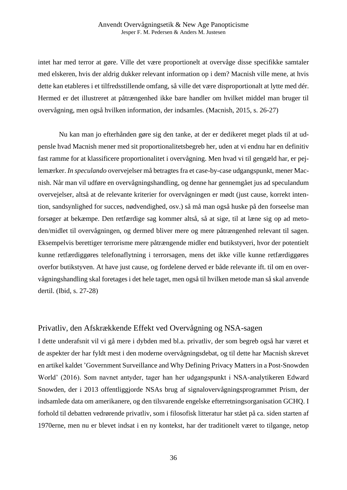intet har med terror at gøre. Ville det være proportionelt at overvåge disse specifikke samtaler med elskeren, hvis der aldrig dukker relevant information op i dem? Macnish ville mene, at hvis dette kan etableres i et tilfredsstillende omfang, så ville det være disproportionalt at lytte med dér. Hermed er det illustreret at påtrængenhed ikke bare handler om hvilket middel man bruger til overvågning, men også hvilken information, der indsamles. (Macnish, 2015, s. 26-27)

Nu kan man jo efterhånden gøre sig den tanke, at der er dedikeret meget plads til at udpensle hvad Macnish mener med sit proportionalitetsbegreb her, uden at vi endnu har en definitiv fast ramme for at klassificere proportionalitet i overvågning. Men hvad vi til gengæld har, er pejlemærker. *In speculando* overvejelser må betragtes fra et case-by-case udgangspunkt, mener Macnish. Når man vil udføre en overvågningshandling, og denne har gennemgået jus ad speculandum overvejelser, altså at de relevante kriterier for overvågningen er mødt (just cause, korrekt intention, sandsynlighed for succes, nødvendighed, osv.) så må man også huske på den forseelse man forsøger at bekæmpe. Den retfærdige sag kommer altså, så at sige, til at læne sig op ad metoden/midlet til overvågningen, og dermed bliver mere og mere påtrængenhed relevant til sagen. Eksempelvis berettiger terrorisme mere påtrængende midler end butikstyveri, hvor der potentielt kunne retfærdiggøres telefonaflytning i terrorsagen, mens det ikke ville kunne retfærdiggøres overfor butikstyven. At have just cause, og fordelene derved er både relevante ift. til om en overvågningshandling skal foretages i det hele taget, men også til hvilken metode man så skal anvende dertil. (Ibid, s. 27-28)

# Privatliv, den Afskrækkende Effekt ved Overvågning og NSA-sagen

I dette underafsnit vil vi gå mere i dybden med bl.a. privatliv, der som begreb også har været et de aspekter der har fyldt mest i den moderne overvågningsdebat, og til dette har Macnish skrevet en artikel kaldet 'Government Surveillance and Why Defining Privacy Matters in a Post-Snowden World' (2016). Som navnet antyder, tager han her udgangspunkt i NSA-analytikeren Edward Snowden, der i 2013 offentliggjorde NSAs brug af signalovervågningsprogrammet Prism, der indsamlede data om amerikanere, og den tilsvarende engelske efterretningsorganisation GCHQ. I forhold til debatten vedrørende privatliv, som i filosofisk litteratur har stået på ca. siden starten af 1970erne, men nu er blevet indsat i en ny kontekst, har der traditionelt været to tilgange, netop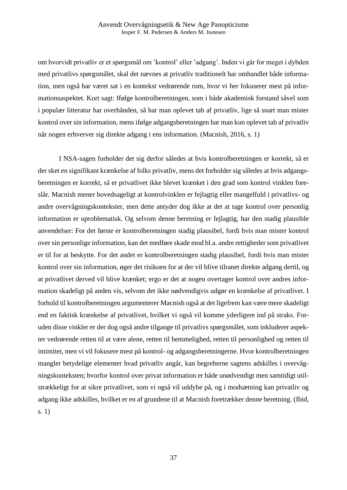om hvorvidt privatliv er et spørgsmål om 'kontrol' eller 'adgang'. Inden vi går for meget i dybden med privatlivs spørgsmålet, skal det nævnes at privatliv traditionelt har omhandlet både information, men også har været sat i en kontekst vedrørende rum, hvor vi her fokuserer mest på informationsaspektet. Kort sagt: Ifølge kontrolberetningen, som i både akademisk forstand såvel som i populær litteratur har overhånden, så har man oplevet tab af privatliv, lige så snart man mister kontrol over sin information, mens ifølge adgangsberetningen har man kun oplevet tab af privatliv når nogen erhverver sig direkte adgang i ens information. (Macnish, 2016, s. 1)

I NSA-sagen forholder det sig derfor således at hvis kontrolberetningen er korrekt, så er der sket en signifikant krænkelse af folks privatliv, mens det forholder sig således at hvis adgangsberetningen er korrekt, så er privatlivet ikke blevet krænket i den grad som kontrol vinklen foreslår. Macnish mener hovedsageligt at kontrolvinklen er fejlagtig eller mangelfuld i privatlivs- og andre overvågningskontekster, men dette antyder dog ikke at det at tage kontrol over personlig information er uproblematisk. Og selvom denne beretning er fejlagtig, har den stadig plausible anvendelser: For det første er kontrolberetningen stadig plausibel, fordi hvis man mister kontrol over sin personlige information, kan det medføre skade mod bl.a. andre rettigheder som privatlivet er til for at beskytte. For det andet er kontrolberetningen stadig plausibel, fordi hvis man mister kontrol over sin information, øger det risikoen for at der vil blive tilranet direkte adgang dertil, og at privatlivet derved vil blive krænket; ergo er det at nogen overtager kontrol over andres information skadeligt på anden vis, selvom det ikke nødvendigvis udgør en krænkelse af privatlivet. I forhold til kontrolberetningen argumenterer Macnish også at det ligefrem kan være mere skadeligt end en faktisk krænkelse af privatlivet, hvilket vi også vil komme yderligere ind på straks. Foruden disse vinkler er der dog også andre tilgange til privatlivs spørgsmålet, som inkluderer aspekter vedrørende retten til at være alene, retten til hemmelighed, retten til personlighed og retten til intimitet, men vi vil fokusere mest på kontrol- og adgangsberetningerne. Hvor kontrolberetningen mangler betydelige elementer hvad privatliv angår, kan begreberne sagtens adskilles i overvågningskonteksten; hvorfor kontrol over privat information er både unødvendigt men samtidigt utilstrækkeligt for at sikre privatlivet, som vi også vil uddybe på, og i modsætning kan privatliv og adgang ikke adskilles, hvilket er en af grundene til at Macnish foretrækker denne beretning. (Ibid, s. 1)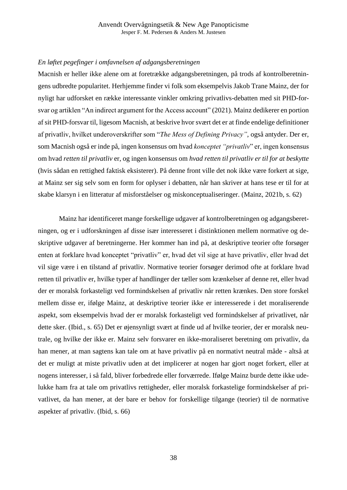# *En løftet pegefinger i omfavnelsen af adgangsberetningen*

Macnish er heller ikke alene om at foretrække adgangsberetningen, på trods af kontrolberetningens udbredte popularitet. Herhjemme finder vi folk som eksempelvis Jakob Trane Mainz, der for nyligt har udforsket en række interessante vinkler omkring privatlivs-debatten med sit PHD-forsvar og artiklen "An indirect argument for the Access account" (2021). Mainz dedikerer en portion af sit PHD-forsvar til, ligesom Macnish, at beskrive hvor svært det er at finde endelige definitioner af privatliv, hvilket underoverskrifter som "*The Mess of Defining Privacy"*, også antyder. Der er, som Macnish også er inde på, ingen konsensus om hvad *konceptet "privatliv*" er, ingen konsensus om hvad *retten til privatliv* er, og ingen konsensus om *hvad retten til privatliv er til for at beskytte*  (hvis sådan en rettighed faktisk eksisterer). På denne front ville det nok ikke være forkert at sige, at Mainz ser sig selv som en form for oplyser i debatten, når han skriver at hans tese er til for at skabe klarsyn i en litteratur af misforståelser og miskonceptualiseringer. (Mainz, 2021b, s. 62)

Mainz har identificeret mange forskellige udgaver af kontrolberetningen og adgangsberetningen, og er i udforskningen af disse især interesseret i distinktionen mellem normative og deskriptive udgaver af beretningerne. Her kommer han ind på, at deskriptive teorier ofte forsøger enten at forklare hvad konceptet "privatliv" er, hvad det vil sige at have privatliv, eller hvad det vil sige være i en tilstand af privatliv. Normative teorier forsøger derimod ofte at forklare hvad retten til privatliv er, hvilke typer af handlinger der tæller som krænkelser af denne ret, eller hvad der er moralsk forkasteligt ved formindskelsen af privatliv når retten krænkes. Den store forskel mellem disse er, ifølge Mainz, at deskriptive teorier ikke er interesserede i det moraliserende aspekt, som eksempelvis hvad der er moralsk forkasteligt ved formindskelser af privatlivet, når dette sker. (Ibid., s. 65) Det er øjensynligt svært at finde ud af hvilke teorier, der er moralsk neutrale, og hvilke der ikke er. Mainz selv forsvarer en ikke-moraliseret beretning om privatliv, da han mener, at man sagtens kan tale om at have privatliv på en normativt neutral måde - altså at det er muligt at miste privatliv uden at det implicerer at nogen har gjort noget forkert, eller at nogens interesser, i så fald, bliver forbedrede eller forværrede. Ifølge Mainz burde dette ikke udelukke ham fra at tale om privatlivs rettigheder, eller moralsk forkastelige formindskelser af privatlivet, da han mener, at der bare er behov for forskellige tilgange (teorier) til de normative aspekter af privatliv. (Ibid, s. 66)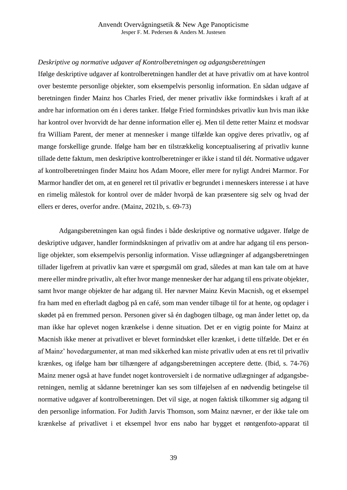# *Deskriptive og normative udgaver af Kontrolberetningen og adgangsberetningen*

Ifølge deskriptive udgaver af kontrolberetningen handler det at have privatliv om at have kontrol over bestemte personlige objekter, som eksempelvis personlig information. En sådan udgave af beretningen finder Mainz hos Charles Fried, der mener privatliv ikke formindskes i kraft af at andre har information om én i deres tanker. Ifølge Fried formindskes privatliv kun hvis man ikke har kontrol over hvorvidt de har denne information eller ej. Men til dette retter Mainz et modsvar fra William Parent, der mener at mennesker i mange tilfælde kan opgive deres privatliv, og af mange forskellige grunde. Ifølge ham bør en tilstrækkelig konceptualisering af privatliv kunne tillade dette faktum, men deskriptive kontrolberetninger er ikke i stand til dét. Normative udgaver af kontrolberetningen finder Mainz hos Adam Moore, eller mere for nyligt Andrei Marmor. For Marmor handler det om, at en generel ret til privatliv er begrundet i menneskers interesse i at have en rimelig målestok for kontrol over de måder hvorpå de kan præsentere sig selv og hvad der ellers er deres, overfor andre. (Mainz, 2021b, s. 69-73)

Adgangsberetningen kan også findes i både deskriptive og normative udgaver. Ifølge de deskriptive udgaver, handler formindskningen af privatliv om at andre har adgang til ens personlige objekter, som eksempelvis personlig information. Visse udlægninger af adgangsberetningen tillader ligefrem at privatliv kan være et spørgsmål om grad, således at man kan tale om at have mere eller mindre privatliv, alt efter hvor mange mennesker der har adgang til ens private objekter, samt hvor mange objekter de har adgang til. Her nævner Mainz Kevin Macnish, og et eksempel fra ham med en efterladt dagbog på en café, som man vender tilbage til for at hente, og opdager i skødet på en fremmed person. Personen giver så én dagbogen tilbage, og man ånder lettet op, da man ikke har oplevet nogen krænkelse i denne situation. Det er en vigtig pointe for Mainz at Macnish ikke mener at privatlivet er blevet formindsket eller krænket, i dette tilfælde. Det er én af Mainz' hovedargumenter, at man med sikkerhed kan miste privatliv uden at ens ret til privatliv krænkes, og ifølge ham bør tilhængere af adgangsberetningen acceptere dette. (Ibid, s. 74-76) Mainz mener også at have fundet noget kontroversielt i de normative udlægninger af adgangsberetningen, nemlig at sådanne beretninger kan ses som tilføjelsen af en nødvendig betingelse til normative udgaver af kontrolberetningen. Det vil sige, at nogen faktisk tilkommer sig adgang til den personlige information. For Judith Jarvis Thomson, som Mainz nævner, er der ikke tale om krænkelse af privatlivet i et eksempel hvor ens nabo har bygget et røntgenfoto-apparat til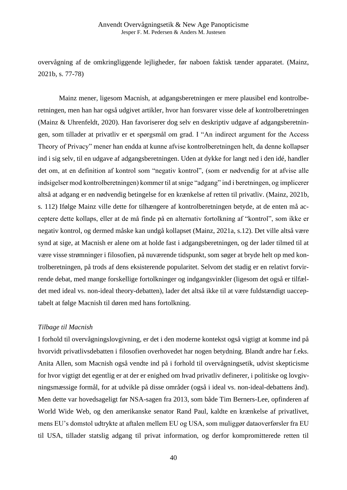overvågning af de omkringliggende lejligheder, før naboen faktisk tænder apparatet. (Mainz, 2021b, s. 77-78)

Mainz mener, ligesom Macnish, at adgangsberetningen er mere plausibel end kontrolberetningen, men han har også udgivet artikler, hvor han forsvarer visse dele af kontrolberetningen (Mainz & Uhrenfeldt, 2020). Han favoriserer dog selv en deskriptiv udgave af adgangsberetningen, som tillader at privatliv er et spørgsmål om grad. I "An indirect argument for the Access Theory of Privacy" mener han endda at kunne afvise kontrolberetningen helt, da denne kollapser ind i sig selv, til en udgave af adgangsberetningen. Uden at dykke for langt ned i den idé, handler det om, at en definition af kontrol som "negativ kontrol", (som er nødvendig for at afvise alle indsigelser mod kontrolberetningen) kommer til at snige "adgang" ind i beretningen, og implicerer altså at adgang er en nødvendig betingelse for en krænkelse af retten til privatliv. (Mainz, 2021b, s. 112) Ifølge Mainz ville dette for tilhængere af kontrolberetningen betyde, at de enten må acceptere dette kollaps, eller at de må finde på en alternativ fortolkning af "kontrol", som ikke er negativ kontrol, og dermed måske kan undgå kollapset (Mainz, 2021a, s.12). Det ville altså være synd at sige, at Macnish er alene om at holde fast i adgangsberetningen, og der lader tilmed til at være visse strømninger i filosofien, på nuværende tidspunkt, som søger at bryde helt op med kontrolberetningen, på trods af dens eksisterende popularitet. Selvom det stadig er en relativt forvirrende debat, med mange forskellige fortolkninger og indgangsvinkler (ligesom det også er tilfældet med ideal vs. non-ideal theory-debatten), lader det altså ikke til at være fuldstændigt uacceptabelt at følge Macnish til døren med hans fortolkning.

### *Tilbage til Macnish*

I forhold til overvågningslovgivning, er det i den moderne kontekst også vigtigt at komme ind på hvorvidt privatlivsdebatten i filosofien overhovedet har nogen betydning. Blandt andre har f.eks. Anita Allen, som Macnish også vendte ind på i forhold til overvågningsetik, udvist skepticisme for hvor vigtigt det egentlig er at der er enighed om hvad privatliv definerer, i politiske og lovgivningsmæssige formål, for at udvikle på disse områder (også i ideal vs. non-ideal-debattens ånd). Men dette var hovedsageligt før NSA-sagen fra 2013, som både Tim Berners-Lee, opfinderen af World Wide Web, og den amerikanske senator Rand Paul, kaldte en krænkelse af privatlivet, mens EU's domstol udtrykte at aftalen mellem EU og USA, som muliggør dataoverførsler fra EU til USA, tillader statslig adgang til privat information, og derfor kompromitterede retten til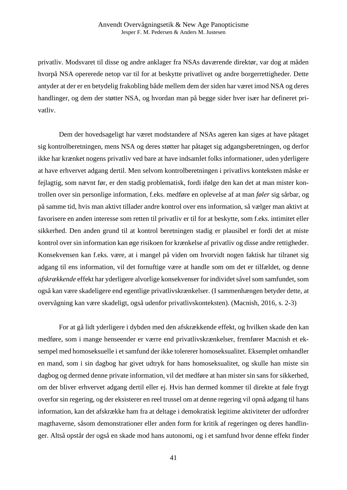privatliv. Modsvaret til disse og andre anklager fra NSAs daværende direktør, var dog at måden hvorpå NSA opererede netop var til for at beskytte privatlivet og andre borgerrettigheder. Dette antyder at der er en betydelig frakobling både mellem dem der siden har været imod NSA og deres handlinger, og dem der støtter NSA, og hvordan man på begge sider hver især har defineret privatliv.

Dem der hovedsageligt har været modstandere af NSAs ageren kan siges at have påtaget sig kontrolberetningen, mens NSA og deres støtter har påtaget sig adgangsberetningen, og derfor ikke har krænket nogens privatliv ved bare at have indsamlet folks informationer, uden yderligere at have erhvervet adgang dertil. Men selvom kontrolberetningen i privatlivs konteksten måske er fejlagtig, som nævnt før, er den stadig problematisk, fordi ifølge den kan det at man mister kontrollen over sin personlige information, f.eks. medføre en oplevelse af at man *føler* sig sårbar, og på samme tid, hvis man aktivt tillader andre kontrol over ens information, så vælger man aktivt at favorisere en anden interesse som retten til privatliv er til for at beskytte, som f.eks. intimitet eller sikkerhed. Den anden grund til at kontrol beretningen stadig er plausibel er fordi det at miste kontrol over sin information kan øge risikoen for krænkelse af privatliv og disse andre rettigheder. Konsekvensen kan f.eks. være, at i mangel på viden om hvorvidt nogen faktisk har tilranet sig adgang til ens information, vil det fornuftige være at handle som om det er tilfældet, og denne *afskrækkende* effekt har yderligere alvorlige konsekvenser for individet såvel som samfundet, som også kan være skadeligere end egentlige privatlivskrænkelser. (I sammenhængen betyder dette, at overvågning kan være skadeligt, også udenfor privatlivskonteksten). (Macnish, 2016, s. 2-3)

For at gå lidt yderligere i dybden med den afskrækkende effekt, og hvilken skade den kan medføre, som i mange henseender er værre end privatlivskrænkelser, fremfører Macnish et eksempel med homoseksuelle i et samfund der ikke tolererer homoseksualitet. Eksemplet omhandler en mand, som i sin dagbog har givet udtryk for hans homoseksualitet, og skulle han miste sin dagbog og dermed denne private information, vil det medføre at han mister sin sans for sikkerhed, om der bliver erhvervet adgang dertil eller ej. Hvis han dermed kommer til direkte at føle frygt overfor sin regering, og der eksisterer en reel trussel om at denne regering vil opnå adgang til hans information, kan det afskrække ham fra at deltage i demokratisk legitime aktiviteter der udfordrer magthaverne, såsom demonstrationer eller anden form for kritik af regeringen og deres handlinger. Altså opstår der også en skade mod hans autonomi, og i et samfund hvor denne effekt finder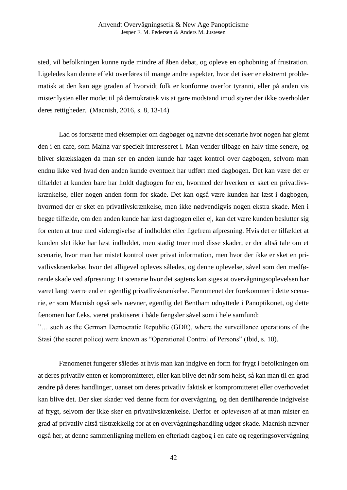sted, vil befolkningen kunne nyde mindre af åben debat, og opleve en ophobning af frustration. Ligeledes kan denne effekt overføres til mange andre aspekter, hvor det især er ekstremt problematisk at den kan øge graden af hvorvidt folk er konforme overfor tyranni, eller på anden vis mister lysten eller modet til på demokratisk vis at gøre modstand imod styrer der ikke overholder deres rettigheder. (Macnish, 2016, s. 8, 13-14)

Lad os fortsætte med eksempler om dagbøger og nævne det scenarie hvor nogen har glemt den i en cafe, som Mainz var specielt interesseret i. Man vender tilbage en halv time senere, og bliver skrækslagen da man ser en anden kunde har taget kontrol over dagbogen, selvom man endnu ikke ved hvad den anden kunde eventuelt har udført med dagbogen. Det kan være det er tilfældet at kunden bare har holdt dagbogen for en, hvormed der hverken er sket en privatlivskrænkelse, eller nogen anden form for skade. Det kan også være kunden har læst i dagbogen, hvormed der er sket en privatlivskrænkelse, men ikke nødvendigvis nogen ekstra skade. Men i begge tilfælde, om den anden kunde har læst dagbogen eller ej, kan det være kunden beslutter sig for enten at true med videregivelse af indholdet eller ligefrem afpresning. Hvis det er tilfældet at kunden slet ikke har læst indholdet, men stadig truer med disse skader, er der altså tale om et scenarie, hvor man har mistet kontrol over privat information, men hvor der ikke er sket en privatlivskrænkelse, hvor det alligevel opleves således, og denne oplevelse, såvel som den medførende skade ved afpresning: Et scenarie hvor det sagtens kan siges at overvågningsoplevelsen har været langt værre end en egentlig privatlivskrænkelse. Fænomenet der forekommer i dette scenarie, er som Macnish også selv nævner, egentlig det Bentham udnyttede i Panoptikonet, og dette fænomen har f.eks. været praktiseret i både fængsler såvel som i hele samfund:

"… such as the German Democratic Republic (GDR), where the surveillance operations of the Stasi (the secret police) were known as "Operational Control of Persons" (Ibid, s. 10).

Fænomenet fungerer således at hvis man kan indgive en form for frygt i befolkningen om at deres privatliv enten er kompromitteret, eller kan blive det når som helst, så kan man til en grad ændre på deres handlinger, uanset om deres privatliv faktisk er kompromitteret eller overhovedet kan blive det. Der sker skader ved denne form for overvågning, og den dertilhørende indgivelse af frygt, selvom der ikke sker en privatlivskrænkelse. Derfor er *oplevelsen* af at man mister en grad af privatliv altså tilstrækkelig for at en overvågningshandling udgør skade. Macnish nævner også her, at denne sammenligning mellem en efterladt dagbog i en cafe og regeringsovervågning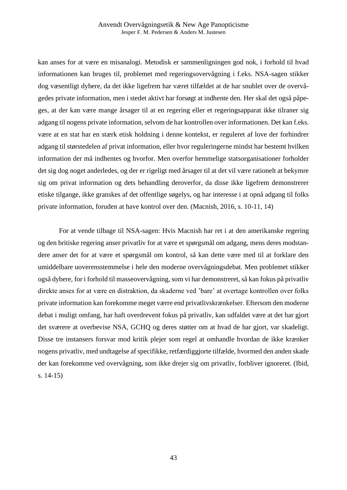kan anses for at være en misanalogi. Metodisk er sammenligningen god nok, i forhold til hvad informationen kan bruges til, problemet med regeringsovervågning i f.eks. NSA-sagen stikker dog væsentligt dybere, da det ikke ligefrem har været tilfældet at de har snublet over de overvågedes private information, men i stedet aktivt har forsøgt at indhente den. Her skal det også påpeges, at der kan være mange årsager til at en regering eller et regeringsapparat ikke tilraner sig adgang til nogens private information, selvom de har kontrollen over informationen. Det kan f.eks. være at en stat har en stærk etisk holdning i denne kontekst, er reguleret af love der forhindrer adgang til størstedelen af privat information, eller hvor reguleringerne mindst har bestemt hvilken information der må indhentes og hvorfor. Men overfor hemmelige statsorganisationer forholder det sig dog noget anderledes, og der er rigeligt med årsager til at det vil være rationelt at bekymre sig om privat information og dets behandling deroverfor, da disse ikke ligefrem demonstrerer etiske tilgange, ikke granskes af det offentlige søgelys, og har interesse i at opnå adgang til folks private information, foruden at have kontrol over den. (Macnish, 2016, s. 10-11, 14)

For at vende tilbage til NSA-sagen: Hvis Macnish har ret i at den amerikanske regering og den britiske regering anser privatliv for at være et spørgsmål om adgang, mens deres modstandere anser det for at være et spørgsmål om kontrol, så kan dette være med til at forklare den umiddelbare uoverensstemmelse i hele den moderne overvågningsdebat. Men problemet stikker også dybere, for i forhold til masseovervågning, som vi har demonstreret, så kan fokus på privatliv direkte anses for at være en distraktion, da skaderne ved 'bare' at overtage kontrollen over folks private information kan forekomme meget værre end privatlivskrænkelser. Eftersom den moderne debat i muligt omfang, har haft overdrevent fokus på privatliv, kan udfaldet være at det har gjort det sværere at overbevise NSA, GCHQ og deres støtter om at hvad de har gjort, var skadeligt. Disse tre instansers forsvar mod kritik plejer som regel at omhandle hvordan de ikke krænker nogens privatliv, med undtagelse af specifikke, retfærdiggjorte tilfælde, hvormed den anden skade der kan forekomme ved overvågning, som ikke drejer sig om privatliv, forbliver ignoreret. (Ibid, s. 14-15)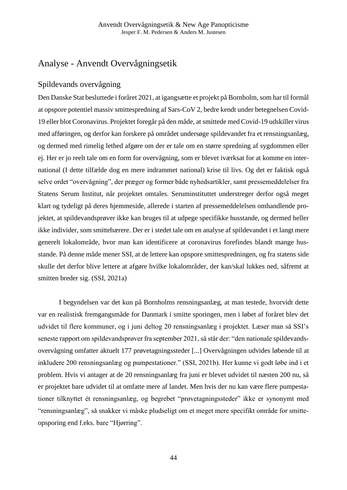# Analyse - Anvendt Overvågningsetik

# Spildevands overvågning

Den Danske Stat besluttede i foråret 2021, at igangsætte et projekt på Bornholm, som har til formål at opspore potentiel massiv smittespredning af Sars-CoV 2, bedre kendt under betegnelsen Covid-19 eller blot Coronavirus. Projektet foregår på den måde, at smittede med Covid-19 udskiller virus med afføringen, og derfor kan forskere på området undersøge spildevandet fra et rensningsanlæg, og dermed med rimelig lethed afgøre om der er tale om en større spredning af sygdommen eller ej. Her er jo reelt tale om en form for overvågning, som er blevet iværksat for at komme en international (I dette tilfælde dog en mere indrammet national) krise til livs. Og det er faktisk også selve ordet "overvågning", der præger og former både nyhedsartikler, samt pressemeddelelser fra Statens Serum Institut, når projektet omtales. Seruminstituttet understreger derfor også meget klart og tydeligt på deres hjemmeside, allerede i starten af pressemeddelelsen omhandlende projektet, at spildevandsprøver ikke kan bruges til at udpege specifikke husstande, og dermed heller ikke individer, som smittebærere. Der er i stedet tale om en analyse af spildevandet i et langt mere generelt lokalområde, hvor man kan identificere at coronavirus forefindes blandt mange husstande. På denne måde mener SSI, at de lettere kan opspore smittespredningen, og fra statens side skulle det derfor blive lettere at afgøre hvilke lokalområder, der kan/skal lukkes ned, såfremt at smitten breder sig. (SSI, 2021a)

I begyndelsen var det kun på Bornholms rensningsanlæg, at man testede, hvorvidt dette var en realistisk fremgangsmåde for Danmark i smitte sporingen, men i løbet af foråret blev det udvidet til flere kommuner, og i juni deltog 20 rensningsanlæg i projektet. Læser man så SSI's seneste rapport om spildevandsprøver fra september 2021, så står der: "den nationale spildevandsovervågning omfatter aktuelt 177 prøvetagningssteder [...] Overvågningen udvides løbende til at inkludere 200 rensningsanlæg og pumpestationer." (SSI, 2021b). Her kunne vi godt løbe ind i et problem. Hvis vi antager at de 20 rensningsanlæg fra juni er blevet udvidet til næsten 200 nu, så er projektet bare udvidet til at omfatte mere af landet. Men hvis der nu kan være flere pumpestationer tilknyttet ét rensningsanlæg, og begrebet "prøvetagningssteder" ikke er synonymt med "rensningsanlæg", så snakker vi måske pludseligt om et meget mere specifikt område for smitteopsporing end f.eks. bare "Hjørring".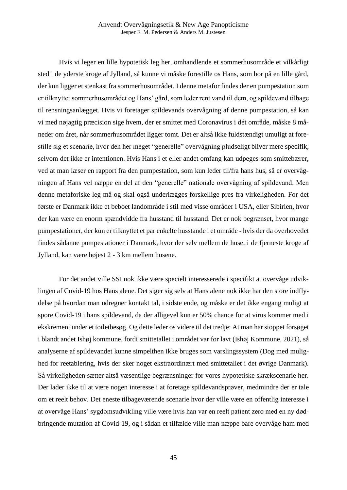Hvis vi leger en lille hypotetisk leg her, omhandlende et sommerhusområde et vilkårligt sted i de yderste kroge af Jylland, så kunne vi måske forestille os Hans, som bor på en lille gård, der kun ligger et stenkast fra sommerhusområdet. I denne metafor findes der en pumpestation som er tilknyttet sommerhusområdet og Hans' gård, som leder rent vand til dem, og spildevand tilbage til rensningsanlægget. Hvis vi foretager spildevands overvågning af denne pumpestation, så kan vi med nøjagtig præcision sige hvem, der er smittet med Coronavirus i dét område, måske 8 måneder om året, når sommerhusområdet ligger tomt. Det er altså ikke fuldstændigt umuligt at forestille sig et scenarie, hvor den her meget "generelle" overvågning pludseligt bliver mere specifik, selvom det ikke er intentionen. Hvis Hans i et eller andet omfang kan udpeges som smittebærer, ved at man læser en rapport fra den pumpestation, som kun leder til/fra hans hus, så er overvågningen af Hans vel næppe en del af den "generelle" nationale overvågning af spildevand. Men denne metaforiske leg må og skal også underlægges forskellige pres fra virkeligheden. For det første er Danmark ikke et beboet landområde i stil med visse områder i USA, eller Sibirien, hvor der kan være en enorm spændvidde fra husstand til husstand. Det er nok begrænset, hvor mange pumpestationer, der kun er tilknyttet et par enkelte husstande i et område - hvis der da overhovedet findes sådanne pumpestationer i Danmark, hvor der selv mellem de huse, i de fjerneste kroge af Jylland, kan være højest 2 - 3 km mellem husene.

For det andet ville SSI nok ikke være specielt interesserede i specifikt at overvåge udviklingen af Covid-19 hos Hans alene. Det siger sig selv at Hans alene nok ikke har den store indflydelse på hvordan man udregner kontakt tal, i sidste ende, og måske er det ikke engang muligt at spore Covid-19 i hans spildevand, da der alligevel kun er 50% chance for at virus kommer med i ekskrement under et toiletbesøg. Og dette leder os videre til det tredje: At man har stoppet forsøget i blandt andet Ishøj kommune, fordi smittetallet i området var for lavt (Ishøj Kommune, 2021), så analyserne af spildevandet kunne simpelthen ikke bruges som varslingssystem (Dog med mulighed for reetablering, hvis der sker noget ekstraordinært med smittetallet i det øvrige Danmark). Så virkeligheden sætter altså væsentlige begrænsninger for vores hypotetiske skrækscenarie her. Der lader ikke til at være nogen interesse i at foretage spildevandsprøver, medmindre der er tale om et reelt behov. Det eneste tilbageværende scenarie hvor der ville være en offentlig interesse i at overvåge Hans' sygdomsudvikling ville være hvis han var en reelt patient zero med en ny dødbringende mutation af Covid-19, og i sådan et tilfælde ville man næppe bare overvåge ham med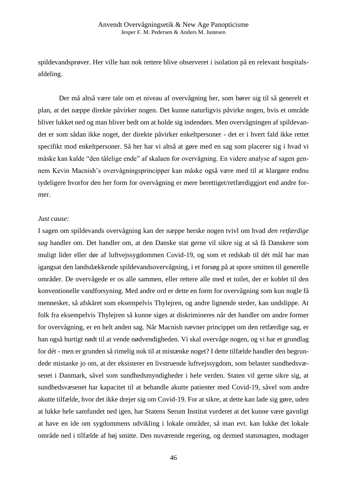spildevandsprøver. Her ville han nok rettere blive observeret i isolation på en relevant hospitalsafdeling.

Der må altså være tale om et niveau af overvågning her, som hører sig til så generelt et plan, at det næppe direkte påvirker nogen. Det kunne naturligvis påvirke nogen, hvis et område bliver lukket ned og man bliver bedt om at holde sig indendørs. Men overvågningen af spildevandet er som sådan ikke noget, der direkte påvirker enkeltpersoner - det er i hvert fald ikke rettet specifikt mod enkeltpersoner. Så her har vi altså at gøre med en sag som placerer sig i hvad vi måske kan kalde "den tålelige ende" af skalaen for overvågning. En videre analyse af sagen gennem Kevin Macnish's overvågningsprincipper kan måske også være med til at klargøre endnu tydeligere hvorfor den her form for overvågning er mere berettiget/retfærdiggjort end andre former.

#### *Just cause:*

I sagen om spildevands overvågning kan der næppe herske nogen tvivl om hvad *den retfærdige sag* handler om. Det handler om, at den Danske stat gerne vil sikre sig at så få Danskere som muligt lider eller dør af luftvejssygdommen Covid-19, og som et redskab til dét mål har man igangsat den landsdækkende spildevandsovervågning, i et forsøg på at spore smitten til generelle områder. De overvågede er os alle sammen, eller rettere alle med et toilet, der er koblet til den konventionelle vandforsyning. Med andre ord er dette en form for overvågning som kun nogle få mennesker, så afskåret som eksempelvis Thylejren, og andre lignende steder, kan undslippe. At folk fra eksempelvis Thylejren så kunne siges at diskrimineres når det handler om andre former for overvågning, er en helt anden sag. Når Macnish nævner princippet om den retfærdige sag, er han også hurtigt nødt til at vende nødvendigheden. Vi skal overvåge nogen, og vi har et grundlag for dét - men er grunden så rimelig nok til at mistænke noget? I dette tilfælde handler den begrundede mistanke jo om, at der eksisterer en livstruende luftvejssygdom, som belaster sundhedsvæsenet i Danmark, såvel som sundhedsmyndigheder i hele verden. Staten vil gerne sikre sig, at sundhedsvæsenet har kapacitet til at behandle akutte patienter med Covid-19, såvel som andre akutte tilfælde, hvor det ikke drejer sig om Covid-19. For at sikre, at dette kan lade sig gøre, uden at lukke hele samfundet ned igen, har Statens Serum Institut vurderet at det kunne være gavnligt at have en ide om sygdommens udvikling i lokale områder, så man evt. kan lukke det lokale område ned i tilfælde af høj smitte. Den nuværende regering, og dermed statsmagten, modtager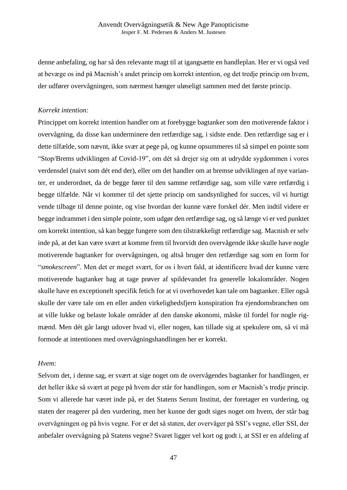denne anbefaling, og har så den relevante magt til at igangsætte en handleplan. Her er vi også ved at bevæge os ind på Macnish's andet princip om korrekt intention, og det tredje princip om hvem, der udfører overvågningen, som nærmest hænger uløseligt sammen med det første princip.

### *Korrekt intention:*

Princippet om korrekt intention handler om at forebygge bagtanker som den motiverende faktor i overvågning, da disse kan underminere den retfærdige sag, i sidste ende. Den retfærdige sag er i dette tilfælde, som nævnt, ikke svær at pege på, og kunne opsummeres til så simpel en pointe som "Stop/Brems udviklingen af Covid-19", om dét så drejer sig om at udrydde sygdommen i vores verdensdel (naivt som dét end der), eller om det handler om at bremse udviklingen af nye varianter, er underordnet, da de begge fører til den samme retfærdige sag, som ville være retfærdig i begge tilfælde. Når vi kommer til det sjette princip om sandsynlighed for succes, vil vi hurtigt vende tilbage til denne pointe, og vise hvordan der kunne være forskel dér. Men indtil videre er begge indrammet i den simple pointe, som udgør den retfærdige sag, og så længe vi er ved punktet om korrekt intention, så kan begge fungere som den tilstrækkeligt retfærdige sag. Macnish er selv inde på, at det kan være svært at komme frem til hvorvidt den overvågende ikke skulle have nogle motiverende bagtanker for overvågningen, og altså bruger den retfærdige sag som en form for "*smokescreen*". Men det er meget svært, for os i hvert fald, at identificere hvad der kunne være motiverende bagtanker bag at tage prøver af spildevandet fra generelle lokalområder. Nogen skulle have en exceptionelt specifik fetich for at vi overhovedet kan tale om bagtanker. Eller også skulle der være tale om en eller anden virkelighedsfjern konspiration fra ejendomsbranchen om at ville lukke og belaste lokale områder af den danske økonomi, måske til fordel for nogle rigmænd. Men dét går langt udover hvad vi, eller nogen, kan tillade sig at spekulere om, så vi må formode at intentionen med overvågningshandlingen her er korrekt.

#### *Hvem:*

Selvom det, i denne sag, er svært at sige noget om de overvågendes bagtanker for handlingen, er det heller ikke så svært at pege på hvem der står for handlingen, som er Macnish's tredje princip. Som vi allerede har været inde på, er det Statens Serum Institut, der foretager en vurdering, og staten der reagerer på den vurdering, men her kunne der godt siges noget om hvem, der står bag overvågningen og på hvis vegne. For er det så staten, der overvåger på SSI's vegne, eller SSI, der anbefaler overvågning på Statens vegne? Svaret ligger vel kort og godt i, at SSI er en afdeling af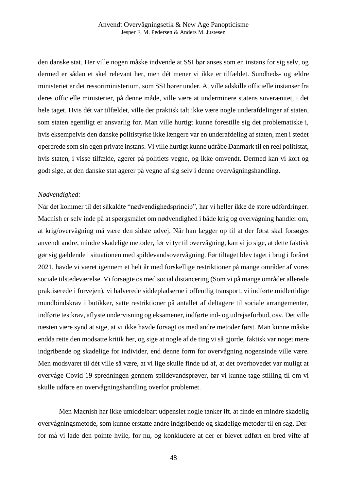den danske stat. Her ville nogen måske indvende at SSI bør anses som en instans for sig selv, og dermed er sådan et skel relevant her, men dét mener vi ikke er tilfældet. Sundheds- og ældre ministeriet er det ressortministerium, som SSI hører under. At ville adskille officielle instanser fra deres officielle ministerier, på denne måde, ville være at underminere statens suverænitet, i det hele taget. Hvis dét var tilfældet, ville der praktisk talt ikke være nogle underafdelinger af staten, som staten egentligt er ansvarlig for. Man ville hurtigt kunne forestille sig det problematiske i, hvis eksempelvis den danske politistyrke ikke længere var en underafdeling af staten, men i stedet opererede som sin egen private instans. Vi ville hurtigt kunne udråbe Danmark til en reel politistat, hvis staten, i visse tilfælde, agerer på politiets vegne, og ikke omvendt. Dermed kan vi kort og godt sige, at den danske stat agerer på vegne af sig selv i denne overvågningshandling.

## *Nødvendighed:*

Når det kommer til det såkaldte "nødvendighedsprincip", har vi heller ikke de store udfordringer. Macnish er selv inde på at spørgsmålet om nødvendighed i både krig og overvågning handler om, at krig/overvågning må være den sidste udvej. Når han lægger op til at der først skal forsøges anvendt andre, mindre skadelige metoder, før vi tyr til overvågning, kan vi jo sige, at dette faktisk gør sig gældende i situationen med spildevandsovervågning. Før tiltaget blev taget i brug i foråret 2021, havde vi været igennem et helt år med forskellige restriktioner på mange områder af vores sociale tilstedeværelse. Vi forsøgte os med social distancering (Som vi på mange områder allerede praktiserede i forvejen), vi halverede siddepladserne i offentlig transport, vi indførte midlertidige mundbindskrav i butikker, satte restriktioner på antallet af deltagere til sociale arrangementer, indførte testkrav, aflyste undervisning og eksamener, indførte ind- og udrejseforbud, osv. Det ville næsten være synd at sige, at vi ikke havde forsøgt os med andre metoder først. Man kunne måske endda rette den modsatte kritik her, og sige at nogle af de ting vi så gjorde, faktisk var noget mere indgribende og skadelige for individer, end denne form for overvågning nogensinde ville være. Men modsvaret til dét ville så være, at vi lige skulle finde ud af, at det overhovedet var muligt at overvåge Covid-19 spredningen gennem spildevandsprøver, før vi kunne tage stilling til om vi skulle udføre en overvågningshandling overfor problemet.

Men Macnish har ikke umiddelbart udpenslet nogle tanker ift. at finde en mindre skadelig overvågningsmetode, som kunne erstatte andre indgribende og skadelige metoder til en sag. Derfor må vi lade den pointe hvile, for nu, og konkludere at der er blevet udført en bred vifte af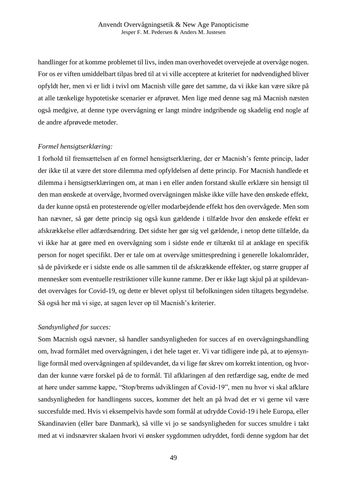handlinger for at komme problemet til livs, inden man overhovedet overvejede at overvåge nogen. For os er viften umiddelbart tilpas bred til at vi ville acceptere at kriteriet for nødvendighed bliver opfyldt her, men vi er lidt i tvivl om Macnish ville gøre det samme, da vi ikke kan være sikre på at alle tænkelige hypotetiske scenarier er afprøvet. Men lige med denne sag må Macnish næsten også medgive, at denne type overvågning er langt mindre indgribende og skadelig end nogle af de andre afprøvede metoder.

# *Formel hensigtserklæring:*

I forhold til fremsættelsen af en formel hensigtserklæring, der er Macnish's femte princip, lader der ikke til at være det store dilemma med opfyldelsen af dette princip. For Macnish handlede et dilemma i hensigtserklæringen om, at man i en eller anden forstand skulle erklære sin hensigt til den man ønskede at overvåge, hvormed overvågningen måske ikke ville have den ønskede effekt, da der kunne opstå en protesterende og/eller modarbejdende effekt hos den overvågede. Men som han nævner, så gør dette princip sig også kun gældende i tilfælde hvor den ønskede effekt er afskrækkelse eller adfærdsændring. Det sidste her gør sig vel gældende, i netop dette tilfælde, da vi ikke har at gøre med en overvågning som i sidste ende er tiltænkt til at anklage en specifik person for noget specifikt. Der er tale om at overvåge smittespredning i generelle lokalområder, så de påvirkede er i sidste ende os alle sammen til de afskrækkende effekter, og større grupper af mennesker som eventuelle restriktioner ville kunne ramme. Der er ikke lagt skjul på at spildevandet overvåges for Covid-19, og dette er blevet oplyst til befolkningen siden tiltagets begyndelse. Så også her må vi sige, at sagen lever op til Macnish's kriterier.

# *Sandsynlighed for succes:*

Som Macnish også nævner, så handler sandsynligheden for succes af en overvågningshandling om, hvad formålet med overvågningen, i det hele taget er. Vi var tidligere inde på, at to øjensynlige formål med overvågningen af spildevandet, da vi lige før skrev om korrekt intention, og hvordan der kunne være forskel på de to formål. Til afklaringen af den retfærdige sag, endte de med at høre under samme kappe, "Stop/brems udviklingen af Covid-19", men nu hvor vi skal afklare sandsynligheden for handlingens succes, kommer det helt an på hvad det er vi gerne vil være succesfulde med. Hvis vi eksempelvis havde som formål at udrydde Covid-19 i hele Europa, eller Skandinavien (eller bare Danmark), så ville vi jo se sandsynligheden for succes smuldre i takt med at vi indsnævrer skalaen hvori vi ønsker sygdommen udryddet, fordi denne sygdom har det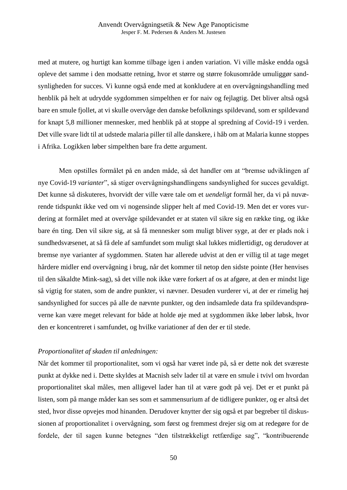med at mutere, og hurtigt kan komme tilbage igen i anden variation. Vi ville måske endda også opleve det samme i den modsatte retning, hvor et større og større fokusområde umuliggør sandsynligheden for succes. Vi kunne også ende med at konkludere at en overvågningshandling med henblik på helt at udrydde sygdommen simpelthen er for naiv og fejlagtig. Det bliver altså også bare en smule fjollet, at vi skulle overvåge den danske befolknings spildevand, som er spildevand for knapt 5,8 millioner mennesker, med henblik på at stoppe al spredning af Covid-19 i verden. Det ville svare lidt til at udstede malaria piller til alle danskere, i håb om at Malaria kunne stoppes i Afrika. Logikken løber simpelthen bare fra dette argument.

Men opstilles formålet på en anden måde, så det handler om at "bremse udviklingen af nye Covid-19 *varianter*", så stiger overvågningshandlingens sandsynlighed for succes gevaldigt. Det kunne så diskuteres, hvorvidt der ville være tale om et *uendeligt* formål her, da vi på nuværende tidspunkt ikke ved om vi nogensinde slipper helt af med Covid-19. Men det er vores vurdering at formålet med at overvåge spildevandet er at staten vil sikre sig en række ting, og ikke bare én ting. Den vil sikre sig, at så få mennesker som muligt bliver syge, at der er plads nok i sundhedsvæsenet, at så få dele af samfundet som muligt skal lukkes midlertidigt, og derudover at bremse nye varianter af sygdommen. Staten har allerede udvist at den er villig til at tage meget hårdere midler end overvågning i brug, når det kommer til netop den sidste pointe (Her henvises til den såkaldte Mink-sag), så det ville nok ikke være forkert af os at afgøre, at den er mindst lige så vigtig for staten, som de andre punkter, vi nævner. Desuden vurderer vi, at der er rimelig høj sandsynlighed for succes på alle de nævnte punkter, og den indsamlede data fra spildevandsprøverne kan være meget relevant for både at holde øje med at sygdommen ikke løber løbsk, hvor den er koncentreret i samfundet, og hvilke variationer af den der er til stede.

#### *Proportionalitet af skaden til anledningen:*

Når det kommer til proportionalitet, som vi også har været inde på, så er dette nok det sværeste punkt at dykke ned i. Dette skyldes at Macnish selv lader til at være en smule i tvivl om hvordan proportionalitet skal måles, men alligevel lader han til at være godt på vej. Det er et punkt på listen, som på mange måder kan ses som et sammensurium af de tidligere punkter, og er altså det sted, hvor disse opvejes mod hinanden. Derudover knytter der sig også et par begreber til diskussionen af proportionalitet i overvågning, som først og fremmest drejer sig om at redegøre for de fordele, der til sagen kunne betegnes "den tilstrækkeligt retfærdige sag", "kontribuerende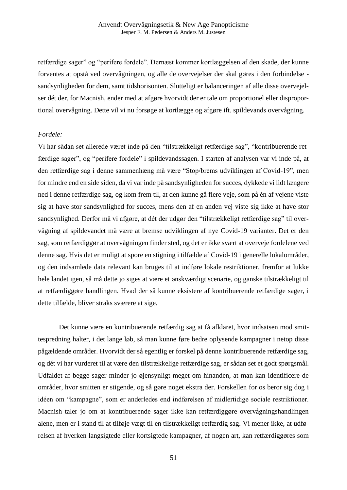retfærdige sager" og "perifere fordele". Dernæst kommer kortlæggelsen af den skade, der kunne forventes at opstå ved overvågningen, og alle de overvejelser der skal gøres i den forbindelse sandsynligheden for dem, samt tidshorisonten. Slutteligt er balanceringen af alle disse overvejelser dét der, for Macnish, ender med at afgøre hvorvidt der er tale om proportionel eller disproportional overvågning. Dette vil vi nu forsøge at kortlægge og afgøre ift. spildevands overvågning.

#### *Fordele:*

Vi har sådan set allerede været inde på den "tilstrækkeligt retfærdige sag", "kontribuerende retfærdige sager", og "perifere fordele" i spildevandssagen. I starten af analysen var vi inde på, at den retfærdige sag i denne sammenhæng må være "Stop/brems udviklingen af Covid-19", men for mindre end en side siden, da vi var inde på sandsynligheden for succes, dykkede vi lidt længere ned i denne retfærdige sag, og kom frem til, at den kunne gå flere veje, som på én af vejene viste sig at have stor sandsynlighed for succes, mens den af en anden vej viste sig ikke at have stor sandsynlighed. Derfor må vi afgøre, at dét der udgør den "tilstrækkeligt retfærdige sag" til overvågning af spildevandet må være at bremse udviklingen af nye Covid-19 varianter. Det er den sag, som retfærdiggør at overvågningen finder sted, og det er ikke svært at overveje fordelene ved denne sag. Hvis det er muligt at spore en stigning i tilfælde af Covid-19 i generelle lokalområder, og den indsamlede data relevant kan bruges til at indføre lokale restriktioner, fremfor at lukke hele landet igen, så må dette jo siges at være et ønskværdigt scenarie, og ganske tilstrækkeligt til at retfærdiggøre handlingen. Hvad der så kunne eksistere af kontribuerende retfærdige sager, i dette tilfælde, bliver straks sværere at sige.

Det kunne være en kontribuerende retfærdig sag at få afklaret, hvor indsatsen mod smittespredning halter, i det lange løb, så man kunne føre bedre oplysende kampagner i netop disse pågældende områder. Hvorvidt der så egentlig er forskel på denne kontribuerende retfærdige sag, og dét vi har vurderet til at være den tilstrækkelige retfærdige sag, er sådan set et godt spørgsmål. Udfaldet af begge sager minder jo øjensynligt meget om hinanden, at man kan identificere de områder, hvor smitten er stigende, og så gøre noget ekstra der. Forskellen for os beror sig dog i idéen om "kampagne", som er anderledes end indførelsen af midlertidige sociale restriktioner. Macnish taler jo om at kontribuerende sager ikke kan retfærdiggøre overvågningshandlingen alene, men er i stand til at tilføje vægt til en tilstrækkeligt retfærdig sag. Vi mener ikke, at udførelsen af hverken langsigtede eller kortsigtede kampagner, af nogen art, kan retfærdiggøres som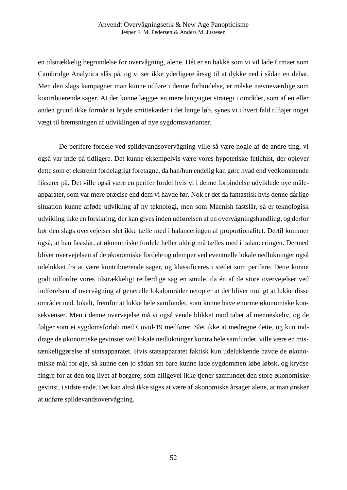en tilstrækkelig begrundelse for overvågning, alene. Dét er en bakke som vi vil lade firmaer som Cambridge Analytica slås på, og vi ser ikke yderligere årsag til at dykke ned i sådan en debat. Men den slags kampagner man kunne udføre i denne forbindelse, er måske nævneværdige som kontribuerende sager. At der kunne lægges en mere langsigtet strategi i områder, som af en eller anden grund ikke formår at bryde smittekæder i det lange løb, synes vi i hvert fald tilføjer noget vægt til bremsningen af udviklingen af nye sygdomsvarianter.

De perifere fordele ved spildevandsovervågning ville så være nogle af de andre ting, vi også var inde på tidligere. Det kunne eksempelvis være vores hypotetiske fetichist, der oplever dette som et ekstremt fordelagtigt foretagne, da han/hun endelig kan gøre hvad end vedkommende fikserer på. Det ville også være en perifer fordel hvis vi i denne forbindelse udviklede nye måleapparater, som var mere præcise end dem vi havde før. Nok er det da fantastisk hvis denne dårlige situation kunne afføde udvikling af ny teknologi, men som Macnish fastslår, så er teknologisk udvikling ikke en forsikring, der kan gives inden udførelsen af en overvågningshandling, og derfor bør den slags overvejelser slet ikke tælle med i balanceringen af proportionalitet. Dertil kommer også, at han fastslår, at økonomiske fordele heller aldrig må tælles med i balanceringen. Dermed bliver overvejelsen af de økonomiske fordele og ulemper ved eventuelle lokale nedlukninger også udelukket fra at være kontribuerende sager, og klassificeres i stedet som perifere. Dette kunne godt udfordre vores tilstrækkeligt retfærdige sag en smule, da én af de store overvejelser ved indførelsen af overvågning af generelle lokalområder netop er at det bliver muligt at lukke disse områder ned, lokalt, fremfor at lukke hele samfundet, som kunne have enorme økonomiske konsekvenser. Men i denne overvejelse må vi også vende blikket mod tabet af menneskeliv, og de følger som et sygdomsforløb med Covid-19 medfører. Slet ikke at medregne dette, og kun inddrage de økonomiske gevinster ved lokale nedlukninger kontra hele samfundet, ville være en mistænkeliggørelse af statsapparatet. Hvis statsapparatet faktisk kun udelukkende havde de økonomiske mål for øje, så kunne den jo sådan set bare kunne lade sygdommen løbe løbsk, og krydse fingre for at den tog livet af borgere, som alligevel ikke tjener samfundet den store økonomiske gevinst, i sidste ende. Det kan altså ikke siges at være af økonomiske årsager alene, at man ønsker at udføre spildevandsovervågning.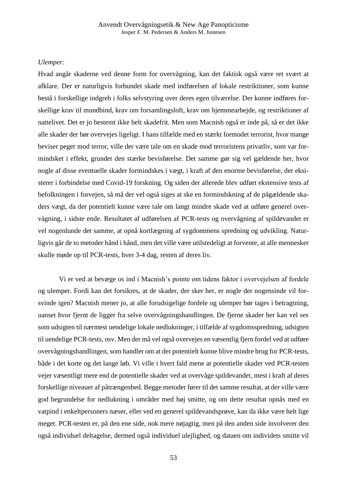# *Ulemper:*

Hvad angår skaderne ved denne form for overvågning, kan det faktisk også være ret svært at afklare. Der er naturligvis forbundet skade med indførelsen af lokale restriktioner, som kunne bestå i forskellige indgreb i folks selvstyring over deres egen tilværelse. Der kunne indføres forskellige krav til mundbind, krav om forsamlingsloft, krav om hjemmearbejde, og restriktioner af nattelivet. Det er jo bestemt ikke helt skadefrit. Men som Macnish også er inde på, så er det ikke alle skader der bør overvejes ligeligt. I hans tilfælde med en stærkt formodet terrorist, hvor mange beviser peger mod terror, ville der være tale om en skade mod terroristens privatliv, som var formindsket i effekt, grundet den stærke bevisførelse. Det samme gør sig vel gældende her, hvor nogle af disse eventuelle skader formindskes i vægt, i kraft af den enorme bevisførelse, der eksisterer i forbindelse med Covid-19 forskning. Og siden der allerede blev udført ekstensive tests af befolkningen i forvejen, så må der vel også siges at ske en formindskning af de pågældende skaders vægt, da der potentielt kunne være tale om langt mindre skade ved at udføre generel overvågning, i sidste ende. Resultatet af udførelsen af PCR-tests og overvågning af spildevandet er vel nogenlunde det samme, at opnå kortlægning af sygdommens spredning og udvikling. Naturligvis går de to metoder hånd i hånd, men det ville være utilstedeligt at forvente, at alle mennesker skulle møde op til PCR-tests, hver 3-4 dag, resten af deres liv.

Vi er ved at bevæge os ind i Macnish's pointe om tidens faktor i overvejelsen af fordele og ulemper. Fordi kan det forsikres, at de skader, der sker her, er nogle der nogensinde vil forsvinde igen? Macnish mener jo, at alle forudsigelige fordele og ulemper bør tages i betragtning, uanset hvor fjernt de ligger fra selve overvågningshandlingen. De fjerne skader her kan vel ses som udsigten til nærmest uendelige lokale nedlukninger, i tilfælde af sygdomsspredning, udsigten til uendelige PCR-tests, osv. Men der må vel også overvejes en væsentlig fjern fordel ved at udføre overvågningshandlingen, som handler om at der potentielt kunne blive mindre brug for PCR-tests, både i det korte og det lange løb. Vi ville i hvert fald mene at potentielle skader ved PCR-testen vejer væsentligt mere end de potentielle skader ved at overvåge spildevandet, mest i kraft af deres forskellige niveauer af påtrængenhed. Begge metoder fører til det samme resultat, at der ville være god begrundelse for nedlukning i områder med høj smitte, og om dette resultat opnås med en vatpind i enkeltpersoners næser, eller ved en generel spildevandsprøve, kan da ikke være helt lige meget. PCR-testen er, på den ene side, nok mere nøjagtig, men på den anden side involverer den også individuel deltagelse, dermed også individuel ulejlighed, og dataen om individets smitte vil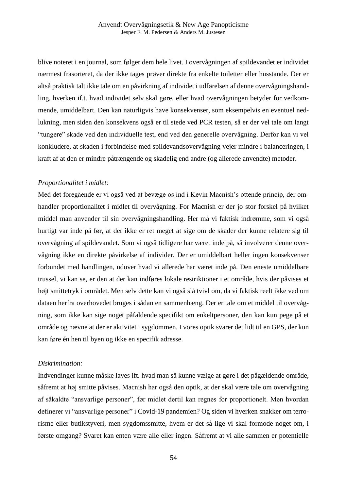blive noteret i en journal, som følger dem hele livet. I overvågningen af spildevandet er individet nærmest frasorteret, da der ikke tages prøver direkte fra enkelte toiletter eller husstande. Der er altså praktisk talt ikke tale om en påvirkning af individet i udførelsen af denne overvågningshandling, hverken if.t. hvad individet selv skal gøre, eller hvad overvågningen betyder for vedkommende, umiddelbart. Den kan naturligvis have konsekvenser, som eksempelvis en eventuel nedlukning, men siden den konsekvens også er til stede ved PCR testen, så er der vel tale om langt "tungere" skade ved den individuelle test, end ved den generelle overvågning. Derfor kan vi vel konkludere, at skaden i forbindelse med spildevandsovervågning vejer mindre i balanceringen, i kraft af at den er mindre påtrængende og skadelig end andre (og allerede anvendte) metoder.

# *Proportionalitet i midlet:*

Med det foregående er vi også ved at bevæge os ind i Kevin Macnish's ottende princip, der omhandler proportionalitet i midlet til overvågning. For Macnish er der jo stor forskel på hvilket middel man anvender til sin overvågningshandling. Her må vi faktisk indrømme, som vi også hurtigt var inde på før, at der ikke er ret meget at sige om de skader der kunne relatere sig til overvågning af spildevandet. Som vi også tidligere har været inde på, så involverer denne overvågning ikke en direkte påvirkelse af individer. Der er umiddelbart heller ingen konsekvenser forbundet med handlingen, udover hvad vi allerede har været inde på. Den eneste umiddelbare trussel, vi kan se, er den at der kan indføres lokale restriktioner i et område, hvis der påvises et højt smittetryk i området. Men selv dette kan vi også slå tvivl om, da vi faktisk reelt ikke ved om dataen herfra overhovedet bruges i sådan en sammenhæng. Der er tale om et middel til overvågning, som ikke kan sige noget påfaldende specifikt om enkeltpersoner, den kan kun pege på et område og nævne at der er aktivitet i sygdommen. I vores optik svarer det lidt til en GPS, der kun kan føre én hen til byen og ikke en specifik adresse.

#### *Diskrimination:*

Indvendinger kunne måske laves ift. hvad man så kunne vælge at gøre i det pågældende område, såfremt at høj smitte påvises. Macnish har også den optik, at der skal være tale om overvågning af såkaldte "ansvarlige personer", før midlet dertil kan regnes for proportionelt. Men hvordan definerer vi "ansvarlige personer" i Covid-19 pandemien? Og siden vi hverken snakker om terrorisme eller butikstyveri, men sygdomssmitte, hvem er det så lige vi skal formode noget om, i første omgang? Svaret kan enten være alle eller ingen. Såfremt at vi alle sammen er potentielle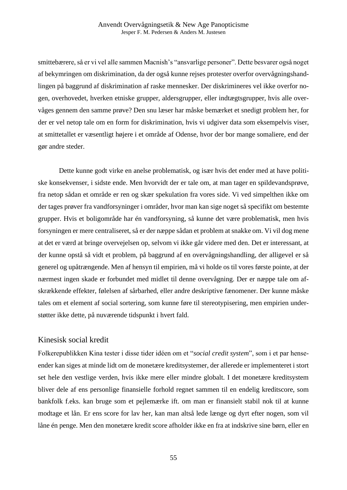smittebærere, så er vi vel alle sammen Macnish's "ansvarlige personer". Dette besvarer også noget af bekymringen om diskrimination, da der også kunne rejses protester overfor overvågningshandlingen på baggrund af diskrimination af raske mennesker. Der diskrimineres vel ikke overfor nogen, overhovedet, hverken etniske grupper, aldersgrupper, eller indtægtsgrupper, hvis alle overvåges gennem den samme prøve? Den snu læser har måske bemærket et snedigt problem her, for der er vel netop tale om en form for diskrimination, hvis vi udgiver data som eksempelvis viser, at smittetallet er væsentligt højere i et område af Odense, hvor der bor mange somaliere, end der gør andre steder.

Dette kunne godt virke en anelse problematisk, og især hvis det ender med at have politiske konsekvenser, i sidste ende. Men hvorvidt der er tale om, at man tager en spildevandsprøve, fra netop sådan et område er ren og skær spekulation fra vores side. Vi ved simpelthen ikke om der tages prøver fra vandforsyninger i områder, hvor man kan sige noget så specifikt om bestemte grupper. Hvis et boligområde har én vandforsyning, så kunne det være problematisk, men hvis forsyningen er mere centraliseret, så er der næppe sådan et problem at snakke om. Vi vil dog mene at det er værd at bringe overvejelsen op, selvom vi ikke går videre med den. Det er interessant, at der kunne opstå så vidt et problem, på baggrund af en overvågningshandling, der alligevel er så generel og upåtrængende. Men af hensyn til empirien, må vi holde os til vores første pointe, at der nærmest ingen skade er forbundet med midlet til denne overvågning. Der er næppe tale om afskrækkende effekter, følelsen af sårbarhed, eller andre deskriptive fænomener. Der kunne måske tales om et element af social sortering, som kunne føre til stereotypisering, men empirien understøtter ikke dette, på nuværende tidspunkt i hvert fald.

# Kinesisk social kredit

Folkerepublikken Kina tester i disse tider idéen om et "*social credit system*", som i et par henseender kan siges at minde lidt om de monetære kreditsystemer, der allerede er implementeret i stort set hele den vestlige verden, hvis ikke mere eller mindre globalt. I det monetære kreditsystem bliver dele af ens personlige finansielle forhold regnet sammen til en endelig kreditscore, som bankfolk f.eks. kan bruge som et pejlemærke ift. om man er finansielt stabil nok til at kunne modtage et lån. Er ens score for lav her, kan man altså lede længe og dyrt efter nogen, som vil låne én penge. Men den monetære kredit score afholder ikke en fra at indskrive sine børn, eller en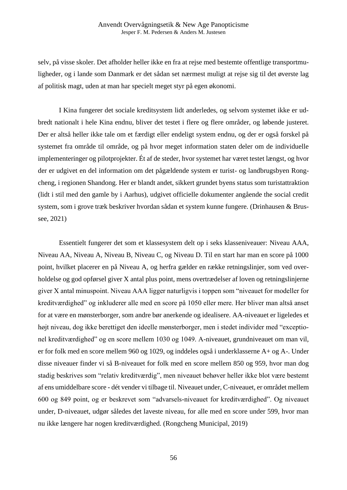selv, på visse skoler. Det afholder heller ikke en fra at rejse med bestemte offentlige transportmuligheder, og i lande som Danmark er det sådan set nærmest muligt at rejse sig til det øverste lag af politisk magt, uden at man har specielt meget styr på egen økonomi.

I Kina fungerer det sociale kreditsystem lidt anderledes, og selvom systemet ikke er udbredt nationalt i hele Kina endnu, bliver det testet i flere og flere områder, og løbende justeret. Der er altså heller ikke tale om et færdigt eller endeligt system endnu, og der er også forskel på systemet fra område til område, og på hvor meget information staten deler om de individuelle implementeringer og pilotprojekter. Ét af de steder, hvor systemet har været testet længst, og hvor der er udgivet en del information om det pågældende system er turist- og landbrugsbyen Rongcheng, i regionen Shandong. Her er blandt andet, sikkert grundet byens status som turistattraktion (lidt i stil med den gamle by i Aarhus), udgivet officielle dokumenter angående the social credit system, som i grove træk beskriver hvordan sådan et system kunne fungere. (Drinhausen & Brussee, 2021)

Essentielt fungerer det som et klassesystem delt op i seks klasseniveauer: Niveau AAA, Niveau AA, Niveau A, Niveau B, Niveau C, og Niveau D. Til en start har man en score på 1000 point, hvilket placerer en på Niveau A, og herfra gælder en række retningslinjer, som ved overholdelse og god opførsel giver X antal plus point, mens overtrædelser af loven og retningslinjerne giver X antal minuspoint. Niveau AAA ligger naturligvis i toppen som "niveauet for modeller for kreditværdighed" og inkluderer alle med en score på 1050 eller mere. Her bliver man altså anset for at være en mønsterborger, som andre bør anerkende og idealisere. AA-niveauet er ligeledes et højt niveau, dog ikke berettiget den ideelle mønsterborger, men i stedet individer med "exceptionel kreditværdighed" og en score mellem 1030 og 1049. A-niveauet, grundniveauet om man vil, er for folk med en score mellem 960 og 1029, og inddeles også i underklasserne A+ og A-. Under disse niveauer finder vi så B-niveauet for folk med en score mellem 850 og 959, hvor man dog stadig beskrives som "relativ kreditværdig", men niveauet behøver heller ikke blot være bestemt af ens umiddelbare score - dét vender vi tilbage til. Niveauet under, C-niveauet, er området mellem 600 og 849 point, og er beskrevet som "advarsels-niveauet for kreditværdighed". Og niveauet under, D-niveauet, udgør således det laveste niveau, for alle med en score under 599, hvor man nu ikke længere har nogen kreditværdighed. (Rongcheng Municipal, 2019)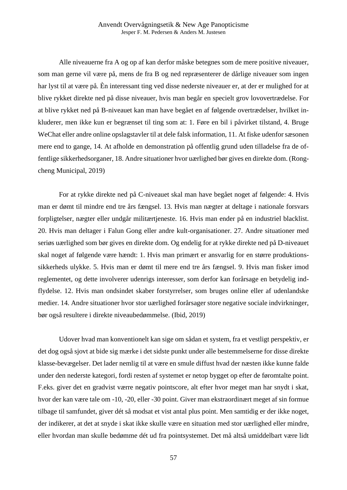Alle niveauerne fra A og op af kan derfor måske betegnes som de mere positive niveauer, som man gerne vil være på, mens de fra B og ned repræsenterer de dårlige niveauer som ingen har lyst til at være på. Èn interessant ting ved disse nederste niveauer er, at der er mulighed for at blive rykket direkte ned på disse niveauer, hvis man begår en specielt grov lovovertrædelse. For at blive rykket ned på B-niveauet kan man have begået en af følgende overtrædelser, hvilket inkluderer, men ikke kun er begrænset til ting som at: 1. Føre en bil i påvirket tilstand, 4. Bruge WeChat eller andre online opslagstavler til at dele falsk information, 11. At fiske udenfor sæsonen mere end to gange, 14. At afholde en demonstration på offentlig grund uden tilladelse fra de offentlige sikkerhedsorganer, 18. Andre situationer hvor uærlighed bør gives en direkte dom. (Rongcheng Municipal, 2019)

For at rykke direkte ned på C-niveauet skal man have begået noget af følgende: 4. Hvis man er dømt til mindre end tre års fængsel. 13. Hvis man nægter at deltage i nationale forsvars forpligtelser, nægter eller undgår militærtjeneste. 16. Hvis man ender på en industriel blacklist. 20. Hvis man deltager i Falun Gong eller andre kult-organisationer. 27. Andre situationer med seriøs uærlighed som bør gives en direkte dom. Og endelig for at rykke direkte ned på D-niveauet skal noget af følgende være hændt: 1. Hvis man primært er ansvarlig for en større produktionssikkerheds ulykke. 5. Hvis man er dømt til mere end tre års fængsel. 9. Hvis man fisker imod reglementet, og dette involverer udenrigs interesser, som derfor kan forårsage en betydelig indflydelse. 12. Hvis man ondsindet skaber forstyrrelser, som bruges online eller af udenlandske medier. 14. Andre situationer hvor stor uærlighed forårsager store negative sociale indvirkninger, bør også resultere i direkte niveaubedømmelse. (Ibid, 2019)

Udover hvad man konventionelt kan sige om sådan et system, fra et vestligt perspektiv, er det dog også sjovt at bide sig mærke i det sidste punkt under alle bestemmelserne for disse direkte klasse-bevægelser. Det lader nemlig til at være en smule diffust hvad der næsten ikke kunne falde under den nederste kategori, fordi resten af systemet er netop bygget op efter de føromtalte point. F.eks. giver det en gradvist værre negativ pointscore, alt efter hvor meget man har snydt i skat, hvor der kan være tale om -10, -20, eller -30 point. Giver man ekstraordinært meget af sin formue tilbage til samfundet, giver dét så modsat et vist antal plus point. Men samtidig er der ikke noget, der indikerer, at det at snyde i skat ikke skulle være en situation med stor uærlighed eller mindre, eller hvordan man skulle bedømme dét ud fra pointsystemet. Det må altså umiddelbart være lidt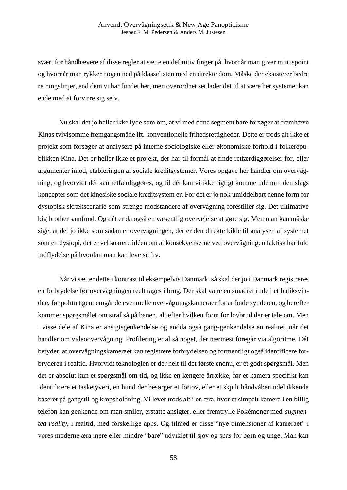svært for håndhævere af disse regler at sætte en definitiv finger på, hvornår man giver minuspoint og hvornår man rykker nogen ned på klasselisten med en direkte dom. Måske der eksisterer bedre retningslinjer, end dem vi har fundet her, men overordnet set lader det til at være her systemet kan ende med at forvirre sig selv.

Nu skal det jo heller ikke lyde som om, at vi med dette segment bare forsøger at fremhæve Kinas tvivlsomme fremgangsmåde ift. konventionelle frihedsrettigheder. Dette er trods alt ikke et projekt som forsøger at analysere på interne sociologiske eller økonomiske forhold i folkerepublikken Kina. Det er heller ikke et projekt, der har til formål at finde retfærdiggørelser for, eller argumenter imod, etableringen af sociale kreditsystemer. Vores opgave her handler om overvågning, og hvorvidt dét kan retfærdiggøres, og til dét kan vi ikke rigtigt komme udenom den slags koncepter som det kinesiske sociale kreditsystem er. For det er jo nok umiddelbart denne form for dystopisk skrækscenarie som strenge modstandere af overvågning forestiller sig. Det ultimative big brother samfund. Og dét er da også en væsentlig overvejelse at gøre sig. Men man kan måske sige, at det jo ikke som sådan er overvågningen, der er den direkte kilde til analysen af systemet som en dystopi, det er vel snarere idéen om at konsekvenserne ved overvågningen faktisk har fuld indflydelse på hvordan man kan leve sit liv.

Når vi sætter dette i kontrast til eksempelvis Danmark, så skal der jo i Danmark registreres en forbrydelse før overvågningen reelt tages i brug. Der skal være en smadret rude i et butiksvindue, før politiet gennemgår de eventuelle overvågningskameraer for at finde synderen, og herefter kommer spørgsmålet om straf så på banen, alt efter hvilken form for lovbrud der er tale om. Men i visse dele af Kina er ansigtsgenkendelse og endda også gang-genkendelse en realitet, når det handler om videoovervågning. Profilering er altså noget, der nærmest foregår via algoritme. Dét betyder, at overvågningskameraet kan registrere forbrydelsen og formentligt også identificere forbryderen i realtid. Hvorvidt teknologien er der helt til det første endnu, er et godt spørgsmål. Men det er absolut kun et spørgsmål om tid, og ikke en længere årrække, før et kamera specifikt kan identificere et tasketyveri, en hund der besørger et fortov, eller et skjult håndvåben udelukkende baseret på gangstil og kropsholdning. Vi lever trods alt i en æra, hvor et simpelt kamera i en billig telefon kan genkende om man smiler, erstatte ansigter, eller fremtrylle Pokémoner med *augmented reality*, i realtid, med forskellige apps. Og tilmed er disse "nye dimensioner af kameraet" i vores moderne æra mere eller mindre "bare" udviklet til sjov og spas for børn og unge. Man kan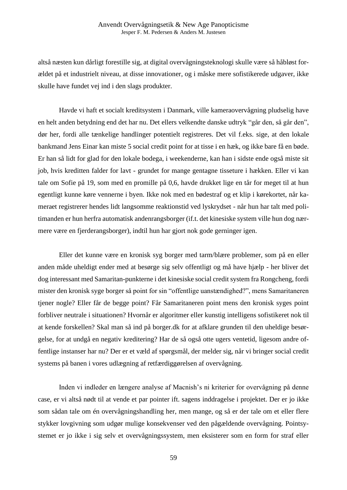altså næsten kun dårligt forestille sig, at digital overvågningsteknologi skulle være så håbløst forældet på et industrielt niveau, at disse innovationer, og i måske mere sofistikerede udgaver, ikke skulle have fundet vej ind i den slags produkter.

Havde vi haft et socialt kreditsystem i Danmark, ville kameraovervågning pludselig have en helt anden betydning end det har nu. Det ellers velkendte danske udtryk "går den, så går den", dør her, fordi alle tænkelige handlinger potentielt registreres. Det vil f.eks. sige, at den lokale bankmand Jens Einar kan miste 5 social credit point for at tisse i en hæk, og ikke bare få en bøde. Er han så lidt for glad for den lokale bodega, i weekenderne, kan han i sidste ende også miste sit job, hvis kreditten falder for lavt - grundet for mange gentagne tisseture i hækken. Eller vi kan tale om Sofie på 19, som med en promille på 0,6, havde drukket lige en tår for meget til at hun egentligt kunne køre vennerne i byen. Ikke nok med en bødestraf og et klip i kørekortet, når kameraet registrerer hendes lidt langsomme reaktionstid ved lyskrydset - når hun har talt med politimanden er hun herfra automatisk andenrangsborger (if.t. det kinesiske system ville hun dog nærmere være en fjerderangsborger), indtil hun har gjort nok gode gerninger igen.

Eller det kunne være en kronisk syg borger med tarm/blære problemer, som på en eller anden måde uheldigt ender med at besørge sig selv offentligt og må have hjælp - her bliver det dog interessant med Samaritan-punkterne i det kinesiske social credit system fra Rongcheng, fordi mister den kronisk syge borger så point for sin "offentlige uanstændighed?", mens Samaritaneren tjener nogle? Eller får de begge point? Får Samaritaneren point mens den kronisk syges point forbliver neutrale i situationen? Hvornår er algoritmer eller kunstig intelligens sofistikeret nok til at kende forskellen? Skal man så ind på borger.dk for at afklare grunden til den uheldige besørgelse, for at undgå en negativ kreditering? Har de så også otte ugers ventetid, ligesom andre offentlige instanser har nu? Der er et væld af spørgsmål, der melder sig, når vi bringer social credit systems på banen i vores udlægning af retfærdiggørelsen af overvågning.

Inden vi indleder en længere analyse af Macnish's ni kriterier for overvågning på denne case, er vi altså nødt til at vende et par pointer ift. sagens inddragelse i projektet. Der er jo ikke som sådan tale om én overvågningshandling her, men mange, og så er der tale om et eller flere stykker lovgivning som udgør mulige konsekvenser ved den pågældende overvågning. Pointsystemet er jo ikke i sig selv et overvågningssystem, men eksisterer som en form for straf eller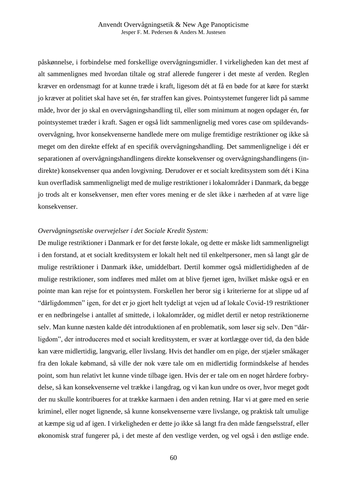påskønnelse, i forbindelse med forskellige overvågningsmidler. I virkeligheden kan det mest af alt sammenlignes med hvordan tiltale og straf allerede fungerer i det meste af verden. Reglen kræver en ordensmagt for at kunne træde i kraft, ligesom dét at få en bøde for at køre for stærkt jo kræver at politiet skal have set én, før straffen kan gives. Pointsystemet fungerer lidt på samme måde, hvor der jo skal en overvågningshandling til, eller som minimum at nogen opdager én, før pointsystemet træder i kraft. Sagen er også lidt sammenlignelig med vores case om spildevandsovervågning, hvor konsekvenserne handlede mere om mulige fremtidige restriktioner og ikke så meget om den direkte effekt af en specifik overvågningshandling. Det sammenlignelige i dét er separationen af overvågningshandlingens direkte konsekvenser og overvågningshandlingens (indirekte) konsekvenser qua anden lovgivning. Derudover er et socialt kreditsystem som dét i Kina kun overfladisk sammenligneligt med de mulige restriktioner i lokalområder i Danmark, da begge jo trods alt er konsekvenser, men efter vores mening er de slet ikke i nærheden af at være lige konsekvenser.

### *Overvågningsetiske overvejelser i det Sociale Kredit System:*

De mulige restriktioner i Danmark er for det første lokale, og dette er måske lidt sammenligneligt i den forstand, at et socialt kreditsystem er lokalt helt ned til enkeltpersoner, men så langt går de mulige restriktioner i Danmark ikke, umiddelbart. Dertil kommer også midlertidigheden af de mulige restriktioner, som indføres med målet om at blive fjernet igen, hvilket måske også er en pointe man kan rejse for et pointsystem. Forskellen her beror sig i kriterierne for at slippe ud af "dårligdommen" igen, for det er jo gjort helt tydeligt at vejen ud af lokale Covid-19 restriktioner er en nedbringelse i antallet af smittede, i lokalområder, og midlet dertil er netop restriktionerne selv. Man kunne næsten kalde dét introduktionen af en problematik, som løser sig selv. Den "dårligdom", der introduceres med et socialt kreditsystem, er svær at kortlægge over tid, da den både kan være midlertidig, langvarig, eller livslang. Hvis det handler om en pige, der stjæler småkager fra den lokale købmand, så ville der nok være tale om en midlertidig formindskelse af hendes point, som hun relativt let kunne vinde tilbage igen. Hvis der er tale om en noget hårdere forbrydelse, så kan konsekvenserne vel trække i langdrag, og vi kan kun undre os over, hvor meget godt der nu skulle kontribueres for at trække karmaen i den anden retning. Har vi at gøre med en serie kriminel, eller noget lignende, så kunne konsekvenserne være livslange, og praktisk talt umulige at kæmpe sig ud af igen. I virkeligheden er dette jo ikke så langt fra den måde fængselsstraf, eller økonomisk straf fungerer på, i det meste af den vestlige verden, og vel også i den østlige ende.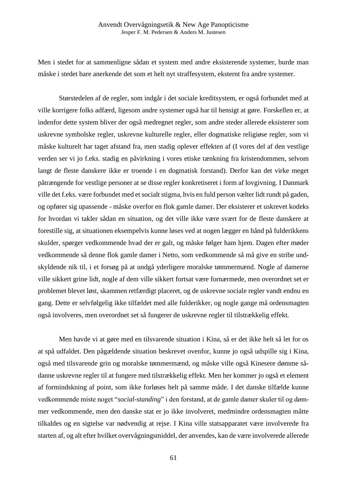Men i stedet for at sammenligne sådan et system med andre eksisterende systemer, burde man måske i stedet bare anerkende det som et helt nyt straffesystem, eksternt fra andre systemer.

Størstedelen af de regler, som indgår i det sociale kreditsystem, er også forbundet med at ville korrigere folks adfærd, ligesom andre systemer også har til hensigt at gøre. Forskellen er, at indenfor dette system bliver der også medregnet regler, som andre steder allerede eksisterer som uskrevne symbolske regler, uskrevne kulturelle regler, eller dogmatiske religiøse regler, som vi måske kulturelt har taget afstand fra, men stadig oplever effekten af (I vores del af den vestlige verden ser vi jo f.eks. stadig en påvirkning i vores etiske tænkning fra kristendommen, selvom langt de fleste danskere ikke er troende i en dogmatisk forstand). Derfor kan det virke meget påtrængende for vestlige personer at se disse regler konkretiseret i form af lovgivning. I Danmark ville det f.eks. være forbundet med et socialt stigma, hvis en fuld person vælter lidt rundt på gaden, og opfører sig upassende - måske overfor en flok gamle damer. Der eksisterer et uskrevet kodeks for hvordan vi takler sådan en situation, og det ville ikke være svært for de fleste danskere at forestille sig, at situationen eksempelvis kunne løses ved at nogen lægger en hånd på fulderikkens skulder, spørger vedkommende hvad der er galt, og måske følger ham hjem. Dagen efter møder vedkommende så denne flok gamle damer i Netto, som vedkommende så må give en stribe undskyldende nik til, i et forsøg på at undgå yderligere moralske tømmermænd. Nogle af damerne ville sikkert grine lidt, nogle af dem ville sikkert fortsat være fornærmede, men overordnet set er problemet blevet løst, skammen retfærdigt placeret, og de uskrevne sociale regler vandt endnu en gang. Dette er selvfølgelig ikke tilfældet med alle fulderikker, og nogle gange må ordensmagten også involveres, men overordnet set så fungerer de uskrevne regler til tilstrækkelig effekt.

Men havde vi at gøre med en tilsvarende situation i Kina, så er det ikke helt så let for os at spå udfaldet. Den pågældende situation beskrevet ovenfor, kunne jo også udspille sig i Kina, også med tilsvarende grin og moralske tømmermænd, og måske ville også Kinesere dømme sådanne uskrevne regler til at fungere med tilstrækkelig effekt. Men her kommer jo også et element af formindskning af point, som ikke forløses helt på samme måde. I det danske tilfælde kunne vedkommende miste noget "*social-standing*" i den forstand, at de gamle damer skuler til og dømmer vedkommende, men den danske stat er jo ikke involveret, medmindre ordensmagten måtte tilkaldes og en sigtelse var nødvendig at rejse. I Kina ville statsapparatet være involverede fra starten af, og alt efter hvilket overvågningsmiddel, der anvendes, kan de være involverede allerede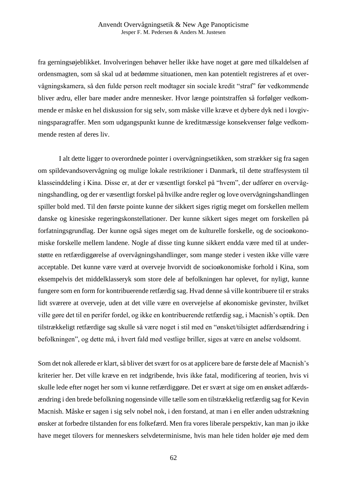fra gerningsøjeblikket. Involveringen behøver heller ikke have noget at gøre med tilkaldelsen af ordensmagten, som så skal ud at bedømme situationen, men kan potentielt registreres af et overvågningskamera, så den fulde person reelt modtager sin sociale kredit "straf" før vedkommende bliver ædru, eller bare møder andre mennesker. Hvor længe pointstraffen så forfølger vedkommende er måske en hel diskussion for sig selv, som måske ville kræve et dybere dyk ned i lovgivningsparagraffer. Men som udgangspunkt kunne de kreditmæssige konsekvenser følge vedkommende resten af deres liv.

I alt dette ligger to overordnede pointer i overvågningsetikken, som strækker sig fra sagen om spildevandsovervågning og mulige lokale restriktioner i Danmark, til dette straffesystem til klasseinddeling i Kina. Disse er, at der er væsentligt forskel på "hvem", der udfører en overvågningshandling, og der er væsentligt forskel på hvilke andre regler og love overvågningshandlingen spiller bold med. Til den første pointe kunne der sikkert siges rigtig meget om forskellen mellem danske og kinesiske regeringskonstellationer. Der kunne sikkert siges meget om forskellen på forfatningsgrundlag. Der kunne også siges meget om de kulturelle forskelle, og de socioøkonomiske forskelle mellem landene. Nogle af disse ting kunne sikkert endda være med til at understøtte en retfærdiggørelse af overvågningshandlinger, som mange steder i vesten ikke ville være acceptable. Det kunne være værd at overveje hvorvidt de socioøkonomiske forhold i Kina, som eksempelvis det middelklasseryk som store dele af befolkningen har oplevet, for nyligt, kunne fungere som en form for kontribuerende retfærdig sag. Hvad denne så ville kontribuere til er straks lidt sværere at overveje, uden at det ville være en overvejelse af økonomiske gevinster, hvilket ville gøre det til en perifer fordel, og ikke en kontribuerende retfærdig sag, i Macnish's optik. Den tilstrækkeligt retfærdige sag skulle så være noget i stil med en "ønsket/tilsigtet adfærdsændring i befolkningen", og dette må, i hvert fald med vestlige briller, siges at være en anelse voldsomt.

Som det nok allerede er klart, så bliver det svært for os at applicere bare de første dele af Macnish's kriterier her. Det ville kræve en ret indgribende, hvis ikke fatal, modificering af teorien, hvis vi skulle lede efter noget her som vi kunne retfærdiggøre. Det er svært at sige om en ønsket adfærdsændring i den brede befolkning nogensinde ville tælle som en tilstrækkelig retfærdig sag for Kevin Macnish. Måske er sagen i sig selv nobel nok, i den forstand, at man i en eller anden udstrækning ønsker at forbedre tilstanden for ens folkefærd. Men fra vores liberale perspektiv, kan man jo ikke have meget tilovers for menneskers selvdeterminisme, hvis man hele tiden holder øje med dem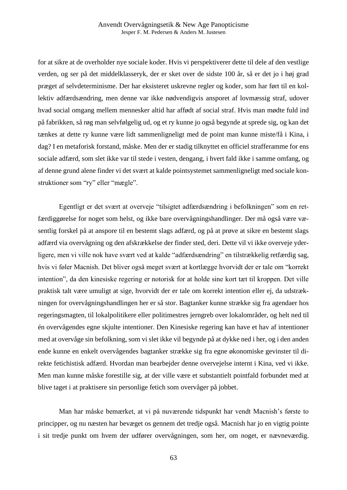for at sikre at de overholder nye sociale koder. Hvis vi perspektiverer dette til dele af den vestlige verden, og ser på det middelklasseryk, der er sket over de sidste 100 år, så er det jo i høj grad præget af selvdeterminisme. Der har eksisteret uskrevne regler og koder, som har ført til en kollektiv adfærdsændring, men denne var ikke nødvendigvis ansporet af lovmæssig straf, udover hvad social omgang mellem mennesker altid har affødt af social straf. Hvis man mødte fuld ind på fabrikken, så røg man selvfølgelig ud, og et ry kunne jo også begynde at sprede sig, og kan det tænkes at dette ry kunne være lidt sammenligneligt med de point man kunne miste/få i Kina, i dag? I en metaforisk forstand, måske. Men der er stadig tilknyttet en officiel strafferamme for ens sociale adfærd, som slet ikke var til stede i vesten, dengang, i hvert fald ikke i samme omfang, og af denne grund alene finder vi det svært at kalde pointsystemet sammenligneligt med sociale konstruktioner som "ry" eller "mægle".

Egentligt er det svært at overveje "tilsigtet adfærdsændring i befolkningen" som en retfærdiggørelse for noget som helst, og ikke bare overvågningshandlinger. Der må også være væsentlig forskel på at anspore til en bestemt slags adfærd, og på at prøve at sikre en bestemt slags adfærd via overvågning og den afskrækkelse der finder sted, deri. Dette vil vi ikke overveje yderligere, men vi ville nok have svært ved at kalde "adfærdsændring" en tilstrækkelig retfærdig sag, hvis vi føler Macnish. Det bliver også meget svært at kortlægge hvorvidt der er tale om "korrekt intention", da den kinesiske regering er notorisk for at holde sine kort tæt til kroppen. Det ville praktisk talt være umuligt at sige, hvorvidt der er tale om korrekt intention eller ej, da udstrækningen for overvågningshandlingen her er så stor. Bagtanker kunne strække sig fra agendaer hos regeringsmagten, til lokalpolitikere eller politimestres jerngreb over lokalområder, og helt ned til én overvågendes egne skjulte intentioner. Den Kinesiske regering kan have et hav af intentioner med at overvåge sin befolkning, som vi slet ikke vil begynde på at dykke ned i her, og i den anden ende kunne en enkelt overvågendes bagtanker strække sig fra egne økonomiske gevinster til direkte fetichistisk adfærd. Hvordan man bearbejder denne overvejelse internt i Kina, ved vi ikke. Men man kunne måske forestille sig, at der ville være et substantielt pointfald forbundet med at blive taget i at praktisere sin personlige fetich som overvåger på jobbet.

Man har måske bemærket, at vi på nuværende tidspunkt har vendt Macnish's første to principper, og nu næsten har bevæget os gennem det tredje også. Macnish har jo en vigtig pointe i sit tredje punkt om hvem der udfører overvågningen, som her, om noget, er nævneværdig.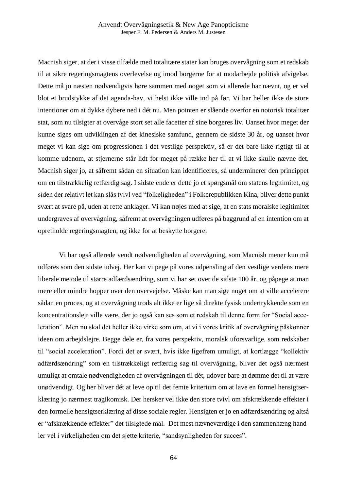Macnish siger, at der i visse tilfælde med totalitære stater kan bruges overvågning som et redskab til at sikre regeringsmagtens overlevelse og imod borgerne for at modarbejde politisk afvigelse. Dette må jo næsten nødvendigvis høre sammen med noget som vi allerede har nævnt, og er vel blot et brudstykke af det agenda-hav, vi helst ikke ville ind på før. Vi har heller ikke de store intentioner om at dykke dybere ned i dét nu. Men pointen er slående overfor en notorisk totalitær stat, som nu tilsigter at overvåge stort set alle facetter af sine borgeres liv. Uanset hvor meget der kunne siges om udviklingen af det kinesiske samfund, gennem de sidste 30 år, og uanset hvor meget vi kan sige om progressionen i det vestlige perspektiv, så er det bare ikke rigtigt til at komme udenom, at stjernerne står lidt for meget på række her til at vi ikke skulle nævne det. Macnish siger jo, at såfremt sådan en situation kan identificeres, så underminerer den princippet om en tilstrækkelig retfærdig sag. I sidste ende er dette jo et spørgsmål om statens legitimitet, og siden der relativt let kan slås tvivl ved "folkeligheden" i Folkerepublikken Kina, bliver dette punkt svært at svare på, uden at rette anklager. Vi kan nøjes med at sige, at en stats moralske legitimitet undergraves af overvågning, såfremt at overvågningen udføres på baggrund af en intention om at opretholde regeringsmagten, og ikke for at beskytte borgere.

Vi har også allerede vendt nødvendigheden af overvågning, som Macnish mener kun må udføres som den sidste udvej. Her kan vi pege på vores udpensling af den vestlige verdens mere liberale metode til større adfærdsændring, som vi har set over de sidste 100 år, og påpege at man mere eller mindre hopper over den overvejelse. Måske kan man sige noget om at ville accelerere sådan en proces, og at overvågning trods alt ikke er lige så direkte fysisk undertrykkende som en koncentrationslejr ville være, der jo også kan ses som et redskab til denne form for "Social acceleration". Men nu skal det heller ikke virke som om, at vi i vores kritik af overvågning påskønner ideen om arbejdslejre. Begge dele er, fra vores perspektiv, moralsk uforsvarlige, som redskaber til "social acceleration". Fordi det er svært, hvis ikke ligefrem umuligt, at kortlægge "kollektiv adfærdsændring" som en tilstrækkeligt retfærdig sag til overvågning, bliver det også nærmest umuligt at omtale nødvendigheden af overvågningen til dét, udover bare at dømme det til at være unødvendigt. Og her bliver dét at leve op til det femte kriterium om at lave en formel hensigtserklæring jo nærmest tragikomisk. Der hersker vel ikke den store tvivl om afskrækkende effekter i den formelle hensigtserklæring af disse sociale regler. Hensigten er jo en adfærdsændring og altså er "afskrækkende effekter" det tilsigtede mål. Det mest nævneværdige i den sammenhæng handler vel i virkeligheden om det sjette kriterie, "sandsynligheden for succes".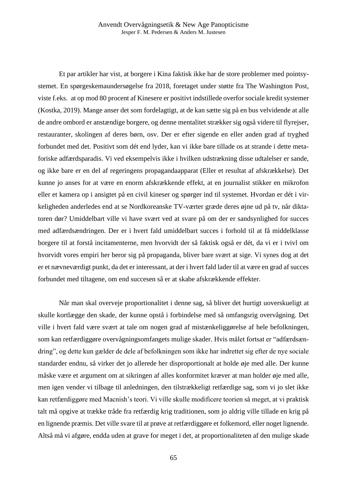Et par artikler har vist, at borgere i Kina faktisk ikke har de store problemer med pointsystemet. En spørgeskemaundersøgelse fra 2018, foretaget under støtte fra The Washington Post, viste f.eks. at op mod 80 procent af Kinesere er positivt indstillede overfor sociale kredit systemer (Kostka, 2019). Mange anser det som fordelagtigt, at de kan sætte sig på en bus velvidende at alle de andre ombord er anstændige borgere, og denne mentalitet strækker sig også videre til flyrejser, restauranter, skolingen af deres børn, osv. Der er efter sigende en eller anden grad af tryghed forbundet med det. Positivt som dét end lyder, kan vi ikke bare tillade os at strande i dette metaforiske adfærdsparadis. Vi ved eksempelvis ikke i hvilken udstrækning disse udtalelser er sande, og ikke bare er en del af regeringens propagandaapparat (Eller et resultat af afskrækkelse). Det kunne jo anses for at være en enorm afskrækkende effekt, at en journalist stikker en mikrofon eller et kamera op i ansigtet på en civil kineser og spørger ind til systemet. Hvordan er dét i virkeligheden anderledes end at se Nordkoreanske TV-værter græde deres øjne ud på tv, når diktatoren dør? Umiddelbart ville vi have svært ved at svare på om der er sandsynlighed for succes med adfærdsændringen. Der er i hvert fald umiddelbart succes i forhold til at få middelklasse borgere til at forstå incitamenterne, men hvorvidt der så faktisk også er dét, da vi er i tvivl om hvorvidt vores empiri her beror sig på propaganda, bliver bare svært at sige. Vi synes dog at det er et nævneværdigt punkt, da det er interessant, at der i hvert fald lader til at være en grad af succes forbundet med tiltagene, om end succesen så er at skabe afskrækkende effekter.

Når man skal overveje proportionalitet i denne sag, så bliver det hurtigt uoverskueligt at skulle kortlægge den skade, der kunne opstå i forbindelse med så omfangsrig overvågning. Det ville i hvert fald være svært at tale om nogen grad af mistænkeliggørelse af hele befolkningen, som kan retfærdiggøre overvågningsomfangets mulige skader. Hvis målet fortsat er "adfærdsændring", og dette kun gælder de dele af befolkningen som ikke har indrettet sig efter de nye sociale standarder endnu, så virker det jo allerede her disproportionalt at holde øje med alle. Der kunne måske være et argument om at sikringen af alles konformitet kræver at man holder øje med alle, men igen vender vi tilbage til anledningen, den tilstrækkeligt retfærdige sag, som vi jo slet ikke kan retfærdiggøre med Macnish's teori. Vi ville skulle modificere teorien så meget, at vi praktisk talt må opgive at trække tråde fra retfærdig krig traditionen, som jo aldrig ville tillade en krig på en lignende præmis. Det ville svare til at prøve at retfærdiggøre et folkemord, eller noget lignende. Altså må vi afgøre, endda uden at grave for meget i det, at proportionaliteten af den mulige skade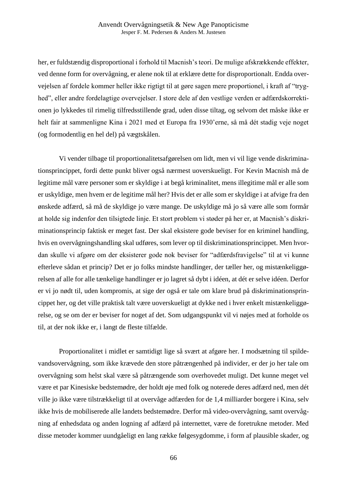her, er fuldstændig disproportional i forhold til Macnish's teori. De mulige afskrækkende effekter, ved denne form for overvågning, er alene nok til at erklære dette for disproportionalt. Endda overvejelsen af fordele kommer heller ikke rigtigt til at gøre sagen mere proportionel, i kraft af "tryghed", eller andre fordelagtige overvejelser. I store dele af den vestlige verden er adfærdskorrektionen jo lykkedes til rimelig tilfredsstillende grad, uden disse tiltag, og selvom det måske ikke er helt fair at sammenligne Kina i 2021 med et Europa fra 1930'erne, så må dét stadig veje noget (og formodentlig en hel del) på vægtskålen.

Vi vender tilbage til proportionalitetsafgørelsen om lidt, men vi vil lige vende diskriminationsprincippet, fordi dette punkt bliver også nærmest uoverskueligt. For Kevin Macnish må de legitime mål være personer som er skyldige i at begå kriminalitet, mens illegitime mål er alle som er uskyldige, men hvem er de legitime mål her? Hvis det er alle som er skyldige i at afvige fra den ønskede adfærd, så må de skyldige jo være mange. De uskyldige må jo så være alle som formår at holde sig indenfor den tilsigtede linje. Et stort problem vi støder på her er, at Macnish's diskriminationsprincip faktisk er meget fast. Der skal eksistere gode beviser for en kriminel handling, hvis en overvågningshandling skal udføres, som lever op til diskriminationsprincippet. Men hvordan skulle vi afgøre om der eksisterer gode nok beviser for "adfærdsfravigelse" til at vi kunne efterleve sådan et princip? Det er jo folks mindste handlinger, der tæller her, og mistænkeliggørelsen af alle for alle tænkelige handlinger er jo lagret så dybt i idéen, at dét er selve idéen. Derfor er vi jo nødt til, uden kompromis, at sige der også er tale om klare brud på diskriminationsprincippet her, og det ville praktisk talt være uoverskueligt at dykke ned i hver enkelt mistænkeliggørelse, og se om der er beviser for noget af det. Som udgangspunkt vil vi nøjes med at forholde os til, at der nok ikke er, i langt de fleste tilfælde.

Proportionalitet i midlet er samtidigt lige så svært at afgøre her. I modsætning til spildevandsovervågning, som ikke krævede den store påtrængenhed på individer, er der jo her tale om overvågning som helst skal være så påtrængende som overhovedet muligt. Det kunne meget vel være et par Kinesiske bedstemødre, der holdt øje med folk og noterede deres adfærd ned, men dét ville jo ikke være tilstrækkeligt til at overvåge adfærden for de 1,4 milliarder borgere i Kina, selv ikke hvis de mobiliserede alle landets bedstemødre. Derfor må video-overvågning, samt overvågning af enhedsdata og anden logning af adfærd på internettet, være de foretrukne metoder. Med disse metoder kommer uundgåeligt en lang række følgesygdomme, i form af plausible skader, og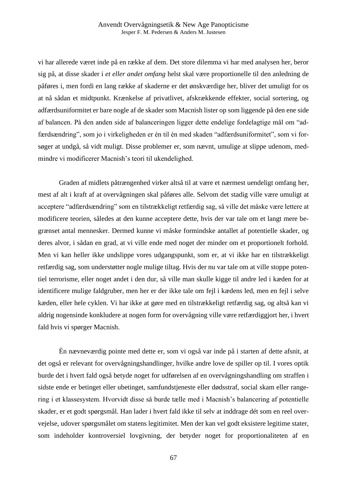vi har allerede været inde på en række af dem. Det store dilemma vi har med analysen her, beror sig på, at disse skader i *et eller andet omfang* helst skal være proportionelle til den anledning de påføres i, men fordi en lang række af skaderne er det ønskværdige her, bliver det umuligt for os at nå sådan et midtpunkt. Krænkelse af privatlivet, afskrækkende effekter, social sortering, og adfærdsuniformitet er bare nogle af de skader som Macnish lister op som liggende på den ene side af balancen. På den anden side af balanceringen ligger dette endelige fordelagtige mål om "adfærdsændring", som jo i virkeligheden er én til én med skaden "adfærdsuniformitet", som vi forsøger at undgå, så vidt muligt. Disse problemer er, som nævnt, umulige at slippe udenom, medmindre vi modificerer Macnish's teori til ukendelighed.

Graden af midlets påtrængenhed virker altså til at være et nærmest uendeligt omfang her, mest af alt i kraft af at overvågningen skal påføres alle. Selvom det stadig ville være umuligt at acceptere "adfærdsændring" som en tilstrækkeligt retfærdig sag, så ville det måske være lettere at modificere teorien, således at den kunne acceptere dette, hvis der var tale om et langt mere begrænset antal mennesker. Dermed kunne vi måske formindske antallet af potentielle skader, og deres alvor, i sådan en grad, at vi ville ende med noget der minder om et proportionelt forhold. Men vi kan heller ikke undslippe vores udgangspunkt, som er, at vi ikke har en tilstrækkeligt retfærdig sag, som understøtter nogle mulige tiltag. Hvis der nu var tale om at ville stoppe potentiel terrorisme, eller noget andet i den dur, så ville man skulle kigge til andre led i kæden for at identificere mulige faldgruber, men her er der ikke tale om fejl i kædens led, men en fejl i selve kæden, eller hele cyklen. Vi har ikke at gøre med en tilstrækkeligt retfærdig sag, og altså kan vi aldrig nogensinde konkludere at nogen form for overvågning ville være retfærdiggjort her, i hvert fald hvis vi spørger Macnish.

Èn nævneværdig pointe med dette er, som vi også var inde på i starten af dette afsnit, at det også er relevant for overvågningshandlinger, hvilke andre love de spiller op til. I vores optik burde det i hvert fald også betyde noget for udførelsen af en overvågningshandling om straffen i sidste ende er betinget eller ubetinget, samfundstjeneste eller dødsstraf, social skam eller rangering i et klassesystem. Hvorvidt disse så burde tælle med i Macnish's balancering af potentielle skader, er et godt spørgsmål. Han lader i hvert fald ikke til selv at inddrage dét som en reel overvejelse, udover spørgsmålet om statens legitimitet. Men der kan vel godt eksistere legitime stater, som indeholder kontroversiel lovgivning, der betyder noget for proportionaliteten af en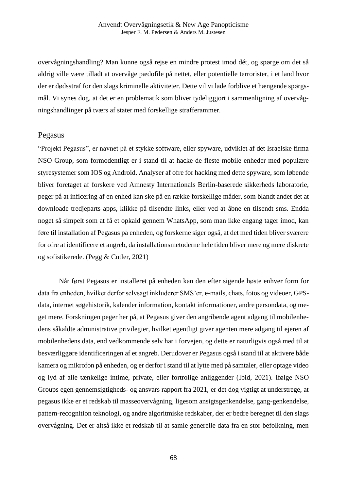overvågningshandling? Man kunne også rejse en mindre protest imod dét, og spørge om det så aldrig ville være tilladt at overvåge pædofile på nettet, eller potentielle terrorister, i et land hvor der er dødsstraf for den slags kriminelle aktiviteter. Dette vil vi lade forblive et hængende spørgsmål. Vi synes dog, at det er en problematik som bliver tydeliggjort i sammenligning af overvågningshandlinger på tværs af stater med forskellige strafferammer.

# Pegasus

"Projekt Pegasus", er navnet på et stykke software, eller spyware, udviklet af det Israelske firma NSO Group, som formodentligt er i stand til at hacke de fleste mobile enheder med populære styresystemer som IOS og Android. Analyser af ofre for hacking med dette spyware, som løbende bliver foretaget af forskere ved Amnesty Internationals Berlin-baserede sikkerheds laboratorie, peger på at inficering af en enhed kan ske på en række forskellige måder, som blandt andet det at downloade tredjeparts apps, klikke på tilsendte links, eller ved at åbne en tilsendt sms. Endda noget så simpelt som at få et opkald gennem WhatsApp, som man ikke engang tager imod, kan føre til installation af Pegasus på enheden, og forskerne siger også, at det med tiden bliver sværere for ofre at identificere et angreb, da installationsmetoderne hele tiden bliver mere og mere diskrete og sofistikerede. (Pegg & Cutler, 2021)

Når først Pegasus er installeret på enheden kan den efter sigende høste enhver form for data fra enheden, hvilket derfor selvsagt inkluderer SMS'er, e-mails, chats, fotos og videoer, GPSdata, internet søgehistorik, kalender information, kontakt informationer, andre persondata, og meget mere. Forskningen peger her på, at Pegasus giver den angribende agent adgang til mobilenhedens såkaldte administrative privilegier, hvilket egentligt giver agenten mere adgang til ejeren af mobilenhedens data, end vedkommende selv har i forvejen, og dette er naturligvis også med til at besværliggøre identificeringen af et angreb. Derudover er Pegasus også i stand til at aktivere både kamera og mikrofon på enheden, og er derfor i stand til at lytte med på samtaler, eller optage video og lyd af alle tænkelige intime, private, eller fortrolige anliggender (Ibid, 2021). Ifølge NSO Groups egen gennemsigtigheds- og ansvars rapport fra 2021, er det dog vigtigt at understrege, at pegasus ikke er et redskab til masseovervågning, ligesom ansigtsgenkendelse, gang-genkendelse, pattern-recognition teknologi, og andre algoritmiske redskaber, der er bedre beregnet til den slags overvågning. Det er altså ikke et redskab til at samle generelle data fra en stor befolkning, men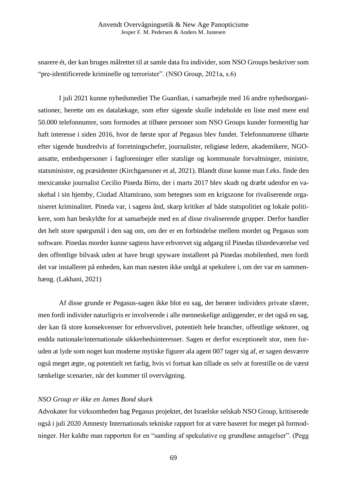snarere ét, der kan bruges målrettet til at samle data fra individer, som NSO Groups beskriver som "pre-identificerede kriminelle og terrorister". (NSO Group, 2021a, s.6)

I juli 2021 kunne nyhedsmediet The Guardian, i samarbejde med 16 andre nyhedsorganisationer, berette om en datalækage, som efter sigende skulle indeholde en liste med mere end 50.000 telefonnumre, som formodes at tilhøre personer som NSO Groups kunder formentlig har haft interesse i siden 2016, hvor de første spor af Pegasus blev fundet. Telefonnumrene tilhørte efter sigende hundredvis af forretningschefer, journalister, religiøse ledere, akademikere, NGOansatte, embedspersoner i fagforeninger eller statslige og kommunale forvaltninger, ministre, statsministre, og præsidenter (Kirchgaessner et al, 2021). Blandt disse kunne man f.eks. finde den mexicanske journalist Cecilio Pineda Birto, der i marts 2017 blev skudt og dræbt udenfor en vaskehal i sin hjemby, Ciudad Altamirano, som betegnes som en krigszone for rivaliserende organiseret kriminalitet. Pineda var, i sagens ånd, skarp kritiker af både statspolitiet og lokale politikere, som han beskyldte for at samarbejde med en af disse rivaliserende grupper. Derfor handler det helt store spørgsmål i den sag om, om der er en forbindelse mellem mordet og Pegasus som software. Pinedas morder kunne sagtens have erhvervet sig adgang til Pinedas tilstedeværelse ved den offentlige bilvask uden at have brugt spyware installeret på Pinedas mobilenhed, men fordi det var installeret på enheden, kan man næsten ikke undgå at spekulere i, om der var en sammenhæng. (Lakhani, 2021)

Af disse grunde er Pegasus-sagen ikke blot en sag, der berører individers private sfærer, men fordi individer naturligvis er involverede i alle menneskelige anliggender, er det også en sag, der kan få store konsekvenser for erhvervslivet, potentielt hele brancher, offentlige sektorer, og endda nationale/internationale sikkerhedsinteresser. Sagen er derfor exceptionelt stor, men foruden at lyde som noget kun moderne mytiske figurer ala agent 007 tager sig af, er sagen desværre også meget ægte, og potentielt ret farlig, hvis vi fortsat kan tillade os selv at forestille os de værst tænkelige scenarier, når det kommer til overvågning.

## *NSO Group er ikke en James Bond skurk*

Advokater for virksomheden bag Pegasus projektet, det Israelske selskab NSO Group, kritiserede også i juli 2020 Amnesty Internationals tekniske rapport for at være baseret for meget på formodninger. Her kaldte man rapporten for en "samling af spekulative og grundløse antagelser". (Pegg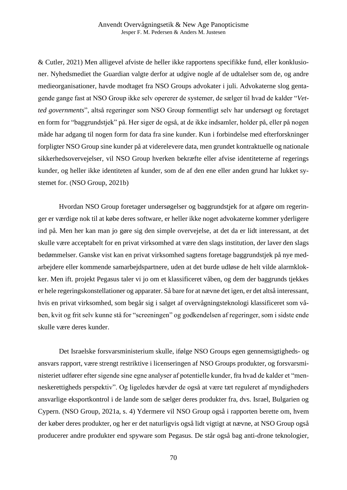& Cutler, 2021) Men alligevel afviste de heller ikke rapportens specifikke fund, eller konklusioner. Nyhedsmediet the Guardian valgte derfor at udgive nogle af de udtalelser som de, og andre medieorganisationer, havde modtaget fra NSO Groups advokater i juli. Advokaterne slog gentagende gange fast at NSO Group ikke selv opererer de systemer, de sælger til hvad de kalder "*Vetted governments*", altså regeringer som NSO Group formentligt selv har undersøgt og foretaget en form for "baggrundstjek" på. Her siger de også, at de ikke indsamler, holder på, eller på nogen måde har adgang til nogen form for data fra sine kunder. Kun i forbindelse med efterforskninger forpligter NSO Group sine kunder på at viderelevere data, men grundet kontraktuelle og nationale sikkerhedsovervejelser, vil NSO Group hverken bekræfte eller afvise identiteterne af regerings kunder, og heller ikke identiteten af kunder, som de af den ene eller anden grund har lukket systemet for. (NSO Group, 2021b)

Hvordan NSO Group foretager undersøgelser og baggrundstjek for at afgøre om regeringer er værdige nok til at købe deres software, er heller ikke noget advokaterne kommer yderligere ind på. Men her kan man jo gøre sig den simple overvejelse, at det da er lidt interessant, at det skulle være acceptabelt for en privat virksomhed at være den slags institution, der laver den slags bedømmelser. Ganske vist kan en privat virksomhed sagtens foretage baggrundstjek på nye medarbejdere eller kommende samarbejdspartnere, uden at det burde udløse de helt vilde alarmklokker. Men ift. projekt Pegasus taler vi jo om et klassificeret våben, og dem der baggrunds tjekkes er hele regeringskonstellationer og apparater. Så bare for at nævne det igen, er det altså interessant, hvis en privat virksomhed, som begår sig i salget af overvågningsteknologi klassificeret som våben, kvit og frit selv kunne stå for "screeningen" og godkendelsen af regeringer, som i sidste ende skulle være deres kunder.

Det Israelske forsvarsministerium skulle, ifølge NSO Groups egen gennemsigtigheds- og ansvars rapport, være strengt restriktive i licenseringen af NSO Groups produkter, og forsvarsministeriet udfører efter sigende sine egne analyser af potentielle kunder, fra hvad de kalder et "menneskerettigheds perspektiv". Og ligeledes hævder de også at være tæt reguleret af myndigheders ansvarlige eksportkontrol i de lande som de sælger deres produkter fra, dvs. Israel, Bulgarien og Cypern. (NSO Group, 2021a, s. 4) Ydermere vil NSO Group også i rapporten berette om, hvem der køber deres produkter, og her er det naturligvis også lidt vigtigt at nævne, at NSO Group også producerer andre produkter end spyware som Pegasus. De står også bag anti-drone teknologier,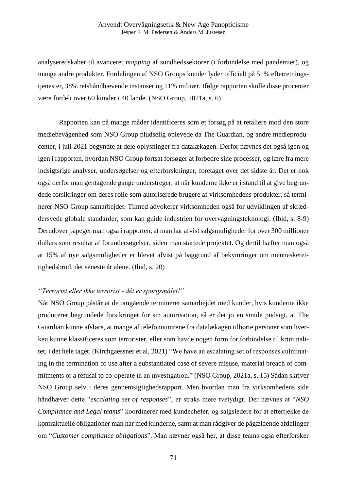analyseredskaber til avanceret *mapping* af sundhedssektorer (i forbindelse med pandemier), og mange andre produkter. Fordelingen af NSO Groups kunder lyder officielt på 51% efterretningstjenester, 38% retshåndhævende instanser og 11% militær. Ifølge rapporten skulle disse procenter være fordelt over 60 kunder i 40 lande. (NSO Group, 2021a, s. 6)

Rapporten kan på mange måder identificeres som et forsøg på at retaliere mod den store mediebevågenhed som NSO Group pludselig oplevede da The Guardian, og andre medieproducenter, i juli 2021 begyndte at dele oplysninger fra datalækagen. Derfor nævnes det også igen og igen i rapporten, hvordan NSO Group fortsat forsøger at forbedre sine processer, og lære fra mere indsigtsrige analyser, undersøgelser og efterforskninger, foretaget over det sidste år. Det er nok også derfor man gentagende gange understreger, at når kunderne ikke er i stand til at give begrundede forsikringer om deres rolle som autoriserede brugere af virksomhedens produkter, så terminerer NSO Group samarbejdet. Tilmed advokerer virksomheden også for udviklingen af skræddersyede globale standarder, som kan guide industrien for overvågningsteknologi. (Ibid, s. 8-9) Derudover påpeger man også i rapporten, at man har afvist salgsmuligheder for over 300 millioner dollars som resultat af forundersøgelser, siden man startede projektet. Og dertil hæfter man også at 15% af nye salgsmuligheder er blevet afvist på baggrund af bekymringer om menneskerettighedsbrud, det seneste år alene. (Ibid, s. 20)

#### *"Terrorist eller ikke terrorist - dét er spørgsmålet!"*

Når NSO Group påstår at de omgående terminerer samarbejdet med kunder, hvis kunderne ikke producerer begrundede forsikringer for sin autorisation, så er det jo en smule pudsigt, at The Guardian kunne afsløre, at mange af telefonnumrene fra datalækagen tilhørte personer som hverken kunne klassificeres som terrorister, eller som havde nogen form for forbindelse til kriminalitet, i det hele taget. (Kirchgaessner et al, 2021) "We have an escalating set of responses culminating in the termination of use after a substantiated case of severe misuse, material breach of commitments or a refusal to co-operate in an investigation." (NSO Group, 2021a, s. 15) Sådan skriver NSO Group selv i deres gennemsigtighedsrapport. Men hvordan man fra virksomhedens side håndhæver dette "*escalating set of responses*", er straks mere tvetydigt. Der nævnes at "*NSO Compliance and Legal teams*" koordinerer med kundechefer, og salgsledere for at eftertjekke de kontraktuelle obligationer man har med kunderne, samt at man rådgiver de pågældende afdelinger om "*Customer compliance obligations*". Man nævner også her, at disse teams også efterforsker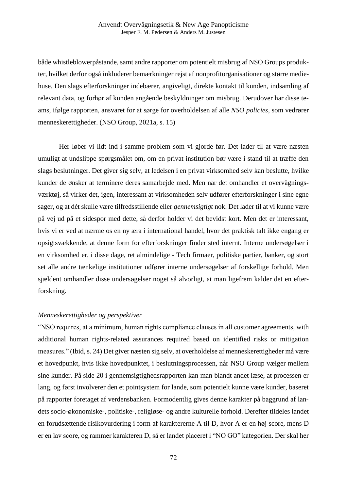både whistleblowerpåstande, samt andre rapporter om potentielt misbrug af NSO Groups produkter, hvilket derfor også inkluderer bemærkninger rejst af nonprofitorganisationer og større mediehuse. Den slags efterforskninger indebærer, angiveligt, direkte kontakt til kunden, indsamling af relevant data, og forhør af kunden angående beskyldninger om misbrug. Derudover har disse teams, ifølge rapporten, ansvaret for at sørge for overholdelsen af alle *NSO policies*, som vedrører menneskerettigheder. (NSO Group, 2021a, s. 15)

Her løber vi lidt ind i samme problem som vi gjorde før. Det lader til at være næsten umuligt at undslippe spørgsmålet om, om en privat institution bør være i stand til at træffe den slags beslutninger. Det giver sig selv, at ledelsen i en privat virksomhed selv kan beslutte, hvilke kunder de ønsker at terminere deres samarbejde med. Men når det omhandler et overvågningsværktøj, så virker det, igen, interessant at virksomheden selv udfører efterforskninger i sine egne sager, og at dét skulle være tilfredsstillende eller *gennemsigtigt* nok. Det lader til at vi kunne være på vej ud på et sidespor med dette, så derfor holder vi det bevidst kort. Men det er interessant, hvis vi er ved at nærme os en ny æra i international handel, hvor det praktisk talt ikke engang er opsigtsvækkende, at denne form for efterforskninger finder sted internt. Interne undersøgelser i en virksomhed er, i disse dage, ret almindelige - Tech firmaer, politiske partier, banker, og stort set alle andre tænkelige institutioner udfører interne undersøgelser af forskellige forhold. Men sjældent omhandler disse undersøgelser noget så alvorligt, at man ligefrem kalder det en efterforskning.

#### *Menneskerettigheder og perspektiver*

"NSO requires, at a minimum, human rights compliance clauses in all customer agreements, with additional human rights-related assurances required based on identified risks or mitigation measures." (Ibid, s. 24) Det giver næsten sig selv, at overholdelse af menneskerettigheder må være et hovedpunkt, hvis ikke hovedpunktet, i beslutningsprocessen, når NSO Group vælger mellem sine kunder. På side 20 i gennemsigtighedsrapporten kan man blandt andet læse, at processen er lang, og først involverer den et pointsystem for lande, som potentielt kunne være kunder, baseret på rapporter foretaget af verdensbanken. Formodentlig gives denne karakter på baggrund af landets socio-økonomiske-, politiske-, religiøse- og andre kulturelle forhold. Derefter tildeles landet en forudsættende risikovurdering i form af karaktererne A til D, hvor A er en høj score, mens D er en lav score, og rammer karakteren D, så er landet placeret i "NO GO" kategorien. Der skal her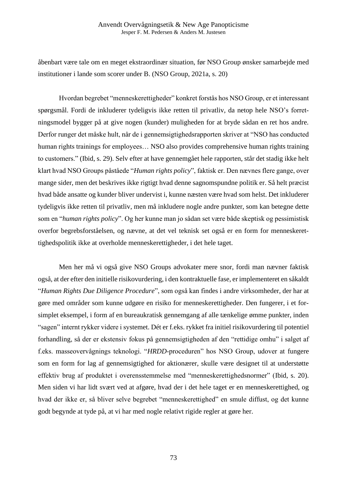#### Anvendt Overvågningsetik & New Age Panopticisme Jesper F. M. Pedersen & Anders M. Justesen

åbenbart være tale om en meget ekstraordinær situation, før NSO Group ønsker samarbejde med institutioner i lande som scorer under B. (NSO Group, 2021a, s. 20)

Hvordan begrebet "menneskerettigheder" konkret forstås hos NSO Group, er et interessant spørgsmål. Fordi de inkluderer tydeligvis ikke retten til privatliv, da netop hele NSO's forretningsmodel bygger på at give nogen (kunder) muligheden for at bryde sådan en ret hos andre. Derfor runger det måske hult, når de i gennemsigtighedsrapporten skriver at "NSO has conducted human rights trainings for employees... NSO also provides comprehensive human rights training to customers." (Ibid, s. 29). Selv efter at have gennemgået hele rapporten, står det stadig ikke helt klart hvad NSO Groups påståede "*Human rights policy*", faktisk er. Den nævnes flere gange, over mange sider, men det beskrives ikke rigtigt hvad denne sagnomspundne politik er. Så helt præcist hvad både ansatte og kunder bliver undervist i, kunne næsten være hvad som helst. Det inkluderer tydeligvis ikke retten til privatliv, men må inkludere nogle andre punkter, som kan betegne dette som en "*human rights policy*". Og her kunne man jo sådan set være både skeptisk og pessimistisk overfor begrebsforståelsen, og nævne, at det vel teknisk set også er en form for menneskerettighedspolitik ikke at overholde menneskerettigheder, i det hele taget.

Men her må vi også give NSO Groups advokater mere snor, fordi man nævner faktisk også, at der efter den initielle risikovurdering, i den kontraktuelle fase, er implementeret en såkaldt "*Human Rights Due Diligence Procedure*", som også kan findes i andre virksomheder, der har at gøre med områder som kunne udgøre en risiko for menneskerettigheder. Den fungerer, i et forsimplet eksempel, i form af en bureaukratisk gennemgang af alle tænkelige ømme punkter, inden "sagen" internt rykker videre i systemet. Dét er f.eks. rykket fra initiel risikovurdering til potentiel forhandling, så der er ekstensiv fokus på gennemsigtigheden af den "rettidige omhu" i salget af f.eks. masseovervågnings teknologi. "*HRDD-*proceduren" hos NSO Group, udover at fungere som en form for lag af gennemsigtighed for aktionærer, skulle være designet til at understøtte effektiv brug af produktet i overensstemmelse med "menneskerettighedsnormer" (Ibid, s. 20). Men siden vi har lidt svært ved at afgøre, hvad der i det hele taget er en menneskerettighed, og hvad der ikke er, så bliver selve begrebet "menneskerettighed" en smule diffust, og det kunne godt begynde at tyde på, at vi har med nogle relativt rigide regler at gøre her.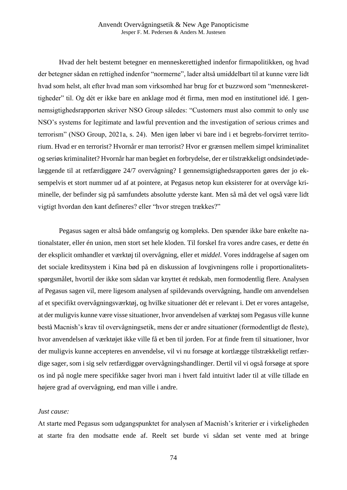Hvad der helt bestemt betegner en menneskerettighed indenfor firmapolitikken, og hvad der betegner sådan en rettighed indenfor "normerne", lader altså umiddelbart til at kunne være lidt hvad som helst, alt efter hvad man som virksomhed har brug for et buzzword som "menneskerettigheder" til. Og dét er ikke bare en anklage mod ét firma, men mod en institutionel idé. I gennemsigtighedsrapporten skriver NSO Group således: "Customers must also commit to only use NSO's systems for legitimate and lawful prevention and the investigation of serious crimes and terrorism" (NSO Group, 2021a, s. 24). Men igen løber vi bare ind i et begrebs-forvirret territorium. Hvad er en terrorist? Hvornår er man terrorist? Hvor er grænsen mellem simpel kriminalitet og seriøs kriminalitet? Hvornår har man begået en forbrydelse, der er tilstrækkeligt ondsindet/ødelæggende til at retfærdiggøre 24/7 overvågning? I gennemsigtighedsrapporten gøres der jo eksempelvis et stort nummer ud af at pointere, at Pegasus netop kun eksisterer for at overvåge kriminelle, der befinder sig på samfundets absolutte yderste kant. Men så må det vel også være lidt vigtigt hvordan den kant defineres? eller "hvor stregen trækkes?"

Pegasus sagen er altså både omfangsrig og kompleks. Den spænder ikke bare enkelte nationalstater, eller én union, men stort set hele kloden. Til forskel fra vores andre cases, er dette én der eksplicit omhandler et værktøj til overvågning, eller et *middel*. Vores inddragelse af sagen om det sociale kreditsystem i Kina bød på en diskussion af lovgivningens rolle i proportionalitetsspørgsmålet, hvortil der ikke som sådan var knyttet ét redskab, men formodentlig flere. Analysen af Pegasus sagen vil, mere ligesom analysen af spildevands overvågning, handle om anvendelsen af et specifikt overvågningsværktøj, og hvilke situationer dét er relevant i. Det er vores antagelse, at der muligvis kunne være visse situationer, hvor anvendelsen af værktøj som Pegasus ville kunne bestå Macnish's krav til overvågningsetik, mens der er andre situationer (formodentligt de fleste), hvor anvendelsen af værktøjet ikke ville få et ben til jorden. For at finde frem til situationer, hvor der muligvis kunne accepteres en anvendelse, vil vi nu forsøge at kortlægge tilstrækkeligt retfærdige sager, som i sig selv retfærdiggør overvågningshandlinger. Dertil vil vi også forsøge at spore os ind på nogle mere specifikke sager hvori man i hvert fald intuitivt lader til at ville tillade en højere grad af overvågning, end man ville i andre.

#### *Just cause:*

At starte med Pegasus som udgangspunktet for analysen af Macnish's kriterier er i virkeligheden at starte fra den modsatte ende af. Reelt set burde vi sådan set vente med at bringe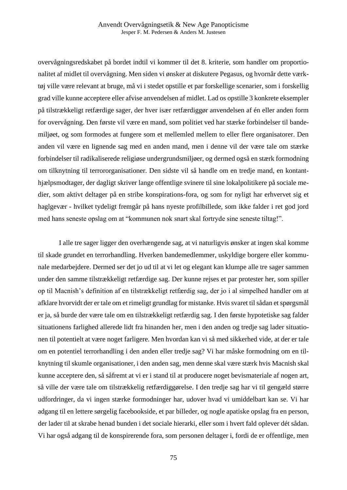overvågningsredskabet på bordet indtil vi kommer til det 8. kriterie, som handler om proportionalitet af midlet til overvågning. Men siden vi ønsker at diskutere Pegasus, og hvornår dette værktøj ville være relevant at bruge, må vi i stedet opstille et par forskellige scenarier, som i forskellig grad ville kunne acceptere eller afvise anvendelsen af midlet. Lad os opstille 3 konkrete eksempler på tilstrækkeligt retfærdige sager, der hver især retfærdiggør anvendelsen af én eller anden form for overvågning. Den første vil være en mand, som politiet ved har stærke forbindelser til bandemiljøet, og som formodes at fungere som et mellemled mellem to eller flere organisatorer. Den anden vil være en lignende sag med en anden mand, men i denne vil der være tale om stærke forbindelser til radikaliserede religiøse undergrundsmiljøer, og dermed også en stærk formodning om tilknytning til terrororganisationer. Den sidste vil så handle om en tredje mand, en kontanthjælpsmodtager, der dagligt skriver lange offentlige svinere til sine lokalpolitikere på sociale medier, som aktivt deltager på en stribe konspirations-fora, og som for nyligt har erhvervet sig et haglgevær - hvilket tydeligt fremgår på hans nyeste profilbillede, som ikke falder i ret god jord med hans seneste opslag om at "kommunen nok snart skal fortryde sine seneste tiltag!".

I alle tre sager ligger den overhængende sag, at vi naturligvis ønsker at ingen skal komme til skade grundet en terrorhandling. Hverken bandemedlemmer, uskyldige borgere eller kommunale medarbejdere. Dermed ser det jo ud til at vi let og elegant kan klumpe alle tre sager sammen under den samme tilstrækkeligt retfærdige sag. Der kunne rejses et par protester her, som spiller op til Macnish's definition af en tilstrækkeligt retfærdig sag, der jo i al simpelhed handler om at afklare hvorvidt der er tale om et rimeligt grundlag for mistanke. Hvis svaret til sådan et spørgsmål er ja, så burde der være tale om en tilstrækkeligt retfærdig sag. I den første hypotetiske sag falder situationens farlighed allerede lidt fra hinanden her, men i den anden og tredje sag lader situationen til potentielt at være noget farligere. Men hvordan kan vi så med sikkerhed vide, at der er tale om en potentiel terrorhandling i den anden eller tredje sag? Vi har måske formodning om en tilknytning til skumle organisationer, i den anden sag, men denne skal være stærk hvis Macnish skal kunne acceptere den, så såfremt at vi er i stand til at producere noget bevismateriale af nogen art, så ville der være tale om tilstrækkelig retfærdiggørelse. I den tredje sag har vi til gengæld større udfordringer, da vi ingen stærke formodninger har, udover hvad vi umiddelbart kan se. Vi har adgang til en lettere sørgelig facebookside, et par billeder, og nogle apatiske opslag fra en person, der lader til at skrabe henad bunden i det sociale hierarki, eller som i hvert fald oplever dét sådan. Vi har også adgang til de konspirerende fora, som personen deltager i, fordi de er offentlige, men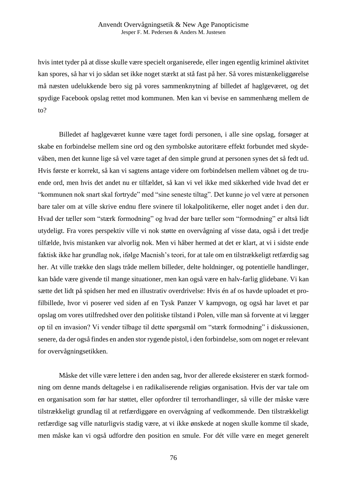hvis intet tyder på at disse skulle være specielt organiserede, eller ingen egentlig kriminel aktivitet kan spores, så har vi jo sådan set ikke noget stærkt at stå fast på her. Så vores mistænkeliggørelse må næsten udelukkende bero sig på vores sammenknytning af billedet af haglgeværet, og det spydige Facebook opslag rettet mod kommunen. Men kan vi bevise en sammenhæng mellem de to?

Billedet af haglgeværet kunne være taget fordi personen, i alle sine opslag, forsøger at skabe en forbindelse mellem sine ord og den symbolske autoritære effekt forbundet med skydevåben, men det kunne lige så vel være taget af den simple grund at personen synes det så fedt ud. Hvis første er korrekt, så kan vi sagtens antage videre om forbindelsen mellem våbnet og de truende ord, men hvis det andet nu er tilfældet, så kan vi vel ikke med sikkerhed vide hvad det er "kommunen nok snart skal fortryde" med "sine seneste tiltag". Det kunne jo vel være at personen bare taler om at ville skrive endnu flere svinere til lokalpolitikerne, eller noget andet i den dur. Hvad der tæller som "stærk formodning" og hvad der bare tæller som "formodning" er altså lidt utydeligt. Fra vores perspektiv ville vi nok støtte en overvågning af visse data, også i det tredje tilfælde, hvis mistanken var alvorlig nok. Men vi håber hermed at det er klart, at vi i sidste ende faktisk ikke har grundlag nok, ifølge Macnish's teori, for at tale om en tilstrækkeligt retfærdig sag her. At ville trække den slags tråde mellem billeder, delte holdninger, og potentielle handlinger, kan både være givende til mange situationer, men kan også være en halv-farlig glidebane. Vi kan sætte det lidt på spidsen her med en illustrativ overdrivelse: Hvis én af os havde uploadet et profilbillede, hvor vi poserer ved siden af en Tysk Panzer V kampvogn, og også har lavet et par opslag om vores utilfredshed over den politiske tilstand i Polen, ville man så forvente at vi lægger op til en invasion? Vi vender tilbage til dette spørgsmål om "stærk formodning" i diskussionen, senere, da der også findes en anden stor rygende pistol, i den forbindelse, som om noget er relevant for overvågningsetikken.

Måske det ville være lettere i den anden sag, hvor der allerede eksisterer en stærk formodning om denne mands deltagelse i en radikaliserende religiøs organisation. Hvis der var tale om en organisation som før har støttet, eller opfordrer til terrorhandlinger, så ville der måske være tilstrækkeligt grundlag til at retfærdiggøre en overvågning af vedkommende. Den tilstrækkeligt retfærdige sag ville naturligvis stadig være, at vi ikke ønskede at nogen skulle komme til skade, men måske kan vi også udfordre den position en smule. For dét ville være en meget generelt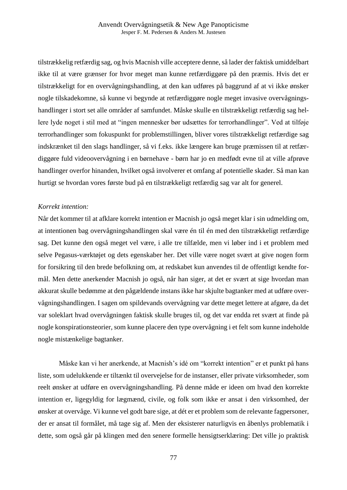tilstrækkelig retfærdig sag, og hvis Macnish ville acceptere denne, så lader der faktisk umiddelbart ikke til at være grænser for hvor meget man kunne retfærdiggøre på den præmis. Hvis det er tilstrækkeligt for en overvågningshandling, at den kan udføres på baggrund af at vi ikke ønsker nogle tilskadekomne, så kunne vi begynde at retfærdiggøre nogle meget invasive overvågningshandlinger i stort set alle områder af samfundet. Måske skulle en tilstrækkeligt retfærdig sag hellere lyde noget i stil med at "ingen mennesker bør udsættes for terrorhandlinger". Ved at tilføje terrorhandlinger som fokuspunkt for problemstillingen, bliver vores tilstrækkeligt retfærdige sag indskrænket til den slags handlinger, så vi f.eks. ikke længere kan bruge præmissen til at retfærdiggøre fuld videoovervågning i en børnehave - børn har jo en medfødt evne til at ville afprøve handlinger overfor hinanden, hvilket også involverer et omfang af potentielle skader. Så man kan hurtigt se hvordan vores første bud på en tilstrækkeligt retfærdig sag var alt for generel.

### *Korrekt intention:*

Når det kommer til at afklare korrekt intention er Macnish jo også meget klar i sin udmelding om, at intentionen bag overvågningshandlingen skal være én til én med den tilstrækkeligt retfærdige sag. Det kunne den også meget vel være, i alle tre tilfælde, men vi løber ind i et problem med selve Pegasus-værktøjet og dets egenskaber her. Det ville være noget svært at give nogen form for forsikring til den brede befolkning om, at redskabet kun anvendes til de offentligt kendte formål. Men dette anerkender Macnish jo også, når han siger, at det er svært at sige hvordan man akkurat skulle bedømme at den pågældende instans ikke har skjulte bagtanker med at udføre overvågningshandlingen. I sagen om spildevands overvågning var dette meget lettere at afgøre, da det var soleklart hvad overvågningen faktisk skulle bruges til, og det var endda ret svært at finde på nogle konspirationsteorier, som kunne placere den type overvågning i et felt som kunne indeholde nogle mistænkelige bagtanker.

Måske kan vi her anerkende, at Macnish's idé om "korrekt intention" er et punkt på hans liste, som udelukkende er tiltænkt til overvejelse for de instanser, eller private virksomheder, som reelt ønsker at udføre en overvågningshandling. På denne måde er ideen om hvad den korrekte intention er, ligegyldig for lægmænd, civile, og folk som ikke er ansat i den virksomhed, der ønsker at overvåge. Vi kunne vel godt bare sige, at dét er et problem som de relevante fagpersoner, der er ansat til formålet, må tage sig af. Men der eksisterer naturligvis en åbenlys problematik i dette, som også går på klingen med den senere formelle hensigtserklæring: Det ville jo praktisk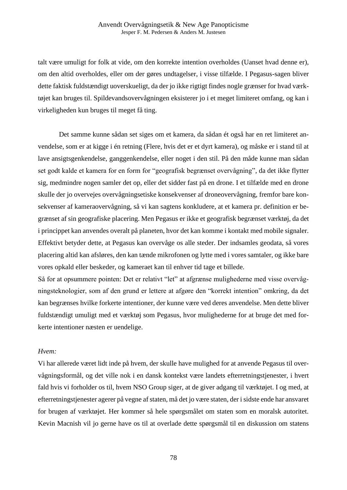talt være umuligt for folk at vide, om den korrekte intention overholdes (Uanset hvad denne er), om den altid overholdes, eller om der gøres undtagelser, i visse tilfælde. I Pegasus-sagen bliver dette faktisk fuldstændigt uoverskueligt, da der jo ikke rigtigt findes nogle grænser for hvad værktøjet kan bruges til. Spildevandsovervågningen eksisterer jo i et meget limiteret omfang, og kan i virkeligheden kun bruges til meget få ting.

Det samme kunne sådan set siges om et kamera, da sådan ét også har en ret limiteret anvendelse, som er at kigge i én retning (Flere, hvis det er et dyrt kamera), og måske er i stand til at lave ansigtsgenkendelse, ganggenkendelse, eller noget i den stil. På den måde kunne man sådan set godt kalde et kamera for en form for "geografisk begrænset overvågning", da det ikke flytter sig, medmindre nogen samler det op, eller det sidder fast på en drone. I et tilfælde med en drone skulle der jo overvejes overvågningsetiske konsekvenser af droneovervågning, fremfor bare konsekvenser af kameraovervågning, så vi kan sagtens konkludere, at et kamera pr. definition er begrænset af sin geografiske placering. Men Pegasus er ikke et geografisk begrænset værktøj, da det i princippet kan anvendes overalt på planeten, hvor det kan komme i kontakt med mobile signaler. Effektivt betyder dette, at Pegasus kan overvåge os alle steder. Der indsamles geodata, så vores placering altid kan afsløres, den kan tænde mikrofonen og lytte med i vores samtaler, og ikke bare vores opkald eller beskeder, og kameraet kan til enhver tid tage et billede.

Så for at opsummere pointen: Det er relativt "let" at afgrænse mulighederne med visse overvågningsteknologier, som af den grund er lettere at afgøre den "korrekt intention" omkring, da det kan begrænses hvilke forkerte intentioner, der kunne være ved deres anvendelse. Men dette bliver fuldstændigt umuligt med et værktøj som Pegasus, hvor mulighederne for at bruge det med forkerte intentioner næsten er uendelige.

#### *Hvem:*

Vi har allerede været lidt inde på hvem, der skulle have mulighed for at anvende Pegasus til overvågningsformål, og det ville nok i en dansk kontekst være landets efterretningstjenester, i hvert fald hvis vi forholder os til, hvem NSO Group siger, at de giver adgang til værktøjet. I og med, at efterretningstjenester agerer på vegne af staten, må det jo være staten, der i sidste ende har ansvaret for brugen af værktøjet. Her kommer så hele spørgsmålet om staten som en moralsk autoritet. Kevin Macnish vil jo gerne have os til at overlade dette spørgsmål til en diskussion om statens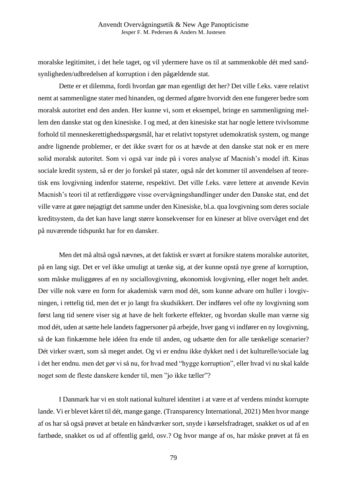moralske legitimitet, i det hele taget, og vil ydermere have os til at sammenkoble dét med sandsynligheden/udbredelsen af korruption i den pågældende stat.

Dette er et dilemma, fordi hvordan gør man egentligt det her? Det ville f.eks. være relativt nemt at sammenligne stater med hinanden, og dermed afgøre hvorvidt den ene fungerer bedre som moralsk autoritet end den anden. Her kunne vi, som et eksempel, bringe en sammenligning mellem den danske stat og den kinesiske. I og med, at den kinesiske stat har nogle lettere tvivlsomme forhold til menneskerettighedsspørgsmål, har et relativt topstyret udemokratisk system, og mange andre lignende problemer, er det ikke svært for os at hævde at den danske stat nok er en mere solid moralsk autoritet. Som vi også var inde på i vores analyse af Macnish's model ift. Kinas sociale kredit system, så er der jo forskel på stater, også når det kommer til anvendelsen af teoretisk ens lovgivning indenfor staterne, respektivt. Det ville f.eks. være lettere at anvende Kevin Macnish's teori til at retfærdiggøre visse overvågningshandlinger under den Danske stat, end det ville være at gøre nøjagtigt det samme under den Kinesiske, bl.a. qua lovgivning som deres sociale kreditsystem, da det kan have langt større konsekvenser for en kineser at blive overvåget end det på nuværende tidspunkt har for en dansker.

Men det må altså også nævnes, at det faktisk er svært at forsikre statens moralske autoritet, på en lang sigt. Det er vel ikke umuligt at tænke sig, at der kunne opstå nye grene af korruption, som måske muliggøres af en ny sociallovgivning, økonomisk lovgivning, eller noget helt andet. Der ville nok være en form for akademisk værn mod dét, som kunne advare om huller i lovgivningen, i rettelig tid, men det er jo langt fra skudsikkert. Der indføres vel ofte ny lovgivning som først lang tid senere viser sig at have de helt forkerte effekter, og hvordan skulle man værne sig mod dét, uden at sætte hele landets fagpersoner på arbejde, hver gang vi indfører en ny lovgivning, så de kan finkæmme hele idéen fra ende til anden, og udsætte den for alle tænkelige scenarier? Dét virker svært, som så meget andet. Og vi er endnu ikke dykket ned i det kulturelle/sociale lag i det her endnu. men det gør vi så nu, for hvad med "hygge korruption", eller hvad vi nu skal kalde noget som de fleste danskere kender til, men "jo ikke tæller"?

I Danmark har vi en stolt national kulturel identitet i at være et af verdens mindst korrupte lande. Vi er blevet kåret til dét, mange gange. (Transparency International, 2021) Men hvor mange af os har så også prøvet at betale en håndværker sort, snyde i kørselsfradraget, snakket os ud af en fartbøde, snakket os ud af offentlig gæld, osv.? Og hvor mange af os, har måske prøvet at få en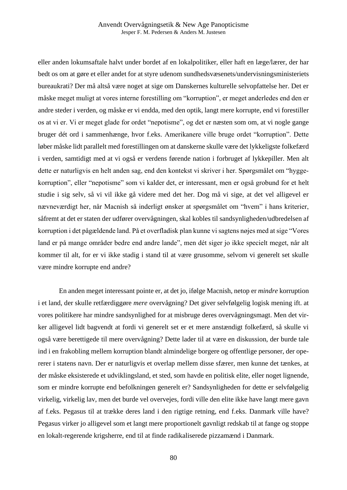eller anden lokumsaftale halvt under bordet af en lokalpolitiker, eller haft en læge/lærer, der har bedt os om at gøre et eller andet for at styre udenom sundhedsvæsenets/undervisningsministeriets bureaukrati? Der må altså være noget at sige om Danskernes kulturelle selvopfattelse her. Det er måske meget muligt at vores interne forestilling om "korruption", er meget anderledes end den er andre steder i verden, og måske er vi endda, med den optik, langt mere korrupte, end vi forestiller os at vi er. Vi er meget glade for ordet "nepotisme", og det er næsten som om, at vi nogle gange bruger dét ord i sammenhænge, hvor f.eks. Amerikanere ville bruge ordet "korruption". Dette løber måske lidt parallelt med forestillingen om at danskerne skulle være det lykkeligste folkefærd i verden, samtidigt med at vi også er verdens førende nation i forbruget af lykkepiller. Men alt dette er naturligvis en helt anden sag, end den kontekst vi skriver i her. Spørgsmålet om "hyggekorruption", eller "nepotisme" som vi kalder det, er interessant, men er også grobund for et helt studie i sig selv, så vi vil ikke gå videre med det her. Dog må vi sige, at det vel alligevel er nævneværdigt her, når Macnish så inderligt ønsker at spørgsmålet om "hvem" i hans kriterier, såfremt at det er staten der udfører overvågningen, skal kobles til sandsynligheden/udbredelsen af korruption i det pågældende land. På et overfladisk plan kunne vi sagtens nøjes med at sige "Vores land er på mange områder bedre end andre lande", men dét siger jo ikke specielt meget, når alt kommer til alt, for er vi ikke stadig i stand til at være grusomme, selvom vi generelt set skulle være mindre korrupte end andre?

En anden meget interessant pointe er, at det jo, ifølge Macnish, netop er *mindre* korruption i et land, der skulle retfærdiggøre *mere* overvågning? Det giver selvfølgelig logisk mening ift. at vores politikere har mindre sandsynlighed for at misbruge deres overvågningsmagt. Men det virker alligevel lidt bagvendt at fordi vi generelt set er et mere anstændigt folkefærd, så skulle vi også være berettigede til mere overvågning? Dette lader til at være en diskussion, der burde tale ind i en frakobling mellem korruption blandt almindelige borgere og offentlige personer, der opererer i statens navn. Der er naturligvis et overlap mellem disse sfærer, men kunne det tænkes, at der måske eksisterede et udviklingsland, et sted, som havde en politisk elite, eller noget lignende, som er mindre korrupte end befolkningen generelt er? Sandsynligheden for dette er selvfølgelig virkelig, virkelig lav, men det burde vel overvejes, fordi ville den elite ikke have langt mere gavn af f.eks. Pegasus til at trække deres land i den rigtige retning, end f.eks. Danmark ville have? Pegasus virker jo alligevel som et langt mere proportionelt gavnligt redskab til at fange og stoppe en lokalt-regerende krigsherre, end til at finde radikaliserede pizzamænd i Danmark.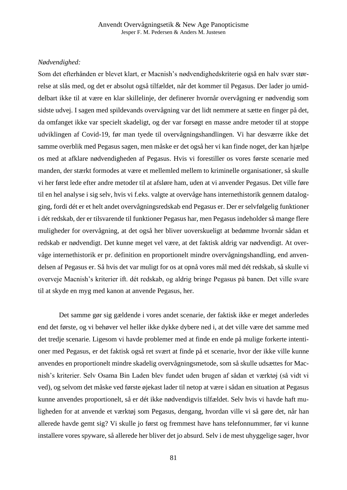### *Nødvendighed:*

Som det efterhånden er blevet klart, er Macnish's nødvendighedskriterie også en halv svær størrelse at slås med, og det er absolut også tilfældet, når det kommer til Pegasus. Der lader jo umiddelbart ikke til at være en klar skillelinje, der definerer hvornår overvågning er nødvendig som sidste udvej. I sagen med spildevands overvågning var det lidt nemmere at sætte en finger på det, da omfanget ikke var specielt skadeligt, og der var forsøgt en masse andre metoder til at stoppe udviklingen af Covid-19, før man tyede til overvågningshandlingen. Vi har desværre ikke det samme overblik med Pegasus sagen, men måske er det også her vi kan finde noget, der kan hjælpe os med at afklare nødvendigheden af Pegasus. Hvis vi forestiller os vores første scenarie med manden, der stærkt formodes at være et mellemled mellem to kriminelle organisationer, så skulle vi her først lede efter andre metoder til at afsløre ham, uden at vi anvender Pegasus. Det ville føre til en hel analyse i sig selv, hvis vi f.eks. valgte at overvåge hans internethistorik gennem datalogging, fordi dét er et helt andet overvågningsredskab end Pegasus er. Der er selvfølgelig funktioner i dét redskab, der er tilsvarende til funktioner Pegasus har, men Pegasus indeholder så mange flere muligheder for overvågning, at det også her bliver uoverskueligt at bedømme hvornår sådan et redskab er nødvendigt. Det kunne meget vel være, at det faktisk aldrig var nødvendigt. At overvåge internethistorik er pr. definition en proportionelt mindre overvågningshandling, end anvendelsen af Pegasus er. Så hvis det var muligt for os at opnå vores mål med dét redskab, så skulle vi overveje Macnish's kriterier ift. dét redskab, og aldrig bringe Pegasus på banen. Det ville svare til at skyde en myg med kanon at anvende Pegasus, her.

Det samme gør sig gældende i vores andet scenarie, der faktisk ikke er meget anderledes end det første, og vi behøver vel heller ikke dykke dybere ned i, at det ville være det samme med det tredje scenarie. Ligesom vi havde problemer med at finde en ende på mulige forkerte intentioner med Pegasus, er det faktisk også ret svært at finde på et scenarie, hvor der ikke ville kunne anvendes en proportionelt mindre skadelig overvågningsmetode, som så skulle udsættes for Macnish's kriterier. Selv Osama Bin Laden blev fundet uden brugen af sådan et værktøj (så vidt vi ved), og selvom det måske ved første øjekast lader til netop at være i sådan en situation at Pegasus kunne anvendes proportionelt, så er dét ikke nødvendigvis tilfældet. Selv hvis vi havde haft muligheden for at anvende et værktøj som Pegasus, dengang, hvordan ville vi så gøre det, når han allerede havde gemt sig? Vi skulle jo først og fremmest have hans telefonnummer, før vi kunne installere vores spyware, så allerede her bliver det jo absurd. Selv i de mest uhyggelige sager, hvor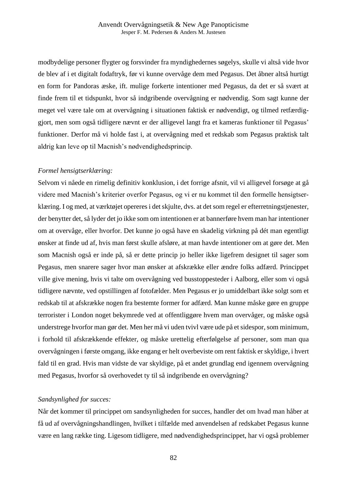modbydelige personer flygter og forsvinder fra myndighedernes søgelys, skulle vi altså vide hvor de blev af i et digitalt fodaftryk, før vi kunne overvåge dem med Pegasus. Det åbner altså hurtigt en form for Pandoras æske, ift. mulige forkerte intentioner med Pegasus, da det er så svært at finde frem til et tidspunkt, hvor så indgribende overvågning er nødvendig. Som sagt kunne der meget vel være tale om at overvågning i situationen faktisk er nødvendigt, og tilmed retfærdiggjort, men som også tidligere nævnt er der alligevel langt fra et kameras funktioner til Pegasus' funktioner. Derfor må vi holde fast i, at overvågning med et redskab som Pegasus praktisk talt aldrig kan leve op til Macnish's nødvendighedsprincip.

## *Formel hensigtserklæring:*

Selvom vi nåede en rimelig definitiv konklusion, i det forrige afsnit, vil vi alligevel forsøge at gå videre med Macnish's kriterier overfor Pegasus, og vi er nu kommet til den formelle hensigtserklæring. I og med, at værktøjet opereres i det skjulte, dvs. at det som regel er efterretningstjenester, der benytter det, så lyder det jo ikke som om intentionen er at bannerføre hvem man har intentioner om at overvåge, eller hvorfor. Det kunne jo også have en skadelig virkning på dét man egentligt ønsker at finde ud af, hvis man først skulle afsløre, at man havde intentioner om at gøre det. Men som Macnish også er inde på, så er dette princip jo heller ikke ligefrem designet til sager som Pegasus, men snarere sager hvor man ønsker at afskrække eller ændre folks adfærd. Princippet ville give mening, hvis vi talte om overvågning ved busstoppesteder i Aalborg, eller som vi også tidligere nævnte, ved opstillingen af fotofælder. Men Pegasus er jo umiddelbart ikke solgt som et redskab til at afskrække nogen fra bestemte former for adfærd. Man kunne måske gøre en gruppe terrorister i London noget bekymrede ved at offentliggøre hvem man overvåger, og måske også understrege hvorfor man gør det. Men her må vi uden tvivl være ude på et sidespor, som minimum, i forhold til afskrækkende effekter, og måske urettelig efterfølgelse af personer, som man qua overvågningen i første omgang, ikke engang er helt overbeviste om rent faktisk er skyldige, i hvert fald til en grad. Hvis man vidste de var skyldige, på et andet grundlag end igennem overvågning med Pegasus, hvorfor så overhovedet ty til så indgribende en overvågning?

## *Sandsynlighed for succes:*

Når det kommer til princippet om sandsynligheden for succes, handler det om hvad man håber at få ud af overvågningshandlingen, hvilket i tilfælde med anvendelsen af redskabet Pegasus kunne være en lang række ting. Ligesom tidligere, med nødvendighedsprincippet, har vi også problemer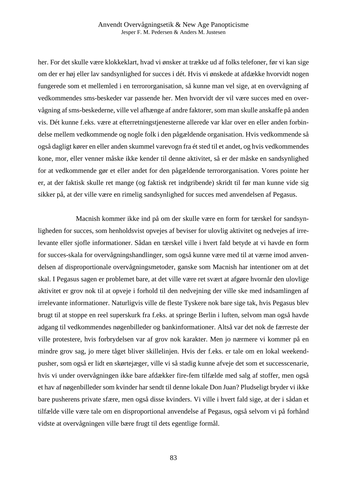her. For det skulle være klokkeklart, hvad vi ønsker at trække ud af folks telefoner, før vi kan sige om der er høj eller lav sandsynlighed for succes i dét. Hvis vi ønskede at afdække hvorvidt nogen fungerede som et mellemled i en terrororganisation, så kunne man vel sige, at en overvågning af vedkommendes sms-beskeder var passende her. Men hvorvidt der vil være succes med en overvågning af sms-beskederne, ville vel afhænge af andre faktorer, som man skulle anskaffe på anden vis. Dét kunne f.eks. være at efterretningstjenesterne allerede var klar over en eller anden forbindelse mellem vedkommende og nogle folk i den pågældende organisation. Hvis vedkommende så også dagligt kører en eller anden skummel varevogn fra ét sted til et andet, og hvis vedkommendes kone, mor, eller venner måske ikke kender til denne aktivitet, så er der måske en sandsynlighed for at vedkommende gør et eller andet for den pågældende terrororganisation. Vores pointe her er, at der faktisk skulle ret mange (og faktisk ret indgribende) skridt til før man kunne vide sig sikker på, at der ville være en rimelig sandsynlighed for succes med anvendelsen af Pegasus.

Macnish kommer ikke ind på om der skulle være en form for tærskel for sandsynligheden for succes, som henholdsvist opvejes af beviser for ulovlig aktivitet og nedvejes af irrelevante eller sjofle informationer. Sådan en tærskel ville i hvert fald betyde at vi havde en form for succes-skala for overvågningshandlinger, som også kunne være med til at værne imod anvendelsen af disproportionale overvågningsmetoder, ganske som Macnish har intentioner om at det skal. I Pegasus sagen er problemet bare, at det ville være ret svært at afgøre hvornår den ulovlige aktivitet er grov nok til at opveje i forhold til den nedvejning der ville ske med indsamlingen af irrelevante informationer. Naturligvis ville de fleste Tyskere nok bare sige tak, hvis Pegasus blev brugt til at stoppe en reel superskurk fra f.eks. at springe Berlin i luften, selvom man også havde adgang til vedkommendes nøgenbilleder og bankinformationer. Altså var det nok de færreste der ville protestere, hvis forbrydelsen var af grov nok karakter. Men jo nærmere vi kommer på en mindre grov sag, jo mere tåget bliver skillelinjen. Hvis der f.eks. er tale om en lokal weekendpusher, som også er lidt en skørtejæger, ville vi så stadig kunne afveje det som et successcenarie, hvis vi under overvågningen ikke bare afdækker fire-fem tilfælde med salg af stoffer, men også et hav af nøgenbilleder som kvinder har sendt til denne lokale Don Juan? Pludseligt bryder vi ikke bare pusherens private sfære, men også disse kvinders. Vi ville i hvert fald sige, at der i sådan et tilfælde ville være tale om en disproportional anvendelse af Pegasus, også selvom vi på forhånd vidste at overvågningen ville bære frugt til dets egentlige formål.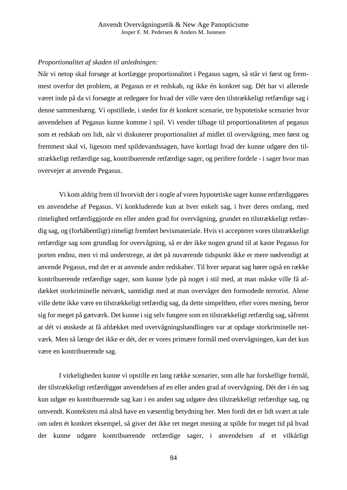#### *Proportionalitet af skaden til anledningen:*

Når vi netop skal forsøge at kortlægge proportionalitet i Pegasus sagen, så står vi først og fremmest overfor det problem, at Pegasus er et redskab, og ikke én konkret sag. Dét har vi allerede været inde på da vi forsøgte at redegøre for hvad der ville være den tilstrækkeligt retfærdige sag i denne sammenhæng. Vi opstillede, i stedet for ét konkret scenarie, tre hypotetiske scenarier hvor anvendelsen af Pegasus kunne komme i spil. Vi vender tilbage til proportionaliteten af pegasus som et redskab om lidt, når vi diskuterer proportionalitet af midlet til overvågning, men først og fremmest skal vi, ligesom med spildevandssagen, have kortlagt hvad der kunne udgøre den tilstrækkeligt retfærdige sag, kontribuerende retfærdige sager, og perifere fordele - i sager hvor man overvejer at anvende Pegasus.

Vi kom aldrig frem til hvorvidt der i nogle af vores hypotetiske sager kunne retfærdiggøres en anvendelse af Pegasus. Vi konkluderede kun at hver enkelt sag, i hver deres omfang, med rimelighed retfærdiggjorde en eller anden grad for overvågning, grundet en tilstrækkeligt retfærdig sag, og (forhåbentligt) rimeligt fremført bevismateriale. Hvis vi accepterer vores tilstrækkeligt retfærdige sag som grundlag for overvågning, så er der ikke nogen grund til at kaste Pegasus for porten endnu, men vi må understrege, at det på nuværende tidspunkt ikke er mere nødvendigt at anvende Pegasus, end det er at anvende andre redskaber. Til hver separat sag hører også en række kontribuerende retfærdige sager, som kunne lyde på noget i stil med, at man måske ville få afdækket storkriminelle netværk, samtidigt med at man overvåger den formodede terrorist. Alene ville dette ikke være en tilstrækkeligt retfærdig sag, da dette simpelthen, efter vores mening, beror sig for meget på gætværk. Det kunne i sig selv fungere som en tilstrækkeligt retfærdig sag, såfremt at dét vi ønskede at få afdækket med overvågningshandlingen var at opdage storkriminelle netværk. Men så længe det ikke er dét, der er vores primære formål med overvågningen, kan det kun være en kontribuerende sag.

I virkeligheden kunne vi opstille en lang række scenarier, som alle har forskellige formål, der tilstrækkeligt retfærdiggør anvendelsen af en eller anden grad af overvågning. Dét der i én sag kun udgør en kontribuerende sag kan i en anden sag udgøre den tilstrækkeligt retfærdige sag, og omvendt. Konteksten må altså have en væsentlig betydning her. Men fordi det er lidt svært at tale om uden ét konkret eksempel, så giver det ikke ret meget mening at spilde for meget tid på hvad der kunne udgøre kontribuerende retfærdige sager, i anvendelsen af et vilkårligt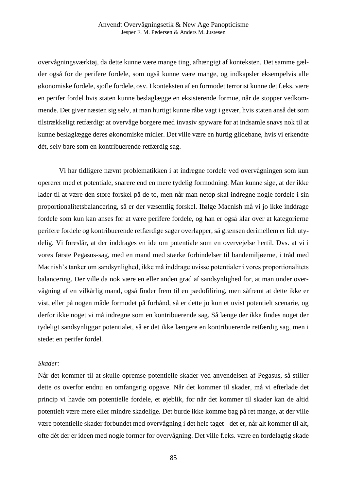overvågningsværktøj, da dette kunne være mange ting, afhængigt af konteksten. Det samme gælder også for de perifere fordele, som også kunne være mange, og indkapsler eksempelvis alle økonomiske fordele, sjofle fordele, osv. I konteksten af en formodet terrorist kunne det f.eks. være en perifer fordel hvis staten kunne beslaglægge en eksisterende formue, når de stopper vedkommende. Det giver næsten sig selv, at man hurtigt kunne råbe vagt i gevær, hvis staten anså det som tilstrækkeligt retfærdigt at overvåge borgere med invasiv spyware for at indsamle snavs nok til at kunne beslaglægge deres økonomiske midler. Det ville være en hurtig glidebane, hvis vi erkendte dét, selv bare som en kontribuerende retfærdig sag.

Vi har tidligere nævnt problematikken i at indregne fordele ved overvågningen som kun opererer med et potentiale, snarere end en mere tydelig formodning. Man kunne sige, at der ikke lader til at være den store forskel på de to, men når man netop skal indregne nogle fordele i sin proportionalitetsbalancering, så er der væsentlig forskel. Ifølge Macnish må vi jo ikke inddrage fordele som kun kan anses for at være perifere fordele, og han er også klar over at kategorierne perifere fordele og kontribuerende retfærdige sager overlapper, så grænsen derimellem er lidt utydelig. Vi foreslår, at der inddrages en ide om potentiale som en overvejelse hertil. Dvs. at vi i vores første Pegasus-sag, med en mand med stærke forbindelser til bandemiljøerne, i tråd med Macnish's tanker om sandsynlighed, ikke må inddrage uvisse potentialer i vores proportionalitets balancering. Der ville da nok være en eller anden grad af sandsynlighed for, at man under overvågning af en vilkårlig mand, også finder frem til en pædofiliring, men såfremt at dette ikke er vist, eller på nogen måde formodet på forhånd, så er dette jo kun et uvist potentielt scenarie, og derfor ikke noget vi må indregne som en kontribuerende sag. Så længe der ikke findes noget der tydeligt sandsynliggør potentialet, så er det ikke længere en kontribuerende retfærdig sag, men i stedet en perifer fordel.

#### *Skader:*

Når det kommer til at skulle opremse potentielle skader ved anvendelsen af Pegasus, så stiller dette os overfor endnu en omfangsrig opgave. Når det kommer til skader, må vi efterlade det princip vi havde om potentielle fordele, et øjeblik, for når det kommer til skader kan de altid potentielt være mere eller mindre skadelige. Det burde ikke komme bag på ret mange, at der ville være potentielle skader forbundet med overvågning i det hele taget - det er, når alt kommer til alt, ofte dét der er ideen med nogle former for overvågning. Det ville f.eks. være en fordelagtig skade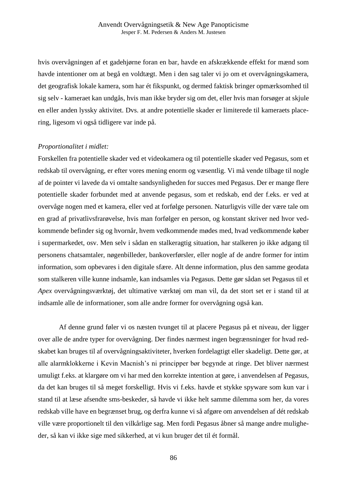hvis overvågningen af et gadehjørne foran en bar, havde en afskrækkende effekt for mænd som havde intentioner om at begå en voldtægt. Men i den sag taler vi jo om et overvågningskamera, det geografisk lokale kamera, som har ét fikspunkt, og dermed faktisk bringer opmærksomhed til sig selv - kameraet kan undgås, hvis man ikke bryder sig om det, eller hvis man forsøger at skjule en eller anden lyssky aktivitet. Dvs. at andre potentielle skader er limiterede til kameraets placering, ligesom vi også tidligere var inde på.

#### *Proportionalitet i midlet:*

Forskellen fra potentielle skader ved et videokamera og til potentielle skader ved Pegasus, som et redskab til overvågning, er efter vores mening enorm og væsentlig. Vi må vende tilbage til nogle af de pointer vi lavede da vi omtalte sandsynligheden for succes med Pegasus. Der er mange flere potentielle skader forbundet med at anvende pegasus, som et redskab, end der f.eks. er ved at overvåge nogen med et kamera, eller ved at forfølge personen. Naturligvis ville der være tale om en grad af privatlivsfrarøvelse, hvis man forfølger en person, og konstant skriver ned hvor vedkommende befinder sig og hvornår, hvem vedkommende mødes med, hvad vedkommende køber i supermarkedet, osv. Men selv i sådan en stalkeragtig situation, har stalkeren jo ikke adgang til personens chatsamtaler, nøgenbilleder, bankoverførsler, eller nogle af de andre former for intim information, som opbevares i den digitale sfære. Alt denne information, plus den samme geodata som stalkeren ville kunne indsamle, kan indsamles via Pegasus. Dette gør sådan set Pegasus til et *Apex* overvågningsværktøj, det ultimative værktøj om man vil, da det stort set er i stand til at indsamle alle de informationer, som alle andre former for overvågning også kan.

Af denne grund føler vi os næsten tvunget til at placere Pegasus på et niveau, der ligger over alle de andre typer for overvågning. Der findes nærmest ingen begrænsninger for hvad redskabet kan bruges til af overvågningsaktiviteter, hverken fordelagtigt eller skadeligt. Dette gør, at alle alarmklokkerne i Kevin Macnish's ni principper bør begynde at ringe. Det bliver nærmest umuligt f.eks. at klargøre om vi har med den korrekte intention at gøre, i anvendelsen af Pegasus, da det kan bruges til så meget forskelligt. Hvis vi f.eks. havde et stykke spyware som kun var i stand til at læse afsendte sms-beskeder, så havde vi ikke helt samme dilemma som her, da vores redskab ville have en begrænset brug, og derfra kunne vi så afgøre om anvendelsen af dét redskab ville være proportionelt til den vilkårlige sag. Men fordi Pegasus åbner så mange andre muligheder, så kan vi ikke sige med sikkerhed, at vi kun bruger det til ét formål.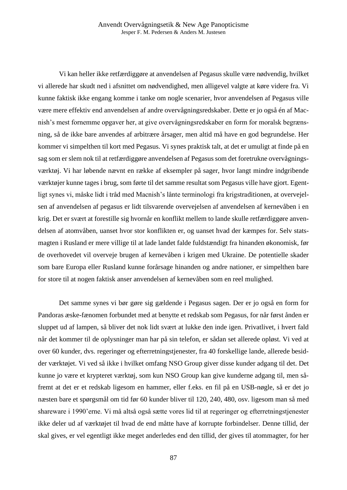Vi kan heller ikke retfærdiggøre at anvendelsen af Pegasus skulle være nødvendig, hvilket vi allerede har skudt ned i afsnittet om nødvendighed, men alligevel valgte at køre videre fra. Vi kunne faktisk ikke engang komme i tanke om nogle scenarier, hvor anvendelsen af Pegasus ville være mere effektiv end anvendelsen af andre overvågningsredskaber. Dette er jo også én af Macnish's mest fornemme opgaver her, at give overvågningsredskaber en form for moralsk begrænsning, så de ikke bare anvendes af arbitrære årsager, men altid må have en god begrundelse. Her kommer vi simpelthen til kort med Pegasus. Vi synes praktisk talt, at det er umuligt at finde på en sag som er slem nok til at retfærdiggøre anvendelsen af Pegasus som det foretrukne overvågningsværktøj. Vi har løbende nævnt en række af eksempler på sager, hvor langt mindre indgribende værktøjer kunne tages i brug, som førte til det samme resultat som Pegasus ville have gjort. Egentligt synes vi, måske lidt i tråd med Macnish's lånte terminologi fra krigstraditionen, at overvejelsen af anvendelsen af pegasus er lidt tilsvarende overvejelsen af anvendelsen af kernevåben i en krig. Det er svært at forestille sig hvornår en konflikt mellem to lande skulle retfærdiggøre anvendelsen af atomvåben, uanset hvor stor konflikten er, og uanset hvad der kæmpes for. Selv statsmagten i Rusland er mere villige til at lade landet falde fuldstændigt fra hinanden økonomisk, før de overhovedet vil overveje brugen af kernevåben i krigen med Ukraine. De potentielle skader som bare Europa eller Rusland kunne forårsage hinanden og andre nationer, er simpelthen bare for store til at nogen faktisk anser anvendelsen af kernevåben som en reel mulighed.

Det samme synes vi bør gøre sig gældende i Pegasus sagen. Der er jo også en form for Pandoras æske-fænomen forbundet med at benytte et redskab som Pegasus, for når først ånden er sluppet ud af lampen, så bliver det nok lidt svært at lukke den inde igen. Privatlivet, i hvert fald når det kommer til de oplysninger man har på sin telefon, er sådan set allerede opløst. Vi ved at over 60 kunder, dvs. regeringer og efterretningstjenester, fra 40 forskellige lande, allerede besidder værktøjet. Vi ved så ikke i hvilket omfang NSO Group giver disse kunder adgang til det. Det kunne jo være et krypteret værktøj, som kun NSO Group kan give kunderne adgang til, men såfremt at det er et redskab ligesom en hammer, eller f.eks. en fil på en USB-nøgle, så er det jo næsten bare et spørgsmål om tid før 60 kunder bliver til 120, 240, 480, osv. ligesom man så med shareware i 1990'erne. Vi må altså også sætte vores lid til at regeringer og efterretningstjenester ikke deler ud af værktøjet til hvad de end måtte have af korrupte forbindelser. Denne tillid, der skal gives, er vel egentligt ikke meget anderledes end den tillid, der gives til atommagter, for her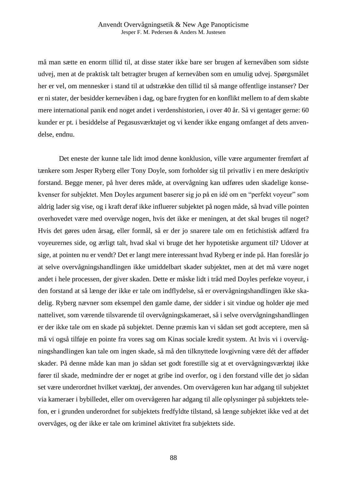må man sætte en enorm tillid til, at disse stater ikke bare ser brugen af kernevåben som sidste udvej, men at de praktisk talt betragter brugen af kernevåben som en umulig udvej. Spørgsmålet her er vel, om mennesker i stand til at udstrække den tillid til så mange offentlige instanser? Der er ni stater, der besidder kernevåben i dag, og bare frygten for en konflikt mellem to af dem skabte mere international panik end noget andet i verdenshistorien, i over 40 år. Så vi gentager gerne: 60 kunder er pt. i besiddelse af Pegasusværktøjet og vi kender ikke engang omfanget af dets anvendelse, endnu.

Det eneste der kunne tale lidt imod denne konklusion, ville være argumenter fremført af tænkere som Jesper Ryberg eller Tony Doyle, som forholder sig til privatliv i en mere deskriptiv forstand. Begge mener, på hver deres måde, at overvågning kan udføres uden skadelige konsekvenser for subjektet. Men Doyles argument baserer sig jo på en idé om en "perfekt voyeur" som aldrig lader sig vise, og i kraft deraf ikke influerer subjektet på nogen måde, så hvad ville pointen overhovedet være med overvåge nogen, hvis det ikke er meningen, at det skal bruges til noget? Hvis det gøres uden årsag, eller formål, så er der jo snarere tale om en fetichistisk adfærd fra voyeurernes side, og ærligt talt, hvad skal vi bruge det her hypotetiske argument til? Udover at sige, at pointen nu er vendt? Det er langt mere interessant hvad Ryberg er inde på. Han foreslår jo at selve overvågningshandlingen ikke umiddelbart skader subjektet, men at det må være noget andet i hele processen, der giver skaden. Dette er måske lidt i tråd med Doyles perfekte voyeur, i den forstand at så længe der ikke er tale om indflydelse, så er overvågningshandlingen ikke skadelig. Ryberg nævner som eksempel den gamle dame, der sidder i sit vindue og holder øje med nattelivet, som værende tilsvarende til overvågningskameraet, så i selve overvågningshandlingen er der ikke tale om en skade på subjektet. Denne præmis kan vi sådan set godt acceptere, men så må vi også tilføje en pointe fra vores sag om Kinas sociale kredit system. At hvis vi i overvågningshandlingen kan tale om ingen skade, så må den tilknyttede lovgivning være dét der afføder skader. På denne måde kan man jo sådan set godt forestille sig at et overvågningsværktøj ikke fører til skade, medmindre der er noget at gribe ind overfor, og i den forstand ville det jo sådan set være underordnet hvilket værktøj, der anvendes. Om overvågeren kun har adgang til subjektet via kameraer i bybilledet, eller om overvågeren har adgang til alle oplysninger på subjektets telefon, er i grunden underordnet for subjektets fredfyldte tilstand, så længe subjektet ikke ved at det overvåges, og der ikke er tale om kriminel aktivitet fra subjektets side.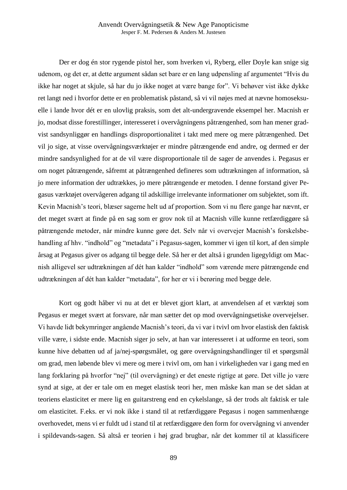Der er dog én stor rygende pistol her, som hverken vi, Ryberg, eller Doyle kan snige sig udenom, og det er, at dette argument sådan set bare er en lang udpensling af argumentet "Hvis du ikke har noget at skjule, så har du jo ikke noget at være bange for". Vi behøver vist ikke dykke ret langt ned i hvorfor dette er en problematisk påstand, så vi vil nøjes med at nævne homoseksuelle i lande hvor dét er en ulovlig praksis, som det alt-undergravende eksempel her. Macnish er jo, modsat disse forestillinger, interesseret i overvågningens påtrængenhed, som han mener gradvist sandsynliggør en handlings disproportionalitet i takt med mere og mere påtrængenhed. Det vil jo sige, at visse overvågningsværktøjer er mindre påtrængende end andre, og dermed er der mindre sandsynlighed for at de vil være disproportionale til de sager de anvendes i. Pegasus er om noget påtrængende, såfremt at påtrængenhed defineres som udtrækningen af information, så jo mere information der udtrækkes, jo mere påtrængende er metoden. I denne forstand giver Pegasus værktøjet overvågeren adgang til adskillige irrelevante informationer om subjektet, som ift. Kevin Macnish's teori, blæser sagerne helt ud af proportion. Som vi nu flere gange har nævnt, er det meget svært at finde på en sag som er grov nok til at Macnish ville kunne retfærdiggøre så påtrængende metoder, når mindre kunne gøre det. Selv når vi overvejer Macnish's forskelsbehandling af hhv. "indhold" og "metadata" i Pegasus-sagen, kommer vi igen til kort, af den simple årsag at Pegasus giver os adgang til begge dele. Så her er det altså i grunden ligegyldigt om Macnish alligevel ser udtrækningen af dét han kalder "indhold" som værende mere påtrængende end udtrækningen af dét han kalder "metadata", for her er vi i berøring med begge dele.

Kort og godt håber vi nu at det er blevet gjort klart, at anvendelsen af et værktøj som Pegasus er meget svært at forsvare, når man sætter det op mod overvågningsetiske overvejelser. Vi havde lidt bekymringer angående Macnish's teori, da vi var i tvivl om hvor elastisk den faktisk ville være, i sidste ende. Macnish siger jo selv, at han var interesseret i at udforme en teori, som kunne hive debatten ud af ja/nej-spørgsmålet, og gøre overvågningshandlinger til et spørgsmål om grad, men løbende blev vi mere og mere i tvivl om, om han i virkeligheden var i gang med en lang forklaring på hvorfor "nej" (til overvågning) er det eneste rigtige at gøre. Det ville jo være synd at sige, at der er tale om en meget elastisk teori her, men måske kan man se det sådan at teoriens elasticitet er mere lig en guitarstreng end en cykelslange, så der trods alt faktisk er tale om elasticitet. F.eks. er vi nok ikke i stand til at retfærdiggøre Pegasus i nogen sammenhænge overhovedet, mens vi er fuldt ud i stand til at retfærdiggøre den form for overvågning vi anvender i spildevands-sagen. Så altså er teorien i høj grad brugbar, når det kommer til at klassificere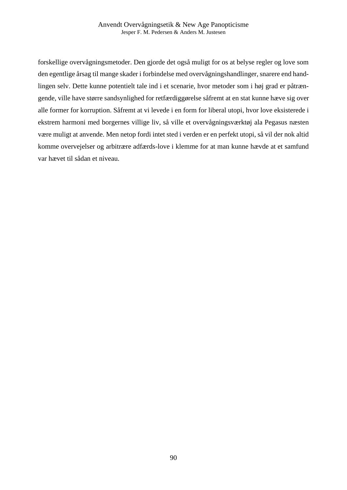forskellige overvågningsmetoder. Den gjorde det også muligt for os at belyse regler og love som den egentlige årsag til mange skader i forbindelse med overvågningshandlinger, snarere end handlingen selv. Dette kunne potentielt tale ind i et scenarie, hvor metoder som i høj grad er påtrængende, ville have større sandsynlighed for retfærdiggørelse såfremt at en stat kunne hæve sig over alle former for korruption. Såfremt at vi levede i en form for liberal utopi, hvor love eksisterede i ekstrem harmoni med borgernes villige liv, så ville et overvågningsværktøj ala Pegasus næsten være muligt at anvende. Men netop fordi intet sted i verden er en perfekt utopi, så vil der nok altid komme overvejelser og arbitrære adfærds-love i klemme for at man kunne hævde at et samfund var hævet til sådan et niveau.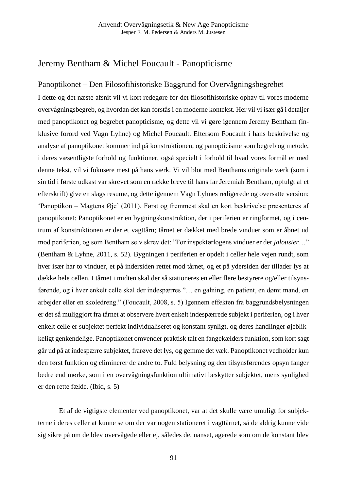# Jeremy Bentham & Michel Foucault - Panopticisme

## Panoptikonet – Den Filosofihistoriske Baggrund for Overvågningsbegrebet

I dette og det næste afsnit vil vi kort redegøre for det filosofihistoriske ophav til vores moderne overvågningsbegreb, og hvordan det kan forstås i en moderne kontekst. Her vil vi især gå i detaljer med panoptikonet og begrebet panopticisme, og dette vil vi gøre igennem Jeremy Bentham (inklusive forord ved Vagn Lyhne) og Michel Foucault. Eftersom Foucault i hans beskrivelse og analyse af panoptikonet kommer ind på konstruktionen, og panopticisme som begreb og metode, i deres væsentligste forhold og funktioner, også specielt i forhold til hvad vores formål er med denne tekst, vil vi fokusere mest på hans værk. Vi vil blot med Benthams originale værk (som i sin tid i første udkast var skrevet som en række breve til hans far Jeremiah Bentham, opfulgt af et efterskrift) give en slags resume, og dette igennem Vagn Lyhnes redigerede og oversatte version: 'Panoptikon – Magtens Øje' (2011). Først og fremmest skal en kort beskrivelse præsenteres af panoptikonet: Panoptikonet er en bygningskonstruktion, der i periferien er ringformet, og i centrum af konstruktionen er der et vagttårn; tårnet er dækket med brede vinduer som er åbnet ud mod periferien, og som Bentham selv skrev det: "For inspektørlogens vinduer er der *jalousier*…" (Bentham & Lyhne, 2011, s. 52). Bygningen i periferien er opdelt i celler hele vejen rundt, som hver især har to vinduer, et på indersiden rettet mod tårnet, og et på ydersiden der tillader lys at dække hele cellen. I tårnet i midten skal der så stationeres en eller flere bestyrere og/eller tilsynsførende, og i hver enkelt celle skal der indespærres "… en galning, en patient, en dømt mand, en arbejder eller en skoledreng." (Foucault, 2008, s. 5) Igennem effekten fra baggrundsbelysningen er det så muliggjort fra tårnet at observere hvert enkelt indespærrede subjekt i periferien, og i hver enkelt celle er subjektet perfekt individualiseret og konstant synligt, og deres handlinger øjeblikkeligt genkendelige. Panoptikonet omvender praktisk talt en fangekælders funktion, som kort sagt går ud på at indespærre subjektet, frarøve det lys, og gemme det væk. Panoptikonet vedholder kun den først funktion og eliminerer de andre to. Fuld belysning og den tilsynsførendes opsyn fanger bedre end mørke, som i en overvågningsfunktion ultimativt beskytter subjektet, mens synlighed er den rette fælde. (Ibid, s. 5)

Et af de vigtigste elementer ved panoptikonet, var at det skulle være umuligt for subjekterne i deres celler at kunne se om der var nogen stationeret i vagttårnet, så de aldrig kunne vide sig sikre på om de blev overvågede eller ej, således de, uanset, agerede som om de konstant blev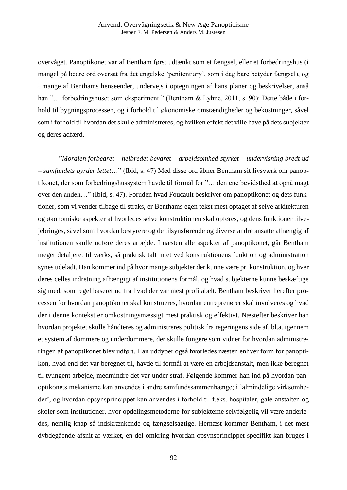overvåget. Panoptikonet var af Bentham først udtænkt som et fængsel, eller et forbedringshus (i mangel på bedre ord oversat fra det engelske 'penitentiary', som i dag bare betyder fængsel), og i mange af Benthams henseender, undervejs i optegningen af hans planer og beskrivelser, anså han "... forbedringshuset som eksperiment." (Bentham & Lyhne, 2011, s. 90): Dette både i forhold til bygningsprocessen, og i forhold til økonomiske omstændigheder og bekostninger, såvel som i forhold til hvordan det skulle administreres, og hvilken effekt det ville have på dets subjekter og deres adfærd.

"*Moralen forbedret – helbredet bevaret – arbejdsomhed styrket – undervisning bredt ud – samfundets byrder lettet*…" (Ibid, s. 47) Med disse ord åbner Bentham sit livsværk om panoptikonet, der som forbedringshussystem havde til formål for "… den ene bevidsthed at opnå magt over den anden…" (Ibid, s. 47). Foruden hvad Foucault beskriver om panoptikonet og dets funktioner, som vi vender tilbage til straks, er Benthams egen tekst mest optaget af selve arkitekturen og økonomiske aspekter af hvorledes selve konstruktionen skal opføres, og dens funktioner tilvejebringes, såvel som hvordan bestyrere og de tilsynsførende og diverse andre ansatte afhængig af institutionen skulle udføre deres arbejde. I næsten alle aspekter af panoptikonet, går Bentham meget detaljeret til værks, så praktisk talt intet ved konstruktionens funktion og administration synes udeladt. Han kommer ind på hvor mange subjekter der kunne være pr. konstruktion, og hver deres celles indretning afhængigt af institutionens formål, og hvad subjekterne kunne beskæftige sig med, som regel baseret ud fra hvad der var mest profitabelt. Bentham beskriver herefter processen for hvordan panoptikonet skal konstrueres, hvordan entreprenører skal involveres og hvad der i denne kontekst er omkostningsmæssigt mest praktisk og effektivt. Næstefter beskriver han hvordan projektet skulle håndteres og administreres politisk fra regeringens side af, bl.a. igennem et system af dommere og underdommere, der skulle fungere som vidner for hvordan administreringen af panoptikonet blev udført. Han uddyber også hvorledes næsten enhver form for panoptikon, hvad end det var beregnet til, havde til formål at være en arbejdsanstalt, men ikke beregnet til tvungent arbejde, medmindre det var under straf. Følgende kommer han ind på hvordan panoptikonets mekanisme kan anvendes i andre samfundssammenhænge; i 'almindelige virksomheder', og hvordan opsynsprincippet kan anvendes i forhold til f.eks. hospitaler, gale-anstalten og skoler som institutioner, hvor opdelingsmetoderne for subjekterne selvfølgelig vil være anderledes, nemlig knap så indskrænkende og fængselsagtige. Hernæst kommer Bentham, i det mest dybdegående afsnit af værket, en del omkring hvordan opsynsprincippet specifikt kan bruges i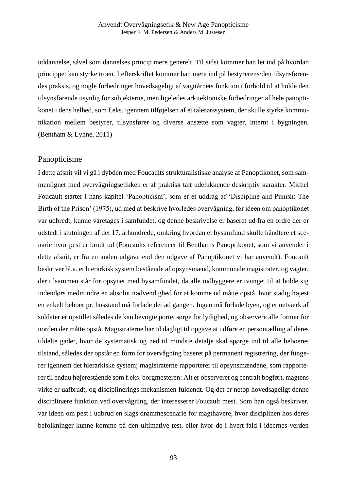uddannelse, såvel som dannelses princip mere generelt. Til sidst kommer han let ind på hvordan princippet kan styrke troen. I efterskriftet kommer han mere ind på bestyrerens/den tilsynsførendes praksis, og nogle forbedringer hovedsageligt af vagttårnets funktion i forhold til at holde den tilsynsførende usynlig for subjekterne, men ligeledes arkitektoniske forbedringer af hele panoptikonet i dens helhed, som f.eks. igennem tilføjelsen af et talerørssystem, der skulle styrke kommunikation mellem bestyrer, tilsynsfører og diverse ansætte som vagter, internt i bygningen. (Bentham & Lyhne, 2011)

## Panopticisme

I dette afsnit vil vi gå i dybden med Foucaults strukturalistiske analyse af Panoptikonet, som sammenlignet med overvågningsetikken er af praktisk talt udelukkende deskriptiv karakter. Michel Foucault starter i hans kapitel 'Panopticism', som er et uddrag af 'Discipline and Punish: The Birth of the Prison' (1975), ud med at beskrive hvorledes overvågning, før ideen om panoptikonet var udbredt, kunne varetages i samfundet, og denne beskrivelse er baseret ud fra en ordre der er udstedt i slutningen af det 17. århundrede, omkring hvordan et bysamfund skulle håndtere et scenarie hvor pest er brudt ud (Foucaults referencer til Benthams Panoptikonet, som vi anvender i dette afsnit, er fra en anden udgave end den udgave af Panoptikonet vi har anvendt). Foucault beskriver bl.a. et hierarkisk system bestående af opsynsmænd, kommunale magistrater, og vagter, der tilsammen står for opsynet med bysamfundet, da alle indbyggere er tvunget til at holde sig indendørs medmindre en absolut nødvendighed for at komme ud måtte opstå, hvor stadig højest en enkelt beboer pr. husstand må forlade det ad gangen. Ingen må forlade byen, og et netværk af soldater er opstillet således de kan bevogte porte, sørge for lydighed, og observere alle former for uorden der måtte opstå. Magistraterne har til dagligt til opgave at udføre en persontælling af deres tildelte gader, hvor de systematisk og ned til mindste detalje skal spørge ind til alle beboeres tilstand, således der opstår en form for overvågning baseret på permanent registrering, der fungerer igennem det hierarkiske system; magistraterne rapporterer til opsynsmændene, som rapporterer til endnu højerestående som f.eks. borgmesteren: Alt er observeret og centralt bogført, magtens virke er uafbrudt, og disciplinerings mekanismen fuldendt. Og det er netop hovedsageligt denne disciplinære funktion ved overvågning, der interesserer Foucault mest. Som han også beskriver, var ideen om pest i udbrud en slags drømmescenarie for magthavere, hvor disciplinen hos deres befolkninger kunne komme på den ultimative test, eller hvor de i hvert fald i ideernes verden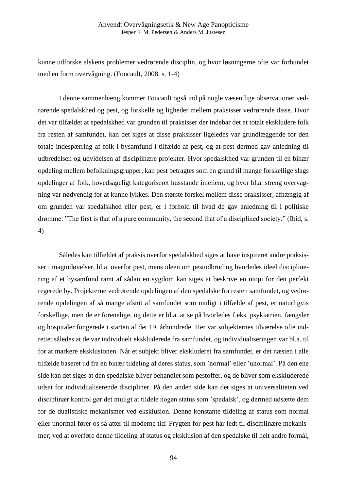kunne udforske alskens problemer vedrørende disciplin, og hvor løsningerne ofte var forbundet med en form overvågning. (Foucault, 2008, s. 1-4)

I denne sammenhæng kommer Foucault også ind på nogle væsentlige observationer vedrørende spedalskhed og pest, og forskelle og ligheder mellem praksisser vedrørende disse. Hvor det var tilfældet at spedalskhed var grunden til praksisser der indebar det at totalt ekskludere folk fra resten af samfundet, kan det siges at disse praksisser ligeledes var grundlæggende for den totale indespærring af folk i bysamfund i tilfælde af pest, og at pest dermed gav anledning til udbredelsen og udvidelsen af disciplinære projekter. Hvor spedalskhed var grunden til en binær opdeling mellem befolkningsgrupper, kan pest betragtes som en grund til mange forskellige slags opdelinger af folk, hovedsageligt kategoriseret husstande imellem, og hvor bl.a. streng overvågning var nødvendig for at kunne lykkes. Den største forskel mellem disse praksisser, afhængig af om grunden var spedalskhed eller pest, er i forhold til hvad de gav anledning til i politiske drømme: "The first is that of a pure community, the second that of a disciplined society." (Ibid, s. 4)

Således kan tilfældet af praksis overfor spedalskhed siges at have inspireret andre praksisser i magtudøvelser, bl.a. overfor pest, mens ideen om pestudbrud og hvorledes ideel disciplinering af et bysamfund ramt af sådan en sygdom kan siges at beskrive en utopi for den perfekt regerede by. Projekterne vedrørende opdelingen af den spedalske fra resten samfundet, og vedrørende opdelingen af så mange afsnit af samfundet som muligt i tilfælde af pest, er naturligvis forskellige, men de er forenelige, og dette er bl.a. at se på hvorledes f.eks. psykiatrien, fængsler og hospitaler fungerede i starten af det 19. århundrede. Her var subjekternes tilværelse ofte indrettet således at de var individuelt ekskluderede fra samfundet, og individualiseringen var bl.a. til for at markere eksklusionen. Når et subjekt bliver ekskluderet fra samfundet, er det næsten i alle tilfælde baseret ud fra en binær tildeling af deres status, som 'normal' eller 'unormal'. På den ene side kan det siges at den spedalske bliver behandlet som pestoffer, og de bliver som ekskluderede udsat for individualiserende discipliner. På den anden side kan det siges at universaliteten ved disciplinær kontrol gør det muligt at tildele nogen status som 'spedalsk', og dermed udsætte dem for de dualistiske mekanismer ved eksklusion. Denne konstante tildeling af status som normal eller unormal fører os så atter til moderne tid: Frygten for pest har ledt til disciplinære mekanismer; ved at overføre denne tildeling af status og eksklusion af den spedalske til helt andre formål,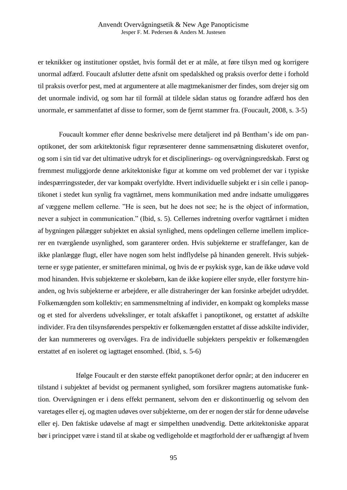er teknikker og institutioner opstået, hvis formål det er at måle, at føre tilsyn med og korrigere unormal adfærd. Foucault afslutter dette afsnit om spedalskhed og praksis overfor dette i forhold til praksis overfor pest, med at argumentere at alle magtmekanismer der findes, som drejer sig om det unormale individ, og som har til formål at tildele sådan status og forandre adfærd hos den unormale, er sammenfattet af disse to former, som de fjernt stammer fra. (Foucault, 2008, s. 3-5)

Foucault kommer efter denne beskrivelse mere detaljeret ind på Bentham's ide om panoptikonet, der som arkitektonisk figur repræsenterer denne sammensætning diskuteret ovenfor, og som i sin tid var det ultimative udtryk for et disciplinerings- og overvågningsredskab. Først og fremmest muliggjorde denne arkitektoniske figur at komme om ved problemet der var i typiske indespærringssteder, der var kompakt overfyldte. Hvert individuelle subjekt er i sin celle i panoptikonet i stedet kun synlig fra vagttårnet, mens kommunikation med andre indsatte umuliggøres af væggene mellem cellerne. "He is seen, but he does not see; he is the object of information, never a subject in communication." (Ibid, s. 5). Cellernes indretning overfor vagttårnet i midten af bygningen pålægger subjektet en aksial synlighed, mens opdelingen cellerne imellem implicerer en tværgående usynlighed, som garanterer orden. Hvis subjekterne er straffefanger, kan de ikke planlægge flugt, eller have nogen som helst indflydelse på hinanden generelt. Hvis subjekterne er syge patienter, er smittefaren minimal, og hvis de er psykisk syge, kan de ikke udøve vold mod hinanden. Hvis subjekterne er skolebørn, kan de ikke kopiere eller snyde, eller forstyrre hinanden, og hvis subjekterne er arbejdere, er alle distraheringer der kan forsinke arbejdet udryddet. Folkemængden som kollektiv; en sammensmeltning af individer, en kompakt og kompleks masse og et sted for alverdens udvekslinger, er totalt afskaffet i panoptikonet, og erstattet af adskilte individer. Fra den tilsynsførendes perspektiv er folkemængden erstattet af disse adskilte individer, der kan nummereres og overvåges. Fra de individuelle subjekters perspektiv er folkemængden erstattet af en isoleret og iagttaget ensomhed. (Ibid, s. 5-6)

 Ifølge Foucault er den største effekt panoptikonet derfor opnår; at den inducerer en tilstand i subjektet af bevidst og permanent synlighed, som forsikrer magtens automatiske funktion. Overvågningen er i dens effekt permanent, selvom den er diskontinuerlig og selvom den varetages eller ej, og magten udøves over subjekterne, om der er nogen der står for denne udøvelse eller ej. Den faktiske udøvelse af magt er simpelthen unødvendig. Dette arkitektoniske apparat bør i princippet være i stand til at skabe og vedligeholde et magtforhold der er uafhængigt af hvem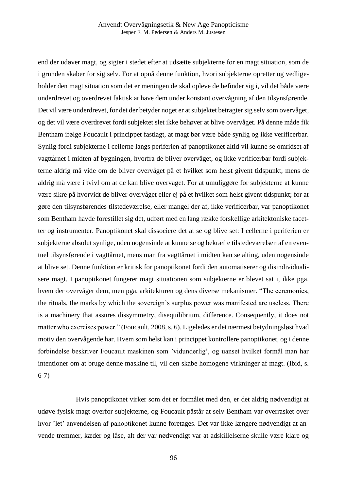end der udøver magt, og sigter i stedet efter at udsætte subjekterne for en magt situation, som de i grunden skaber for sig selv. For at opnå denne funktion, hvori subjekterne opretter og vedligeholder den magt situation som det er meningen de skal opleve de befinder sig i, vil det både være underdrevet og overdrevet faktisk at have dem under konstant overvågning af den tilsynsførende. Det vil være underdrevet, for det der betyder noget er at subjektet betragter sig selv som overvåget, og det vil være overdrevet fordi subjektet slet ikke behøver at blive overvåget. På denne måde fik Bentham ifølge Foucault i princippet fastlagt, at magt bør være både synlig og ikke verificerbar. Synlig fordi subjekterne i cellerne langs periferien af panoptikonet altid vil kunne se omridset af vagttårnet i midten af bygningen, hvorfra de bliver overvåget, og ikke verificerbar fordi subjekterne aldrig må vide om de bliver overvåget på et hvilket som helst givent tidspunkt, mens de aldrig må være i tvivl om at de kan blive overvåget. For at umuliggøre for subjekterne at kunne være sikre på hvorvidt de bliver overvåget eller ej på et hvilket som helst givent tidspunkt; for at gøre den tilsynsførendes tilstedeværelse, eller mangel der af, ikke verificerbar, var panoptikonet som Bentham havde forestillet sig det, udført med en lang række forskellige arkitektoniske facetter og instrumenter. Panoptikonet skal dissociere det at se og blive set: I cellerne i periferien er subjekterne absolut synlige, uden nogensinde at kunne se og bekræfte tilstedeværelsen af en eventuel tilsynsførende i vagttårnet, mens man fra vagttårnet i midten kan se alting, uden nogensinde at blive set. Denne funktion er kritisk for panoptikonet fordi den automatiserer og disindividualisere magt. I panoptikonet fungerer magt situationen som subjekterne er blevet sat i, ikke pga. hvem der overvåger dem, men pga. arkitekturen og dens diverse mekanismer. "The ceremonies, the rituals, the marks by which the sovereign's surplus power was manifested are useless. There is a machinery that assures dissymmetry, disequilibrium, difference. Consequently, it does not matter who exercises power." (Foucault, 2008, s. 6). Ligeledes er det nærmest betydningsløst hvad motiv den overvågende har. Hvem som helst kan i princippet kontrollere panoptikonet, og i denne forbindelse beskriver Foucault maskinen som 'vidunderlig', og uanset hvilket formål man har intentioner om at bruge denne maskine til, vil den skabe homogene virkninger af magt. (Ibid, s. 6-7)

 Hvis panoptikonet virker som det er formålet med den, er det aldrig nødvendigt at udøve fysisk magt overfor subjekterne, og Foucault påstår at selv Bentham var overrasket over hvor 'let' anvendelsen af panoptikonet kunne foretages. Det var ikke længere nødvendigt at anvende tremmer, kæder og låse, alt der var nødvendigt var at adskillelserne skulle være klare og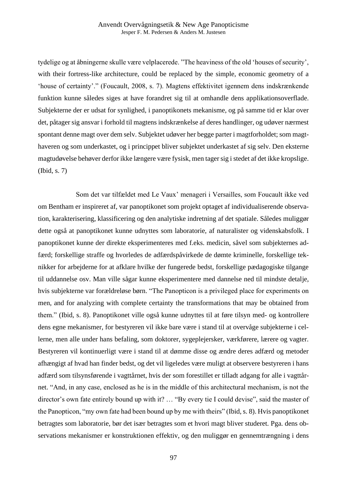tydelige og at åbningerne skulle være velplacerede. "The heaviness of the old 'houses of security', with their fortress-like architecture, could be replaced by the simple, economic geometry of a 'house of certainty'." (Foucault, 2008, s. 7). Magtens effektivitet igennem dens indskrænkende funktion kunne således siges at have forandret sig til at omhandle dens applikationsoverflade. Subjekterne der er udsat for synlighed, i panoptikonets mekanisme, og på samme tid er klar over det, påtager sig ansvar i forhold til magtens indskrænkelse af deres handlinger, og udøver nærmest spontant denne magt over dem selv. Subjektet udøver her begge parter i magtforholdet; som magthaveren og som underkastet, og i princippet bliver subjektet underkastet af sig selv. Den eksterne magtudøvelse behøver derfor ikke længere være fysisk, men tager sig i stedet af det ikke kropslige. (Ibid, s. 7)

 Som det var tilfældet med Le Vaux' menageri i Versailles, som Foucault ikke ved om Bentham er inspireret af, var panoptikonet som projekt optaget af individualiserende observation, karakterisering, klassificering og den analytiske indretning af det spatiale. Således muliggør dette også at panoptikonet kunne udnyttes som laboratorie, af naturalister og videnskabsfolk. I panoptikonet kunne der direkte eksperimenteres med f.eks. medicin, såvel som subjekternes adfærd; forskellige straffe og hvorledes de adfærdspåvirkede de dømte kriminelle, forskellige teknikker for arbejderne for at afklare hvilke der fungerede bedst, forskellige pædagogiske tilgange til uddannelse osv. Man ville sågar kunne eksperimentere med dannelse ned til mindste detalje, hvis subjekterne var forældreløse børn. "The Panopticon is a privileged place for experiments on men, and for analyzing with complete certainty the transformations that may be obtained from them." (Ibid, s. 8). Panoptikonet ville også kunne udnyttes til at føre tilsyn med- og kontrollere dens egne mekanismer, for bestyreren vil ikke bare være i stand til at overvåge subjekterne i cellerne, men alle under hans befaling, som doktorer, sygeplejersker, værkførere, lærere og vagter. Bestyreren vil kontinuerligt være i stand til at dømme disse og ændre deres adfærd og metoder afhængigt af hvad han finder bedst, og det vil ligeledes være muligt at observere bestyreren i hans adfærd som tilsynsførende i vagttårnet, hvis der som forestillet er tilladt adgang for alle i vagttårnet. "And, in any case, enclosed as he is in the middle of this architectural mechanism, is not the director's own fate entirely bound up with it? … "By every tie I could devise", said the master of the Panopticon, "my own fate had been bound up by me with theirs" (Ibid, s. 8). Hvis panoptikonet betragtes som laboratorie, bør det især betragtes som et hvori magt bliver studeret. Pga. dens observations mekanismer er konstruktionen effektiv, og den muliggør en gennemtrængning i dens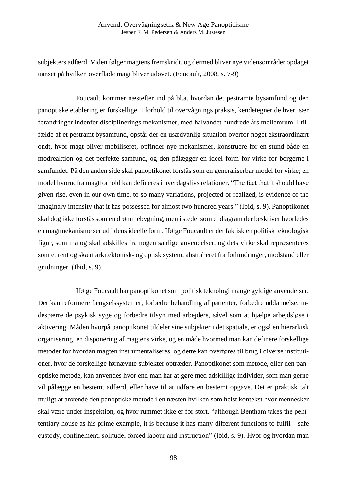subjekters adfærd. Viden følger magtens fremskridt, og dermed bliver nye vidensområder opdaget uanset på hvilken overflade magt bliver udøvet. (Foucault, 2008, s. 7-9)

 Foucault kommer næstefter ind på bl.a. hvordan det pestramte bysamfund og den panoptiske etablering er forskellige. I forhold til overvågnings praksis, kendetegner de hver især forandringer indenfor disciplinerings mekanismer, med halvandet hundrede års mellemrum. I tilfælde af et pestramt bysamfund, opstår der en usædvanlig situation overfor noget ekstraordinært ondt, hvor magt bliver mobiliseret, opfinder nye mekanismer, konstruere for en stund både en modreaktion og det perfekte samfund, og den pålægger en ideel form for virke for borgerne i samfundet. På den anden side skal panoptikonet forstås som en generaliserbar model for virke; en model hvorudfra magtforhold kan defineres i hverdagslivs relationer. "The fact that it should have given rise, even in our own time, to so many variations, projected or realized, is evidence of the imaginary intensity that it has possessed for almost two hundred years." (Ibid, s. 9). Panoptikonet skal dog ikke forstås som en drømmebygning, men i stedet som et diagram der beskriver hvorledes en magtmekanisme ser ud i dens ideelle form. Ifølge Foucault er det faktisk en politisk teknologisk figur, som må og skal adskilles fra nogen særlige anvendelser, og dets virke skal repræsenteres som et rent og skært arkitektonisk- og optisk system, abstraheret fra forhindringer, modstand eller gnidninger. (Ibid, s. 9)

 Ifølge Foucault har panoptikonet som politisk teknologi mange gyldige anvendelser. Det kan reformere fængselssystemer, forbedre behandling af patienter, forbedre uddannelse, indespærre de psykisk syge og forbedre tilsyn med arbejdere, såvel som at hjælpe arbejdsløse i aktivering. Måden hvorpå panoptikonet tildeler sine subjekter i det spatiale, er også en hierarkisk organisering, en disponering af magtens virke, og en måde hvormed man kan definere forskellige metoder for hvordan magten instrumentaliseres, og dette kan overføres til brug i diverse institutioner, hvor de forskellige førnævnte subjekter optræder. Panoptikonet som metode, eller den panoptiske metode, kan anvendes hvor end man har at gøre med adskillige individer, som man gerne vil pålægge en bestemt adfærd, eller have til at udføre en bestemt opgave. Det er praktisk talt muligt at anvende den panoptiske metode i en næsten hvilken som helst kontekst hvor mennesker skal være under inspektion, og hvor rummet ikke er for stort. "although Bentham takes the penitentiary house as his prime example, it is because it has many different functions to fulfil—safe custody, confinement, solitude, forced labour and instruction" (Ibid, s. 9). Hvor og hvordan man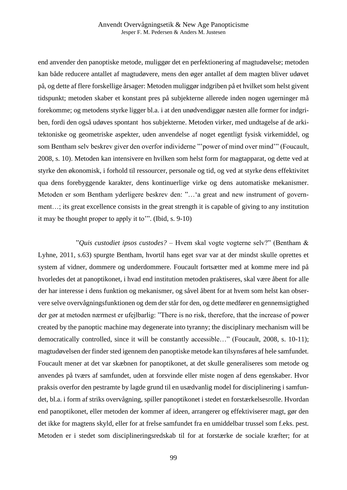end anvender den panoptiske metode, muliggør det en perfektionering af magtudøvelse; metoden kan både reducere antallet af magtudøvere, mens den øger antallet af dem magten bliver udøvet på, og dette af flere forskellige årsager: Metoden muliggør indgriben på et hvilket som helst givent tidspunkt; metoden skaber et konstant pres på subjekterne allerede inden nogen ugerninger må forekomme; og metodens styrke ligger bl.a. i at den unødvendiggør næsten alle former for indgriben, fordi den også udøves spontant hos subjekterne. Metoden virker, med undtagelse af de arkitektoniske og geometriske aspekter, uden anvendelse af noget egentligt fysisk virkemiddel, og som Bentham selv beskrev giver den overfor individerne "'power of mind over mind'" (Foucault, 2008, s. 10). Metoden kan intensivere en hvilken som helst form for magtapparat, og dette ved at styrke den økonomisk, i forhold til ressourcer, personale og tid, og ved at styrke dens effektivitet qua dens forebyggende karakter, dens kontinuerlige virke og dens automatiske mekanismer. Metoden er som Bentham yderligere beskrev den: "…'a great and new instrument of government…; its great excellence consists in the great strength it is capable of giving to any institution it may be thought proper to apply it to'". (Ibid, s. 9-10)

 "*Quis custodiet ipsos custodes?* – Hvem skal vogte vogterne selv?" (Bentham & Lyhne, 2011, s.63) spurgte Bentham, hvortil hans eget svar var at der mindst skulle oprettes et system af vidner, dommere og underdommere. Foucault fortsætter med at komme mere ind på hvorledes det at panoptikonet, i hvad end institution metoden praktiseres, skal være åbent for alle der har interesse i dens funktion og mekanismer, og såvel åbent for at hvem som helst kan observere selve overvågningsfunktionen og dem der står for den, og dette medfører en gennemsigtighed der gør at metoden nærmest er ufejlbarlig: "There is no risk, therefore, that the increase of power created by the panoptic machine may degenerate into tyranny; the disciplinary mechanism will be democratically controlled, since it will be constantly accessible..." (Foucault, 2008, s. 10-11); magtudøvelsen der finder sted igennem den panoptiske metode kan tilsynsføres af hele samfundet. Foucault mener at det var skæbnen for panoptikonet, at det skulle generaliseres som metode og anvendes på tværs af samfundet, uden at forsvinde eller miste nogen af dens egenskaber. Hvor praksis overfor den pestramte by lagde grund til en usædvanlig model for disciplinering i samfundet, bl.a. i form af striks overvågning, spiller panoptikonet i stedet en forstærkelsesrolle. Hvordan end panoptikonet, eller metoden der kommer af ideen, arrangerer og effektiviserer magt, gør den det ikke for magtens skyld, eller for at frelse samfundet fra en umiddelbar trussel som f.eks. pest. Metoden er i stedet som disciplineringsredskab til for at forstærke de sociale kræfter; for at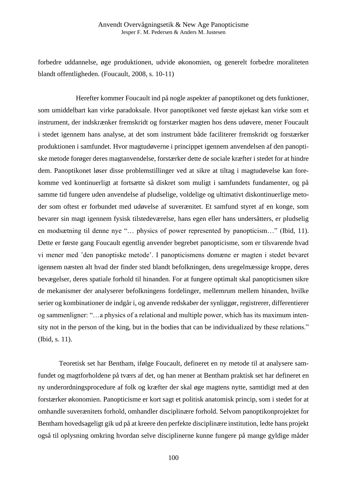forbedre uddannelse, øge produktionen, udvide økonomien, og generelt forbedre moraliteten blandt offentligheden. (Foucault, 2008, s. 10-11)

 Herefter kommer Foucault ind på nogle aspekter af panoptikonet og dets funktioner, som umiddelbart kan virke paradoksale. Hvor panoptikonet ved første øjekast kan virke som et instrument, der indskrænker fremskridt og forstærker magten hos dens udøvere, mener Foucault i stedet igennem hans analyse, at det som instrument både faciliterer fremskridt og forstærker produktionen i samfundet. Hvor magtudøverne i princippet igennem anvendelsen af den panoptiske metode forøger deres magtanvendelse, forstærker dette de sociale kræfter i stedet for at hindre dem. Panoptikonet løser disse problemstillinger ved at sikre at tiltag i magtudøvelse kan forekomme ved kontinuerligt at fortsætte så diskret som muligt i samfundets fundamenter, og på samme tid fungere uden anvendelse af pludselige, voldelige og ultimativt diskontinuerlige metoder som oftest er forbundet med udøvelse af suverænitet. Et samfund styret af en konge, som bevarer sin magt igennem fysisk tilstedeværelse, hans egen eller hans undersåtters, er pludselig en modsætning til denne nye "… physics of power represented by panopticism…" (Ibid, 11). Dette er første gang Foucault egentlig anvender begrebet panopticisme, som er tilsvarende hvad vi mener med 'den panoptiske metode'. I panopticismens domæne er magten i stedet bevaret igennem næsten alt hvad der finder sted blandt befolkningen, dens uregelmæssige kroppe, deres bevægelser, deres spatiale forhold til hinanden. For at fungere optimalt skal panopticismen sikre de mekanismer der analyserer befolkningens fordelinger, mellemrum mellem hinanden, hvilke serier og kombinationer de indgår i, og anvende redskaber der synliggør, registrerer, differentierer og sammenligner: "…a physics of a relational and multiple power, which has its maximum intensity not in the person of the king, but in the bodies that can be individualized by these relations." (Ibid, s. 11).

Teoretisk set har Bentham, ifølge Foucault, defineret en ny metode til at analysere samfundet og magtforholdene på tværs af det, og han mener at Bentham praktisk set har defineret en ny underordningsprocedure af folk og kræfter der skal øge magtens nytte, samtidigt med at den forstærker økonomien. Panopticisme er kort sagt et politisk anatomisk princip, som i stedet for at omhandle suverænitets forhold, omhandler disciplinære forhold. Selvom panoptikonprojektet for Bentham hovedsageligt gik ud på at kreere den perfekte disciplinære institution, ledte hans projekt også til oplysning omkring hvordan selve disciplinerne kunne fungere på mange gyldige måder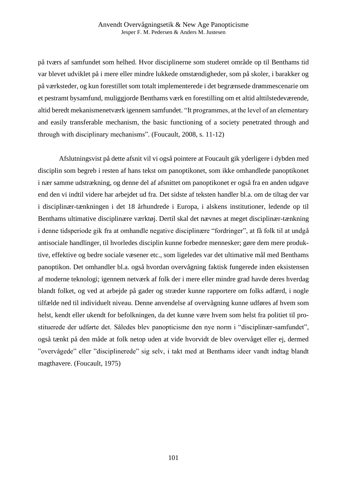på tværs af samfundet som helhed. Hvor disciplinerne som studeret område op til Benthams tid var blevet udviklet på i mere eller mindre lukkede omstændigheder, som på skoler, i barakker og på værksteder, og kun forestillet som totalt implementerede i det begrænsede drømmescenarie om et pestramt bysamfund, muliggjorde Benthams værk en forestilling om et altid alttilstedeværende, altid beredt mekanismenetværk igennem samfundet. "It programmes, at the level of an elementary and easily transferable mechanism, the basic functioning of a society penetrated through and through with disciplinary mechanisms". (Foucault, 2008, s. 11-12)

Afslutningsvist på dette afsnit vil vi også pointere at Foucault gik yderligere i dybden med disciplin som begreb i resten af hans tekst om panoptikonet, som ikke omhandlede panoptikonet i nær samme udstrækning, og denne del af afsnittet om panoptikonet er også fra en anden udgave end den vi indtil videre har arbejdet ud fra. Det sidste af teksten handler bl.a. om de tiltag der var i disciplinær-tænkningen i det 18 århundrede i Europa, i alskens institutioner, ledende op til Benthams ultimative disciplinære værktøj. Dertil skal det nævnes at meget disciplinær-tænkning i denne tidsperiode gik fra at omhandle negative disciplinære "fordringer", at få folk til at undgå antisociale handlinger, til hvorledes disciplin kunne forbedre mennesker; gøre dem mere produktive, effektive og bedre sociale væsener etc., som ligeledes var det ultimative mål med Benthams panoptikon. Det omhandler bl.a. også hvordan overvågning faktisk fungerede inden eksistensen af moderne teknologi; igennem netværk af folk der i mere eller mindre grad havde deres hverdag blandt folket, og ved at arbejde på gader og stræder kunne rapportere om folks adfærd, i nogle tilfælde ned til individuelt niveau. Denne anvendelse af overvågning kunne udføres af hvem som helst, kendt eller ukendt for befolkningen, da det kunne være hvem som helst fra politiet til prostituerede der udførte det. Således blev panopticisme den nye norm i "disciplinær-samfundet", også tænkt på den måde at folk netop uden at vide hvorvidt de blev overvåget eller ej, dermed "overvågede" eller "disciplinerede" sig selv, i takt med at Benthams ideer vandt indtag blandt magthavere. (Foucault, 1975)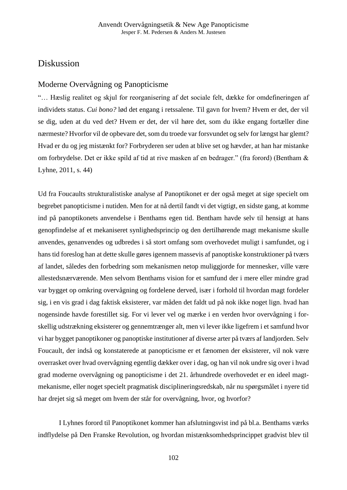# Diskussion

# Moderne Overvågning og Panopticisme

"… Hæslig realitet og skjul for reorganisering af det sociale felt, dække for omdefineringen af individets status. *Cui bono?* lød det engang i retssalene. Til gavn for hvem? Hvem er det, der vil se dig, uden at du ved det? Hvem er det, der vil høre det, som du ikke engang fortæller dine nærmeste? Hvorfor vil de opbevare det, som du troede var forsvundet og selv for længst har glemt? Hvad er du og jeg mistænkt for? Forbryderen ser uden at blive set og hævder, at han har mistanke om forbrydelse. Det er ikke spild af tid at rive masken af en bedrager." (fra forord) (Bentham & Lyhne, 2011, s. 44)

Ud fra Foucaults strukturalistiske analyse af Panoptikonet er der også meget at sige specielt om begrebet panopticisme i nutiden. Men for at nå dertil fandt vi det vigtigt, en sidste gang, at komme ind på panoptikonets anvendelse i Benthams egen tid. Bentham havde selv til hensigt at hans genopfindelse af et mekaniseret synlighedsprincip og den dertilhørende magt mekanisme skulle anvendes, genanvendes og udbredes i så stort omfang som overhovedet muligt i samfundet, og i hans tid foreslog han at dette skulle gøres igennem massevis af panoptiske konstruktioner på tværs af landet, således den forbedring som mekanismen netop muliggjorde for mennesker, ville være allestedsnærværende. Men selvom Benthams vision for et samfund der i mere eller mindre grad var bygget op omkring overvågning og fordelene derved, især i forhold til hvordan magt fordeler sig, i en vis grad i dag faktisk eksisterer, var måden det faldt ud på nok ikke noget lign. hvad han nogensinde havde forestillet sig. For vi lever vel og mærke i en verden hvor overvågning i forskellig udstrækning eksisterer og gennemtrænger alt, men vi lever ikke ligefrem i et samfund hvor vi har bygget panoptikoner og panoptiske institutioner af diverse arter på tværs af landjorden. Selv Foucault, der indså og konstaterede at panopticisme er et fænomen der eksisterer, vil nok være overrasket over hvad overvågning egentlig dækker over i dag, og han vil nok undre sig over i hvad grad moderne overvågning og panopticisme i det 21. århundrede overhovedet er en ideel magtmekanisme, eller noget specielt pragmatisk disciplineringsredskab, når nu spørgsmålet i nyere tid har drejet sig så meget om hvem der står for overvågning, hvor, og hvorfor?

I Lyhnes forord til Panoptikonet kommer han afslutningsvist ind på bl.a. Benthams værks indflydelse på Den Franske Revolution, og hvordan mistænksomhedsprincippet gradvist blev til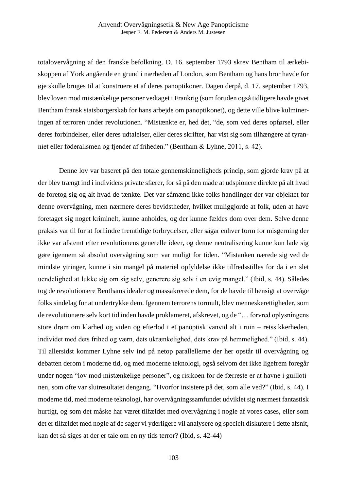totalovervågning af den franske befolkning. D. 16. september 1793 skrev Bentham til ærkebiskoppen af York angående en grund i nærheden af London, som Bentham og hans bror havde for øje skulle bruges til at konstruere et af deres panoptikoner. Dagen derpå, d. 17. september 1793, blev loven mod mistænkelige personer vedtaget i Frankrig (som foruden også tidligere havde givet Bentham fransk statsborgerskab for hans arbejde om panoptikonet), og dette ville blive kulmineringen af terroren under revolutionen. "Mistænkte er, hed det, "de, som ved deres opførsel, eller deres forbindelser, eller deres udtalelser, eller deres skrifter, har vist sig som tilhængere af tyranniet eller føderalismen og fjender af friheden." (Bentham & Lyhne, 2011, s. 42).

Denne lov var baseret på den totale gennemskinneligheds princip, som gjorde krav på at der blev trængt ind i individers private sfærer, for så på den måde at udspionere direkte på alt hvad de foretog sig og alt hvad de tænkte. Det var såmænd ikke folks handlinger der var objektet for denne overvågning, men nærmere deres bevidstheder, hvilket muliggjorde at folk, uden at have foretaget sig noget kriminelt, kunne anholdes, og der kunne fældes dom over dem. Selve denne praksis var til for at forhindre fremtidige forbrydelser, eller sågar enhver form for misgerning der ikke var afstemt efter revolutionens generelle ideer, og denne neutralisering kunne kun lade sig gøre igennem så absolut overvågning som var muligt for tiden. "Mistanken nærede sig ved de mindste ytringer, kunne i sin mangel på materiel opfyldelse ikke tilfredsstilles for da i en slet uendelighed at lukke sig om sig selv, generere sig selv i en evig mangel." (Ibid, s. 44). Således tog de revolutionære Benthams idealer og massakrerede dem, for de havde til hensigt at overvåge folks sindelag for at undertrykke dem. Igennem terrorens tormult, blev menneskerettigheder, som de revolutionære selv kort tid inden havde proklameret, afskrevet, og de "… forvred oplysningens store drøm om klarhed og viden og efterlod i et panoptisk vanvid alt i ruin – retssikkerheden, individet med dets frihed og værn, dets ukrænkelighed, dets krav på hemmelighed." (Ibid, s. 44). Til allersidst kommer Lyhne selv ind på netop parallellerne der her opstår til overvågning og debatten derom i moderne tid, og med moderne teknologi, også selvom det ikke ligefrem foregår under nogen "lov mod mistænkelige personer", og risikoen for de færreste er at havne i guillotinen, som ofte var slutresultatet dengang. "Hvorfor insistere på det, som alle ved?" (Ibid, s. 44). I moderne tid, med moderne teknologi, har overvågningssamfundet udviklet sig nærmest fantastisk hurtigt, og som det måske har været tilfældet med overvågning i nogle af vores cases, eller som det er tilfældet med nogle af de sager vi yderligere vil analysere og specielt diskutere i dette afsnit, kan det så siges at der er tale om en ny tids terror? (Ibid, s. 42-44)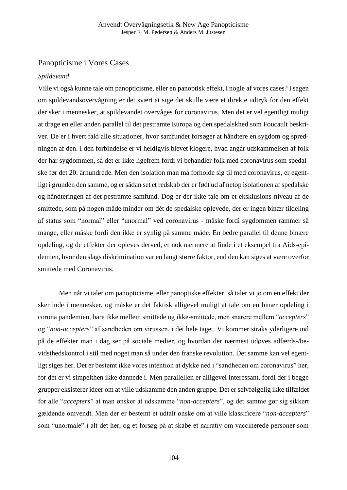## Panopticisme i Vores Cases

#### *Spildevand*

Ville vi også kunne tale om panopticisme, eller en panoptisk effekt, i nogle af vores cases? I sagen om spildevandsovervågning er det svært at sige det skulle være et direkte udtryk for den effekt der sker i mennesker, at spildevandet overvåges for coronavirus. Men det er vel egentligt muligt at drage en eller anden parallel til det pestramte Europa og den spedalskhed som Foucault beskriver. De er i hvert fald alle situationer, hvor samfundet forsøger at håndtere en sygdom og spredningen af den. I den forbindelse er vi heldigvis blevet klogere, hvad angår udskammelsen af folk der har sygdommen, så det er ikke ligefrem fordi vi behandler folk med coronavirus som spedalske før det 20. århundrede. Men den isolation man må forholde sig til med coronavirus, er egentligt i grunden den samme, og er sådan set et redskab der er født ud af netop isolationen af spedalske og håndteringen af det pestramte samfund. Dog er der ikke tale om et eksklusions-niveau af de smittede, som på nogen måde minder om dét de spedalske oplevede, der er ingen binær tildeling af status som "normal" eller "unormal" ved coronavirus - måske fordi sygdommen rammer så mange, eller måske fordi den ikke er synlig på samme måde. En bedre parallel til denne binære opdeling, og de effekter der opleves derved, er nok nærmere at finde i et eksempel fra Aids-epidemien, hvor den slags diskrimination var en langt større faktor, end den kan siges at være overfor smittede med Coronavirus.

Men når vi taler om panopticisme, eller panoptiske effekter, så taler vi jo om en effekt der sker inde i mennesker, og måske er det faktisk alligevel muligt at tale om en binær opdeling i corona pandemien, bare ikke mellem smittede og ikke-smittede, men snarere mellem "*accepters*" og "*non-accepters*" af sandheden om virussen, i det hele taget. Vi kommer straks yderligere ind på de effekter man i dag ser på sociale medier, og hvordan der nærmest udøves adfærds-/bevidsthedskontrol i stil med noget man så under den franske revolution. Det samme kan vel egentligt siges her. Det er bestemt ikke vores intention at dykke ned i "sandheden om coronavirus" her, for dét er vi simpelthen ikke dannede i. Men parallellen er alligevel interessant, fordi der i begge grupper eksisterer ideer om at ville udskamme den anden gruppe. Det er selvfølgelig ikke tilfældet for alle "*accepters*" at man ønsker at udskamme "*non-accepters*", og det samme gør sig sikkert gældende omvendt. Men der er bestemt et udtalt ønske om at ville klassificere "*non-accepters*" som "unormale" i alt det her, og et forsøg på at skabe et narrativ om vaccinerede personer som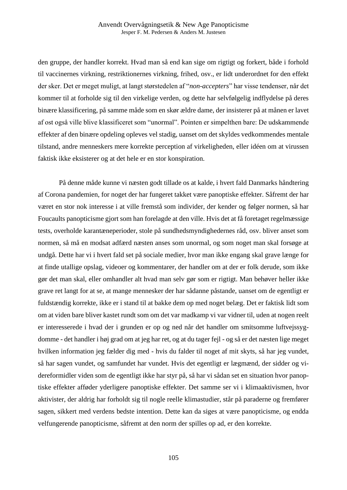den gruppe, der handler korrekt. Hvad man så end kan sige om rigtigt og forkert, både i forhold til vaccinernes virkning, restriktionernes virkning, frihed, osv., er lidt underordnet for den effekt der sker. Det er meget muligt, at langt størstedelen af "*non-accepters*" har visse tendenser, når det kommer til at forholde sig til den virkelige verden, og dette har selvfølgelig indflydelse på deres binære klassificering, på samme måde som en skør ældre dame, der insisterer på at månen er lavet af ost også ville blive klassificeret som "unormal". Pointen er simpelthen bare: De udskammende effekter af den binære opdeling opleves vel stadig, uanset om det skyldes vedkommendes mentale tilstand, andre menneskers mere korrekte perception af virkeligheden, eller idéen om at virussen faktisk ikke eksisterer og at det hele er en stor konspiration.

På denne måde kunne vi næsten godt tillade os at kalde, i hvert fald Danmarks håndtering af Corona pandemien, for noget der har fungeret takket være panoptiske effekter. Såfremt der har været en stor nok interesse i at ville fremstå som individer, der kender og følger normen, så har Foucaults panopticisme gjort som han forelagde at den ville. Hvis det at få foretaget regelmæssige tests, overholde karantæneperioder, stole på sundhedsmyndighedernes råd, osv. bliver anset som normen, så må en modsat adfærd næsten anses som unormal, og som noget man skal forsøge at undgå. Dette har vi i hvert fald set på sociale medier, hvor man ikke engang skal grave længe for at finde utallige opslag, videoer og kommentarer, der handler om at der er folk derude, som ikke gør det man skal, eller omhandler alt hvad man selv gør som er rigtigt. Man behøver heller ikke grave ret langt for at se, at mange mennesker der har sådanne påstande, uanset om de egentligt er fuldstændig korrekte, ikke er i stand til at bakke dem op med noget belæg. Det er faktisk lidt som om at viden bare bliver kastet rundt som om det var madkamp vi var vidner til, uden at nogen reelt er interesserede i hvad der i grunden er op og ned når det handler om smitsomme luftvejssygdomme - det handler i høj grad om at jeg har ret, og at du tager fejl - og så er det næsten lige meget hvilken information jeg fælder dig med - hvis du falder til noget af mit skyts, så har jeg vundet, så har sagen vundet, og samfundet har vundet. Hvis det egentligt er lægmænd, der sidder og videreformidler viden som de egentligt ikke har styr på, så har vi sådan set en situation hvor panoptiske effekter afføder yderligere panoptiske effekter. Det samme ser vi i klimaaktivismen, hvor aktivister, der aldrig har forholdt sig til nogle reelle klimastudier, står på paraderne og fremfører sagen, sikkert med verdens bedste intention. Dette kan da siges at være panopticisme, og endda velfungerende panopticisme, såfremt at den norm der spilles op ad, er den korrekte.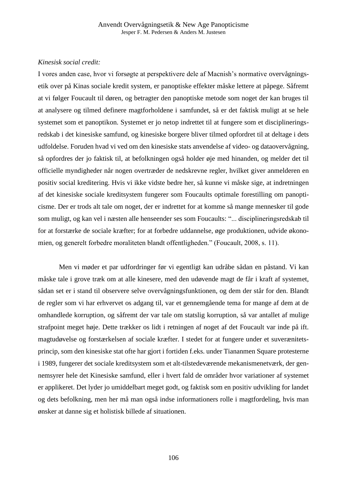### *Kinesisk social credit:*

I vores anden case, hvor vi forsøgte at perspektivere dele af Macnish's normative overvågningsetik over på Kinas sociale kredit system, er panoptiske effekter måske lettere at påpege. Såfremt at vi følger Foucault til døren, og betragter den panoptiske metode som noget der kan bruges til at analysere og tilmed definere magtforholdene i samfundet, så er det faktisk muligt at se hele systemet som et panoptikon. Systemet er jo netop indrettet til at fungere som et disciplineringsredskab i det kinesiske samfund, og kinesiske borgere bliver tilmed opfordret til at deltage i dets udfoldelse. Foruden hvad vi ved om den kinesiske stats anvendelse af video- og dataovervågning, så opfordres der jo faktisk til, at befolkningen også holder øje med hinanden, og melder det til officielle myndigheder når nogen overtræder de nedskrevne regler, hvilket giver anmelderen en positiv social kreditering. Hvis vi ikke vidste bedre her, så kunne vi måske sige, at indretningen af det kinesiske sociale kreditsystem fungerer som Foucaults optimale forestilling om panopticisme. Der er trods alt tale om noget, der er indrettet for at komme så mange mennesker til gode som muligt, og kan vel i næsten alle henseender ses som Foucaults: "... disciplineringsredskab til for at forstærke de sociale kræfter; for at forbedre uddannelse, øge produktionen, udvide økonomien, og generelt forbedre moraliteten blandt offentligheden." (Foucault, 2008, s. 11).

Men vi møder et par udfordringer før vi egentligt kan udråbe sådan en påstand. Vi kan måske tale i grove træk om at alle kinesere, med den udøvende magt de får i kraft af systemet, sådan set er i stand til observere selve overvågningsfunktionen, og dem der står for den. Blandt de regler som vi har erhvervet os adgang til, var et gennemgående tema for mange af dem at de omhandlede korruption, og såfremt der var tale om statslig korruption, så var antallet af mulige strafpoint meget høje. Dette trækker os lidt i retningen af noget af det Foucault var inde på ift. magtudøvelse og forstærkelsen af sociale kræfter. I stedet for at fungere under et suverænitetsprincip, som den kinesiske stat ofte har gjort i fortiden f.eks. under Tiananmen Square protesterne i 1989, fungerer det sociale kreditsystem som et alt-tilstedeværende mekanismenetværk, der gennemsyrer hele det Kinesiske samfund, eller i hvert fald de områder hvor variationer af systemet er applikeret. Det lyder jo umiddelbart meget godt, og faktisk som en positiv udvikling for landet og dets befolkning, men her må man også indse informationers rolle i magtfordeling, hvis man ønsker at danne sig et holistisk billede af situationen.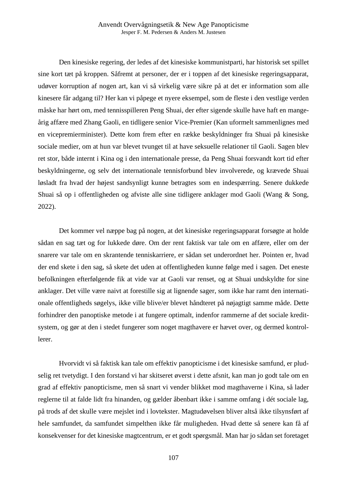Den kinesiske regering, der ledes af det kinesiske kommunistparti, har historisk set spillet sine kort tæt på kroppen. Såfremt at personer, der er i toppen af det kinesiske regeringsapparat, udøver korruption af nogen art, kan vi så virkelig være sikre på at det er information som alle kinesere får adgang til? Her kan vi påpege et nyere eksempel, som de fleste i den vestlige verden måske har hørt om, med tennisspilleren Peng Shuai, der efter sigende skulle have haft en mangeårig affære med Zhang Gaoli, en tidligere senior Vice-Premier (Kan uformelt sammenlignes med en vicepremierminister). Dette kom frem efter en række beskyldninger fra Shuai på kinesiske sociale medier, om at hun var blevet tvunget til at have seksuelle relationer til Gaoli. Sagen blev ret stor, både internt i Kina og i den internationale presse, da Peng Shuai forsvandt kort tid efter beskyldningerne, og selv det internationale tennisforbund blev involverede, og krævede Shuai løsladt fra hvad der højest sandsynligt kunne betragtes som en indespærring. Senere dukkede Shuai så op i offentligheden og afviste alle sine tidligere anklager mod Gaoli (Wang & Song, 2022).

Det kommer vel næppe bag på nogen, at det kinesiske regeringsapparat forsøgte at holde sådan en sag tæt og for lukkede døre. Om der rent faktisk var tale om en affære, eller om der snarere var tale om en skrantende tenniskarriere, er sådan set underordnet her. Pointen er, hvad der end skete i den sag, så skete det uden at offentligheden kunne følge med i sagen. Det eneste befolkningen efterfølgende fik at vide var at Gaoli var renset, og at Shuai undskyldte for sine anklager. Det ville være naivt at forestille sig at lignende sager, som ikke har ramt den internationale offentligheds søgelys, ikke ville blive/er blevet håndteret på nøjagtigt samme måde. Dette forhindrer den panoptiske metode i at fungere optimalt, indenfor rammerne af det sociale kreditsystem, og gør at den i stedet fungerer som noget magthavere er hævet over, og dermed kontrollerer.

Hvorvidt vi så faktisk kan tale om effektiv panopticisme i det kinesiske samfund, er pludselig ret tvetydigt. I den forstand vi har skitseret øverst i dette afsnit, kan man jo godt tale om en grad af effektiv panopticisme, men så snart vi vender blikket mod magthaverne i Kina, så lader reglerne til at falde lidt fra hinanden, og gælder åbenbart ikke i samme omfang i dét sociale lag, på trods af det skulle være mejslet ind i lovtekster. Magtudøvelsen bliver altså ikke tilsynsført af hele samfundet, da samfundet simpelthen ikke får muligheden. Hvad dette så senere kan få af konsekvenser for det kinesiske magtcentrum, er et godt spørgsmål. Man har jo sådan set foretaget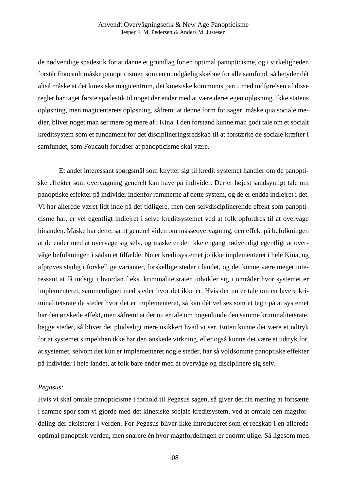de nødvendige spadestik for at danne et grundlag for en optimal panopticisme, og i virkeligheden forstår Foucault måske panopticismen som en uundgåelig skæbne for alle samfund, så betyder dét altså måske at det kinesiske magtcentrum, det kinesiske kommunistparti, med indførelsen af disse regler har taget første spadestik til noget der ender med at være deres egen opløsning. Ikke statens opløsning, men magtcenterets opløsning, såfremt at denne form for sager, måske qua sociale medier, bliver noget man ser mere og mere af i Kina. I den forstand kunne man godt tale om et socialt kreditsystem som et fundament for det disciplineringsredskab til at forstærke de sociale kræfter i samfundet, som Foucault forudser at panopticisme skal være.

Et andet interessant spørgsmål som knytter sig til kredit systemet handler om de panoptiske effekter som overvågning generelt kan have på individer. Der er højest sandsynligt tale om panoptiske effekter på individer indenfor rammerne af dette system, og de er endda indlejret i det. Vi har allerede været lidt inde på det tidligere, men den selvdisciplinerende effekt som panopticisme har, er vel egentligt indlejret i selve kreditsystemet ved at folk opfordres til at overvåge hinanden. Måske har dette, samt generel viden om masseovervågning, den effekt på befolkningen at de ender med at overvåge sig selv, og måske er det ikke engang nødvendigt egentligt at overvåge befolkningen i sådan et tilfælde. Nu er kreditsystemet jo ikke implementeret i hele Kina, og afprøves stadig i forskellige varianter, forskellige steder i landet, og det kunne være meget interessant at få indsigt i hvordan f.eks. kriminalitetsraten udvikler sig i områder hvor systemet er implementeret, sammenlignet med steder hvor det ikke er. Hvis der nu er tale om en lavere kriminalitetsrate de steder hvor det er implementeret, så kan dét vel ses som et tegn på at systemet har den ønskede effekt, men såfremt at der nu er tale om nogenlunde den samme kriminalitetsrate, begge steder, så bliver det pludseligt mere usikkert hvad vi ser. Enten kunne dét være et udtryk for at systemet simpelthen ikke har den ønskede virkning, eller også kunne det være et udtryk for, at systemet, selvom det kun er implementeret nogle steder, har så voldsomme panoptiske effekter på individer i hele landet, at folk bare ender med at overvåge og disciplinere sig selv.

#### *Pegasus:*

Hvis vi skal omtale panopticisme i forhold til Pegasus sagen, så giver det fin mening at fortsætte i samme spor som vi gjorde med det kinesiske sociale kreditsystem, ved at omtale den magtfordeling der eksisterer i verden. For Pegasus bliver ikke introduceret som et redskab i en allerede optimal panoptisk verden, men snarere én hvor magtfordelingen er enormt ulige. Så ligesom med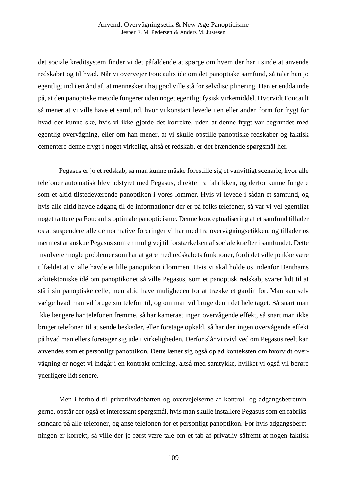det sociale kreditsystem finder vi det påfaldende at spørge om hvem der har i sinde at anvende redskabet og til hvad. Når vi overvejer Foucaults ide om det panoptiske samfund, så taler han jo egentligt ind i en ånd af, at mennesker i høj grad ville stå for selvdisciplinering. Han er endda inde på, at den panoptiske metode fungerer uden noget egentligt fysisk virkemiddel. Hvorvidt Foucault så mener at vi ville have et samfund, hvor vi konstant levede i en eller anden form for frygt for hvad der kunne ske, hvis vi ikke gjorde det korrekte, uden at denne frygt var begrundet med egentlig overvågning, eller om han mener, at vi skulle opstille panoptiske redskaber og faktisk cementere denne frygt i noget virkeligt, altså et redskab, er det brændende spørgsmål her.

Pegasus er jo et redskab, så man kunne måske forestille sig et vanvittigt scenarie, hvor alle telefoner automatisk blev udstyret med Pegasus, direkte fra fabrikken, og derfor kunne fungere som et altid tilstedeværende panoptikon i vores lommer. Hvis vi levede i sådan et samfund, og hvis alle altid havde adgang til de informationer der er på folks telefoner, så var vi vel egentligt noget tættere på Foucaults optimale panopticisme. Denne konceptualisering af et samfund tillader os at suspendere alle de normative fordringer vi har med fra overvågningsetikken, og tillader os nærmest at anskue Pegasus som en mulig vej til forstærkelsen af sociale kræfter i samfundet. Dette involverer nogle problemer som har at gøre med redskabets funktioner, fordi det ville jo ikke være tilfældet at vi alle havde et lille panoptikon i lommen. Hvis vi skal holde os indenfor Benthams arkitektoniske idé om panoptikonet så ville Pegasus, som et panoptisk redskab, svarer lidt til at stå i sin panoptiske celle, men altid have muligheden for at trække et gardin for. Man kan selv vælge hvad man vil bruge sin telefon til, og om man vil bruge den i det hele taget. Så snart man ikke længere har telefonen fremme, så har kameraet ingen overvågende effekt, så snart man ikke bruger telefonen til at sende beskeder, eller foretage opkald, så har den ingen overvågende effekt på hvad man ellers foretager sig ude i virkeligheden. Derfor slår vi tvivl ved om Pegasus reelt kan anvendes som et personligt panoptikon. Dette læner sig også op ad konteksten om hvorvidt overvågning er noget vi indgår i en kontrakt omkring, altså med samtykke, hvilket vi også vil berøre yderligere lidt senere.

Men i forhold til privatlivsdebatten og overvejelserne af kontrol- og adgangsbetretningerne, opstår der også et interessant spørgsmål, hvis man skulle installere Pegasus som en fabriksstandard på alle telefoner, og anse telefonen for et personligt panoptikon. For hvis adgangsberetningen er korrekt, så ville der jo først være tale om et tab af privatliv såfremt at nogen faktisk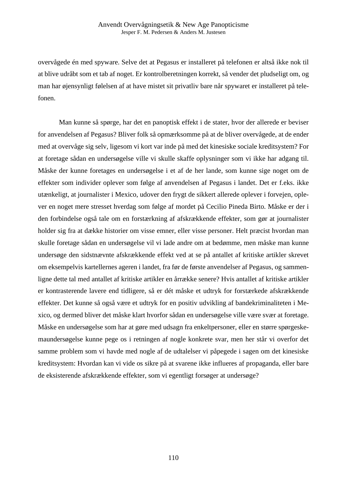overvågede én med spyware. Selve det at Pegasus er installeret på telefonen er altså ikke nok til at blive udråbt som et tab af noget. Er kontrolberetningen korrekt, så vender det pludseligt om, og man har øjensynligt følelsen af at have mistet sit privatliv bare når spywaret er installeret på telefonen.

Man kunne så spørge, har det en panoptisk effekt i de stater, hvor der allerede er beviser for anvendelsen af Pegasus? Bliver folk så opmærksomme på at de bliver overvågede, at de ender med at overvåge sig selv, ligesom vi kort var inde på med det kinesiske sociale kreditsystem? For at foretage sådan en undersøgelse ville vi skulle skaffe oplysninger som vi ikke har adgang til. Måske der kunne foretages en undersøgelse i et af de her lande, som kunne sige noget om de effekter som individer oplever som følge af anvendelsen af Pegasus i landet. Det er f.eks. ikke utænkeligt, at journalister i Mexico, udover den frygt de sikkert allerede oplever i forvejen, oplever en noget mere stresset hverdag som følge af mordet på Cecilio Pineda Birto. Måske er der i den forbindelse også tale om en forstærkning af afskrækkende effekter, som gør at journalister holder sig fra at dække historier om visse emner, eller visse personer. Helt præcist hvordan man skulle foretage sådan en undersøgelse vil vi lade andre om at bedømme, men måske man kunne undersøge den sidstnævnte afskrækkende effekt ved at se på antallet af kritiske artikler skrevet om eksempelvis kartellernes ageren i landet, fra før de første anvendelser af Pegasus, og sammenligne dette tal med antallet af kritiske artikler en årrække senere? Hvis antallet af kritiske artikler er kontrasterende lavere end tidligere, så er dét måske et udtryk for forstærkede afskrækkende effekter. Det kunne så også være et udtryk for en positiv udvikling af bandekriminaliteten i Mexico, og dermed bliver det måske klart hvorfor sådan en undersøgelse ville være svær at foretage. Måske en undersøgelse som har at gøre med udsagn fra enkeltpersoner, eller en større spørgeskemaundersøgelse kunne pege os i retningen af nogle konkrete svar, men her står vi overfor det samme problem som vi havde med nogle af de udtalelser vi påpegede i sagen om det kinesiske kreditsystem: Hvordan kan vi vide os sikre på at svarene ikke influeres af propaganda, eller bare de eksisterende afskrækkende effekter, som vi egentligt forsøger at undersøge?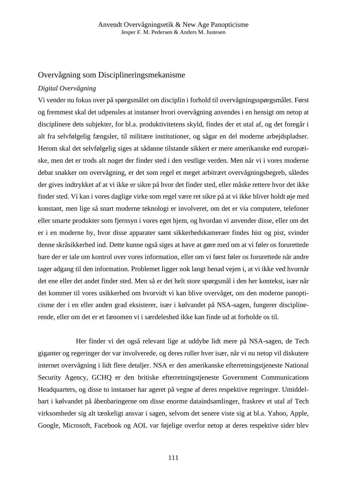### Overvågning som Disciplineringsmekanisme

#### *Digital Overvågning*

Vi vender nu fokus over på spørgsmålet om disciplin i forhold til overvågningsspørgsmålet. Først og fremmest skal det udpensles at instanser hvori overvågning anvendes i en hensigt om netop at disciplinere dets subjekter, for bl.a. produktivitetens skyld, findes der et utal af, og det foregår i alt fra selvfølgelig fængsler, til militære institutioner, og sågar en del moderne arbejdspladser. Herom skal det selvfølgelig siges at sådanne tilstande sikkert er mere amerikanske end europæiske, men det er trods alt noget der finder sted i den vestlige verden. Men når vi i vores moderne debat snakker om overvågning, er det som regel et meget arbitrært overvågningsbegreb, således der gives indtrykket af at vi ikke er sikre på hvor det finder sted, eller måske rettere hvor det ikke finder sted. Vi kan i vores daglige virke som regel være ret sikre på at vi ikke bliver holdt øje med konstant, men lige så snart moderne teknologi er involveret, om det er via computere, telefoner eller smarte produkter som fjernsyn i vores eget hjem, og hvordan vi anvender disse, eller om det er i en moderne by, hvor disse apparater samt sikkerhedskameraer findes hist og pist, svinder denne skråsikkerhed ind. Dette kunne også siges at have at gøre med om at vi føler os forurettede bare der er tale om kontrol over vores information, eller om vi først føler os forurettede når andre tager adgang til den information. Problemet ligger nok langt henad vejen i, at vi ikke ved hvornår det ene eller det andet finder sted. Men så er det helt store spørgsmål i den her kontekst, især når det kommer til vores usikkerhed om hvorvidt vi kan blive overvåget, om den moderne panopticisme der i en eller anden grad eksisterer, især i kølvandet på NSA-sagen, fungerer disciplinerende, eller om det er et fænomen vi i særdeleshed ikke kan finde ud at forholde os til.

Her finder vi det også relevant lige at uddybe lidt mere på NSA-sagen, de Tech giganter og regeringer der var involverede, og deres roller hver især, når vi nu netop vil diskutere internet overvågning i lidt flere detaljer. NSA er den amerikanske efterretningstjeneste National Security Agency, GCHQ er den britiske efterretningstjeneste Government Communications Headquarters, og disse to instanser har ageret på vegne af deres respektive regeringer. Umiddelbart i kølvandet på åbenbaringerne om disse enorme dataindsamlinger, fraskrev et utal af Tech virksomheder sig alt tænkeligt ansvar i sagen, selvom det senere viste sig at bl.a. Yahoo, Apple, Google, Microsoft, Facebook og AOL var føjelige overfor netop at deres respektive sider blev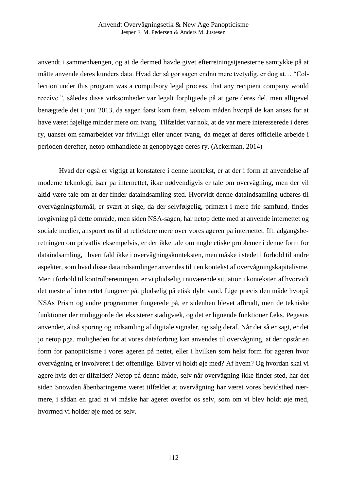anvendt i sammenhængen, og at de dermed havde givet efterretningstjenesterne samtykke på at måtte anvende deres kunders data. Hvad der så gør sagen endnu mere tvetydig, er dog at… "Collection under this program was a compulsory legal process, that any recipient company would receive.", således disse virksomheder var legalt forpligtede på at gøre deres del, men alligevel benægtede det i juni 2013, da sagen først kom frem, selvom måden hvorpå de kan anses for at have været føjelige minder mere om tvang. Tilfældet var nok, at de var mere interesserede i deres ry, uanset om samarbejdet var frivilligt eller under tvang, da meget af deres officielle arbejde i perioden derefter, netop omhandlede at genopbygge deres ry. (Ackerman, 2014)

Hvad der også er vigtigt at konstatere i denne kontekst, er at der i form af anvendelse af moderne teknologi, især på internettet, ikke nødvendigvis er tale om overvågning, men der vil altid være tale om at der finder dataindsamling sted. Hvorvidt denne dataindsamling udføres til overvågningsformål, er svært at sige, da der selvfølgelig, primært i mere frie samfund, findes lovgivning på dette område, men siden NSA-sagen, har netop dette med at anvende internettet og sociale medier, ansporet os til at reflektere mere over vores ageren på internettet. Ift. adgangsberetningen om privatliv eksempelvis, er der ikke tale om nogle etiske problemer i denne form for dataindsamling, i hvert fald ikke i overvågningskonteksten, men måske i stedet i forhold til andre aspekter, som hvad disse dataindsamlinger anvendes til i en kontekst af overvågningskapitalisme. Men i forhold til kontrolberetningen, er vi pludselig i nuværende situation i konteksten af hvorvidt det meste af internettet fungerer på, pludselig på etisk dybt vand. Lige præcis den måde hvorpå NSAs Prism og andre programmer fungerede på, er sidenhen blevet afbrudt, men de tekniske funktioner der muliggjorde det eksisterer stadigvæk, og det er lignende funktioner f.eks. Pegasus anvender, altså sporing og indsamling af digitale signaler, og salg deraf. Når det så er sagt, er det jo netop pga. muligheden for at vores dataforbrug kan anvendes til overvågning, at der opstår en form for panopticisme i vores ageren på nettet, eller i hvilken som helst form for ageren hvor overvågning er involveret i det offentlige. Bliver vi holdt øje med? Af hvem? Og hvordan skal vi agere hvis det er tilfældet? Netop på denne måde, selv når overvågning ikke finder sted, har det siden Snowden åbenbaringerne været tilfældet at overvågning har været vores bevidsthed nærmere, i sådan en grad at vi måske har ageret overfor os selv, som om vi blev holdt øje med, hvormed vi holder øje med os selv.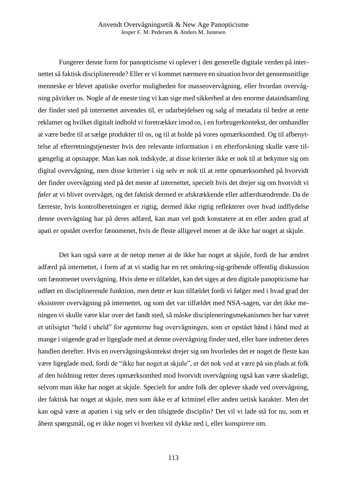Fungerer denne form for panopticisme vi oplever i den generelle digitale verden på internettet så faktisk disciplinerende? Eller er vi kommet nærmere en situation hvor det gennemsnitlige menneske er blevet apatiske overfor muligheden for masseovervågning, eller hvordan overvågning påvirker os. Nogle af de eneste ting vi kan sige med sikkerhed at den enorme dataindsamling der finder sted på internettet anvendes til, er udarbejdelsen og salg af metadata til bedre at rette reklamer og hvilket digitalt indhold vi foretrækker imod os, i en forbrugerkontekst, der omhandler at være bedre til at sælge produkter til os, og til at holde på vores opmærksomhed. Og til afbenyttelse af efterretningstjenester hvis den relevante information i en efterforskning skulle være tilgængelig at opsnappe. Man kan nok indskyde, at disse kriterier ikke er nok til at bekymre sig om digital overvågning, men disse kriterier i sig selv er nok til at rette opmærksomhed på hvorvidt der finder overvågning sted på det meste af internettet, specielt hvis det drejer sig om hvorvidt vi *føler* at vi bliver overvåget, og det faktisk dermed er afskrækkende eller adfærdsændrende. Da de færreste, hvis kontrolberetningen er rigtig, dermed ikke rigtig reflekterer over hvad indflydelse denne overvågning har på deres adfærd, kan man vel godt konstatere at en eller anden grad af apati er opstået overfor fænomenet, hvis de fleste alligevel mener at de ikke har noget at skjule.

Det kan også være at de netop mener at de ikke har noget at skjule, fordi de har ændret adfærd på internettet, i form af at vi stadig har en ret omkring-sig-gribende offentlig diskussion om fænomenet overvågning. Hvis dette er tilfældet, kan det siges at den digitale panopticisme har udført en disciplinerende funktion, men dette er kun tilfældet fordi vi følger med i hvad grad der eksisterer overvågning på internettet, og som det var tilfældet med NSA-sagen, var det ikke meningen vi skulle være klar over det fandt sted, så måske discipleneringsmekanismen her har været et utilsigtet "held i uheld" for agenterne bag overvågningen, som er opstået hånd i hånd med at mange i stigende grad er ligeglade med at denne overvågning finder sted, eller bare indretter deres handlen derefter. Hvis en overvågningskontekst drejer sig om hvorledes det er noget de fleste kan være ligeglade med, fordi de "ikke har noget at skjule", er det nok ved at være på sin plads at folk af den holdning retter deres opmærksomhed mod hvorvidt overvågning også kan være skadeligt, selvom man ikke har noget at skjule. Specielt for andre folk der oplever skade ved overvågning, der faktisk har noget at skjule, men som ikke er af kriminel eller anden uetisk karakter. Men det kan også være at apatien i sig selv er den tilsigtede disciplin? Det vil vi lade stå for nu, som et åbent spørgsmål, og er ikke noget vi hverken vil dykke ned i, eller konspirere om.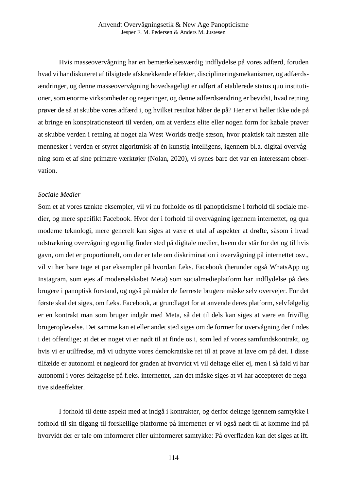Hvis masseovervågning har en bemærkelsesværdig indflydelse på vores adfærd, foruden hvad vi har diskuteret af tilsigtede afskrækkende effekter, disciplineringsmekanismer, og adfærdsændringer, og denne masseovervågning hovedsageligt er udført af etablerede status quo institutioner, som enorme virksomheder og regeringer, og denne adfærdsændring er bevidst, hvad retning prøver de så at skubbe vores adfærd i, og hvilket resultat håber de på? Her er vi heller ikke ude på at bringe en konspirationsteori til verden, om at verdens elite eller nogen form for kabale prøver at skubbe verden i retning af noget ala West Worlds tredje sæson, hvor praktisk talt næsten alle mennesker i verden er styret algoritmisk af én kunstig intelligens, igennem bl.a. digital overvågning som et af sine primære værktøjer (Nolan, 2020), vi synes bare det var en interessant observation.

#### *Sociale Medier*

Som et af vores tænkte eksempler, vil vi nu forholde os til panopticisme i forhold til sociale medier, og mere specifikt Facebook. Hvor der i forhold til overvågning igennem internettet, og qua moderne teknologi, mere generelt kan siges at være et utal af aspekter at drøfte, såsom i hvad udstrækning overvågning egentlig finder sted på digitale medier, hvem der står for det og til hvis gavn, om det er proportionelt, om der er tale om diskrimination i overvågning på internettet osv., vil vi her bare tage et par eksempler på hvordan f.eks. Facebook (herunder også WhatsApp og Instagram, som ejes af moderselskabet Meta) som socialmedieplatform har indflydelse på dets brugere i panoptisk forstand, og også på måder de færreste brugere måske selv overvejer. For det første skal det siges, om f.eks. Facebook, at grundlaget for at anvende deres platform, selvfølgelig er en kontrakt man som bruger indgår med Meta, så det til dels kan siges at være en frivillig brugeroplevelse. Det samme kan et eller andet sted siges om de former for overvågning der findes i det offentlige; at det er noget vi er nødt til at finde os i, som led af vores samfundskontrakt, og hvis vi er utilfredse, må vi udnytte vores demokratiske ret til at prøve at lave om på det. I disse tilfælde er autonomi et nøgleord for graden af hvorvidt vi vil deltage eller ej, men i så fald vi har autonomi i vores deltagelse på f.eks. internettet, kan det måske siges at vi har accepteret de negative sideeffekter.

I forhold til dette aspekt med at indgå i kontrakter, og derfor deltage igennem samtykke i forhold til sin tilgang til forskellige platforme på internettet er vi også nødt til at komme ind på hvorvidt der er tale om informeret eller uinformeret samtykke: På overfladen kan det siges at ift.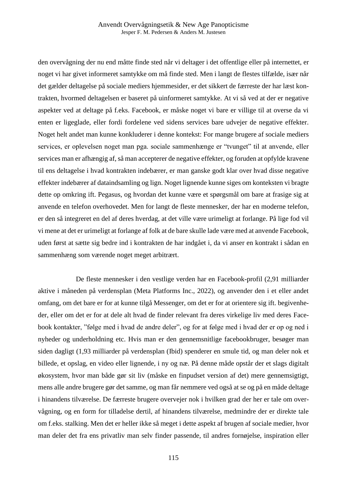den overvågning der nu end måtte finde sted når vi deltager i det offentlige eller på internettet, er noget vi har givet informeret samtykke om må finde sted. Men i langt de flestes tilfælde, især når det gælder deltagelse på sociale mediers hjemmesider, er det sikkert de færreste der har læst kontrakten, hvormed deltagelsen er baseret på uinformeret samtykke. At vi så ved at der er negative aspekter ved at deltage på f.eks. Facebook, er måske noget vi bare er villige til at overse da vi enten er ligeglade, eller fordi fordelene ved sidens services bare udvejer de negative effekter. Noget helt andet man kunne konkluderer i denne kontekst: For mange brugere af sociale mediers services, er oplevelsen noget man pga. sociale sammenhænge er "tvunget" til at anvende, eller services man er afhængig af, så man accepterer de negative effekter, og foruden at opfylde kravene til ens deltagelse i hvad kontrakten indebærer, er man ganske godt klar over hvad disse negative effekter indebærer af dataindsamling og lign. Noget lignende kunne siges om konteksten vi bragte dette op omkring ift. Pegasus, og hvordan det kunne være et spørgsmål om bare at frasige sig at anvende en telefon overhovedet. Men for langt de fleste mennesker, der har en moderne telefon, er den så integreret en del af deres hverdag, at det ville være urimeligt at forlange. På lige fod vil vi mene at det er urimeligt at forlange af folk at de bare skulle lade være med at anvende Facebook, uden først at sætte sig bedre ind i kontrakten de har indgået i, da vi anser en kontrakt i sådan en sammenhæng som værende noget meget arbitrært.

 De fleste mennesker i den vestlige verden har en Facebook-profil (2,91 milliarder aktive i måneden på verdensplan (Meta Platforms Inc., 2022), og anvender den i et eller andet omfang, om det bare er for at kunne tilgå Messenger, om det er for at orientere sig ift. begivenheder, eller om det er for at dele alt hvad de finder relevant fra deres virkelige liv med deres Facebook kontakter, "følge med i hvad de andre deler", og for at følge med i hvad der er op og ned i nyheder og underholdning etc. Hvis man er den gennemsnitlige facebookbruger, besøger man siden dagligt (1,93 milliarder på verdensplan (Ibid) spenderer en smule tid, og man deler nok et billede, et opslag, en video eller lignende, i ny og næ. På denne måde opstår der et slags digitalt økosystem, hvor man både gør sit liv (måske en finpudset version af det) mere gennemsigtigt, mens alle andre brugere gør det samme, og man får nemmere ved også at se og på en måde deltage i hinandens tilværelse. De færreste brugere overvejer nok i hvilken grad der her er tale om overvågning, og en form for tilladelse dertil, af hinandens tilværelse, medmindre der er direkte tale om f.eks. stalking. Men det er heller ikke så meget i dette aspekt af brugen af sociale medier, hvor man deler det fra ens privatliv man selv finder passende, til andres fornøjelse, inspiration eller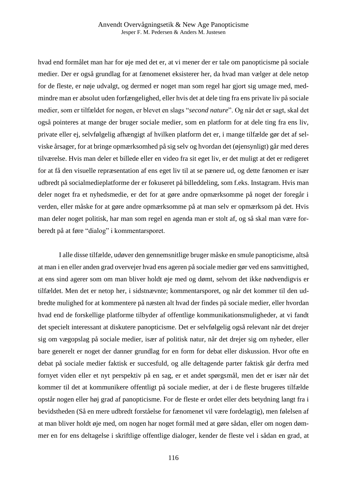hvad end formålet man har for øje med det er, at vi mener der er tale om panopticisme på sociale medier. Der er også grundlag for at fænomenet eksisterer her, da hvad man vælger at dele netop for de fleste, er nøje udvalgt, og dermed er noget man som regel har gjort sig umage med, medmindre man er absolut uden forfængelighed, eller hvis det at dele ting fra ens private liv på sociale medier, som er tilfældet for nogen, er blevet en slags "*second nature*". Og når det er sagt, skal det også pointeres at mange der bruger sociale medier, som en platform for at dele ting fra ens liv, private eller ej, selvfølgelig afhængigt af hvilken platform det er, i mange tilfælde gør det af selviske årsager, for at bringe opmærksomhed på sig selv og hvordan det (øjensynligt) går med deres tilværelse. Hvis man deler et billede eller en video fra sit eget liv, er det muligt at det er redigeret for at få den visuelle repræsentation af ens eget liv til at se pænere ud, og dette fænomen er især udbredt på socialmedieplatforme der er fokuseret på billeddeling, som f.eks. Instagram. Hvis man deler noget fra et nyhedsmedie, er det for at gøre andre opmærksomme på noget der foregår i verden, eller måske for at gøre andre opmærksomme på at man selv er opmærksom på det. Hvis man deler noget politisk, har man som regel en agenda man er stolt af, og så skal man være forberedt på at føre "dialog" i kommentarsporet.

I alle disse tilfælde, udøver den gennemsnitlige bruger måske en smule panopticisme, altså at man i en eller anden grad overvejer hvad ens ageren på sociale medier gør ved ens samvittighed, at ens sind agerer som om man bliver holdt øje med og dømt, selvom det ikke nødvendigvis er tilfældet. Men det er netop her, i sidstnævnte; kommentarsporet, og når det kommer til den udbredte mulighed for at kommentere på næsten alt hvad der findes på sociale medier, eller hvordan hvad end de forskellige platforme tilbyder af offentlige kommunikationsmuligheder, at vi fandt det specielt interessant at diskutere panopticisme. Det er selvfølgelig også relevant når det drejer sig om vægopslag på sociale medier, især af politisk natur, når det drejer sig om nyheder, eller bare generelt er noget der danner grundlag for en form for debat eller diskussion. Hvor ofte en debat på sociale medier faktisk er succesfuld, og alle deltagende parter faktisk går derfra med fornyet viden eller et nyt perspektiv på en sag, er et andet spørgsmål, men det er især når det kommer til det at kommunikere offentligt på sociale medier, at der i de fleste brugeres tilfælde opstår nogen eller høj grad af panopticisme. For de fleste er ordet eller dets betydning langt fra i bevidstheden (Så en mere udbredt forståelse for fænomenet vil være fordelagtig), men følelsen af at man bliver holdt øje med, om nogen har noget formål med at gøre sådan, eller om nogen dømmer en for ens deltagelse i skriftlige offentlige dialoger, kender de fleste vel i sådan en grad, at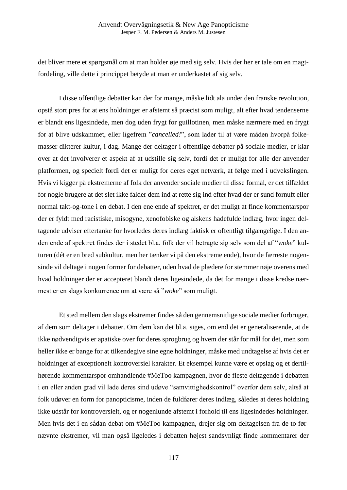det bliver mere et spørgsmål om at man holder øje med sig selv. Hvis der her er tale om en magtfordeling, ville dette i princippet betyde at man er underkastet af sig selv.

I disse offentlige debatter kan der for mange, måske lidt ala under den franske revolution, opstå stort pres for at ens holdninger er afstemt så præcist som muligt, alt efter hvad tendenserne er blandt ens ligesindede, men dog uden frygt for guillotinen, men måske nærmere med en frygt for at blive udskammet, eller ligefrem "*cancelled!*", som lader til at være måden hvorpå folkemasser dikterer kultur, i dag. Mange der deltager i offentlige debatter på sociale medier, er klar over at det involverer et aspekt af at udstille sig selv, fordi det er muligt for alle der anvender platformen, og specielt fordi det er muligt for deres eget netværk, at følge med i udvekslingen. Hvis vi kigger på ekstremerne af folk der anvender sociale medier til disse formål, er det tilfældet for nogle brugere at det slet ikke falder dem ind at rette sig ind efter hvad der er sund fornuft eller normal takt-og-tone i en debat. I den ene ende af spektret, er det muligt at finde kommentarspor der er fyldt med racistiske, misogyne, xenofobiske og alskens hadefulde indlæg, hvor ingen deltagende udviser eftertanke for hvorledes deres indlæg faktisk er offentligt tilgængelige. I den anden ende af spektret findes der i stedet bl.a. folk der vil betragte sig selv som del af "*woke*" kulturen (dét er en bred subkultur, men her tænker vi på den ekstreme ende), hvor de færreste nogensinde vil deltage i nogen former for debatter, uden hvad de plædere for stemmer nøje overens med hvad holdninger der er accepteret blandt deres ligesindede, da det for mange i disse kredse nærmest er en slags konkurrence om at være så "*woke*" som muligt.

Et sted mellem den slags ekstremer findes så den gennemsnitlige sociale medier forbruger, af dem som deltager i debatter. Om dem kan det bl.a. siges, om end det er generaliserende, at de ikke nødvendigvis er apatiske over for deres sprogbrug og hvem der står for mål for det, men som heller ikke er bange for at tilkendegive sine egne holdninger, måske med undtagelse af hvis det er holdninger af exceptionelt kontroversiel karakter. Et eksempel kunne være et opslag og et dertilhørende kommentarspor omhandlende #MeToo kampagnen, hvor de fleste deltagende i debatten i en eller anden grad vil lade deres sind udøve "samvittighedskontrol" overfor dem selv, altså at folk udøver en form for panopticisme, inden de fuldfører deres indlæg, således at deres holdning ikke udstår for kontroversielt, og er nogenlunde afstemt i forhold til ens ligesindedes holdninger. Men hvis det i en sådan debat om #MeToo kampagnen, drejer sig om deltagelsen fra de to førnævnte ekstremer, vil man også ligeledes i debatten højest sandsynligt finde kommentarer der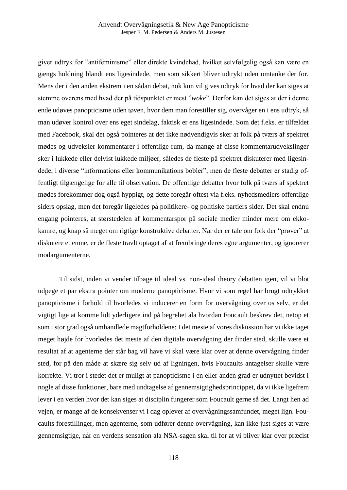giver udtryk for "antifeminisme" eller direkte kvindehad, hvilket selvfølgelig også kan være en gængs holdning blandt ens ligesindede, men som sikkert bliver udtrykt uden omtanke der for. Mens der i den anden ekstrem i en sådan debat, nok kun vil gives udtryk for hvad der kan siges at stemme overens med hvad der på tidspunktet er mest "*woke*". Derfor kan det siges at der i denne ende udøves panopticisme uden tøven, hvor dem man forestiller sig, overvåger en i ens udtryk, så man udøver kontrol over ens eget sindelag, faktisk er ens ligesindede. Som det f.eks. er tilfældet med Facebook, skal det også pointeres at det ikke nødvendigvis sker at folk på tværs af spektret mødes og udveksler kommentarer i offentlige rum, da mange af disse kommentarudvekslinger sker i lukkede eller delvist lukkede miljøer, således de fleste på spektret diskuterer med ligesindede, i diverse "informations eller kommunikations bobler", men de fleste debatter er stadig offentligt tilgængelige for alle til observation. De offentlige debatter hvor folk på tværs af spektret mødes forekommer dog også hyppigt, og dette foregår oftest via f.eks. nyhedsmediers offentlige siders opslag, men det foregår ligeledes på politikere- og politiske partiers sider. Det skal endnu engang pointeres, at størstedelen af kommentarspor på sociale medier minder mere om ekkokamre, og knap så meget om rigtige konstruktive debatter. Når der er tale om folk der "prøver" at diskutere et emne, er de fleste travlt optaget af at frembringe deres egne argumenter, og ignorerer modargumenterne.

Til sidst, inden vi vender tilbage til ideal vs. non-ideal theory debatten igen, vil vi blot udpege et par ekstra pointer om moderne panopticisme. Hvor vi som regel har brugt udtrykket panopticisme i forhold til hvorledes vi inducerer en form for overvågning over os selv, er det vigtigt lige at komme lidt yderligere ind på begrebet ala hvordan Foucault beskrev det, netop et som i stor grad også omhandlede magtforholdene: I det meste af vores diskussion har vi ikke taget meget højde for hvorledes det meste af den digitale overvågning der finder sted, skulle være et resultat af at agenterne der står bag vil have vi skal være klar over at denne overvågning finder sted, for på den måde at skære sig selv ud af ligningen, hvis Foucaults antagelser skulle være korrekte. Vi tror i stedet det er muligt at panopticisme i en eller anden grad er udnyttet bevidst i nogle af disse funktioner, bare med undtagelse af gennemsigtighedsprincippet, da vi ikke ligefrem lever i en verden hvor det kan siges at disciplin fungerer som Foucault gerne så det. Langt hen ad vejen, er mange af de konsekvenser vi i dag oplever af overvågningssamfundet, meget lign. Foucaults forestillinger, men agenterne, som udfører denne overvågning, kan ikke just siges at være gennemsigtige, når en verdens sensation ala NSA-sagen skal til for at vi bliver klar over præcist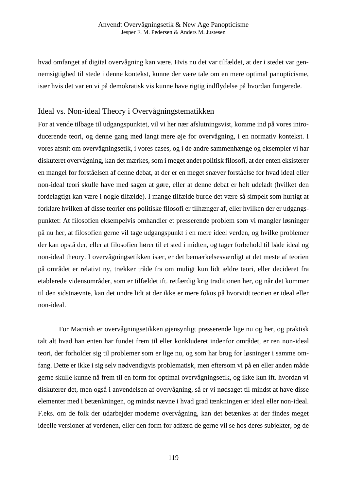hvad omfanget af digital overvågning kan være. Hvis nu det var tilfældet, at der i stedet var gennemsigtighed til stede i denne kontekst, kunne der være tale om en mere optimal panopticisme, især hvis det var en vi på demokratisk vis kunne have rigtig indflydelse på hvordan fungerede.

## Ideal vs. Non-ideal Theory i Overvågningstematikken

For at vende tilbage til udgangspunktet, vil vi her nær afslutningsvist, komme ind på vores introducerende teori, og denne gang med langt mere øje for overvågning, i en normativ kontekst. I vores afsnit om overvågningsetik, i vores cases, og i de andre sammenhænge og eksempler vi har diskuteret overvågning, kan det mærkes, som i meget andet politisk filosofi, at der enten eksisterer en mangel for forståelsen af denne debat, at der er en meget snæver forståelse for hvad ideal eller non-ideal teori skulle have med sagen at gøre, eller at denne debat er helt udeladt (hvilket den fordelagtigt kan være i nogle tilfælde). I mange tilfælde burde det være så simpelt som hurtigt at forklare hvilken af disse teorier ens politiske filosofi er tilhænger af, eller hvilken der er udgangspunktet: At filosofien eksempelvis omhandler et presserende problem som vi mangler løsninger på nu her, at filosofien gerne vil tage udgangspunkt i en mere ideel verden, og hvilke problemer der kan opstå der, eller at filosofien hører til et sted i midten, og tager forbehold til både ideal og non-ideal theory. I overvågningsetikken især, er det bemærkelsesværdigt at det meste af teorien på området er relativt ny, trækker tråde fra om muligt kun lidt ældre teori, eller decideret fra etablerede vidensområder, som er tilfældet ift. retfærdig krig traditionen her, og når det kommer til den sidstnævnte, kan det undre lidt at der ikke er mere fokus på hvorvidt teorien er ideal eller non-ideal.

For Macnish er overvågningsetikken øjensynligt presserende lige nu og her, og praktisk talt alt hvad han enten har fundet frem til eller konkluderet indenfor området, er ren non-ideal teori, der forholder sig til problemer som er lige nu, og som har brug for løsninger i samme omfang. Dette er ikke i sig selv nødvendigvis problematisk, men eftersom vi på en eller anden måde gerne skulle kunne nå frem til en form for optimal overvågningsetik, og ikke kun ift. hvordan vi diskuterer det, men også i anvendelsen af overvågning, så er vi nødsaget til mindst at have disse elementer med i betænkningen, og mindst nævne i hvad grad tænkningen er ideal eller non-ideal. F.eks. om de folk der udarbejder moderne overvågning, kan det betænkes at der findes meget ideelle versioner af verdenen, eller den form for adfærd de gerne vil se hos deres subjekter, og de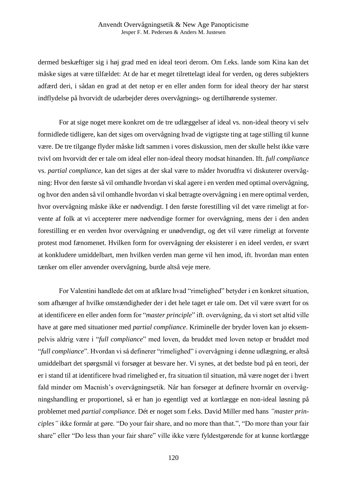dermed beskæftiger sig i høj grad med en ideal teori derom. Om f.eks. lande som Kina kan det måske siges at være tilfældet: At de har et meget tilrettelagt ideal for verden, og deres subjekters adfærd deri, i sådan en grad at det netop er en eller anden form for ideal theory der har størst indflydelse på hvorvidt de udarbejder deres overvågnings- og dertilhørende systemer.

For at sige noget mere konkret om de tre udlæggelser af ideal vs. non-ideal theory vi selv formidlede tidligere, kan det siges om overvågning hvad de vigtigste ting at tage stilling til kunne være. De tre tilgange flyder måske lidt sammen i vores diskussion, men der skulle helst ikke være tvivl om hvorvidt der er tale om ideal eller non-ideal theory modsat hinanden. Ift. *full compliance*  vs. *partial compliance*, kan det siges at der skal være to måder hvorudfra vi diskuterer overvågning: Hvor den første så vil omhandle hvordan vi skal agere i en verden med optimal overvågning, og hvor den anden så vil omhandle hvordan vi skal betragte overvågning i en mere optimal verden, hvor overvågning måske ikke er nødvendigt. I den første forestilling vil det være rimeligt at forvente af folk at vi accepterer mere nødvendige former for overvågning, mens der i den anden forestilling er en verden hvor overvågning er unødvendigt, og det vil være rimeligt at forvente protest mod fænomenet. Hvilken form for overvågning der eksisterer i en ideel verden, er svært at konkludere umiddelbart, men hvilken verden man gerne vil hen imod, ift. hvordan man enten tænker om eller anvender overvågning, burde altså veje mere.

For Valentini handlede det om at afklare hvad "rimelighed" betyder i en konkret situation, som afhænger af hvilke omstændigheder der i det hele taget er tale om. Det vil være svært for os at identificere en eller anden form for "*master principle*" ift. overvågning, da vi stort set altid ville have at gøre med situationer med *partial compliance*. Kriminelle der bryder loven kan jo eksempelvis aldrig være i "*full compliance*" med loven, da bruddet med loven netop er bruddet med "*full compliance*". Hvordan vi så definerer "rimelighed" i overvågning i denne udlægning, er altså umiddelbart det spørgsmål vi forsøger at besvare her. Vi synes, at det bedste bud på en teori, der er i stand til at identificere hvad rimelighed er, fra situation til situation, må være noget der i hvert fald minder om Macnish's overvågningsetik. Når han forsøger at definere hvornår en overvågningshandling er proportionel, så er han jo egentligt ved at kortlægge en non-ideal løsning på problemet med *partial compliance*. Dét er noget som f.eks. David Miller med hans *"master principles"* ikke formår at gøre. "Do your fair share, and no more than that.", "Do more than your fair share" eller "Do less than your fair share" ville ikke være fyldestgørende for at kunne kortlægge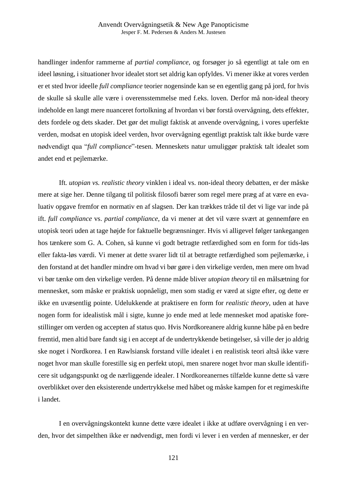handlinger indenfor rammerne af *partial compliance*, og forsøger jo så egentligt at tale om en ideel løsning, i situationer hvor idealet stort set aldrig kan opfyldes. Vi mener ikke at vores verden er et sted hvor ideelle *full compliance* teorier nogensinde kan se en egentlig gang på jord, for hvis de skulle så skulle alle være i overensstemmelse med f.eks. loven. Derfor må non-ideal theory indeholde en langt mere nuanceret fortolkning af hvordan vi bør forstå overvågning, dets effekter, dets fordele og dets skader. Det gør det muligt faktisk at anvende overvågning, i vores uperfekte verden, modsat en utopisk ideel verden, hvor overvågning egentligt praktisk talt ikke burde være nødvendigt qua "*full compliance*"-tesen. Menneskets natur umuliggør praktisk talt idealet som andet end et pejlemærke.

Ift*. utopian vs. realistic theory* vinklen i ideal vs. non-ideal theory debatten, er der måske mere at sige her. Denne tilgang til politisk filosofi bærer som regel mere præg af at være en evaluativ opgave fremfor en normativ en af slagsen. Der kan trækkes tråde til det vi lige var inde på ift. *full compliance* vs. *partial compliance*, da vi mener at det vil være svært at gennemføre en utopisk teori uden at tage højde for faktuelle begrænsninger. Hvis vi alligevel følger tankegangen hos tænkere som G. A. Cohen, så kunne vi godt betragte retfærdighed som en form for tids-løs eller fakta-løs værdi. Vi mener at dette svarer lidt til at betragte retfærdighed som pejlemærke, i den forstand at det handler mindre om hvad vi bør gøre i den virkelige verden, men mere om hvad vi bør tænke om den virkelige verden. På denne måde bliver *utopian theory* til en målsætning for mennesket, som måske er praktisk uopnåeligt, men som stadig er værd at sigte efter, og dette er ikke en uvæsentlig pointe. Udelukkende at praktisere en form for *realistic theory*, uden at have nogen form for idealistisk mål i sigte, kunne jo ende med at lede mennesket mod apatiske forestillinger om verden og accepten af status quo. Hvis Nordkoreanere aldrig kunne håbe på en bedre fremtid, men altid bare fandt sig i en accept af de undertrykkende betingelser, så ville der jo aldrig ske noget i Nordkorea. I en Rawlsiansk forstand ville idealet i en realistisk teori altså ikke være noget hvor man skulle forestille sig en perfekt utopi, men snarere noget hvor man skulle identificere sit udgangspunkt og de nærliggende idealer. I Nordkoreanernes tilfælde kunne dette så være overblikket over den eksisterende undertrykkelse med håbet og måske kampen for et regimeskifte i landet.

I en overvågningskontekt kunne dette være idealet i ikke at udføre overvågning i en verden, hvor det simpelthen ikke er nødvendigt, men fordi vi lever i en verden af mennesker, er der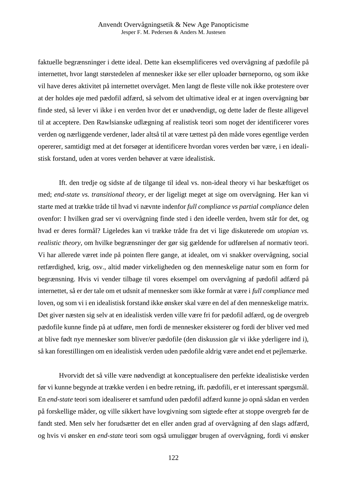faktuelle begrænsninger i dette ideal. Dette kan eksemplificeres ved overvågning af pædofile på internettet, hvor langt størstedelen af mennesker ikke ser eller uploader børneporno, og som ikke vil have deres aktivitet på internettet overvåget. Men langt de fleste ville nok ikke protestere over at der holdes øje med pædofil adfærd, så selvom det ultimative ideal er at ingen overvågning bør finde sted, så lever vi ikke i en verden hvor det er unødvendigt, og dette lader de fleste alligevel til at acceptere. Den Rawlsianske udlægning af realistisk teori som noget der identificerer vores verden og nærliggende verdener, lader altså til at være tættest på den måde vores egentlige verden opererer, samtidigt med at det forsøger at identificere hvordan vores verden bør være, i en idealistisk forstand, uden at vores verden behøver at være idealistisk.

Ift. den tredje og sidste af de tilgange til ideal vs. non-ideal theory vi har beskæftiget os med; *end-state vs. transitional theory*, er der ligeligt meget at sige om overvågning. Her kan vi starte med at trække tråde til hvad vi nævnte indenfor *full compliance vs partial compliance* delen ovenfor: I hvilken grad ser vi overvågning finde sted i den ideelle verden, hvem står for det, og hvad er deres formål? Ligeledes kan vi trække tråde fra det vi lige diskuterede om *utopian vs. realistic theory*, om hvilke begrænsninger der gør sig gældende for udførelsen af normativ teori. Vi har allerede været inde på pointen flere gange, at idealet, om vi snakker overvågning, social retfærdighed, krig, osv., altid møder virkeligheden og den menneskelige natur som en form for begrænsning. Hvis vi vender tilbage til vores eksempel om overvågning af pædofil adfærd på internettet, så er der tale om et udsnit af mennesker som ikke formår at være i *full compliance* med loven, og som vi i en idealistisk forstand ikke ønsker skal være en del af den menneskelige matrix. Det giver næsten sig selv at en idealistisk verden ville være fri for pædofil adfærd, og de overgreb pædofile kunne finde på at udføre, men fordi de mennesker eksisterer og fordi der bliver ved med at blive født nye mennesker som bliver/er pædofile (den diskussion går vi ikke yderligere ind i), så kan forestillingen om en idealistisk verden uden pædofile aldrig være andet end et pejlemærke.

Hvorvidt det så ville være nødvendigt at konceptualisere den perfekte idealistiske verden før vi kunne begynde at trække verden i en bedre retning, ift. pædofili, er et interessant spørgsmål. En *end-state* teori som idealiserer et samfund uden pædofil adfærd kunne jo opnå sådan en verden på forskellige måder, og ville sikkert have lovgivning som sigtede efter at stoppe overgreb før de fandt sted. Men selv her forudsætter det en eller anden grad af overvågning af den slags adfærd, og hvis vi ønsker en *end-state* teori som også umuliggør brugen af overvågning, fordi vi ønsker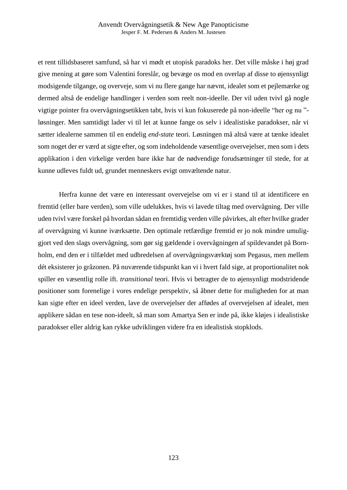et rent tillidsbaseret samfund, så har vi mødt et utopisk paradoks her. Det ville måske i høj grad give mening at gøre som Valentini foreslår, og bevæge os mod en overlap af disse to øjensynligt modsigende tilgange, og overveje, som vi nu flere gange har nævnt, idealet som et pejlemærke og dermed altså de endelige handlinger i verden som reelt non-ideelle. Der vil uden tvivl gå nogle vigtige pointer fra overvågningsetikken tabt, hvis vi kun fokuserede på non-ideelle "her og nu " løsninger. Men samtidigt lader vi til let at kunne fange os selv i idealistiske paradokser, når vi sætter idealerne sammen til en endelig *end-state* teori. Løsningen må altså være at tænke idealet som noget der er værd at sigte efter, og som indeholdende væsentlige overvejelser, men som i dets applikation i den virkelige verden bare ikke har de nødvendige forudsætninger til stede, for at kunne udleves fuldt ud, grundet menneskers evigt omvæltende natur.

Herfra kunne det være en interessant overvejelse om vi er i stand til at identificere en fremtid (eller bare verden), som ville udelukkes, hvis vi lavede tiltag med overvågning. Der ville uden tvivl være forskel på hvordan sådan en fremtidig verden ville påvirkes, alt efter hvilke grader af overvågning vi kunne iværksætte. Den optimale retfærdige fremtid er jo nok mindre umuliggjort ved den slags overvågning, som gør sig gældende i overvågningen af spildevandet på Bornholm, end den er i tilfældet med udbredelsen af overvågningsværktøj som Pegasus, men mellem dét eksisterer jo gråzonen. På nuværende tidspunkt kan vi i hvert fald sige, at proportionalitet nok spiller en væsentlig rolle ift. *transitional* teori. Hvis vi betragter de to øjensynligt modstridende positioner som forenelige i vores endelige perspektiv, så åbner dette for muligheden for at man kan sigte efter en ideel verden, lave de overvejelser der affødes af overvejelsen af idealet, men applikere sådan en tese non-ideelt, så man som Amartya Sen er inde på, ikke kløjes i idealistiske paradokser eller aldrig kan rykke udviklingen videre fra en idealistisk stopklods.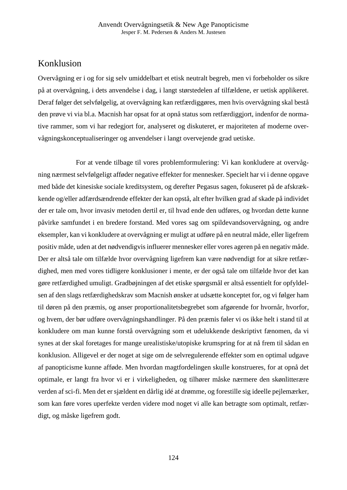# Konklusion

Overvågning er i og for sig selv umiddelbart et etisk neutralt begreb, men vi forbeholder os sikre på at overvågning, i dets anvendelse i dag, i langt størstedelen af tilfældene, er uetisk applikeret. Deraf følger det selvfølgelig, at overvågning kan retfærdiggøres, men hvis overvågning skal bestå den prøve vi via bl.a. Macnish har opsat for at opnå status som retfærdiggjort, indenfor de normative rammer, som vi har redegjort for, analyseret og diskuteret, er majoriteten af moderne overvågningskonceptualiseringer og anvendelser i langt overvejende grad uetiske.

For at vende tilbage til vores problemformulering: Vi kan konkludere at overvågning nærmest selvfølgeligt afføder negative effekter for mennesker. Specielt har vi i denne opgave med både det kinesiske sociale kreditsystem, og derefter Pegasus sagen, fokuseret på de afskrækkende og/eller adfærdsændrende effekter der kan opstå, alt efter hvilken grad af skade på individet der er tale om, hvor invasiv metoden dertil er, til hvad ende den udføres, og hvordan dette kunne påvirke samfundet i en bredere forstand. Med vores sag om spildevandsovervågning, og andre eksempler, kan vi konkludere at overvågning er muligt at udføre på en neutral måde, eller ligefrem positiv måde, uden at det nødvendigvis influerer mennesker eller vores ageren på en negativ måde. Der er altså tale om tilfælde hvor overvågning ligefrem kan være nødvendigt for at sikre retfærdighed, men med vores tidligere konklusioner i mente, er der også tale om tilfælde hvor det kan gøre retfærdighed umuligt. Gradbøjningen af det etiske spørgsmål er altså essentielt for opfyldelsen af den slags retfærdighedskrav som Macnish ønsker at udsætte konceptet for, og vi følger ham til døren på den præmis, og anser proportionalitetsbegrebet som afgørende for hvornår, hvorfor, og hvem, der bør udføre overvågningshandlinger. På den præmis føler vi os ikke helt i stand til at konkludere om man kunne forstå overvågning som et udelukkende deskriptivt fænomen, da vi synes at der skal foretages for mange urealistiske/utopiske krumspring for at nå frem til sådan en konklusion. Alligevel er der noget at sige om de selvregulerende effekter som en optimal udgave af panopticisme kunne afføde. Men hvordan magtfordelingen skulle konstrueres, for at opnå det optimale, er langt fra hvor vi er i virkeligheden, og tilhører måske nærmere den skønlitterære verden af sci-fi. Men det er sjældent en dårlig idé at drømme, og forestille sig ideelle pejlemærker, som kan føre vores uperfekte verden videre mod noget vi alle kan betragte som optimalt, retfærdigt, og måske ligefrem godt.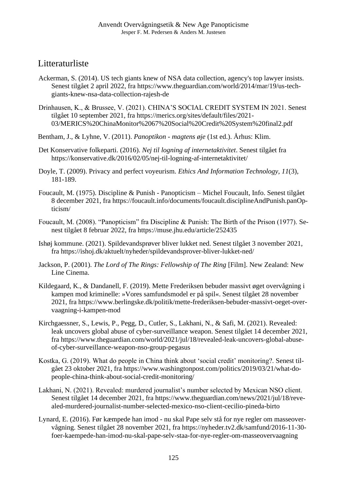# Litteraturliste

- Ackerman, S. (2014). US tech giants knew of NSA data collection, agency's top lawyer insists. Senest tilgået 2 april 2022, fra https://www.theguardian.com/world/2014/mar/19/us-techgiants-knew-nsa-data-collection-rajesh-de
- Drinhausen, K., & Brussee, V. (2021). CHINA'S SOCIAL CREDIT SYSTEM IN 2021. Senest tilgået 10 september 2021, fra https://merics.org/sites/default/files/2021- 03/MERICS%20ChinaMonitor%2067%20Social%20Credit%20System%20final2.pdf
- Bentham, J., & Lyhne, V. (2011). *Panoptikon - magtens øje* (1st ed.). Århus: Klim.
- Det Konservative folkeparti. (2016). *Nej til logning af internetaktivitet*. Senest tilgået fra https://konservative.dk/2016/02/05/nej-til-logning-af-internetaktivitet/
- Doyle, T. (2009). Privacy and perfect voyeurism. *Ethics And Information Technology*, *11*(3), 181-189.
- Foucault, M. (1975). Discipline & Punish Panopticism Michel Foucault, Info. Senest tilgået 8 december 2021, fra https://foucault.info/documents/foucault.disciplineAndPunish.panOpticism/
- Foucault, M. (2008). "Panopticism" fra Discipline & Punish: The Birth of the Prison (1977). Senest tilgået 8 februar 2022, fra https://muse.jhu.edu/article/252435
- Ishøj kommune. (2021). Spildevandsprøver bliver lukket ned. Senest tilgået 3 november 2021, fra https://ishoj.dk/aktuelt/nyheder/spildevandsprover-bliver-lukket-ned/
- Jackson, P. (2001). *The Lord of The Rings: Fellowship of The Ring* [Film]. New Zealand: New Line Cinema.
- Kildegaard, K., & Dandanell, F. (2019). Mette Frederiksen bebuder massivt øget overvågning i kampen mod kriminelle: »Vores samfundsmodel er på spil«. Senest tilgået 28 november 2021, fra https://www.berlingske.dk/politik/mette-frederiksen-bebuder-massivt-oeget-overvaagning-i-kampen-mod
- Kirchgaessner, S., Lewis, P., Pegg, D., Cutler, S., Lakhani, N., & Safi, M. (2021). Revealed: leak uncovers global abuse of cyber-surveillance weapon. Senest tilgået 14 december 2021, fra https://www.theguardian.com/world/2021/jul/18/revealed-leak-uncovers-global-abuseof-cyber-surveillance-weapon-nso-group-pegasus
- Kostka, G. (2019). What do people in China think about 'social credit' monitoring?. Senest tilgået 23 oktober 2021, fra https://www.washingtonpost.com/politics/2019/03/21/what-dopeople-china-think-about-social-credit-monitoring/
- Lakhani, N. (2021). Revealed: murdered journalist's number selected by Mexican NSO client. Senest tilgået 14 december 2021, fra https://www.theguardian.com/news/2021/jul/18/revealed-murdered-journalist-number-selected-mexico-nso-client-cecilio-pineda-birto
- Lynard, E. (2016). Før kæmpede han imod nu skal Pape selv stå for nye regler om masseovervågning. Senest tilgået 28 november 2021, fra https://nyheder.tv2.dk/samfund/2016-11-30 foer-kaempede-han-imod-nu-skal-pape-selv-staa-for-nye-regler-om-masseovervaagning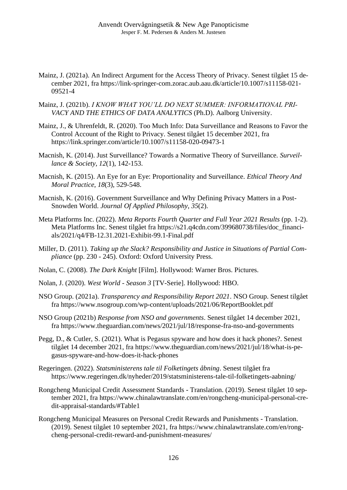- Mainz, J. (2021a). An Indirect Argument for the Access Theory of Privacy. Senest tilgået 15 december 2021, fra https://link-springer-com.zorac.aub.aau.dk/article/10.1007/s11158-021- 09521-4
- Mainz, J. (2021b). *I KNOW WHAT YOU'LL DO NEXT SUMMER: INFORMATIONAL PRI-VACY AND THE ETHICS OF DATA ANALYTICS* (Ph.D). Aalborg University.
- Mainz, J., & Uhrenfeldt, R. (2020). Too Much Info: Data Surveillance and Reasons to Favor the Control Account of the Right to Privacy. Senest tilgået 15 december 2021, fra https://link.springer.com/article/10.1007/s11158-020-09473-1
- Macnish, K. (2014). Just Surveillance? Towards a Normative Theory of Surveillance. *Surveillance & Society*, *12*(1), 142-153.
- Macnish, K. (2015). An Eye for an Eye: Proportionality and Surveillance. *Ethical Theory And Moral Practice*, *18*(3), 529-548.
- Macnish, K. (2016). Government Surveillance and Why Defining Privacy Matters in a Post-Snowden World. *Journal Of Applied Philosophy*, *35*(2).
- Meta Platforms Inc. (2022). *Meta Reports Fourth Quarter and Full Year 2021 Results* (pp. 1-2). Meta Platforms Inc. Senest tilgået fra https://s21.q4cdn.com/399680738/files/doc\_financials/2021/q4/FB-12.31.2021-Exhibit-99.1-Final.pdf
- Miller, D. (2011). *Taking up the Slack? Responsibility and Justice in Situations of Partial Compliance* (pp. 230 - 245). Oxford: Oxford University Press.
- Nolan, C. (2008). *The Dark Knight* [Film]. Hollywood: Warner Bros. Pictures.
- Nolan, J. (2020). *West World - Season 3* [TV-Serie]. Hollywood: HBO.
- NSO Group. (2021a). *Transparency and Responsibility Report 2021*. NSO Group. Senest tilgået fra https://www.nsogroup.com/wp-content/uploads/2021/06/ReportBooklet.pdf
- NSO Group (2021b) *Response from NSO and governments*. Senest tilgået 14 december 2021, fra https://www.theguardian.com/news/2021/jul/18/response-fra-nso-and-governments
- Pegg, D., & Cutler, S. (2021). What is Pegasus spyware and how does it hack phones?. Senest tilgået 14 december 2021, fra https://www.theguardian.com/news/2021/jul/18/what-is-pegasus-spyware-and-how-does-it-hack-phones
- Regeringen. (2022). *Statsministerens tale til Folketingets åbning*. Senest tilgået fra https://www.regeringen.dk/nyheder/2019/statsministerens-tale-til-folketingets-aabning/
- Rongcheng Municipal Credit Assessment Standards Translation. (2019). Senest tilgået 10 september 2021, fra https://www.chinalawtranslate.com/en/rongcheng-municipal-personal-credit-appraisal-standards/#Table1
- Rongcheng Municipal Measures on Personal Credit Rewards and Punishments Translation. (2019). Senest tilgået 10 september 2021, fra https://www.chinalawtranslate.com/en/rongcheng-personal-credit-reward-and-punishment-measures/